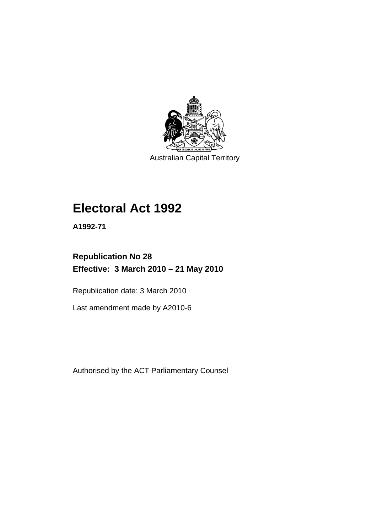

Australian Capital Territory

# **[Electoral Act 1992](#page-18-0)**

**A1992-71** 

# **Republication No 28 Effective: 3 March 2010 – 21 May 2010**

Republication date: 3 March 2010

Last amendment made by A2010-6

Authorised by the ACT Parliamentary Counsel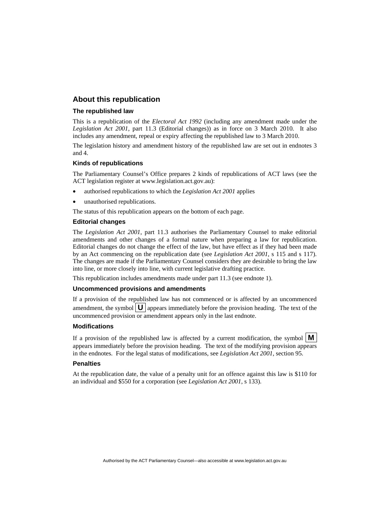#### **About this republication**

#### **The republished law**

This is a republication of the *Electoral Act 1992* (including any amendment made under the *Legislation Act 2001*, part 11.3 (Editorial changes)) as in force on 3 March 2010*.* It also includes any amendment, repeal or expiry affecting the republished law to 3 March 2010.

The legislation history and amendment history of the republished law are set out in endnotes 3 and 4.

#### **Kinds of republications**

The Parliamentary Counsel's Office prepares 2 kinds of republications of ACT laws (see the ACT legislation register at www.legislation.act.gov.au):

- authorised republications to which the *Legislation Act 2001* applies
- unauthorised republications.

The status of this republication appears on the bottom of each page.

#### **Editorial changes**

The *Legislation Act 2001*, part 11.3 authorises the Parliamentary Counsel to make editorial amendments and other changes of a formal nature when preparing a law for republication. Editorial changes do not change the effect of the law, but have effect as if they had been made by an Act commencing on the republication date (see *Legislation Act 2001*, s 115 and s 117). The changes are made if the Parliamentary Counsel considers they are desirable to bring the law into line, or more closely into line, with current legislative drafting practice.

This republication includes amendments made under part 11.3 (see endnote 1).

#### **Uncommenced provisions and amendments**

If a provision of the republished law has not commenced or is affected by an uncommenced amendment, the symbol  $\mathbf{U}$  appears immediately before the provision heading. The text of the uncommenced provision or amendment appears only in the last endnote.

#### **Modifications**

If a provision of the republished law is affected by a current modification, the symbol  $\mathbf{M}$ appears immediately before the provision heading. The text of the modifying provision appears in the endnotes. For the legal status of modifications, see *Legislation Act 2001*, section 95.

#### **Penalties**

At the republication date, the value of a penalty unit for an offence against this law is \$110 for an individual and \$550 for a corporation (see *Legislation Act 2001*, s 133).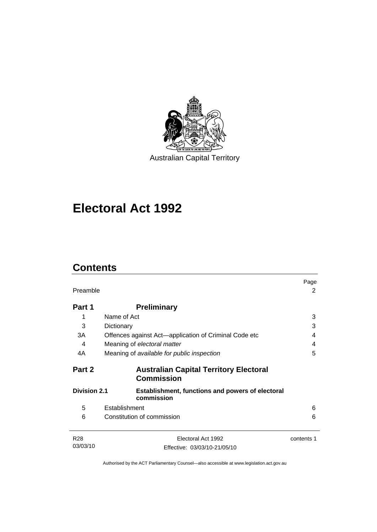

# **[Electoral Act 1992](#page-18-0)**

# **Contents**

| Preamble            |                                                                    | Page<br>2  |
|---------------------|--------------------------------------------------------------------|------------|
| Part 1              | <b>Preliminary</b>                                                 |            |
| 1                   | Name of Act                                                        | 3          |
| 3                   | Dictionary                                                         | 3          |
| 3A                  | Offences against Act-application of Criminal Code etc              | 4          |
| 4                   | Meaning of electoral matter                                        | 4          |
| 4A                  | Meaning of available for public inspection                         | 5          |
| Part 2              | <b>Australian Capital Territory Electoral</b><br><b>Commission</b> |            |
| <b>Division 2.1</b> | Establishment, functions and powers of electoral<br>commission     |            |
| 5                   | Establishment                                                      | 6          |
| 6                   | Constitution of commission                                         | 6          |
| R <sub>28</sub>     | Electoral Act 1992                                                 | contents 1 |
| 03/03/10            | Effective: 03/03/10-21/05/10                                       |            |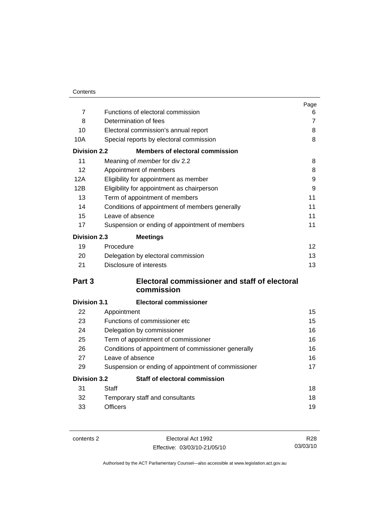| Contents |
|----------|
|          |

|                     |                                                     | Page           |
|---------------------|-----------------------------------------------------|----------------|
| $\overline{7}$      | Functions of electoral commission                   | 6              |
| 8                   | Determination of fees                               | $\overline{7}$ |
| 10                  | Electoral commission's annual report                | 8              |
| 10A                 | Special reports by electoral commission             | 8              |
| <b>Division 2.2</b> | <b>Members of electoral commission</b>              |                |
| 11                  | Meaning of member for div 2.2                       | 8              |
| 12                  | Appointment of members                              | 8              |
| 12A                 | Eligibility for appointment as member               | 9              |
| 12B                 | Eligibility for appointment as chairperson          | 9              |
| 13                  | Term of appointment of members                      | 11             |
| 14                  | Conditions of appointment of members generally      | 11             |
| 15                  | Leave of absence                                    | 11             |
| 17                  | Suspension or ending of appointment of members      | 11             |
| <b>Division 2.3</b> | <b>Meetings</b>                                     |                |
| 19                  | Procedure                                           | 12             |
| 20                  | Delegation by electoral commission                  | 13             |
| 21                  | Disclosure of interests                             | 13             |
| Part 3              | Electoral commissioner and staff of electoral       |                |
|                     | commission                                          |                |
| <b>Division 3.1</b> | <b>Electoral commissioner</b>                       |                |
| 22                  | Appointment                                         | 15             |
| 23                  | Functions of commissioner etc                       | 15             |
| 24                  | Delegation by commissioner                          | 16             |
| 25                  | Term of appointment of commissioner                 | 16             |
| 26                  | Conditions of appointment of commissioner generally | 16             |
| 27                  | Leave of absence                                    | 16             |
| 29                  | Suspension or ending of appointment of commissioner | 17             |
| <b>Division 3.2</b> | Staff of electoral commission                       |                |
| 31                  | Staff                                               | 18             |
| 32                  | Temporary staff and consultants                     | 18             |
| 33                  | <b>Officers</b>                                     | 19             |

contents 2 Electoral Act 1992 Effective: 03/03/10-21/05/10

R28 03/03/10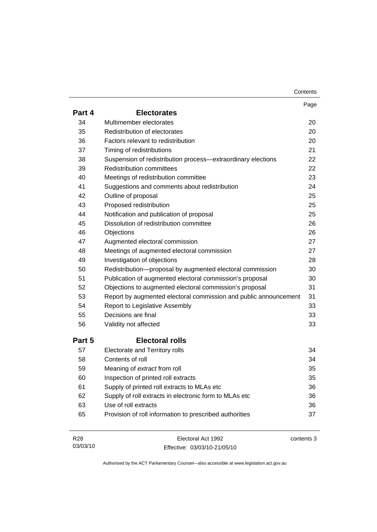| Contents |
|----------|
|----------|

|                 |                                                                  | Page       |
|-----------------|------------------------------------------------------------------|------------|
| Part 4          | <b>Electorates</b>                                               |            |
| 34              | Multimember electorates                                          | 20         |
| 35              | Redistribution of electorates                                    | 20         |
| 36              | Factors relevant to redistribution                               | 20         |
| 37              | Timing of redistributions                                        | 21         |
| 38              | Suspension of redistribution process-extraordinary elections     | 22         |
| 39              | <b>Redistribution committees</b>                                 | 22         |
| 40              | Meetings of redistribution committee                             | 23         |
| 41              | Suggestions and comments about redistribution                    | 24         |
| 42              | Outline of proposal                                              | 25         |
| 43              | Proposed redistribution                                          | 25         |
| 44              | Notification and publication of proposal                         | 25         |
| 45              | Dissolution of redistribution committee                          | 26         |
| 46              | Objections                                                       | 26         |
| 47              | Augmented electoral commission                                   | 27         |
| 48              | Meetings of augmented electoral commission                       | 27         |
| 49              | Investigation of objections                                      | 28         |
| 50              | Redistribution-proposal by augmented electoral commission        | 30         |
| 51              | Publication of augmented electoral commission's proposal         | 30         |
| 52              | Objections to augmented electoral commission's proposal          | 31         |
| 53              | Report by augmented electoral commission and public announcement | 31         |
| 54              | <b>Report to Legislative Assembly</b>                            | 33         |
| 55              | Decisions are final                                              | 33         |
| 56              | Validity not affected                                            | 33         |
| Part 5          | <b>Electoral rolls</b>                                           |            |
| 57              | Electorate and Territory rolls                                   | 34         |
| 58              | Contents of roll                                                 | 34         |
| 59              | Meaning of extract from roll                                     | 35         |
| 60              | Inspection of printed roll extracts                              | 35         |
| 61              | Supply of printed roll extracts to MLAs etc                      | 36         |
| 62              | Supply of roll extracts in electronic form to MLAs etc           | 36         |
| 63              | Use of roll extracts                                             | 36         |
| 65              | Provision of roll information to prescribed authorities          | 37         |
| R <sub>28</sub> | Electoral Act 1992                                               | contents 3 |

| R <sub>28</sub> | Electoral Act 1992           | contents 3 |
|-----------------|------------------------------|------------|
| 03/03/10        | Effective: 03/03/10-21/05/10 |            |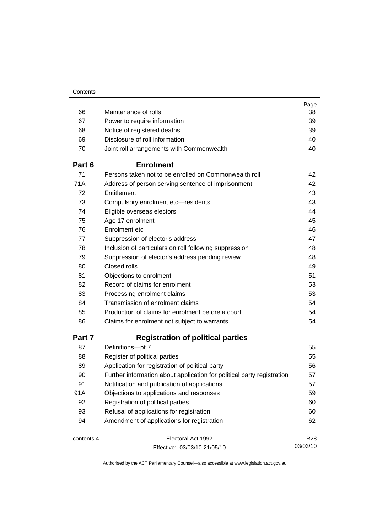|            |                                                                        | Page            |
|------------|------------------------------------------------------------------------|-----------------|
| 66         | Maintenance of rolls                                                   | 38              |
| 67         | Power to require information                                           | 39              |
| 68         | Notice of registered deaths                                            | 39              |
| 69         | Disclosure of roll information                                         | 40              |
| 70         | Joint roll arrangements with Commonwealth                              | 40              |
| Part 6     | <b>Enrolment</b>                                                       |                 |
| 71         | Persons taken not to be enrolled on Commonwealth roll                  | 42              |
| 71A        | Address of person serving sentence of imprisonment                     | 42              |
| 72         | Entitlement                                                            | 43              |
| 73         | Compulsory enrolment etc-residents                                     | 43              |
| 74         | Eligible overseas electors                                             | 44              |
| 75         | Age 17 enrolment                                                       | 45              |
| 76         | Enrolment etc                                                          | 46              |
| 77         | Suppression of elector's address                                       | 47              |
| 78         | Inclusion of particulars on roll following suppression                 | 48              |
| 79         | Suppression of elector's address pending review                        | 48              |
| 80         | Closed rolls                                                           | 49              |
| 81         | Objections to enrolment                                                | 51              |
| 82         | Record of claims for enrolment                                         | 53              |
| 83         | Processing enrolment claims                                            | 53              |
| 84         | Transmission of enrolment claims                                       | 54              |
| 85         | Production of claims for enrolment before a court                      | 54              |
| 86         | Claims for enrolment not subject to warrants                           | 54              |
| Part 7     | <b>Registration of political parties</b>                               |                 |
| 87         | Definitions-pt 7                                                       | 55              |
| 88         | Register of political parties                                          | 55              |
| 89         | Application for registration of political party                        | 56              |
| 90         | Further information about application for political party registration | 57              |
| 91         | Notification and publication of applications                           | 57              |
| 91A        | Objections to applications and responses                               | 59              |
| 92         | Registration of political parties                                      | 60              |
| 93         | Refusal of applications for registration                               | 60              |
| 94         | Amendment of applications for registration                             | 62              |
| contents 4 | Electoral Act 1992                                                     | R <sub>28</sub> |
|            | Effective: 03/03/10-21/05/10                                           | 03/03/10        |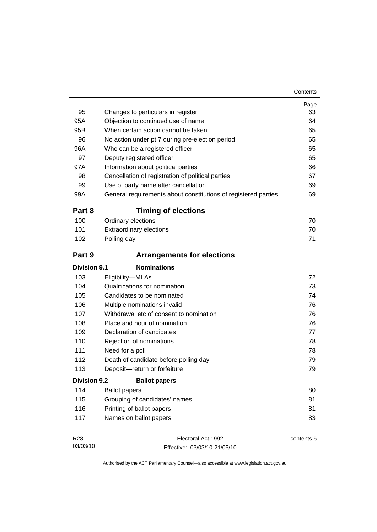| 95                  | Changes to particulars in register                             | Page<br>63 |
|---------------------|----------------------------------------------------------------|------------|
| 95A                 | Objection to continued use of name                             | 64         |
| 95B                 | When certain action cannot be taken                            | 65         |
| 96                  | No action under pt 7 during pre-election period                | 65         |
| 96A                 | Who can be a registered officer                                | 65         |
| 97                  | Deputy registered officer                                      | 65         |
| 97A                 | Information about political parties                            | 66         |
| 98                  | Cancellation of registration of political parties              | 67         |
| 99                  | Use of party name after cancellation                           | 69         |
| 99A                 | General requirements about constitutions of registered parties | 69         |
| Part 8              | <b>Timing of elections</b>                                     |            |
| 100                 | Ordinary elections                                             | 70         |
| 101                 | <b>Extraordinary elections</b>                                 | 70         |
| 102                 | Polling day                                                    | 71         |
| Part 9              | <b>Arrangements for elections</b>                              |            |
| <b>Division 9.1</b> | <b>Nominations</b>                                             |            |
| 103                 | Eligibility-MLAs                                               | 72         |
| 104                 | Qualifications for nomination                                  | 73         |
| 105                 | Candidates to be nominated                                     | 74         |
| 106                 | Multiple nominations invalid                                   | 76         |
| 107                 | Withdrawal etc of consent to nomination                        | 76         |
| 108                 | Place and hour of nomination                                   | 76         |
| 109                 | Declaration of candidates                                      | 77         |
| 110                 | Rejection of nominations                                       | 78         |
| 111                 | Need for a poll                                                | 78         |
| 112                 | Death of candidate before polling day                          | 79         |
| 113                 | Deposit-return or forfeiture                                   | 79         |
| <b>Division 9.2</b> | <b>Ballot papers</b>                                           |            |
| 114                 | <b>Ballot papers</b>                                           | 80         |
| 115                 | Grouping of candidates' names                                  | 81         |
| 116                 | Printing of ballot papers                                      | 81         |
| 117                 | Names on ballot papers                                         | 83         |
| R <sub>28</sub>     | Electoral Act 1992                                             | contents 5 |

03/03/10 Effective: 03/03/10-21/05/10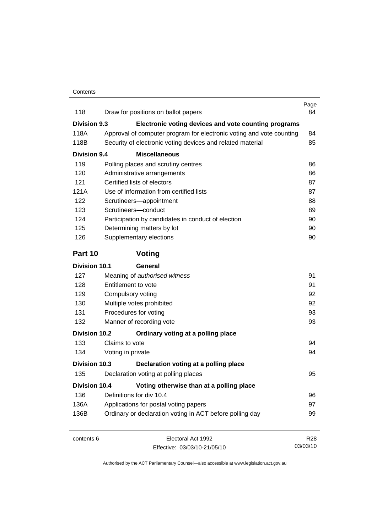| 118                  | Draw for positions on ballot papers                                  | Page<br>84      |
|----------------------|----------------------------------------------------------------------|-----------------|
| <b>Division 9.3</b>  | Electronic voting devices and vote counting programs                 |                 |
| 118A                 | Approval of computer program for electronic voting and vote counting | 84              |
| 118B                 | Security of electronic voting devices and related material           | 85              |
| <b>Division 9.4</b>  | <b>Miscellaneous</b>                                                 |                 |
| 119                  | Polling places and scrutiny centres                                  | 86              |
| 120                  | Administrative arrangements                                          | 86              |
| 121                  | Certified lists of electors                                          | 87              |
| 121A                 | Use of information from certified lists                              | 87              |
| 122                  | Scrutineers-appointment                                              | 88              |
| 123                  | Scrutineers-conduct                                                  | 89              |
| 124                  | Participation by candidates in conduct of election                   | 90              |
| 125                  | Determining matters by lot                                           | 90              |
| 126                  | Supplementary elections                                              | 90              |
| Part 10              | Voting                                                               |                 |
| <b>Division 10.1</b> | General                                                              |                 |
| 127                  | Meaning of authorised witness                                        | 91              |
| 128                  | Entitlement to vote                                                  | 91              |
| 129                  | Compulsory voting                                                    | 92              |
| 130                  | Multiple votes prohibited                                            | 92              |
| 131                  | Procedures for voting                                                | 93              |
| 132                  | Manner of recording vote                                             |                 |
| <b>Division 10.2</b> | Ordinary voting at a polling place                                   |                 |
| 133                  | Claims to vote                                                       | 94              |
| 134                  | Voting in private                                                    | 94              |
| Division 10.3        | Declaration voting at a polling place                                |                 |
| 135                  | Declaration voting at polling places                                 | 95              |
| <b>Division 10.4</b> | Voting otherwise than at a polling place                             |                 |
| 136                  | Definitions for div 10.4                                             | 96              |
| 136A                 | Applications for postal voting papers                                | 97              |
| 136B                 | Ordinary or declaration voting in ACT before polling day             | 99              |
| contents 6           | Electoral Act 1992                                                   | R <sub>28</sub> |
|                      | Effective: 03/03/10-21/05/10                                         | 03/03/10        |

Effective: 03/03/10-21/05/10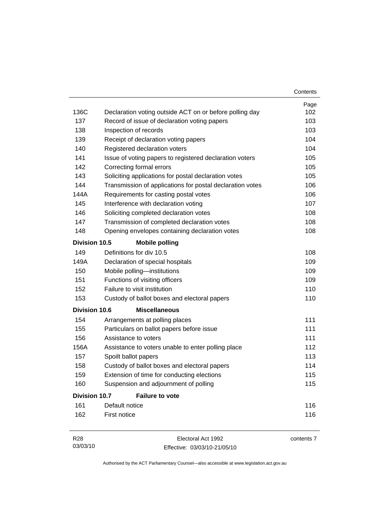|                      |                                                           | Contents   |
|----------------------|-----------------------------------------------------------|------------|
|                      |                                                           | Page       |
| 136C                 | Declaration voting outside ACT on or before polling day   | 102        |
| 137                  | Record of issue of declaration voting papers              | 103        |
| 138                  | Inspection of records                                     | 103        |
| 139                  | Receipt of declaration voting papers                      | 104        |
| 140                  | Registered declaration voters                             | 104        |
| 141                  | Issue of voting papers to registered declaration voters   | 105        |
| 142                  | Correcting formal errors                                  | 105        |
| 143                  | Soliciting applications for postal declaration votes      | 105        |
| 144                  | Transmission of applications for postal declaration votes | 106        |
| 144A                 | Requirements for casting postal votes                     | 106        |
| 145                  | Interference with declaration voting                      | 107        |
| 146                  | Soliciting completed declaration votes                    | 108        |
| 147                  | Transmission of completed declaration votes               | 108        |
| 148                  | Opening envelopes containing declaration votes            | 108        |
| Division 10.5        | <b>Mobile polling</b>                                     |            |
| 149                  | Definitions for div 10.5                                  | 108        |
| 149A                 | Declaration of special hospitals                          | 109        |
| 150                  | Mobile polling-institutions                               | 109        |
| 151                  | Functions of visiting officers                            | 109        |
| 152                  | Failure to visit institution                              | 110        |
| 153                  | Custody of ballot boxes and electoral papers              | 110        |
| <b>Division 10.6</b> | <b>Miscellaneous</b>                                      |            |
| 154                  | Arrangements at polling places                            | 111        |
| 155                  | Particulars on ballot papers before issue                 | 111        |
| 156                  | Assistance to voters                                      | 111        |
| 156A                 | Assistance to voters unable to enter polling place        | 112        |
| 157                  | Spoilt ballot papers                                      | 113        |
| 158                  | Custody of ballot boxes and electoral papers              | 114        |
| 159                  | Extension of time for conducting elections                | 115        |
| 160                  | Suspension and adjournment of polling                     | 115        |
| <b>Division 10.7</b> | <b>Failure to vote</b>                                    |            |
| 161                  | Default notice                                            | 116        |
| 162                  | First notice                                              | 116        |
| R <sub>28</sub>      | Electoral Act 1992                                        | contents 7 |

Effective: 03/03/10-21/05/10

03/03/10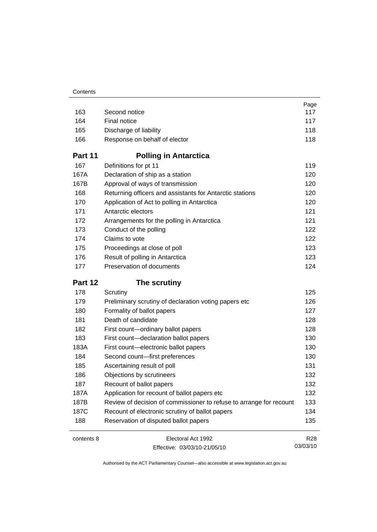|            |                                                                     | Page                        |
|------------|---------------------------------------------------------------------|-----------------------------|
| 163        | Second notice                                                       | 117                         |
| 164        | Final notice                                                        | 117                         |
| 165        | Discharge of liability                                              | 118                         |
| 166        | Response on behalf of elector                                       | 118                         |
| Part 11    | <b>Polling in Antarctica</b>                                        |                             |
| 167        | Definitions for pt 11                                               | 119                         |
| 167A       | Declaration of ship as a station                                    | 120                         |
| 167B       | Approval of ways of transmission                                    | 120                         |
| 168        | Returning officers and assistants for Antarctic stations            | 120                         |
| 170        | Application of Act to polling in Antarctica                         | 120                         |
| 171        | Antarctic electors                                                  | 121                         |
| 172        | Arrangements for the polling in Antarctica                          | 121                         |
| 173        | Conduct of the polling                                              | 122                         |
| 174        | Claims to vote                                                      | 122                         |
| 175        | Proceedings at close of poll                                        | 123                         |
| 176        | Result of polling in Antarctica                                     | 123                         |
| 177        | Preservation of documents                                           | 124                         |
| Part 12    | The scrutiny                                                        |                             |
| 178        | Scrutiny                                                            | 125                         |
| 179        | Preliminary scrutiny of declaration voting papers etc               | 126                         |
| 180        | Formality of ballot papers                                          | 127                         |
| 181        | Death of candidate                                                  | 128                         |
| 182        | First count-ordinary ballot papers                                  | 128                         |
| 183        |                                                                     |                             |
|            | First count-declaration ballot papers                               | 130                         |
| 183A       | First count-electronic ballot papers                                | 130                         |
| 184        | Second count-first preferences                                      | 130                         |
| 185        | Ascertaining result of poll                                         | 131                         |
| 186        | Objections by scrutineers                                           | 132                         |
| 187        | Recount of ballot papers                                            | 132                         |
| 187A       | Application for recount of ballot papers etc                        | 132                         |
| 187B       | Review of decision of commissioner to refuse to arrange for recount | 133                         |
| 187C       | Recount of electronic scrutiny of ballot papers                     | 134                         |
| 188        | Reservation of disputed ballot papers                               | 135                         |
| contents 8 | Electoral Act 1992                                                  | R <sub>28</sub><br>03/03/10 |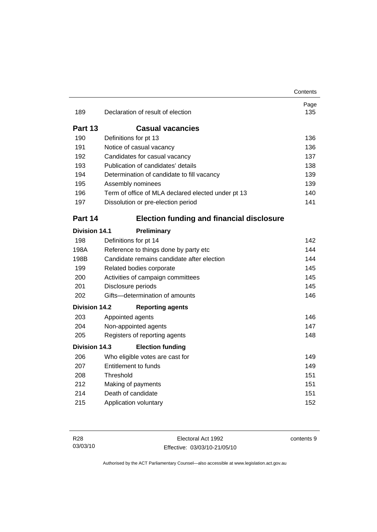|                      |                                                    | Contents    |
|----------------------|----------------------------------------------------|-------------|
| 189                  | Declaration of result of election                  | Page<br>135 |
| Part 13              | <b>Casual vacancies</b>                            |             |
| 190                  | Definitions for pt 13                              | 136         |
| 191                  | Notice of casual vacancy                           | 136         |
| 192                  | Candidates for casual vacancy                      | 137         |
| 193                  | Publication of candidates' details                 | 138         |
| 194                  | Determination of candidate to fill vacancy         | 139         |
| 195                  | Assembly nominees                                  | 139         |
| 196                  | Term of office of MLA declared elected under pt 13 | 140         |
| 197                  | Dissolution or pre-election period                 | 141         |
| Part 14              | <b>Election funding and financial disclosure</b>   |             |
| <b>Division 14.1</b> | Preliminary                                        |             |
| 198                  | Definitions for pt 14                              | 142         |
| 198A                 | Reference to things done by party etc              | 144         |
| 198B                 | Candidate remains candidate after election         | 144         |
| 199                  | Related bodies corporate                           | 145         |
| 200                  | Activities of campaign committees                  | 145         |
| 201                  | Disclosure periods                                 | 145         |
| 202                  | Gifts-determination of amounts                     | 146         |
| <b>Division 14.2</b> | <b>Reporting agents</b>                            |             |
| 203                  | Appointed agents                                   | 146         |
| 204                  | Non-appointed agents                               | 147         |
| 205                  | Registers of reporting agents                      | 148         |
| Division 14.3        | <b>Election funding</b>                            |             |
| 206                  | Who eligible votes are cast for                    | 149         |
| 207                  | <b>Entitlement to funds</b>                        | 149         |
| 208                  | Threshold                                          | 151         |
| 212                  | Making of payments                                 | 151         |
| 214                  | Death of candidate                                 | 151         |
| 215                  | Application voluntary                              | 152         |

contents 9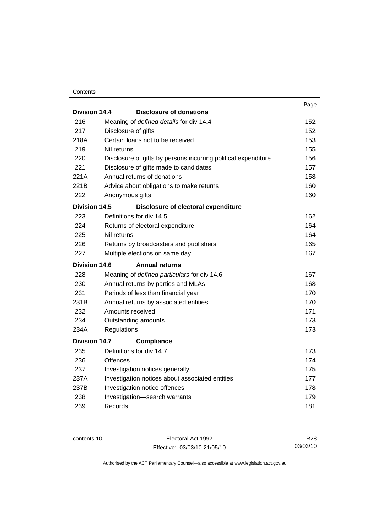#### **Contents**

|                      |                                                                | Page |
|----------------------|----------------------------------------------------------------|------|
| Division 14.4        | <b>Disclosure of donations</b>                                 |      |
| 216                  | Meaning of defined details for div 14.4                        | 152  |
| 217                  | Disclosure of gifts                                            | 152  |
| 218A                 | Certain loans not to be received                               | 153  |
| 219                  | Nil returns                                                    | 155  |
| 220                  | Disclosure of gifts by persons incurring political expenditure | 156  |
| 221                  | Disclosure of gifts made to candidates                         | 157  |
| 221A                 | Annual returns of donations                                    | 158  |
| 221B                 | Advice about obligations to make returns                       | 160  |
| 222                  | Anonymous gifts                                                | 160  |
| <b>Division 14.5</b> | Disclosure of electoral expenditure                            |      |
| 223                  | Definitions for div 14.5                                       | 162  |
| 224                  | Returns of electoral expenditure                               | 164  |
| 225                  | Nil returns                                                    | 164  |
| 226                  | Returns by broadcasters and publishers                         | 165  |
| 227                  | Multiple elections on same day                                 | 167  |
| <b>Division 14.6</b> | <b>Annual returns</b>                                          |      |
| 228                  | Meaning of defined particulars for div 14.6                    | 167  |
| 230                  | Annual returns by parties and MLAs                             | 168  |
| 231                  | Periods of less than financial year                            | 170  |
| 231B                 | Annual returns by associated entities                          | 170  |
| 232                  | Amounts received                                               | 171  |
| 234                  | Outstanding amounts                                            | 173  |
| 234A                 | Regulations                                                    | 173  |
| <b>Division 14.7</b> | <b>Compliance</b>                                              |      |
| 235                  | Definitions for div 14.7                                       | 173  |
| 236                  | Offences                                                       | 174  |
| 237                  | Investigation notices generally                                | 175  |
| 237A                 | Investigation notices about associated entities                | 177  |
| 237B                 | Investigation notice offences                                  | 178  |
| 238                  | Investigation-search warrants                                  | 179  |
| 239                  | Records                                                        | 181  |
|                      |                                                                |      |

contents 10 Electoral Act 1992 Effective: 03/03/10-21/05/10

R28 03/03/10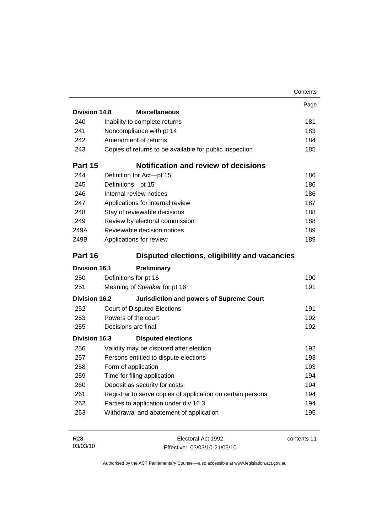|                      |                                                             | Contents    |
|----------------------|-------------------------------------------------------------|-------------|
|                      |                                                             | Page        |
| Division 14.8        | <b>Miscellaneous</b>                                        |             |
| 240                  | Inability to complete returns                               | 181         |
| 241                  | Noncompliance with pt 14                                    | 183         |
| 242                  | Amendment of returns                                        | 184         |
| 243                  | Copies of returns to be available for public inspection     | 185         |
| Part 15              | <b>Notification and review of decisions</b>                 |             |
| 244                  | Definition for Act-pt 15                                    | 186         |
| 245                  | Definitions-pt 15                                           | 186         |
| 246                  | Internal review notices                                     | 186         |
| 247                  | Applications for internal review                            | 187         |
| 248                  | Stay of reviewable decisions                                | 188         |
| 249                  | Review by electoral commission                              | 188         |
| 249A                 | Reviewable decision notices                                 | 189         |
| 249B                 | Applications for review                                     | 189         |
| Part 16              | Disputed elections, eligibility and vacancies               |             |
| <b>Division 16.1</b> | Preliminary                                                 |             |
| 250                  | Definitions for pt 16                                       | 190         |
| 251                  | Meaning of Speaker for pt 16                                | 191         |
| <b>Division 16.2</b> | <b>Jurisdiction and powers of Supreme Court</b>             |             |
| 252                  | <b>Court of Disputed Elections</b>                          | 191         |
| 253                  | Powers of the court                                         | 192         |
| 255                  | Decisions are final                                         | 192         |
| Division 16.3        | <b>Disputed elections</b>                                   |             |
| 256                  | Validity may be disputed after election                     | 192         |
| 257                  | Persons entitled to dispute elections                       | 193         |
| 258                  | Form of application                                         | 193         |
| 259                  | Time for filing application                                 | 194         |
| 260                  | Deposit as security for costs                               | 194         |
| 261                  | Registrar to serve copies of application on certain persons | 194         |
| 262                  | Parties to application under div 16.3                       | 194         |
| 263                  | Withdrawal and abatement of application                     | 195         |
|                      |                                                             |             |
| R <sub>28</sub>      | Electoral Act 1992                                          | contents 11 |

Effective: 03/03/10-21/05/10

03/03/10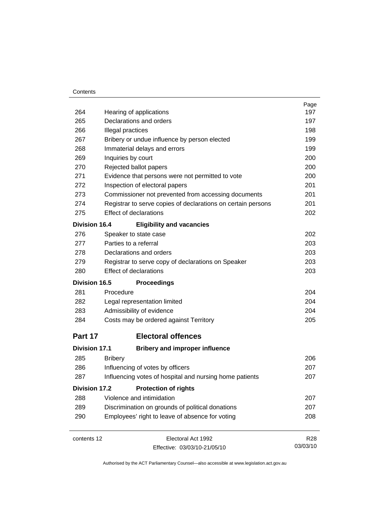#### **Contents**

|                      |                                                              | Page<br>197     |  |
|----------------------|--------------------------------------------------------------|-----------------|--|
| 264                  | Hearing of applications                                      |                 |  |
| 265                  | Declarations and orders                                      |                 |  |
| 266                  | Illegal practices                                            |                 |  |
| 267                  | Bribery or undue influence by person elected                 |                 |  |
| 268                  | Immaterial delays and errors                                 | 199             |  |
| 269                  | Inquiries by court                                           | 200             |  |
| 270                  | Rejected ballot papers                                       | 200             |  |
| 271                  | Evidence that persons were not permitted to vote             | 200             |  |
| 272                  | Inspection of electoral papers                               | 201             |  |
| 273                  | Commissioner not prevented from accessing documents          | 201             |  |
| 274                  | Registrar to serve copies of declarations on certain persons | 201             |  |
| 275                  | <b>Effect of declarations</b>                                | 202             |  |
| <b>Division 16.4</b> | <b>Eligibility and vacancies</b>                             |                 |  |
| 276                  | Speaker to state case                                        | 202             |  |
| 277                  | Parties to a referral                                        | 203             |  |
| 278                  | Declarations and orders                                      | 203             |  |
| 279                  | Registrar to serve copy of declarations on Speaker           | 203             |  |
| 280                  | Effect of declarations                                       | 203             |  |
| <b>Division 16.5</b> | <b>Proceedings</b>                                           |                 |  |
| 281                  | Procedure                                                    | 204             |  |
| 282                  | Legal representation limited                                 | 204             |  |
| 283                  | Admissibility of evidence                                    | 204             |  |
| 284                  | Costs may be ordered against Territory                       | 205             |  |
| Part 17              | <b>Electoral offences</b>                                    |                 |  |
| <b>Division 17.1</b> | <b>Bribery and improper influence</b>                        |                 |  |
| 285                  | <b>Bribery</b>                                               | 206             |  |
| 286                  | Influencing of votes by officers                             | 207             |  |
| 287                  | Influencing votes of hospital and nursing home patients      | 207             |  |
| <b>Division 17.2</b> | <b>Protection of rights</b>                                  |                 |  |
| 288                  | Violence and intimidation                                    | 207             |  |
| 289                  | Discrimination on grounds of political donations             | 207             |  |
| 290                  | Employees' right to leave of absence for voting              | 208             |  |
| contents 12          | Electoral Act 1992                                           | R <sub>28</sub> |  |
|                      | Effective: 03/03/10-21/05/10                                 | 03/03/10        |  |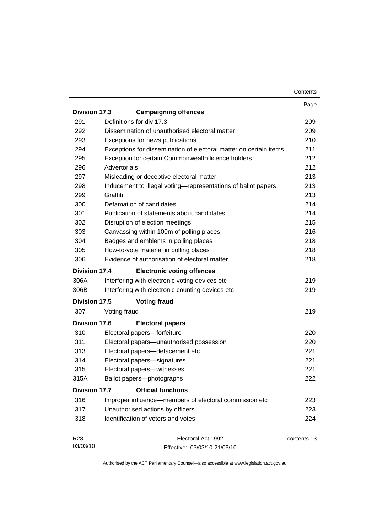|                      |                                                    |                                                                   | Contents    |
|----------------------|----------------------------------------------------|-------------------------------------------------------------------|-------------|
|                      |                                                    |                                                                   | Page        |
| <b>Division 17.3</b> | <b>Campaigning offences</b>                        |                                                                   |             |
| 291                  | Definitions for div 17.3                           |                                                                   | 209         |
| 292                  | Dissemination of unauthorised electoral matter     |                                                                   | 209         |
| 293                  | Exceptions for news publications                   |                                                                   | 210         |
| 294                  |                                                    | Exceptions for dissemination of electoral matter on certain items | 211         |
| 295                  | Exception for certain Commonwealth licence holders |                                                                   | 212         |
| 296                  | Advertorials                                       |                                                                   | 212         |
| 297                  | Misleading or deceptive electoral matter           |                                                                   | 213         |
| 298                  |                                                    | Inducement to illegal voting-representations of ballot papers     | 213         |
| 299                  | Graffiti                                           |                                                                   | 213         |
| 300                  | Defamation of candidates                           |                                                                   | 214         |
| 301                  | Publication of statements about candidates         |                                                                   | 214         |
| 302                  | Disruption of election meetings                    |                                                                   | 215         |
| 303                  | Canvassing within 100m of polling places           |                                                                   | 216         |
| 304                  | Badges and emblems in polling places               |                                                                   | 218         |
| 305                  | How-to-vote material in polling places             |                                                                   | 218         |
| 306                  | Evidence of authorisation of electoral matter      |                                                                   | 218         |
| <b>Division 17.4</b> | <b>Electronic voting offences</b>                  |                                                                   |             |
| 306A                 | Interfering with electronic voting devices etc     |                                                                   | 219         |
| 306B                 | Interfering with electronic counting devices etc   |                                                                   | 219         |
| Division 17.5        | <b>Voting fraud</b>                                |                                                                   |             |
| 307                  | Voting fraud                                       |                                                                   | 219         |
| <b>Division 17.6</b> | <b>Electoral papers</b>                            |                                                                   |             |
| 310                  | Electoral papers-forfeiture                        |                                                                   | 220         |
| 311                  | Electoral papers-unauthorised possession           |                                                                   | 220         |
| 313                  | Electoral papers-defacement etc                    |                                                                   | 221         |
| 314                  | Electoral papers-signatures                        |                                                                   | 221         |
| 315                  | Electoral papers—witnesses                         |                                                                   | 221         |
| 315A                 | Ballot papers-photographs                          |                                                                   | 222         |
| Division 17.7        | <b>Official functions</b>                          |                                                                   |             |
| 316                  |                                                    | Improper influence-members of electoral commission etc            | 223         |
| 317                  | Unauthorised actions by officers                   |                                                                   | 223         |
| 318                  | Identification of voters and votes                 |                                                                   | 224         |
| R <sub>28</sub>      |                                                    | Electoral Act 1992                                                | contents 13 |
| 03/03/10             |                                                    | Effective: 03/03/10-21/05/10                                      |             |

Effective: 03/03/10-21/05/10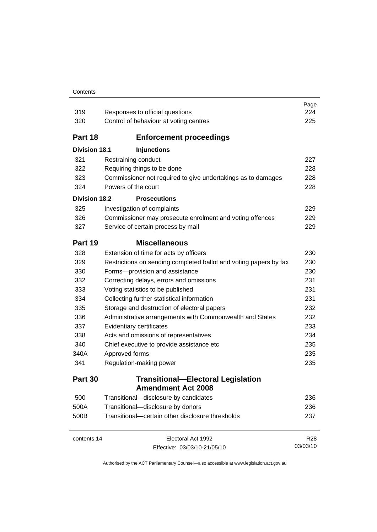#### **Contents**

| 319                  | Responses to official questions                                   | Page<br>224     |
|----------------------|-------------------------------------------------------------------|-----------------|
| 320                  | Control of behaviour at voting centres                            | 225             |
| Part 18              | <b>Enforcement proceedings</b>                                    |                 |
| <b>Division 18.1</b> | <b>Injunctions</b>                                                |                 |
| 321                  | Restraining conduct                                               | 227             |
| 322                  | Requiring things to be done                                       | 228             |
| 323                  | Commissioner not required to give undertakings as to damages      | 228             |
| 324                  | Powers of the court                                               | 228             |
| <b>Division 18.2</b> | <b>Prosecutions</b>                                               |                 |
| 325                  | Investigation of complaints                                       | 229             |
| 326                  | Commissioner may prosecute enrolment and voting offences          | 229             |
| 327                  | Service of certain process by mail                                | 229             |
| Part 19              | <b>Miscellaneous</b>                                              |                 |
| 328                  | Extension of time for acts by officers                            | 230             |
| 329                  | Restrictions on sending completed ballot and voting papers by fax | 230             |
| 330                  | Forms-provision and assistance                                    | 230             |
| 332                  | Correcting delays, errors and omissions                           | 231             |
| 333                  | Voting statistics to be published                                 | 231             |
| 334                  | Collecting further statistical information                        | 231             |
| 335                  | Storage and destruction of electoral papers                       | 232             |
| 336                  | Administrative arrangements with Commonwealth and States          | 232             |
| 337                  | Evidentiary certificates                                          | 233             |
| 338                  | Acts and omissions of representatives                             | 234             |
| 340                  | Chief executive to provide assistance etc                         | 235             |
| 340A                 | Approved forms                                                    | 235             |
| 341                  | Regulation-making power                                           | 235             |
| Part 30              | <b>Transitional-Electoral Legislation</b>                         |                 |
|                      | <b>Amendment Act 2008</b>                                         |                 |
| 500                  | Transitional-disclosure by candidates                             | 236             |
| 500A                 | Transitional-disclosure by donors                                 | 236             |
| 500B                 | Transitional-certain other disclosure thresholds                  | 237             |
| contents 14          | Electoral Act 1992                                                | R <sub>28</sub> |
|                      | Effective: 03/03/10-21/05/10                                      | 03/03/10        |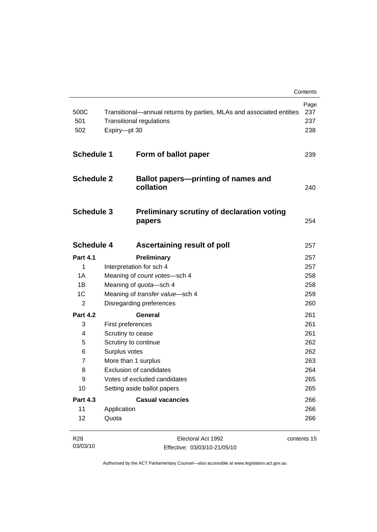|                    |                     |                                                                                                         | Contents                  |
|--------------------|---------------------|---------------------------------------------------------------------------------------------------------|---------------------------|
| 500C<br>501<br>502 | Expiry-pt 30        | Transitional—annual returns by parties, MLAs and associated entities<br><b>Transitional regulations</b> | Page<br>237<br>237<br>238 |
| <b>Schedule 1</b>  |                     | Form of ballot paper                                                                                    | 239                       |
| <b>Schedule 2</b>  |                     | <b>Ballot papers-printing of names and</b><br>collation                                                 | 240                       |
| <b>Schedule 3</b>  |                     | <b>Preliminary scrutiny of declaration voting</b><br>papers                                             | 254                       |
| <b>Schedule 4</b>  |                     | Ascertaining result of poll                                                                             | 257                       |
| <b>Part 4.1</b>    |                     | Preliminary                                                                                             | 257                       |
| $\mathbf{1}$       |                     | Interpretation for sch 4                                                                                | 257                       |
| 1A                 |                     | Meaning of count votes-sch 4                                                                            | 258                       |
| 1B                 |                     | Meaning of quota-sch 4                                                                                  | 258                       |
| 1C                 |                     | Meaning of transfer value-sch 4                                                                         | 259                       |
| $\overline{2}$     |                     | Disregarding preferences                                                                                | 260                       |
| <b>Part 4.2</b>    |                     | General                                                                                                 | 261                       |
| 3                  |                     | First preferences                                                                                       | 261                       |
| 4                  |                     | Scrutiny to cease                                                                                       | 261                       |
| 5                  |                     | Scrutiny to continue                                                                                    | 262                       |
| 6                  | Surplus votes       |                                                                                                         | 262                       |
| $\overline{7}$     | More than 1 surplus |                                                                                                         | 263                       |
| 8                  |                     | <b>Exclusion of candidates</b>                                                                          | 264                       |
| 9                  |                     | Votes of excluded candidates                                                                            | 265                       |
| 10                 |                     | Setting aside ballot papers                                                                             | 265                       |
| <b>Part 4.3</b>    |                     | <b>Casual vacancies</b>                                                                                 | 266                       |
| 11                 | Application         |                                                                                                         | 266                       |
| 12                 | Quota               |                                                                                                         | 266                       |
| R <sub>28</sub>    |                     | Electoral Act 1992                                                                                      | contents 15               |

| R28      | Electoral Act 1992           | contents |
|----------|------------------------------|----------|
| 03/03/10 | Effective: 03/03/10-21/05/10 |          |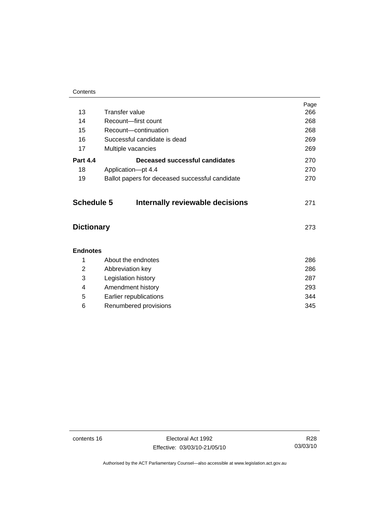#### **Contents**

|                   |                                                 | Page |
|-------------------|-------------------------------------------------|------|
| 13                | Transfer value                                  | 266  |
| 14                | Recount-first count                             | 268  |
| 15                | Recount-continuation                            | 268  |
| 16                | Successful candidate is dead                    | 269  |
| 17                | Multiple vacancies                              | 269  |
| <b>Part 4.4</b>   | Deceased successful candidates                  | 270  |
| 18                | Application-pt 4.4                              | 270  |
| 19                | Ballot papers for deceased successful candidate | 270  |
| <b>Schedule 5</b> | Internally reviewable decisions                 | 271  |
| <b>Dictionary</b> |                                                 | 273  |
| <b>Endnotes</b>   |                                                 |      |
| 1                 | About the endnotes                              | 286  |
| 2                 | Abbreviation key                                | 286  |
| 3                 | Legislation history                             | 287  |
| 4                 | Amendment history                               | 293  |
| 5                 | Earlier republications                          | 344  |
| 6                 | Renumbered provisions                           | 345  |

contents 16 Electoral Act 1992 Effective: 03/03/10-21/05/10

R28 03/03/10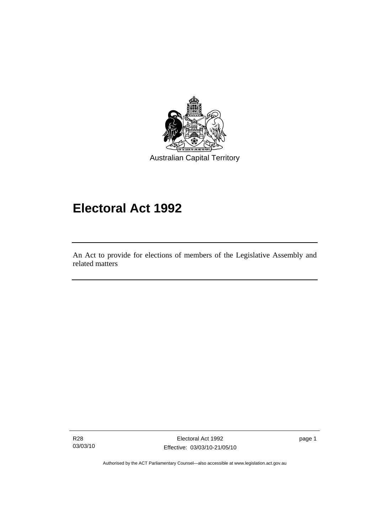<span id="page-18-0"></span>

# **Electoral Act 1992**

An Act to provide for elections of members of the Legislative Assembly and related matters

R28 03/03/10

l

Electoral Act 1992 Effective: 03/03/10-21/05/10 page 1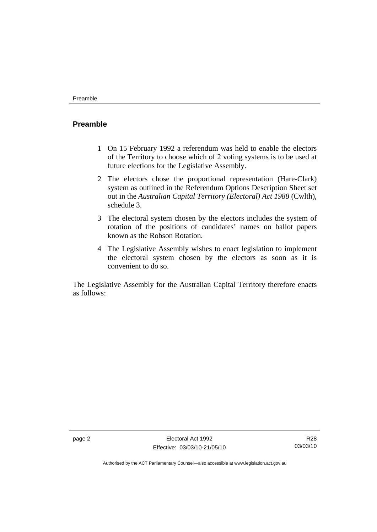#### <span id="page-19-0"></span>**Preamble**

- 1 On 15 February 1992 a referendum was held to enable the electors of the Territory to choose which of 2 voting systems is to be used at future elections for the Legislative Assembly.
- 2 The electors chose the proportional representation (Hare-Clark) system as outlined in the Referendum Options Description Sheet set out in the *Australian Capital Territory (Electoral) Act 1988* (Cwlth), schedule 3.
- 3 The electoral system chosen by the electors includes the system of rotation of the positions of candidates' names on ballot papers known as the Robson Rotation.
- 4 The Legislative Assembly wishes to enact legislation to implement the electoral system chosen by the electors as soon as it is convenient to do so.

The Legislative Assembly for the Australian Capital Territory therefore enacts as follows: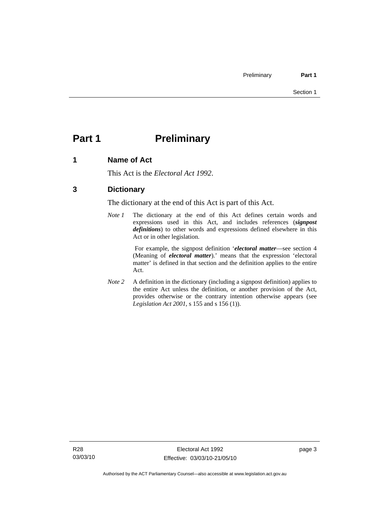# <span id="page-20-0"></span>**Part 1** Preliminary

### **1 Name of Act**

This Act is the *Electoral Act 1992*.

### **3 Dictionary**

The dictionary at the end of this Act is part of this Act.

*Note 1* The dictionary at the end of this Act defines certain words and expressions used in this Act, and includes references (*signpost definitions*) to other words and expressions defined elsewhere in this Act or in other legislation.

> For example, the signpost definition '*electoral matter*—see section 4 (Meaning of *electoral matter*).' means that the expression 'electoral matter' is defined in that section and the definition applies to the entire Act.

*Note 2* A definition in the dictionary (including a signpost definition) applies to the entire Act unless the definition, or another provision of the Act, provides otherwise or the contrary intention otherwise appears (see *Legislation Act 2001*, s 155 and s 156 (1)).

page 3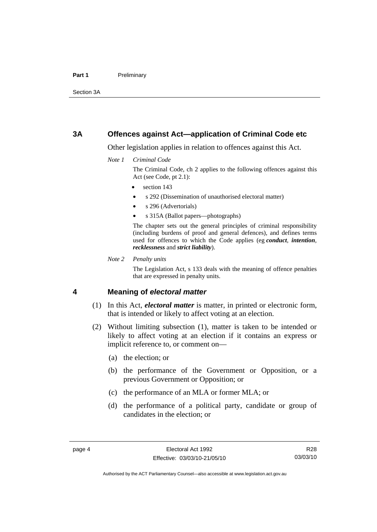#### <span id="page-21-0"></span>Part 1 **Preliminary**

Section 3A

#### **3A Offences against Act—application of Criminal Code etc**

Other legislation applies in relation to offences against this Act.

*Note 1 Criminal Code*

The Criminal Code, ch 2 applies to the following offences against this Act (see Code, pt 2.1):

- section 143
- s 292 (Dissemination of unauthorised electoral matter)
- s 296 (Advertorials)
- s 315A (Ballot papers—photographs)

The chapter sets out the general principles of criminal responsibility (including burdens of proof and general defences), and defines terms used for offences to which the Code applies (eg *conduct*, *intention*, *recklessness* and *strict liability*).

*Note 2 Penalty units* 

The Legislation Act, s 133 deals with the meaning of offence penalties that are expressed in penalty units.

#### **4 Meaning of** *electoral matter*

- (1) In this Act, *electoral matter* is matter, in printed or electronic form, that is intended or likely to affect voting at an election.
- (2) Without limiting subsection (1), matter is taken to be intended or likely to affect voting at an election if it contains an express or implicit reference to, or comment on—
	- (a) the election; or
	- (b) the performance of the Government or Opposition, or a previous Government or Opposition; or
	- (c) the performance of an MLA or former MLA; or
	- (d) the performance of a political party, candidate or group of candidates in the election; or

R28 03/03/10

Authorised by the ACT Parliamentary Counsel—also accessible at www.legislation.act.gov.au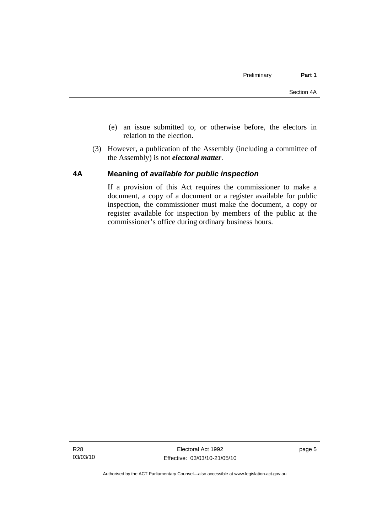- <span id="page-22-0"></span> (e) an issue submitted to, or otherwise before, the electors in relation to the election.
- (3) However, a publication of the Assembly (including a committee of the Assembly) is not *electoral matter*.

#### **4A Meaning of** *available for public inspection*

If a provision of this Act requires the commissioner to make a document, a copy of a document or a register available for public inspection, the commissioner must make the document, a copy or register available for inspection by members of the public at the commissioner's office during ordinary business hours.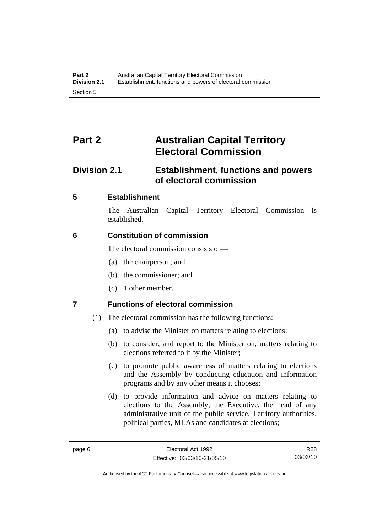# <span id="page-23-0"></span>**Part 2 Australian Capital Territory Electoral Commission**

# **Division 2.1 Establishment, functions and powers of electoral commission**

### **5 Establishment**

The Australian Capital Territory Electoral Commission is established.

### **6 Constitution of commission**

The electoral commission consists of—

- (a) the chairperson; and
- (b) the commissioner; and
- (c) 1 other member.

## **7 Functions of electoral commission**

- (1) The electoral commission has the following functions:
	- (a) to advise the Minister on matters relating to elections;
	- (b) to consider, and report to the Minister on, matters relating to elections referred to it by the Minister;
	- (c) to promote public awareness of matters relating to elections and the Assembly by conducting education and information programs and by any other means it chooses;
	- (d) to provide information and advice on matters relating to elections to the Assembly, the Executive, the head of any administrative unit of the public service, Territory authorities, political parties, MLAs and candidates at elections;

R28 03/03/10

Authorised by the ACT Parliamentary Counsel—also accessible at www.legislation.act.gov.au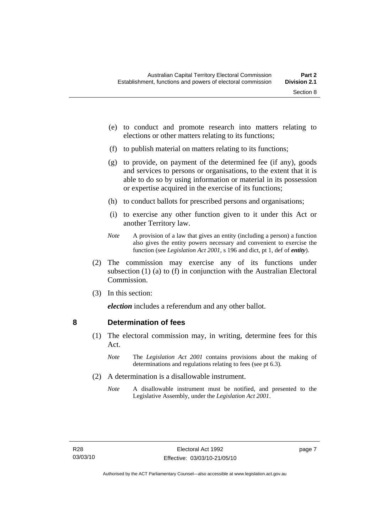- <span id="page-24-0"></span> (e) to conduct and promote research into matters relating to elections or other matters relating to its functions;
- (f) to publish material on matters relating to its functions;
- (g) to provide, on payment of the determined fee (if any), goods and services to persons or organisations, to the extent that it is able to do so by using information or material in its possession or expertise acquired in the exercise of its functions;
- (h) to conduct ballots for prescribed persons and organisations;
- (i) to exercise any other function given to it under this Act or another Territory law.
- *Note* A provision of a law that gives an entity (including a person) a function also gives the entity powers necessary and convenient to exercise the function (see *Legislation Act 2001*, s 196 and dict, pt 1, def of *entity*).
- (2) The commission may exercise any of its functions under subsection (1) (a) to (f) in conjunction with the Australian Electoral Commission.
- (3) In this section:

*election* includes a referendum and any other ballot.

#### **8 Determination of fees**

- (1) The electoral commission may, in writing, determine fees for this Act.
	- *Note* The *Legislation Act 2001* contains provisions about the making of determinations and regulations relating to fees (see pt 6.3).
- (2) A determination is a disallowable instrument.
	- *Note* A disallowable instrument must be notified, and presented to the Legislative Assembly, under the *Legislation Act 2001*.

page 7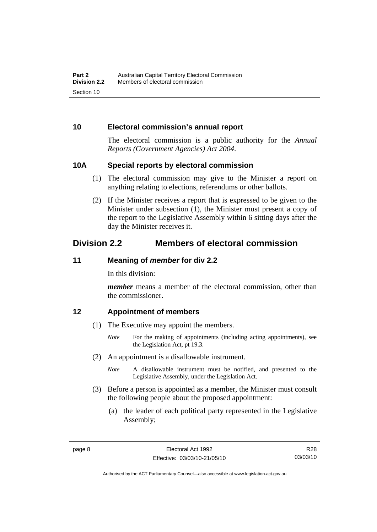#### <span id="page-25-0"></span>**10 Electoral commission's annual report**

The electoral commission is a public authority for the *Annual Reports (Government Agencies) Act 2004*.

#### **10A Special reports by electoral commission**

- (1) The electoral commission may give to the Minister a report on anything relating to elections, referendums or other ballots.
- (2) If the Minister receives a report that is expressed to be given to the Minister under subsection (1), the Minister must present a copy of the report to the Legislative Assembly within 6 sitting days after the day the Minister receives it.

# **Division 2.2 Members of electoral commission**

#### **11 Meaning of** *member* **for div 2.2**

In this division:

*member* means a member of the electoral commission, other than the commissioner.

#### **12 Appointment of members**

- (1) The Executive may appoint the members.
	- *Note* For the making of appointments (including acting appointments), see the Legislation Act, pt 19.3.
- (2) An appointment is a disallowable instrument.
	- *Note* A disallowable instrument must be notified, and presented to the Legislative Assembly, under the Legislation Act.
- (3) Before a person is appointed as a member, the Minister must consult the following people about the proposed appointment:
	- (a) the leader of each political party represented in the Legislative Assembly;

Authorised by the ACT Parliamentary Counsel—also accessible at www.legislation.act.gov.au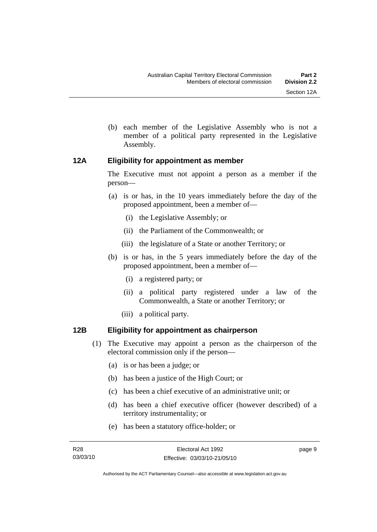- 
- <span id="page-26-0"></span> (b) each member of the Legislative Assembly who is not a member of a political party represented in the Legislative Assembly.

#### **12A Eligibility for appointment as member**

The Executive must not appoint a person as a member if the person—

- (a) is or has, in the 10 years immediately before the day of the proposed appointment, been a member of—
	- (i) the Legislative Assembly; or
	- (ii) the Parliament of the Commonwealth; or
	- (iii) the legislature of a State or another Territory; or
- (b) is or has, in the 5 years immediately before the day of the proposed appointment, been a member of—
	- (i) a registered party; or
	- (ii) a political party registered under a law of the Commonwealth, a State or another Territory; or
	- (iii) a political party.

### **12B Eligibility for appointment as chairperson**

- (1) The Executive may appoint a person as the chairperson of the electoral commission only if the person—
	- (a) is or has been a judge; or
	- (b) has been a justice of the High Court; or
	- (c) has been a chief executive of an administrative unit; or
	- (d) has been a chief executive officer (however described) of a territory instrumentality; or
	- (e) has been a statutory office-holder; or

page 9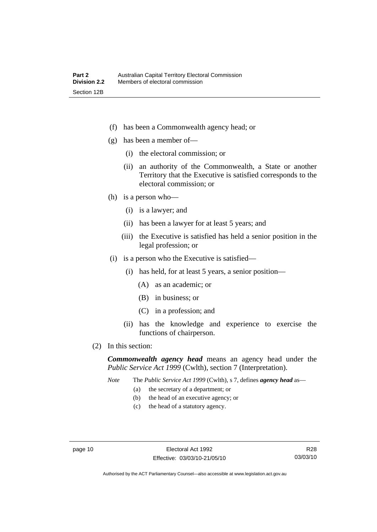- (f) has been a Commonwealth agency head; or
- (g) has been a member of—
	- (i) the electoral commission; or
	- (ii) an authority of the Commonwealth, a State or another Territory that the Executive is satisfied corresponds to the electoral commission; or
- (h) is a person who—
	- (i) is a lawyer; and
	- (ii) has been a lawyer for at least 5 years; and
	- (iii) the Executive is satisfied has held a senior position in the legal profession; or
- (i) is a person who the Executive is satisfied—
	- (i) has held, for at least 5 years, a senior position—
		- (A) as an academic; or
		- (B) in business; or
		- (C) in a profession; and
	- (ii) has the knowledge and experience to exercise the functions of chairperson.
- (2) In this section:

*Commonwealth agency head* means an agency head under the *Public Service Act 1999* (Cwlth), section 7 (Interpretation).

*Note* The *Public Service Act 1999* (Cwlth), s 7, defines *agency head* as—

- (a) the secretary of a department; or
- (b) the head of an executive agency; or
- (c) the head of a statutory agency.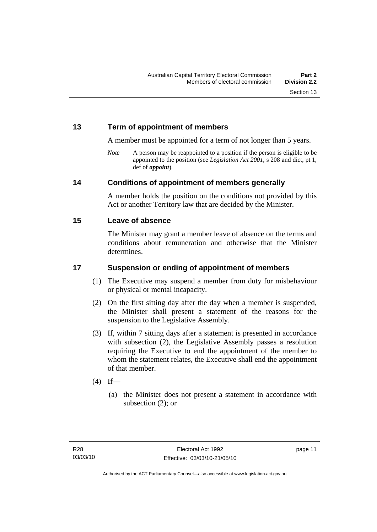### <span id="page-28-0"></span>**13 Term of appointment of members**

A member must be appointed for a term of not longer than 5 years.

*Note* A person may be reappointed to a position if the person is eligible to be appointed to the position (see *Legislation Act 2001*, s 208 and dict, pt 1, def of *appoint*).

#### **14 Conditions of appointment of members generally**

A member holds the position on the conditions not provided by this Act or another Territory law that are decided by the Minister.

#### **15 Leave of absence**

The Minister may grant a member leave of absence on the terms and conditions about remuneration and otherwise that the Minister determines.

### **17 Suspension or ending of appointment of members**

- (1) The Executive may suspend a member from duty for misbehaviour or physical or mental incapacity.
- (2) On the first sitting day after the day when a member is suspended, the Minister shall present a statement of the reasons for the suspension to the Legislative Assembly.
- (3) If, within 7 sitting days after a statement is presented in accordance with subsection (2), the Legislative Assembly passes a resolution requiring the Executive to end the appointment of the member to whom the statement relates, the Executive shall end the appointment of that member.
- $(4)$  If—
	- (a) the Minister does not present a statement in accordance with subsection (2); or

page 11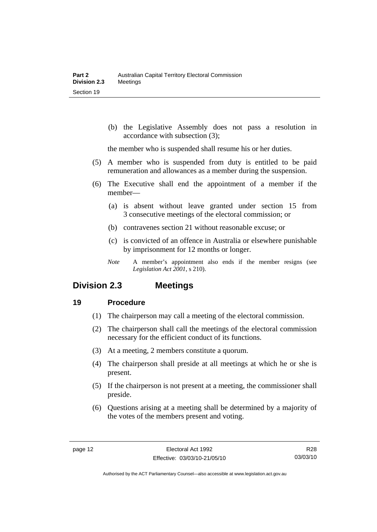<span id="page-29-0"></span> (b) the Legislative Assembly does not pass a resolution in accordance with subsection (3);

the member who is suspended shall resume his or her duties.

- (5) A member who is suspended from duty is entitled to be paid remuneration and allowances as a member during the suspension.
- (6) The Executive shall end the appointment of a member if the member—
	- (a) is absent without leave granted under section 15 from 3 consecutive meetings of the electoral commission; or
	- (b) contravenes section 21 without reasonable excuse; or
	- (c) is convicted of an offence in Australia or elsewhere punishable by imprisonment for 12 months or longer.
	- *Note* A member's appointment also ends if the member resigns (see *Legislation Act 2001*, s 210).

## **Division 2.3 Meetings**

#### **19 Procedure**

- (1) The chairperson may call a meeting of the electoral commission.
- (2) The chairperson shall call the meetings of the electoral commission necessary for the efficient conduct of its functions.
- (3) At a meeting, 2 members constitute a quorum.
- (4) The chairperson shall preside at all meetings at which he or she is present.
- (5) If the chairperson is not present at a meeting, the commissioner shall preside.
- (6) Questions arising at a meeting shall be determined by a majority of the votes of the members present and voting.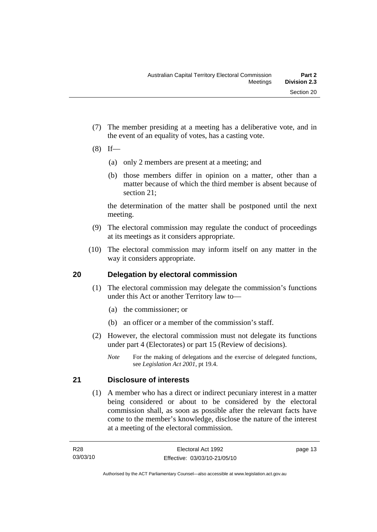- <span id="page-30-0"></span> (7) The member presiding at a meeting has a deliberative vote, and in the event of an equality of votes, has a casting vote.
- $(8)$  If—
	- (a) only 2 members are present at a meeting; and
	- (b) those members differ in opinion on a matter, other than a matter because of which the third member is absent because of section 21;

the determination of the matter shall be postponed until the next meeting.

- (9) The electoral commission may regulate the conduct of proceedings at its meetings as it considers appropriate.
- (10) The electoral commission may inform itself on any matter in the way it considers appropriate.

### **20 Delegation by electoral commission**

- (1) The electoral commission may delegate the commission's functions under this Act or another Territory law to—
	- (a) the commissioner; or
	- (b) an officer or a member of the commission's staff.
- (2) However, the electoral commission must not delegate its functions under part 4 (Electorates) or part 15 (Review of decisions).
	- *Note* For the making of delegations and the exercise of delegated functions, see *Legislation Act 2001*, pt 19.4.

## **21 Disclosure of interests**

 (1) A member who has a direct or indirect pecuniary interest in a matter being considered or about to be considered by the electoral commission shall, as soon as possible after the relevant facts have come to the member's knowledge, disclose the nature of the interest at a meeting of the electoral commission.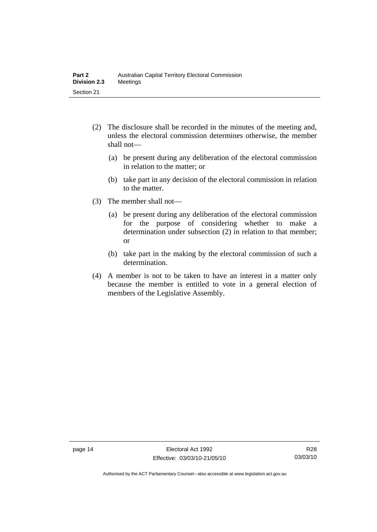- (2) The disclosure shall be recorded in the minutes of the meeting and, unless the electoral commission determines otherwise, the member shall not—
	- (a) be present during any deliberation of the electoral commission in relation to the matter; or
	- (b) take part in any decision of the electoral commission in relation to the matter.
- (3) The member shall not—
	- (a) be present during any deliberation of the electoral commission for the purpose of considering whether to make a determination under subsection (2) in relation to that member; or
	- (b) take part in the making by the electoral commission of such a determination.
- (4) A member is not to be taken to have an interest in a matter only because the member is entitled to vote in a general election of members of the Legislative Assembly.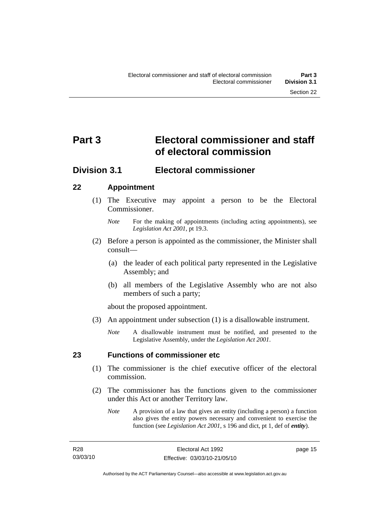# <span id="page-32-0"></span>**Part 3 Electoral commissioner and staff of electoral commission**

# **Division 3.1 Electoral commissioner**

### **22 Appointment**

- (1) The Executive may appoint a person to be the Electoral Commissioner.
	- *Note* For the making of appointments (including acting appointments), see *Legislation Act 2001*, pt 19.3.
- (2) Before a person is appointed as the commissioner, the Minister shall consult—
	- (a) the leader of each political party represented in the Legislative Assembly; and
	- (b) all members of the Legislative Assembly who are not also members of such a party;

about the proposed appointment.

- (3) An appointment under subsection (1) is a disallowable instrument.
	- *Note* A disallowable instrument must be notified, and presented to the Legislative Assembly, under the *Legislation Act 2001*.

### **23 Functions of commissioner etc**

- (1) The commissioner is the chief executive officer of the electoral commission.
- (2) The commissioner has the functions given to the commissioner under this Act or another Territory law.
	- *Note* A provision of a law that gives an entity (including a person) a function also gives the entity powers necessary and convenient to exercise the function (see *Legislation Act 2001*, s 196 and dict, pt 1, def of *entity*).

page 15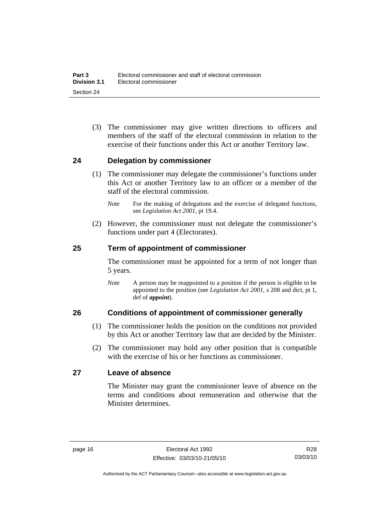<span id="page-33-0"></span> (3) The commissioner may give written directions to officers and members of the staff of the electoral commission in relation to the exercise of their functions under this Act or another Territory law.

#### **24 Delegation by commissioner**

- (1) The commissioner may delegate the commissioner's functions under this Act or another Territory law to an officer or a member of the staff of the electoral commission.
	- *Note* For the making of delegations and the exercise of delegated functions, see *Legislation Act 2001*, pt 19.4.
- (2) However, the commissioner must not delegate the commissioner's functions under part 4 (Electorates).

#### **25 Term of appointment of commissioner**

The commissioner must be appointed for a term of not longer than 5 years.

*Note* A person may be reappointed to a position if the person is eligible to be appointed to the position (see *Legislation Act 2001*, s 208 and dict, pt 1, def of *appoint*).

#### **26 Conditions of appointment of commissioner generally**

- (1) The commissioner holds the position on the conditions not provided by this Act or another Territory law that are decided by the Minister.
- (2) The commissioner may hold any other position that is compatible with the exercise of his or her functions as commissioner.

#### **27 Leave of absence**

The Minister may grant the commissioner leave of absence on the terms and conditions about remuneration and otherwise that the Minister determines.

R28 03/03/10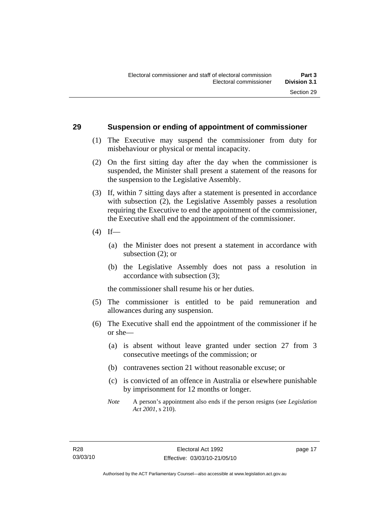#### <span id="page-34-0"></span>**29 Suspension or ending of appointment of commissioner**

- (1) The Executive may suspend the commissioner from duty for misbehaviour or physical or mental incapacity.
- (2) On the first sitting day after the day when the commissioner is suspended, the Minister shall present a statement of the reasons for the suspension to the Legislative Assembly.
- (3) If, within 7 sitting days after a statement is presented in accordance with subsection (2), the Legislative Assembly passes a resolution requiring the Executive to end the appointment of the commissioner, the Executive shall end the appointment of the commissioner.
- $(4)$  If—
	- (a) the Minister does not present a statement in accordance with subsection (2); or
	- (b) the Legislative Assembly does not pass a resolution in accordance with subsection (3);

the commissioner shall resume his or her duties.

- (5) The commissioner is entitled to be paid remuneration and allowances during any suspension.
- (6) The Executive shall end the appointment of the commissioner if he or she—
	- (a) is absent without leave granted under section 27 from 3 consecutive meetings of the commission; or
	- (b) contravenes section 21 without reasonable excuse; or
	- (c) is convicted of an offence in Australia or elsewhere punishable by imprisonment for 12 months or longer.
	- *Note* A person's appointment also ends if the person resigns (see *Legislation Act 2001*, s 210).

page 17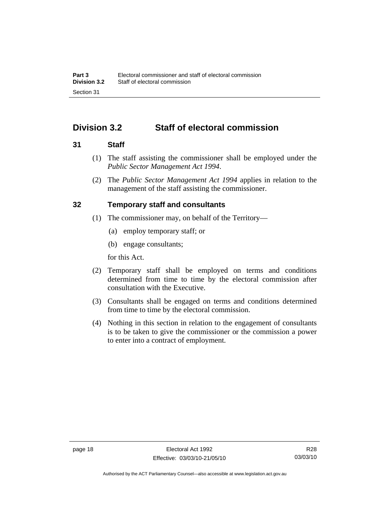# <span id="page-35-0"></span>**Division 3.2 Staff of electoral commission**

#### **31 Staff**

- (1) The staff assisting the commissioner shall be employed under the *Public Sector Management Act 1994*.
- (2) The *Public Sector Management Act 1994* applies in relation to the management of the staff assisting the commissioner.

#### **32 Temporary staff and consultants**

- (1) The commissioner may, on behalf of the Territory—
	- (a) employ temporary staff; or
	- (b) engage consultants;

for this Act.

- (2) Temporary staff shall be employed on terms and conditions determined from time to time by the electoral commission after consultation with the Executive.
- (3) Consultants shall be engaged on terms and conditions determined from time to time by the electoral commission.
- (4) Nothing in this section in relation to the engagement of consultants is to be taken to give the commissioner or the commission a power to enter into a contract of employment.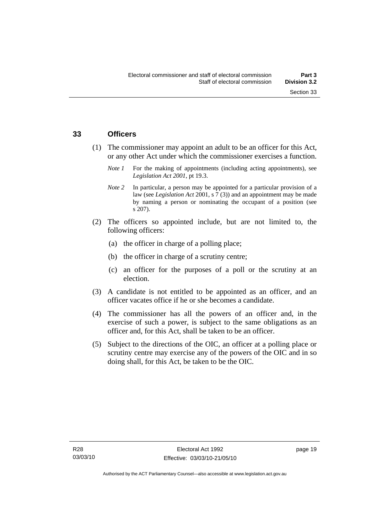#### **33 Officers**

- (1) The commissioner may appoint an adult to be an officer for this Act, or any other Act under which the commissioner exercises a function.
	- *Note 1* For the making of appointments (including acting appointments), see *Legislation Act 2001*, pt 19.3.
	- *Note 2* In particular, a person may be appointed for a particular provision of a law (see *Legislation Act* 2001, s 7 (3)) and an appointment may be made by naming a person or nominating the occupant of a position (see s 207).
- (2) The officers so appointed include, but are not limited to, the following officers:
	- (a) the officer in charge of a polling place;
	- (b) the officer in charge of a scrutiny centre;
	- (c) an officer for the purposes of a poll or the scrutiny at an election.
- (3) A candidate is not entitled to be appointed as an officer, and an officer vacates office if he or she becomes a candidate.
- (4) The commissioner has all the powers of an officer and, in the exercise of such a power, is subject to the same obligations as an officer and, for this Act, shall be taken to be an officer.
- (5) Subject to the directions of the OIC, an officer at a polling place or scrutiny centre may exercise any of the powers of the OIC and in so doing shall, for this Act, be taken to be the OIC.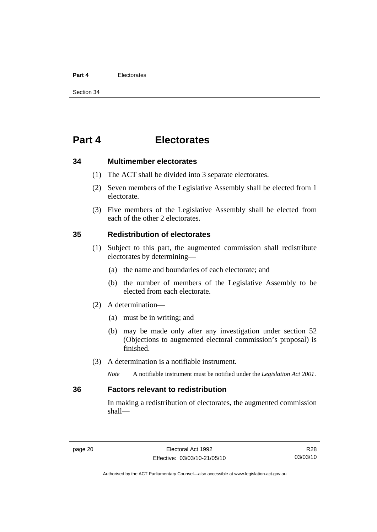#### **Part 4** Electorates

Section 34

# **Part 4 Electorates**

**34 Multimember electorates** 

- (1) The ACT shall be divided into 3 separate electorates.
- (2) Seven members of the Legislative Assembly shall be elected from 1 electorate.
- (3) Five members of the Legislative Assembly shall be elected from each of the other 2 electorates.

#### **35 Redistribution of electorates**

- (1) Subject to this part, the augmented commission shall redistribute electorates by determining—
	- (a) the name and boundaries of each electorate; and
	- (b) the number of members of the Legislative Assembly to be elected from each electorate.
- (2) A determination—
	- (a) must be in writing; and
	- (b) may be made only after any investigation under section 52 (Objections to augmented electoral commission's proposal) is finished.
- (3) A determination is a notifiable instrument.

*Note* A notifiable instrument must be notified under the *Legislation Act 2001*.

## **36 Factors relevant to redistribution**

In making a redistribution of electorates, the augmented commission shall—

R28 03/03/10

Authorised by the ACT Parliamentary Counsel—also accessible at www.legislation.act.gov.au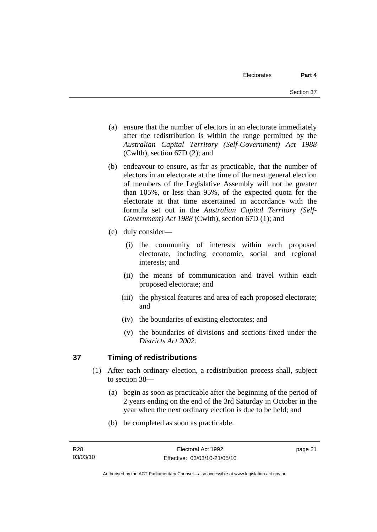- (a) ensure that the number of electors in an electorate immediately after the redistribution is within the range permitted by the *Australian Capital Territory (Self-Government) Act 1988*  (Cwlth), section 67D (2); and
- (b) endeavour to ensure, as far as practicable, that the number of electors in an electorate at the time of the next general election of members of the Legislative Assembly will not be greater than 105%, or less than 95%, of the expected quota for the electorate at that time ascertained in accordance with the formula set out in the *Australian Capital Territory (Self-Government) Act 1988* (Cwlth), section 67D (1); and
- (c) duly consider—
	- (i) the community of interests within each proposed electorate, including economic, social and regional interests; and
	- (ii) the means of communication and travel within each proposed electorate; and
	- (iii) the physical features and area of each proposed electorate; and
	- (iv) the boundaries of existing electorates; and
	- (v) the boundaries of divisions and sections fixed under the *Districts Act 2002*.

## **37 Timing of redistributions**

- (1) After each ordinary election, a redistribution process shall, subject to section 38—
	- (a) begin as soon as practicable after the beginning of the period of 2 years ending on the end of the 3rd Saturday in October in the year when the next ordinary election is due to be held; and
	- (b) be completed as soon as practicable.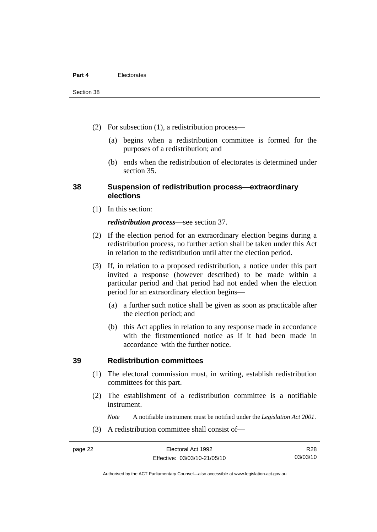- (2) For subsection (1), a redistribution process—
	- (a) begins when a redistribution committee is formed for the purposes of a redistribution; and
	- (b) ends when the redistribution of electorates is determined under section 35.

#### **38 Suspension of redistribution process—extraordinary elections**

(1) In this section:

#### *redistribution process*—see section 37.

- (2) If the election period for an extraordinary election begins during a redistribution process, no further action shall be taken under this Act in relation to the redistribution until after the election period.
- (3) If, in relation to a proposed redistribution, a notice under this part invited a response (however described) to be made within a particular period and that period had not ended when the election period for an extraordinary election begins—
	- (a) a further such notice shall be given as soon as practicable after the election period; and
	- (b) this Act applies in relation to any response made in accordance with the firstmentioned notice as if it had been made in accordance with the further notice.

#### **39 Redistribution committees**

- (1) The electoral commission must, in writing, establish redistribution committees for this part.
- (2) The establishment of a redistribution committee is a notifiable instrument.

*Note* A notifiable instrument must be notified under the *Legislation Act 2001*.

(3) A redistribution committee shall consist of—

R28 03/03/10

Authorised by the ACT Parliamentary Counsel—also accessible at www.legislation.act.gov.au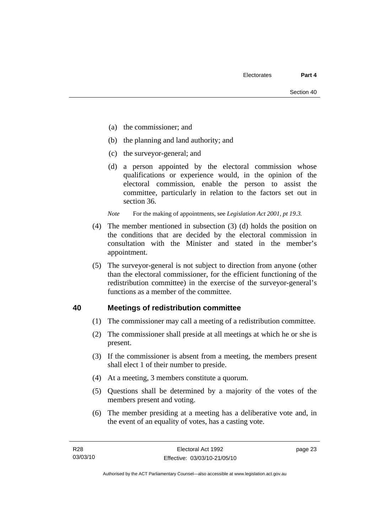- (a) the commissioner; and
- (b) the planning and land authority; and
- (c) the surveyor-general; and
- (d) a person appointed by the electoral commission whose qualifications or experience would, in the opinion of the electoral commission, enable the person to assist the committee, particularly in relation to the factors set out in section 36.

*Note* For the making of appointments, see *Legislation Act 2001, pt 19.3.* 

- (4) The member mentioned in subsection (3) (d) holds the position on the conditions that are decided by the electoral commission in consultation with the Minister and stated in the member's appointment.
- (5) The surveyor-general is not subject to direction from anyone (other than the electoral commissioner, for the efficient functioning of the redistribution committee) in the exercise of the surveyor-general's functions as a member of the committee.

#### **40 Meetings of redistribution committee**

- (1) The commissioner may call a meeting of a redistribution committee.
- (2) The commissioner shall preside at all meetings at which he or she is present.
- (3) If the commissioner is absent from a meeting, the members present shall elect 1 of their number to preside.
- (4) At a meeting, 3 members constitute a quorum.
- (5) Questions shall be determined by a majority of the votes of the members present and voting.
- (6) The member presiding at a meeting has a deliberative vote and, in the event of an equality of votes, has a casting vote.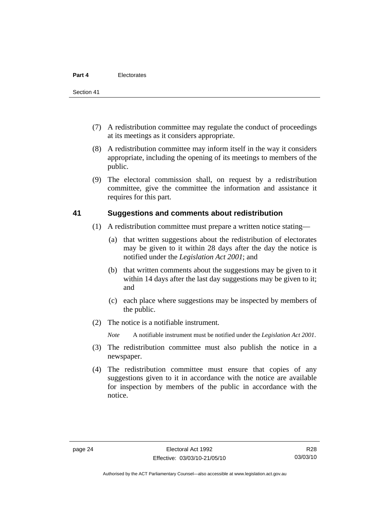- (7) A redistribution committee may regulate the conduct of proceedings at its meetings as it considers appropriate.
- (8) A redistribution committee may inform itself in the way it considers appropriate, including the opening of its meetings to members of the public.
- (9) The electoral commission shall, on request by a redistribution committee, give the committee the information and assistance it requires for this part.

#### **41 Suggestions and comments about redistribution**

- (1) A redistribution committee must prepare a written notice stating—
	- (a) that written suggestions about the redistribution of electorates may be given to it within 28 days after the day the notice is notified under the *Legislation Act 2001*; and
	- (b) that written comments about the suggestions may be given to it within 14 days after the last day suggestions may be given to it; and
	- (c) each place where suggestions may be inspected by members of the public.
- (2) The notice is a notifiable instrument.

*Note* A notifiable instrument must be notified under the *Legislation Act 2001*.

- (3) The redistribution committee must also publish the notice in a newspaper.
- (4) The redistribution committee must ensure that copies of any suggestions given to it in accordance with the notice are available for inspection by members of the public in accordance with the notice.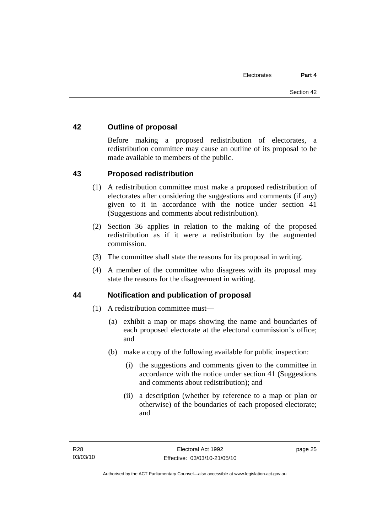## **42 Outline of proposal**

Before making a proposed redistribution of electorates, a redistribution committee may cause an outline of its proposal to be made available to members of the public.

#### **43 Proposed redistribution**

- (1) A redistribution committee must make a proposed redistribution of electorates after considering the suggestions and comments (if any) given to it in accordance with the notice under section 41 (Suggestions and comments about redistribution).
- (2) Section 36 applies in relation to the making of the proposed redistribution as if it were a redistribution by the augmented commission.
- (3) The committee shall state the reasons for its proposal in writing.
- (4) A member of the committee who disagrees with its proposal may state the reasons for the disagreement in writing.

#### **44 Notification and publication of proposal**

- (1) A redistribution committee must—
	- (a) exhibit a map or maps showing the name and boundaries of each proposed electorate at the electoral commission's office; and
	- (b) make a copy of the following available for public inspection:
		- (i) the suggestions and comments given to the committee in accordance with the notice under section 41 (Suggestions and comments about redistribution); and
		- (ii) a description (whether by reference to a map or plan or otherwise) of the boundaries of each proposed electorate; and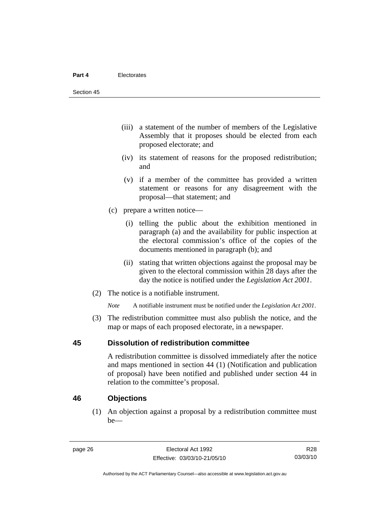- (iii) a statement of the number of members of the Legislative Assembly that it proposes should be elected from each proposed electorate; and
- (iv) its statement of reasons for the proposed redistribution; and
- (v) if a member of the committee has provided a written statement or reasons for any disagreement with the proposal—that statement; and
- (c) prepare a written notice—
	- (i) telling the public about the exhibition mentioned in paragraph (a) and the availability for public inspection at the electoral commission's office of the copies of the documents mentioned in paragraph (b); and
	- (ii) stating that written objections against the proposal may be given to the electoral commission within 28 days after the day the notice is notified under the *Legislation Act 2001*.
- (2) The notice is a notifiable instrument.

*Note* A notifiable instrument must be notified under the *Legislation Act 2001*.

 (3) The redistribution committee must also publish the notice, and the map or maps of each proposed electorate, in a newspaper.

#### **45 Dissolution of redistribution committee**

A redistribution committee is dissolved immediately after the notice and maps mentioned in section 44 (1) (Notification and publication of proposal) have been notified and published under section 44 in relation to the committee's proposal.

#### **46 Objections**

 (1) An objection against a proposal by a redistribution committee must be—

R28 03/03/10

Authorised by the ACT Parliamentary Counsel—also accessible at www.legislation.act.gov.au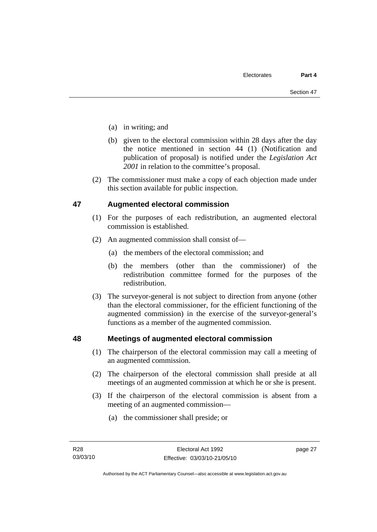- (a) in writing; and
- (b) given to the electoral commission within 28 days after the day the notice mentioned in section 44 (1) (Notification and publication of proposal) is notified under the *Legislation Act 2001* in relation to the committee's proposal.
- (2) The commissioner must make a copy of each objection made under this section available for public inspection.

#### **47 Augmented electoral commission**

- (1) For the purposes of each redistribution, an augmented electoral commission is established.
- (2) An augmented commission shall consist of—
	- (a) the members of the electoral commission; and
	- (b) the members (other than the commissioner) of the redistribution committee formed for the purposes of the redistribution.
- (3) The surveyor-general is not subject to direction from anyone (other than the electoral commissioner, for the efficient functioning of the augmented commission) in the exercise of the surveyor-general's functions as a member of the augmented commission.

#### **48 Meetings of augmented electoral commission**

- (1) The chairperson of the electoral commission may call a meeting of an augmented commission.
- (2) The chairperson of the electoral commission shall preside at all meetings of an augmented commission at which he or she is present.
- (3) If the chairperson of the electoral commission is absent from a meeting of an augmented commission—
	- (a) the commissioner shall preside; or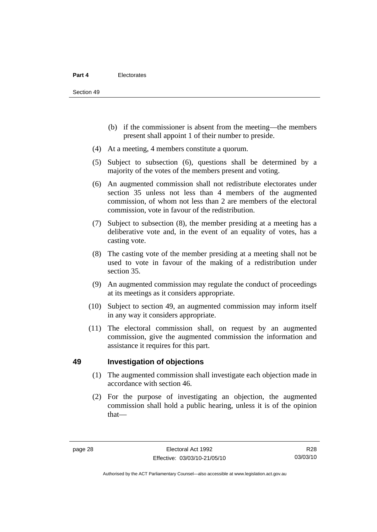- (b) if the commissioner is absent from the meeting—the members present shall appoint 1 of their number to preside.
- (4) At a meeting, 4 members constitute a quorum.
- (5) Subject to subsection (6), questions shall be determined by a majority of the votes of the members present and voting.
- (6) An augmented commission shall not redistribute electorates under section 35 unless not less than 4 members of the augmented commission, of whom not less than 2 are members of the electoral commission, vote in favour of the redistribution.
- (7) Subject to subsection (8), the member presiding at a meeting has a deliberative vote and, in the event of an equality of votes, has a casting vote.
- (8) The casting vote of the member presiding at a meeting shall not be used to vote in favour of the making of a redistribution under section 35.
- (9) An augmented commission may regulate the conduct of proceedings at its meetings as it considers appropriate.
- (10) Subject to section 49, an augmented commission may inform itself in any way it considers appropriate.
- (11) The electoral commission shall, on request by an augmented commission, give the augmented commission the information and assistance it requires for this part.

#### **49 Investigation of objections**

- (1) The augmented commission shall investigate each objection made in accordance with section 46.
- (2) For the purpose of investigating an objection, the augmented commission shall hold a public hearing, unless it is of the opinion that—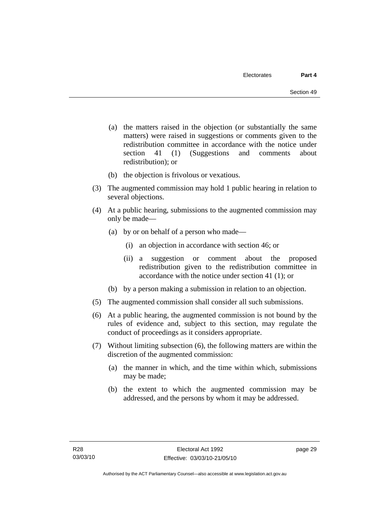- (a) the matters raised in the objection (or substantially the same matters) were raised in suggestions or comments given to the redistribution committee in accordance with the notice under section 41 (1) (Suggestions and comments about redistribution); or
- (b) the objection is frivolous or vexatious.
- (3) The augmented commission may hold 1 public hearing in relation to several objections.
- (4) At a public hearing, submissions to the augmented commission may only be made—
	- (a) by or on behalf of a person who made—
		- (i) an objection in accordance with section 46; or
		- (ii) a suggestion or comment about the proposed redistribution given to the redistribution committee in accordance with the notice under section 41 (1); or
	- (b) by a person making a submission in relation to an objection.
- (5) The augmented commission shall consider all such submissions.
- (6) At a public hearing, the augmented commission is not bound by the rules of evidence and, subject to this section, may regulate the conduct of proceedings as it considers appropriate.
- (7) Without limiting subsection (6), the following matters are within the discretion of the augmented commission:
	- (a) the manner in which, and the time within which, submissions may be made;
	- (b) the extent to which the augmented commission may be addressed, and the persons by whom it may be addressed.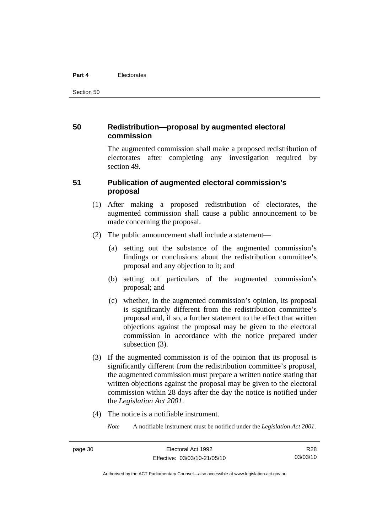#### **Part 4** Electorates

Section 50

#### **50 Redistribution—proposal by augmented electoral commission**

The augmented commission shall make a proposed redistribution of electorates after completing any investigation required by section 49.

#### **51 Publication of augmented electoral commission's proposal**

- (1) After making a proposed redistribution of electorates, the augmented commission shall cause a public announcement to be made concerning the proposal.
- (2) The public announcement shall include a statement—
	- (a) setting out the substance of the augmented commission's findings or conclusions about the redistribution committee's proposal and any objection to it; and
	- (b) setting out particulars of the augmented commission's proposal; and
	- (c) whether, in the augmented commission's opinion, its proposal is significantly different from the redistribution committee's proposal and, if so, a further statement to the effect that written objections against the proposal may be given to the electoral commission in accordance with the notice prepared under subsection  $(3)$ .
- (3) If the augmented commission is of the opinion that its proposal is significantly different from the redistribution committee's proposal, the augmented commission must prepare a written notice stating that written objections against the proposal may be given to the electoral commission within 28 days after the day the notice is notified under the *Legislation Act 2001*.
- (4) The notice is a notifiable instrument.

*Note* A notifiable instrument must be notified under the *Legislation Act 2001*.

R28 03/03/10

Authorised by the ACT Parliamentary Counsel—also accessible at www.legislation.act.gov.au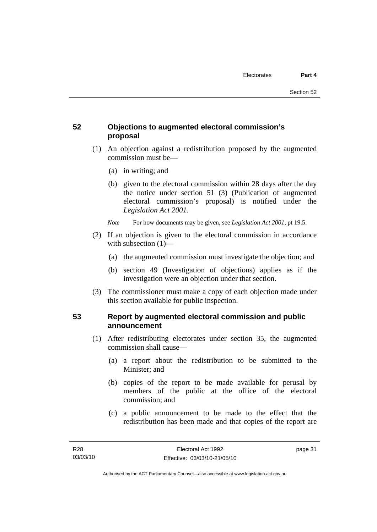## **52 Objections to augmented electoral commission's proposal**

- (1) An objection against a redistribution proposed by the augmented commission must be—
	- (a) in writing; and
	- (b) given to the electoral commission within 28 days after the day the notice under section 51 (3) (Publication of augmented electoral commission's proposal) is notified under the *Legislation Act 2001*.
	- *Note* For how documents may be given, see *Legislation Act 2001*, pt 19.5.
- (2) If an objection is given to the electoral commission in accordance with subsection (1)—
	- (a) the augmented commission must investigate the objection; and
	- (b) section 49 (Investigation of objections) applies as if the investigation were an objection under that section.
- (3) The commissioner must make a copy of each objection made under this section available for public inspection.

## **53 Report by augmented electoral commission and public announcement**

- (1) After redistributing electorates under section 35, the augmented commission shall cause—
	- (a) a report about the redistribution to be submitted to the Minister; and
	- (b) copies of the report to be made available for perusal by members of the public at the office of the electoral commission; and
	- (c) a public announcement to be made to the effect that the redistribution has been made and that copies of the report are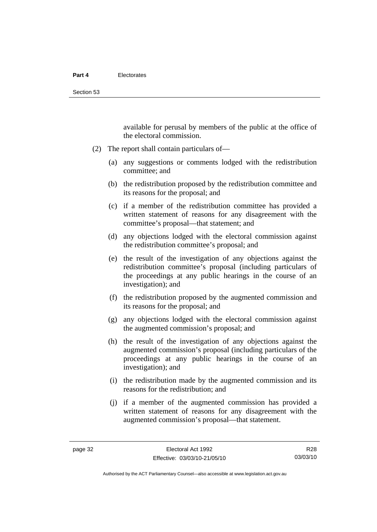available for perusal by members of the public at the office of the electoral commission.

- (2) The report shall contain particulars of—
	- (a) any suggestions or comments lodged with the redistribution committee; and
	- (b) the redistribution proposed by the redistribution committee and its reasons for the proposal; and
	- (c) if a member of the redistribution committee has provided a written statement of reasons for any disagreement with the committee's proposal—that statement; and
	- (d) any objections lodged with the electoral commission against the redistribution committee's proposal; and
	- (e) the result of the investigation of any objections against the redistribution committee's proposal (including particulars of the proceedings at any public hearings in the course of an investigation); and
	- (f) the redistribution proposed by the augmented commission and its reasons for the proposal; and
	- (g) any objections lodged with the electoral commission against the augmented commission's proposal; and
	- (h) the result of the investigation of any objections against the augmented commission's proposal (including particulars of the proceedings at any public hearings in the course of an investigation); and
	- (i) the redistribution made by the augmented commission and its reasons for the redistribution; and
	- (j) if a member of the augmented commission has provided a written statement of reasons for any disagreement with the augmented commission's proposal—that statement.

Authorised by the ACT Parliamentary Counsel—also accessible at www.legislation.act.gov.au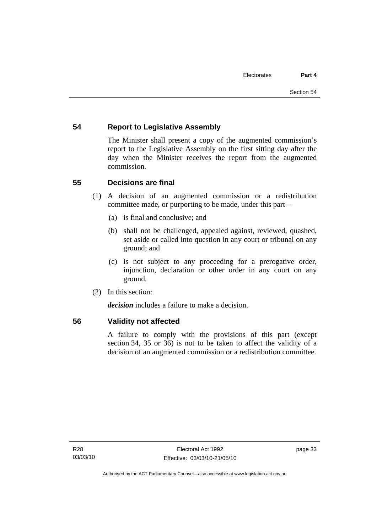## **54 Report to Legislative Assembly**

The Minister shall present a copy of the augmented commission's report to the Legislative Assembly on the first sitting day after the day when the Minister receives the report from the augmented commission.

## **55 Decisions are final**

- (1) A decision of an augmented commission or a redistribution committee made, or purporting to be made, under this part—
	- (a) is final and conclusive; and
	- (b) shall not be challenged, appealed against, reviewed, quashed, set aside or called into question in any court or tribunal on any ground; and
	- (c) is not subject to any proceeding for a prerogative order, injunction, declaration or other order in any court on any ground.
- (2) In this section:

*decision* includes a failure to make a decision.

#### **56 Validity not affected**

A failure to comply with the provisions of this part (except section 34, 35 or 36) is not to be taken to affect the validity of a decision of an augmented commission or a redistribution committee.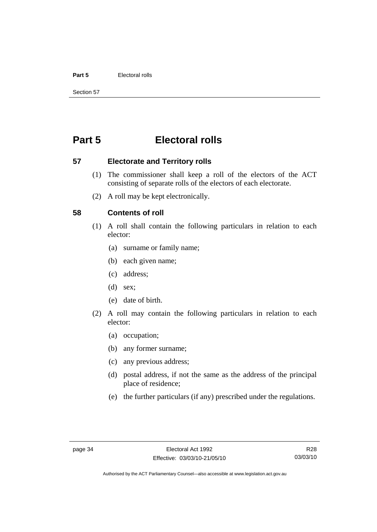#### **Part 5** Electoral rolls

Section 57

# **Part 5 Electoral rolls**

**57 Electorate and Territory rolls** 

- (1) The commissioner shall keep a roll of the electors of the ACT consisting of separate rolls of the electors of each electorate.
- (2) A roll may be kept electronically.

#### **58 Contents of roll**

- (1) A roll shall contain the following particulars in relation to each elector:
	- (a) surname or family name;
	- (b) each given name;
	- (c) address;
	- (d) sex;
	- (e) date of birth.
- (2) A roll may contain the following particulars in relation to each elector:
	- (a) occupation;
	- (b) any former surname;
	- (c) any previous address;
	- (d) postal address, if not the same as the address of the principal place of residence;
	- (e) the further particulars (if any) prescribed under the regulations.

R28 03/03/10

Authorised by the ACT Parliamentary Counsel—also accessible at www.legislation.act.gov.au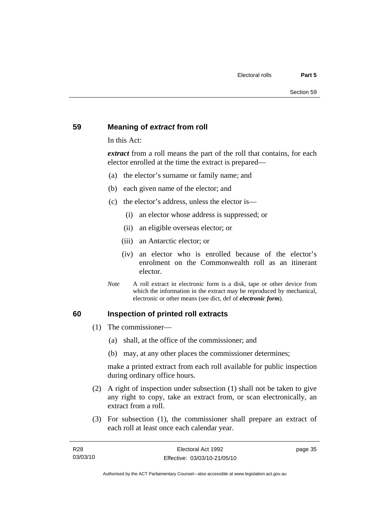#### **59 Meaning of** *extract* **from roll**

In this Act:

*extract* from a roll means the part of the roll that contains, for each elector enrolled at the time the extract is prepared—

- (a) the elector's surname or family name; and
- (b) each given name of the elector; and
- (c) the elector's address, unless the elector is—
	- (i) an elector whose address is suppressed; or
	- (ii) an eligible overseas elector; or
	- (iii) an Antarctic elector; or
	- (iv) an elector who is enrolled because of the elector's enrolment on the Commonwealth roll as an itinerant elector.
- *Note* A roll extract in electronic form is a disk, tape or other device from which the information in the extract may be reproduced by mechanical, electronic or other means (see dict, def of *electronic form*).

#### **60 Inspection of printed roll extracts**

- (1) The commissioner—
	- (a) shall, at the office of the commissioner; and
	- (b) may, at any other places the commissioner determines;

make a printed extract from each roll available for public inspection during ordinary office hours.

- (2) A right of inspection under subsection (1) shall not be taken to give any right to copy, take an extract from, or scan electronically, an extract from a roll.
- (3) For subsection (1), the commissioner shall prepare an extract of each roll at least once each calendar year.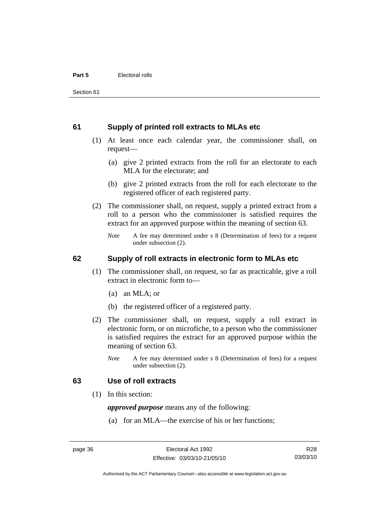#### **61 Supply of printed roll extracts to MLAs etc**

- (1) At least once each calendar year, the commissioner shall, on request—
	- (a) give 2 printed extracts from the roll for an electorate to each MLA for the electorate; and
	- (b) give 2 printed extracts from the roll for each electorate to the registered officer of each registered party.
- (2) The commissioner shall, on request, supply a printed extract from a roll to a person who the commissioner is satisfied requires the extract for an approved purpose within the meaning of section 63.
	- *Note* A fee may determined under s 8 (Determination of fees) for a request under subsection (2).

#### **62 Supply of roll extracts in electronic form to MLAs etc**

- (1) The commissioner shall, on request, so far as practicable, give a roll extract in electronic form to—
	- (a) an MLA; or
	- (b) the registered officer of a registered party.
- (2) The commissioner shall, on request, supply a roll extract in electronic form, or on microfiche, to a person who the commissioner is satisfied requires the extract for an approved purpose within the meaning of section 63.
	- *Note* A fee may determined under s 8 (Determination of fees) for a request under subsection (2).

#### **63 Use of roll extracts**

(1) In this section:

*approved purpose* means any of the following:

(a) for an MLA—the exercise of his or her functions;

R28 03/03/10

Authorised by the ACT Parliamentary Counsel—also accessible at www.legislation.act.gov.au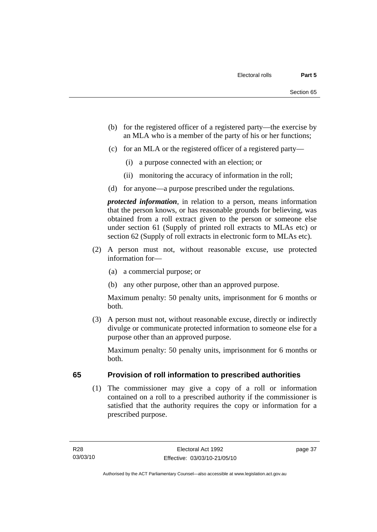- (b) for the registered officer of a registered party—the exercise by an MLA who is a member of the party of his or her functions;
- (c) for an MLA or the registered officer of a registered party—
	- (i) a purpose connected with an election; or
	- (ii) monitoring the accuracy of information in the roll;
- (d) for anyone—a purpose prescribed under the regulations.

*protected information*, in relation to a person, means information that the person knows, or has reasonable grounds for believing, was obtained from a roll extract given to the person or someone else under section 61 (Supply of printed roll extracts to MLAs etc) or section 62 (Supply of roll extracts in electronic form to MLAs etc).

- (2) A person must not, without reasonable excuse, use protected information for—
	- (a) a commercial purpose; or
	- (b) any other purpose, other than an approved purpose.

Maximum penalty: 50 penalty units, imprisonment for 6 months or both.

 (3) A person must not, without reasonable excuse, directly or indirectly divulge or communicate protected information to someone else for a purpose other than an approved purpose.

Maximum penalty: 50 penalty units, imprisonment for 6 months or both.

## **65 Provision of roll information to prescribed authorities**

 (1) The commissioner may give a copy of a roll or information contained on a roll to a prescribed authority if the commissioner is satisfied that the authority requires the copy or information for a prescribed purpose.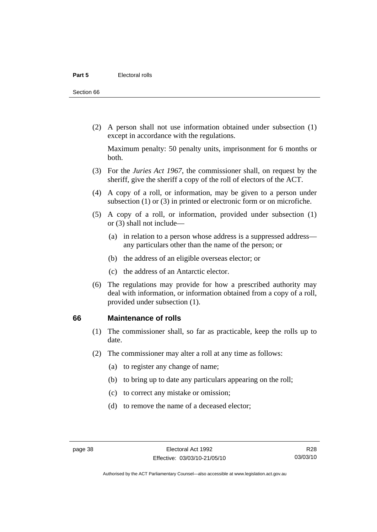Section 66

 (2) A person shall not use information obtained under subsection (1) except in accordance with the regulations.

Maximum penalty: 50 penalty units, imprisonment for 6 months or both.

- (3) For the *Juries Act 1967*, the commissioner shall, on request by the sheriff, give the sheriff a copy of the roll of electors of the ACT.
- (4) A copy of a roll, or information, may be given to a person under subsection (1) or (3) in printed or electronic form or on microfiche.
- (5) A copy of a roll, or information, provided under subsection (1) or (3) shall not include—
	- (a) in relation to a person whose address is a suppressed address any particulars other than the name of the person; or
	- (b) the address of an eligible overseas elector; or
	- (c) the address of an Antarctic elector.
- (6) The regulations may provide for how a prescribed authority may deal with information, or information obtained from a copy of a roll, provided under subsection (1).

#### **66 Maintenance of rolls**

- (1) The commissioner shall, so far as practicable, keep the rolls up to date.
- (2) The commissioner may alter a roll at any time as follows:
	- (a) to register any change of name;
	- (b) to bring up to date any particulars appearing on the roll;
	- (c) to correct any mistake or omission;
	- (d) to remove the name of a deceased elector;

R28 03/03/10

Authorised by the ACT Parliamentary Counsel—also accessible at www.legislation.act.gov.au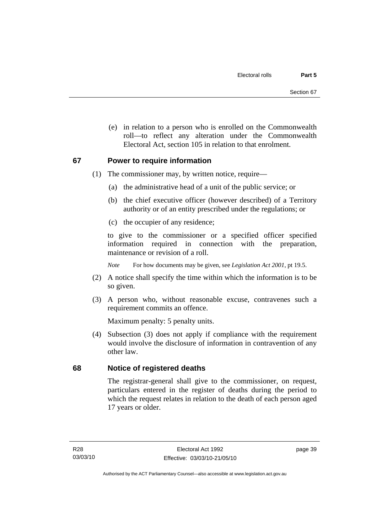(e) in relation to a person who is enrolled on the Commonwealth roll—to reflect any alteration under the Commonwealth Electoral Act, section 105 in relation to that enrolment.

#### **67 Power to require information**

- (1) The commissioner may, by written notice, require—
	- (a) the administrative head of a unit of the public service; or
	- (b) the chief executive officer (however described) of a Territory authority or of an entity prescribed under the regulations; or
	- (c) the occupier of any residence;

to give to the commissioner or a specified officer specified information required in connection with the preparation, maintenance or revision of a roll.

*Note* For how documents may be given, see *Legislation Act 2001*, pt 19.5.

- (2) A notice shall specify the time within which the information is to be so given.
- (3) A person who, without reasonable excuse, contravenes such a requirement commits an offence.

Maximum penalty: 5 penalty units.

 (4) Subsection (3) does not apply if compliance with the requirement would involve the disclosure of information in contravention of any other law.

## **68 Notice of registered deaths**

The registrar-general shall give to the commissioner, on request, particulars entered in the register of deaths during the period to which the request relates in relation to the death of each person aged 17 years or older.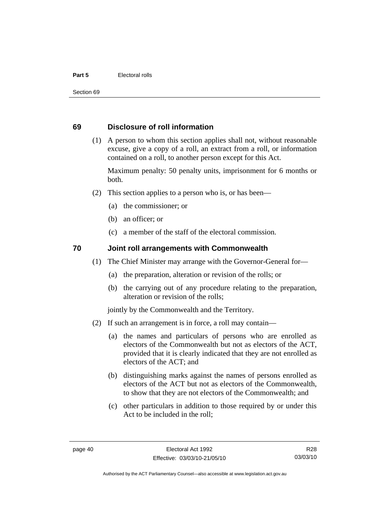#### **Part 5** Electoral rolls

Section 69

#### **69 Disclosure of roll information**

 (1) A person to whom this section applies shall not, without reasonable excuse, give a copy of a roll, an extract from a roll, or information contained on a roll, to another person except for this Act.

Maximum penalty: 50 penalty units, imprisonment for 6 months or both.

- (2) This section applies to a person who is, or has been—
	- (a) the commissioner; or
	- (b) an officer; or
	- (c) a member of the staff of the electoral commission.

#### **70 Joint roll arrangements with Commonwealth**

- (1) The Chief Minister may arrange with the Governor-General for—
	- (a) the preparation, alteration or revision of the rolls; or
	- (b) the carrying out of any procedure relating to the preparation, alteration or revision of the rolls;

jointly by the Commonwealth and the Territory.

- (2) If such an arrangement is in force, a roll may contain—
	- (a) the names and particulars of persons who are enrolled as electors of the Commonwealth but not as electors of the ACT, provided that it is clearly indicated that they are not enrolled as electors of the ACT; and
	- (b) distinguishing marks against the names of persons enrolled as electors of the ACT but not as electors of the Commonwealth, to show that they are not electors of the Commonwealth; and
	- (c) other particulars in addition to those required by or under this Act to be included in the roll;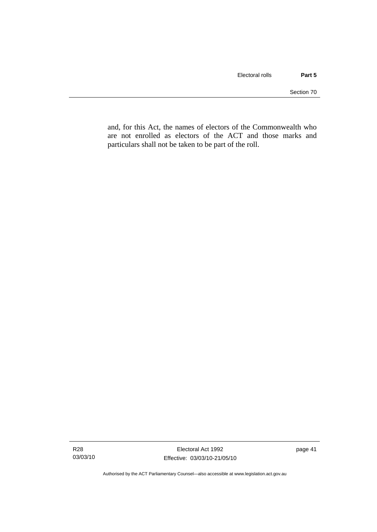and, for this Act, the names of electors of the Commonwealth who are not enrolled as electors of the ACT and those marks and particulars shall not be taken to be part of the roll.

Authorised by the ACT Parliamentary Counsel—also accessible at www.legislation.act.gov.au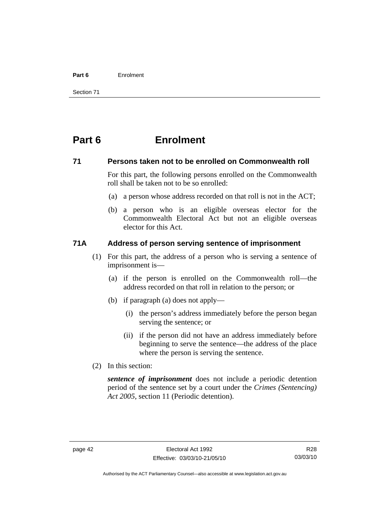#### **Part 6** Enrolment

Section 71

# **Part 6 Enrolment**

#### **71 Persons taken not to be enrolled on Commonwealth roll**

For this part, the following persons enrolled on the Commonwealth roll shall be taken not to be so enrolled:

- (a) a person whose address recorded on that roll is not in the ACT;
- (b) a person who is an eligible overseas elector for the Commonwealth Electoral Act but not an eligible overseas elector for this Act.

#### **71A Address of person serving sentence of imprisonment**

- (1) For this part, the address of a person who is serving a sentence of imprisonment is—
	- (a) if the person is enrolled on the Commonwealth roll—the address recorded on that roll in relation to the person; or
	- (b) if paragraph (a) does not apply—
		- (i) the person's address immediately before the person began serving the sentence; or
		- (ii) if the person did not have an address immediately before beginning to serve the sentence—the address of the place where the person is serving the sentence.
- (2) In this section:

*sentence of imprisonment* does not include a periodic detention period of the sentence set by a court under the *Crimes (Sentencing) Act 2005*, section 11 (Periodic detention).

Authorised by the ACT Parliamentary Counsel—also accessible at www.legislation.act.gov.au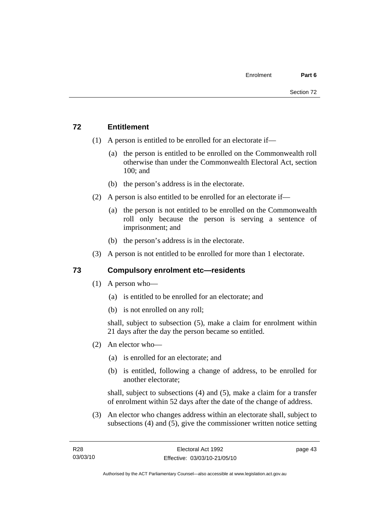## **72 Entitlement**

- (1) A person is entitled to be enrolled for an electorate if—
	- (a) the person is entitled to be enrolled on the Commonwealth roll otherwise than under the Commonwealth Electoral Act, section 100; and
	- (b) the person's address is in the electorate.
- (2) A person is also entitled to be enrolled for an electorate if—
	- (a) the person is not entitled to be enrolled on the Commonwealth roll only because the person is serving a sentence of imprisonment; and
	- (b) the person's address is in the electorate.
- (3) A person is not entitled to be enrolled for more than 1 electorate.

## **73 Compulsory enrolment etc—residents**

- (1) A person who—
	- (a) is entitled to be enrolled for an electorate; and
	- (b) is not enrolled on any roll;

shall, subject to subsection (5), make a claim for enrolment within 21 days after the day the person became so entitled.

- (2) An elector who—
	- (a) is enrolled for an electorate; and
	- (b) is entitled, following a change of address, to be enrolled for another electorate;

shall, subject to subsections (4) and (5), make a claim for a transfer of enrolment within 52 days after the date of the change of address.

 (3) An elector who changes address within an electorate shall, subject to subsections (4) and (5), give the commissioner written notice setting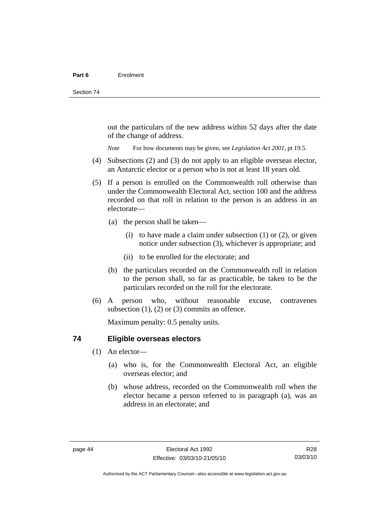out the particulars of the new address within 52 days after the date of the change of address.

*Note* For how documents may be given, see *Legislation Act 2001*, pt 19.5.

- (4) Subsections (2) and (3) do not apply to an eligible overseas elector, an Antarctic elector or a person who is not at least 18 years old.
- (5) If a person is enrolled on the Commonwealth roll otherwise than under the Commonwealth Electoral Act, section 100 and the address recorded on that roll in relation to the person is an address in an electorate—
	- (a) the person shall be taken—
		- (i) to have made a claim under subsection  $(1)$  or  $(2)$ , or given notice under subsection (3), whichever is appropriate; and
		- (ii) to be enrolled for the electorate; and
	- (b) the particulars recorded on the Commonwealth roll in relation to the person shall, so far as practicable, be taken to be the particulars recorded on the roll for the electorate.
- (6) A person who, without reasonable excuse, contravenes subsection  $(1)$ ,  $(2)$  or  $(3)$  commits an offence.

Maximum penalty: 0.5 penalty units.

#### **74 Eligible overseas electors**

- (1) An elector—
	- (a) who is, for the Commonwealth Electoral Act, an eligible overseas elector; and
	- (b) whose address, recorded on the Commonwealth roll when the elector became a person referred to in paragraph (a), was an address in an electorate; and

R28 03/03/10

Authorised by the ACT Parliamentary Counsel—also accessible at www.legislation.act.gov.au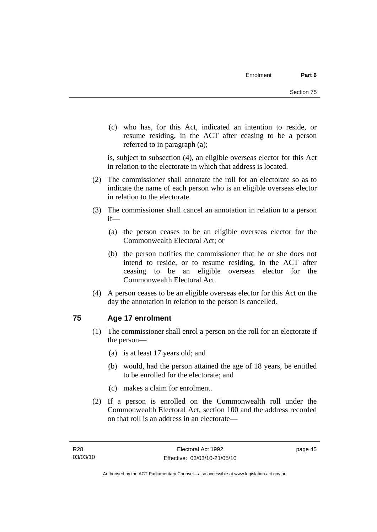(c) who has, for this Act, indicated an intention to reside, or resume residing, in the ACT after ceasing to be a person referred to in paragraph (a);

is, subject to subsection (4), an eligible overseas elector for this Act in relation to the electorate in which that address is located.

- (2) The commissioner shall annotate the roll for an electorate so as to indicate the name of each person who is an eligible overseas elector in relation to the electorate.
- (3) The commissioner shall cancel an annotation in relation to a person if—
	- (a) the person ceases to be an eligible overseas elector for the Commonwealth Electoral Act; or
	- (b) the person notifies the commissioner that he or she does not intend to reside, or to resume residing, in the ACT after ceasing to be an eligible overseas elector for the Commonwealth Electoral Act.
- (4) A person ceases to be an eligible overseas elector for this Act on the day the annotation in relation to the person is cancelled.

## **75 Age 17 enrolment**

- (1) The commissioner shall enrol a person on the roll for an electorate if the person—
	- (a) is at least 17 years old; and
	- (b) would, had the person attained the age of 18 years, be entitled to be enrolled for the electorate; and
	- (c) makes a claim for enrolment.
- (2) If a person is enrolled on the Commonwealth roll under the Commonwealth Electoral Act, section 100 and the address recorded on that roll is an address in an electorate—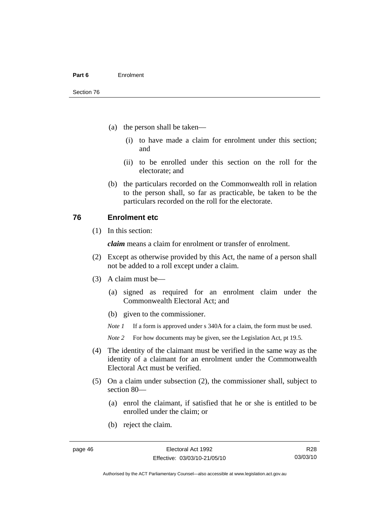- (a) the person shall be taken—
	- (i) to have made a claim for enrolment under this section; and
	- (ii) to be enrolled under this section on the roll for the electorate; and
- (b) the particulars recorded on the Commonwealth roll in relation to the person shall, so far as practicable, be taken to be the particulars recorded on the roll for the electorate.

#### **76 Enrolment etc**

(1) In this section:

*claim* means a claim for enrolment or transfer of enrolment.

- (2) Except as otherwise provided by this Act, the name of a person shall not be added to a roll except under a claim.
- (3) A claim must be—
	- (a) signed as required for an enrolment claim under the Commonwealth Electoral Act; and
	- (b) given to the commissioner.

*Note 1* If a form is approved under s 340A for a claim, the form must be used.

- *Note* 2 For how documents may be given, see the Legislation Act, pt 19.5.
- (4) The identity of the claimant must be verified in the same way as the identity of a claimant for an enrolment under the Commonwealth Electoral Act must be verified.
- (5) On a claim under subsection (2), the commissioner shall, subject to section 80—
	- (a) enrol the claimant, if satisfied that he or she is entitled to be enrolled under the claim; or
	- (b) reject the claim.

Authorised by the ACT Parliamentary Counsel—also accessible at www.legislation.act.gov.au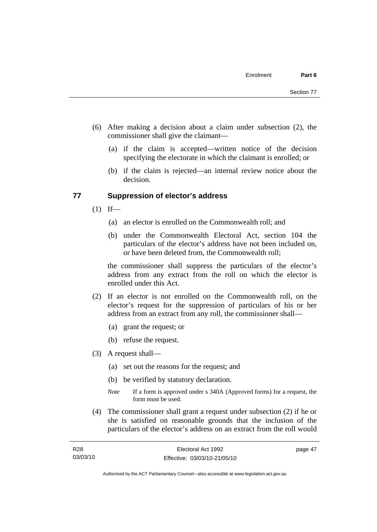- (6) After making a decision about a claim under subsection (2), the commissioner shall give the claimant—
	- (a) if the claim is accepted—written notice of the decision specifying the electorate in which the claimant is enrolled; or
	- (b) if the claim is rejected—an internal review notice about the decision.

#### **77 Suppression of elector's address**

- $(1)$  If—
	- (a) an elector is enrolled on the Commonwealth roll; and
	- (b) under the Commonwealth Electoral Act, section 104 the particulars of the elector's address have not been included on, or have been deleted from, the Commonwealth roll;

the commissioner shall suppress the particulars of the elector's address from any extract from the roll on which the elector is enrolled under this Act.

- (2) If an elector is not enrolled on the Commonwealth roll, on the elector's request for the suppression of particulars of his or her address from an extract from any roll, the commissioner shall—
	- (a) grant the request; or
	- (b) refuse the request.
- (3) A request shall—
	- (a) set out the reasons for the request; and
	- (b) be verified by statutory declaration.
	- *Note* If a form is approved under s 340A (Approved forms) for a request, the form must be used.
- (4) The commissioner shall grant a request under subsection (2) if he or she is satisfied on reasonable grounds that the inclusion of the particulars of the elector's address on an extract from the roll would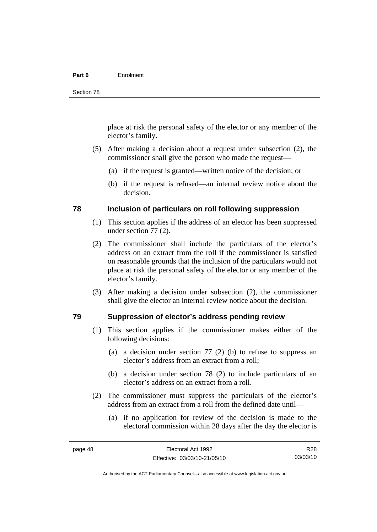#### **Part 6** Enrolment

place at risk the personal safety of the elector or any member of the elector's family.

- (5) After making a decision about a request under subsection (2), the commissioner shall give the person who made the request—
	- (a) if the request is granted—written notice of the decision; or
	- (b) if the request is refused—an internal review notice about the decision.

#### **78 Inclusion of particulars on roll following suppression**

- (1) This section applies if the address of an elector has been suppressed under section 77 (2).
- (2) The commissioner shall include the particulars of the elector's address on an extract from the roll if the commissioner is satisfied on reasonable grounds that the inclusion of the particulars would not place at risk the personal safety of the elector or any member of the elector's family.
- (3) After making a decision under subsection (2), the commissioner shall give the elector an internal review notice about the decision.

#### **79 Suppression of elector's address pending review**

- (1) This section applies if the commissioner makes either of the following decisions:
	- (a) a decision under section 77 (2) (b) to refuse to suppress an elector's address from an extract from a roll;
	- (b) a decision under section 78 (2) to include particulars of an elector's address on an extract from a roll.
- (2) The commissioner must suppress the particulars of the elector's address from an extract from a roll from the defined date until—
	- (a) if no application for review of the decision is made to the electoral commission within 28 days after the day the elector is

R28 03/03/10

Authorised by the ACT Parliamentary Counsel—also accessible at www.legislation.act.gov.au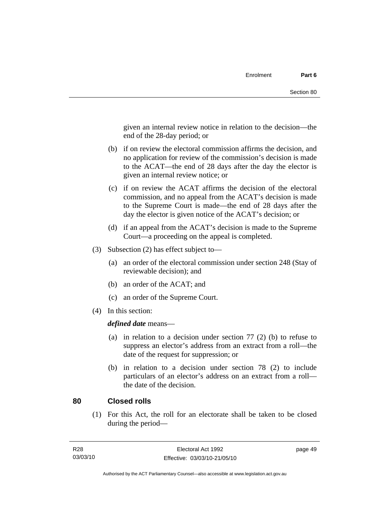given an internal review notice in relation to the decision—the end of the 28-day period; or

- (b) if on review the electoral commission affirms the decision, and no application for review of the commission's decision is made to the ACAT—the end of 28 days after the day the elector is given an internal review notice; or
- (c) if on review the ACAT affirms the decision of the electoral commission, and no appeal from the ACAT's decision is made to the Supreme Court is made—the end of 28 days after the day the elector is given notice of the ACAT's decision; or
- (d) if an appeal from the ACAT's decision is made to the Supreme Court—a proceeding on the appeal is completed.
- (3) Subsection (2) has effect subject to—
	- (a) an order of the electoral commission under section 248 (Stay of reviewable decision); and
	- (b) an order of the ACAT; and
	- (c) an order of the Supreme Court.
- (4) In this section:

*defined date* means—

- (a) in relation to a decision under section 77 (2) (b) to refuse to suppress an elector's address from an extract from a roll—the date of the request for suppression; or
- (b) in relation to a decision under section 78 (2) to include particulars of an elector's address on an extract from a roll the date of the decision.

#### **80 Closed rolls**

 (1) For this Act, the roll for an electorate shall be taken to be closed during the period—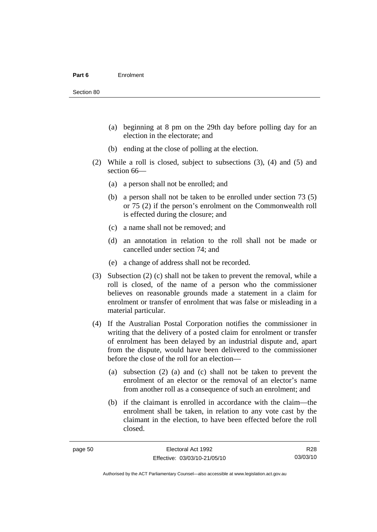- (a) beginning at 8 pm on the 29th day before polling day for an election in the electorate; and
- (b) ending at the close of polling at the election.
- (2) While a roll is closed, subject to subsections (3), (4) and (5) and section 66—
	- (a) a person shall not be enrolled; and
	- (b) a person shall not be taken to be enrolled under section 73 (5) or 75 (2) if the person's enrolment on the Commonwealth roll is effected during the closure; and
	- (c) a name shall not be removed; and
	- (d) an annotation in relation to the roll shall not be made or cancelled under section 74; and
	- (e) a change of address shall not be recorded.
- (3) Subsection (2) (c) shall not be taken to prevent the removal, while a roll is closed, of the name of a person who the commissioner believes on reasonable grounds made a statement in a claim for enrolment or transfer of enrolment that was false or misleading in a material particular.
- (4) If the Australian Postal Corporation notifies the commissioner in writing that the delivery of a posted claim for enrolment or transfer of enrolment has been delayed by an industrial dispute and, apart from the dispute, would have been delivered to the commissioner before the close of the roll for an election—
	- (a) subsection (2) (a) and (c) shall not be taken to prevent the enrolment of an elector or the removal of an elector's name from another roll as a consequence of such an enrolment; and
	- (b) if the claimant is enrolled in accordance with the claim—the enrolment shall be taken, in relation to any vote cast by the claimant in the election, to have been effected before the roll closed.

R28 03/03/10

Authorised by the ACT Parliamentary Counsel—also accessible at www.legislation.act.gov.au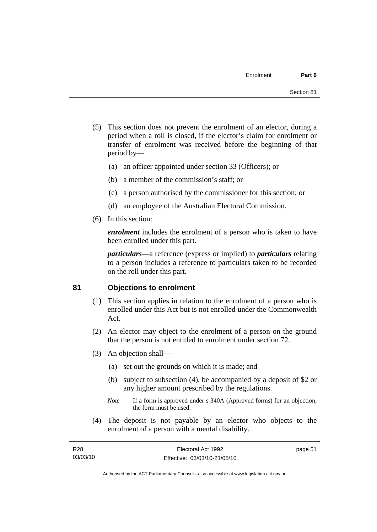- (5) This section does not prevent the enrolment of an elector, during a period when a roll is closed, if the elector's claim for enrolment or transfer of enrolment was received before the beginning of that period by—
	- (a) an officer appointed under section 33 (Officers); or
	- (b) a member of the commission's staff; or
	- (c) a person authorised by the commissioner for this section; or
	- (d) an employee of the Australian Electoral Commission.
- (6) In this section:

*enrolment* includes the enrolment of a person who is taken to have been enrolled under this part.

*particulars*—a reference (express or implied) to *particulars* relating to a person includes a reference to particulars taken to be recorded on the roll under this part.

#### **81 Objections to enrolment**

- (1) This section applies in relation to the enrolment of a person who is enrolled under this Act but is not enrolled under the Commonwealth Act.
- (2) An elector may object to the enrolment of a person on the ground that the person is not entitled to enrolment under section 72.
- (3) An objection shall—
	- (a) set out the grounds on which it is made; and
	- (b) subject to subsection (4), be accompanied by a deposit of \$2 or any higher amount prescribed by the regulations.
	- *Note* If a form is approved under s 340A (Approved forms) for an objection, the form must be used.
- (4) The deposit is not payable by an elector who objects to the enrolment of a person with a mental disability.

| R28      | Electoral Act 1992           | page 51 |
|----------|------------------------------|---------|
| 03/03/10 | Effective: 03/03/10-21/05/10 |         |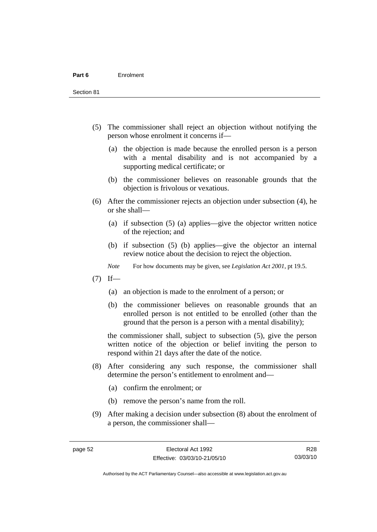Section 81

- (5) The commissioner shall reject an objection without notifying the person whose enrolment it concerns if—
	- (a) the objection is made because the enrolled person is a person with a mental disability and is not accompanied by a supporting medical certificate; or
	- (b) the commissioner believes on reasonable grounds that the objection is frivolous or vexatious.
- (6) After the commissioner rejects an objection under subsection (4), he or she shall—
	- (a) if subsection (5) (a) applies—give the objector written notice of the rejection; and
	- (b) if subsection (5) (b) applies—give the objector an internal review notice about the decision to reject the objection.
	- *Note* For how documents may be given, see *Legislation Act 2001*, pt 19.5.
- $(7)$  If—
	- (a) an objection is made to the enrolment of a person; or
	- (b) the commissioner believes on reasonable grounds that an enrolled person is not entitled to be enrolled (other than the ground that the person is a person with a mental disability);

the commissioner shall, subject to subsection (5), give the person written notice of the objection or belief inviting the person to respond within 21 days after the date of the notice.

- (8) After considering any such response, the commissioner shall determine the person's entitlement to enrolment and—
	- (a) confirm the enrolment; or
	- (b) remove the person's name from the roll.
- (9) After making a decision under subsection (8) about the enrolment of a person, the commissioner shall—

R28 03/03/10

Authorised by the ACT Parliamentary Counsel—also accessible at www.legislation.act.gov.au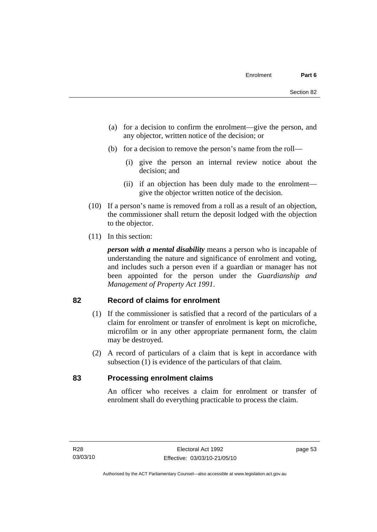- (a) for a decision to confirm the enrolment—give the person, and any objector, written notice of the decision; or
- (b) for a decision to remove the person's name from the roll—
	- (i) give the person an internal review notice about the decision; and
	- (ii) if an objection has been duly made to the enrolment give the objector written notice of the decision.
- (10) If a person's name is removed from a roll as a result of an objection, the commissioner shall return the deposit lodged with the objection to the objector.
- (11) In this section:

*person with a mental disability* means a person who is incapable of understanding the nature and significance of enrolment and voting, and includes such a person even if a guardian or manager has not been appointed for the person under the *Guardianship and Management of Property Act 1991*.

#### **82 Record of claims for enrolment**

- (1) If the commissioner is satisfied that a record of the particulars of a claim for enrolment or transfer of enrolment is kept on microfiche, microfilm or in any other appropriate permanent form, the claim may be destroyed.
- (2) A record of particulars of a claim that is kept in accordance with subsection (1) is evidence of the particulars of that claim.

#### **83 Processing enrolment claims**

An officer who receives a claim for enrolment or transfer of enrolment shall do everything practicable to process the claim.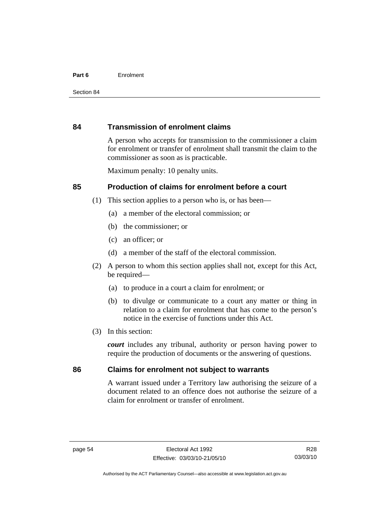#### **Part 6** Enrolment

#### **84 Transmission of enrolment claims**

A person who accepts for transmission to the commissioner a claim for enrolment or transfer of enrolment shall transmit the claim to the commissioner as soon as is practicable.

Maximum penalty: 10 penalty units.

#### **85 Production of claims for enrolment before a court**

- (1) This section applies to a person who is, or has been—
	- (a) a member of the electoral commission; or
	- (b) the commissioner; or
	- (c) an officer; or
	- (d) a member of the staff of the electoral commission.
- (2) A person to whom this section applies shall not, except for this Act, be required-
	- (a) to produce in a court a claim for enrolment; or
	- (b) to divulge or communicate to a court any matter or thing in relation to a claim for enrolment that has come to the person's notice in the exercise of functions under this Act.
- (3) In this section:

*court* includes any tribunal, authority or person having power to require the production of documents or the answering of questions.

#### **86 Claims for enrolment not subject to warrants**

A warrant issued under a Territory law authorising the seizure of a document related to an offence does not authorise the seizure of a claim for enrolment or transfer of enrolment.

Authorised by the ACT Parliamentary Counsel—also accessible at www.legislation.act.gov.au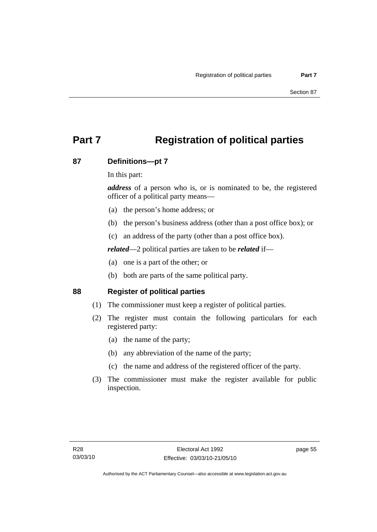# **Part 7 Registration of political parties**

### **87 Definitions—pt 7**

In this part:

*address* of a person who is, or is nominated to be, the registered officer of a political party means—

- (a) the person's home address; or
- (b) the person's business address (other than a post office box); or
- (c) an address of the party (other than a post office box).

*related*—2 political parties are taken to be *related* if—

- (a) one is a part of the other; or
- (b) both are parts of the same political party.

#### **88 Register of political parties**

- (1) The commissioner must keep a register of political parties.
- (2) The register must contain the following particulars for each registered party:
	- (a) the name of the party;
	- (b) any abbreviation of the name of the party;
	- (c) the name and address of the registered officer of the party.
- (3) The commissioner must make the register available for public inspection.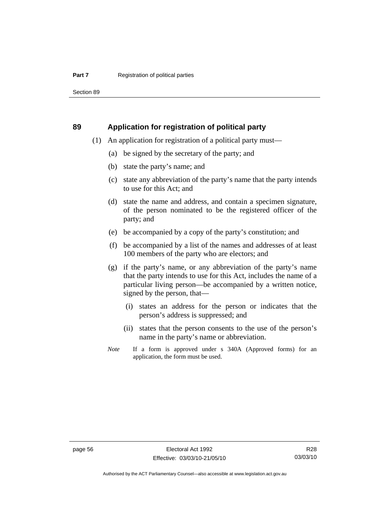Section 89

#### **89 Application for registration of political party**

- (1) An application for registration of a political party must—
	- (a) be signed by the secretary of the party; and
	- (b) state the party's name; and
	- (c) state any abbreviation of the party's name that the party intends to use for this Act; and
	- (d) state the name and address, and contain a specimen signature, of the person nominated to be the registered officer of the party; and
	- (e) be accompanied by a copy of the party's constitution; and
	- (f) be accompanied by a list of the names and addresses of at least 100 members of the party who are electors; and
	- (g) if the party's name, or any abbreviation of the party's name that the party intends to use for this Act, includes the name of a particular living person—be accompanied by a written notice, signed by the person, that—
		- (i) states an address for the person or indicates that the person's address is suppressed; and
		- (ii) states that the person consents to the use of the person's name in the party's name or abbreviation.
	- *Note* If a form is approved under s 340A (Approved forms) for an application, the form must be used.

R28 03/03/10

Authorised by the ACT Parliamentary Counsel—also accessible at www.legislation.act.gov.au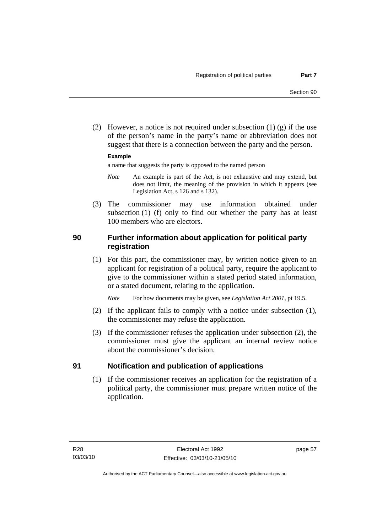(2) However, a notice is not required under subsection  $(1)$   $(g)$  if the use of the person's name in the party's name or abbreviation does not suggest that there is a connection between the party and the person.

#### **Example**

a name that suggests the party is opposed to the named person

- *Note* An example is part of the Act, is not exhaustive and may extend, but does not limit, the meaning of the provision in which it appears (see Legislation Act, s 126 and s 132).
- (3) The commissioner may use information obtained under subsection (1) (f) only to find out whether the party has at least 100 members who are electors.

# **90 Further information about application for political party registration**

 (1) For this part, the commissioner may, by written notice given to an applicant for registration of a political party, require the applicant to give to the commissioner within a stated period stated information, or a stated document, relating to the application.

*Note* For how documents may be given, see *Legislation Act 2001*, pt 19.5.

- (2) If the applicant fails to comply with a notice under subsection (1), the commissioner may refuse the application.
- (3) If the commissioner refuses the application under subsection (2), the commissioner must give the applicant an internal review notice about the commissioner's decision.

#### **91 Notification and publication of applications**

 (1) If the commissioner receives an application for the registration of a political party, the commissioner must prepare written notice of the application.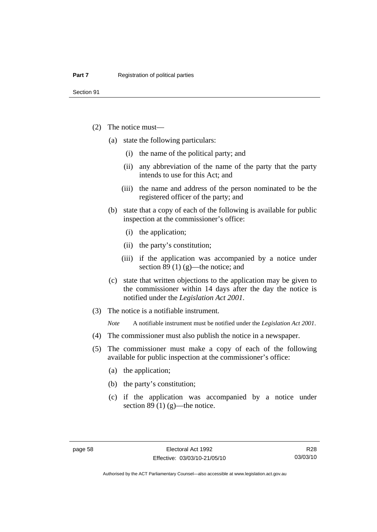Section 91

- (2) The notice must—
	- (a) state the following particulars:
		- (i) the name of the political party; and
		- (ii) any abbreviation of the name of the party that the party intends to use for this Act; and
		- (iii) the name and address of the person nominated to be the registered officer of the party; and
	- (b) state that a copy of each of the following is available for public inspection at the commissioner's office:
		- (i) the application;
		- (ii) the party's constitution;
		- (iii) if the application was accompanied by a notice under section 89 (1) (g)—the notice; and
	- (c) state that written objections to the application may be given to the commissioner within 14 days after the day the notice is notified under the *Legislation Act 2001*.
- (3) The notice is a notifiable instrument.

*Note* A notifiable instrument must be notified under the *Legislation Act 2001*.

- (4) The commissioner must also publish the notice in a newspaper.
- (5) The commissioner must make a copy of each of the following available for public inspection at the commissioner's office:
	- (a) the application;
	- (b) the party's constitution;
	- (c) if the application was accompanied by a notice under section 89 $(1)$  $(g)$ —the notice.

Authorised by the ACT Parliamentary Counsel—also accessible at www.legislation.act.gov.au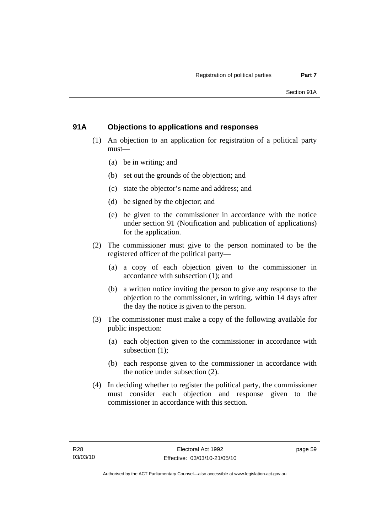# **91A Objections to applications and responses**

- (1) An objection to an application for registration of a political party must—
	- (a) be in writing; and
	- (b) set out the grounds of the objection; and
	- (c) state the objector's name and address; and
	- (d) be signed by the objector; and
	- (e) be given to the commissioner in accordance with the notice under section 91 (Notification and publication of applications) for the application.
- (2) The commissioner must give to the person nominated to be the registered officer of the political party—
	- (a) a copy of each objection given to the commissioner in accordance with subsection (1); and
	- (b) a written notice inviting the person to give any response to the objection to the commissioner, in writing, within 14 days after the day the notice is given to the person.
- (3) The commissioner must make a copy of the following available for public inspection:
	- (a) each objection given to the commissioner in accordance with subsection (1);
	- (b) each response given to the commissioner in accordance with the notice under subsection (2).
- (4) In deciding whether to register the political party, the commissioner must consider each objection and response given to the commissioner in accordance with this section.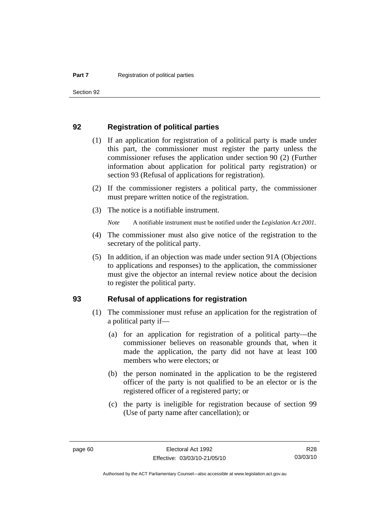Section 92

#### **92 Registration of political parties**

- (1) If an application for registration of a political party is made under this part, the commissioner must register the party unless the commissioner refuses the application under section 90 (2) (Further information about application for political party registration) or section 93 (Refusal of applications for registration).
- (2) If the commissioner registers a political party, the commissioner must prepare written notice of the registration.
- (3) The notice is a notifiable instrument.

*Note* A notifiable instrument must be notified under the *Legislation Act 2001*.

- (4) The commissioner must also give notice of the registration to the secretary of the political party.
- (5) In addition, if an objection was made under section 91A (Objections to applications and responses) to the application, the commissioner must give the objector an internal review notice about the decision to register the political party.

#### **93 Refusal of applications for registration**

- (1) The commissioner must refuse an application for the registration of a political party if—
	- (a) for an application for registration of a political party—the commissioner believes on reasonable grounds that, when it made the application, the party did not have at least 100 members who were electors; or
	- (b) the person nominated in the application to be the registered officer of the party is not qualified to be an elector or is the registered officer of a registered party; or
	- (c) the party is ineligible for registration because of section 99 (Use of party name after cancellation); or

Authorised by the ACT Parliamentary Counsel—also accessible at www.legislation.act.gov.au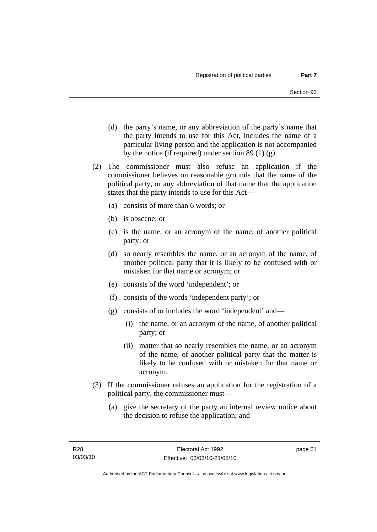- (d) the party's name, or any abbreviation of the party's name that the party intends to use for this Act, includes the name of a particular living person and the application is not accompanied by the notice (if required) under section 89 (1) (g).
- (2) The commissioner must also refuse an application if the commissioner believes on reasonable grounds that the name of the political party, or any abbreviation of that name that the application states that the party intends to use for this Act—
	- (a) consists of more than 6 words; or
	- (b) is obscene; or
	- (c) is the name, or an acronym of the name, of another political party; or
	- (d) so nearly resembles the name, or an acronym of the name, of another political party that it is likely to be confused with or mistaken for that name or acronym; or
	- (e) consists of the word 'independent'; or
	- (f) consists of the words 'independent party'; or
	- (g) consists of or includes the word 'independent' and—
		- (i) the name, or an acronym of the name, of another political party; or
		- (ii) matter that so nearly resembles the name, or an acronym of the name, of another political party that the matter is likely to be confused with or mistaken for that name or acronym.
- (3) If the commissioner refuses an application for the registration of a political party, the commissioner must—
	- (a) give the secretary of the party an internal review notice about the decision to refuse the application; and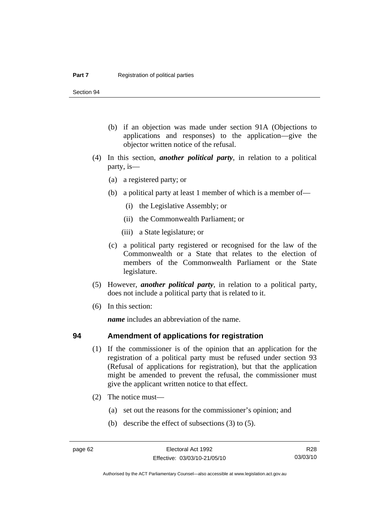Section 94

- (b) if an objection was made under section 91A (Objections to applications and responses) to the application—give the objector written notice of the refusal.
- (4) In this section, *another political party*, in relation to a political party, is—
	- (a) a registered party; or
	- (b) a political party at least 1 member of which is a member of—
		- (i) the Legislative Assembly; or
		- (ii) the Commonwealth Parliament; or
		- (iii) a State legislature; or
	- (c) a political party registered or recognised for the law of the Commonwealth or a State that relates to the election of members of the Commonwealth Parliament or the State legislature.
- (5) However, *another political party*, in relation to a political party, does not include a political party that is related to it.
- (6) In this section:

*name* includes an abbreviation of the name.

#### **94 Amendment of applications for registration**

- (1) If the commissioner is of the opinion that an application for the registration of a political party must be refused under section 93 (Refusal of applications for registration), but that the application might be amended to prevent the refusal, the commissioner must give the applicant written notice to that effect.
- (2) The notice must—
	- (a) set out the reasons for the commissioner's opinion; and
	- (b) describe the effect of subsections (3) to (5).

R28 03/03/10

Authorised by the ACT Parliamentary Counsel—also accessible at www.legislation.act.gov.au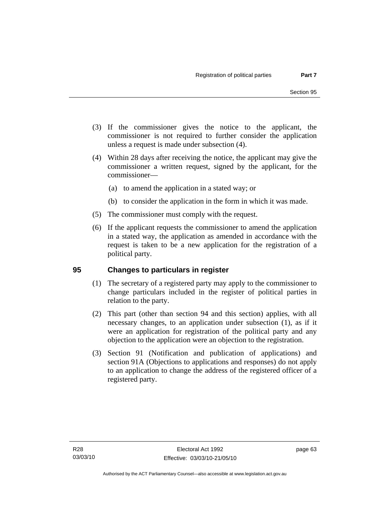- (3) If the commissioner gives the notice to the applicant, the commissioner is not required to further consider the application unless a request is made under subsection (4).
- (4) Within 28 days after receiving the notice, the applicant may give the commissioner a written request, signed by the applicant, for the commissioner—
	- (a) to amend the application in a stated way; or
	- (b) to consider the application in the form in which it was made.
- (5) The commissioner must comply with the request.
- (6) If the applicant requests the commissioner to amend the application in a stated way, the application as amended in accordance with the request is taken to be a new application for the registration of a political party.

# **95 Changes to particulars in register**

- (1) The secretary of a registered party may apply to the commissioner to change particulars included in the register of political parties in relation to the party.
- (2) This part (other than section 94 and this section) applies, with all necessary changes, to an application under subsection (1), as if it were an application for registration of the political party and any objection to the application were an objection to the registration.
- (3) Section 91 (Notification and publication of applications) and section 91A (Objections to applications and responses) do not apply to an application to change the address of the registered officer of a registered party.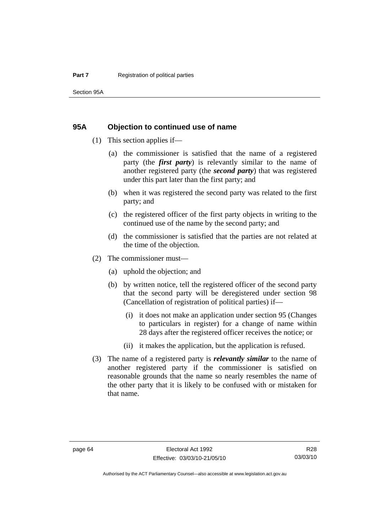#### **95A Objection to continued use of name**

- (1) This section applies if—
	- (a) the commissioner is satisfied that the name of a registered party (the *first party*) is relevantly similar to the name of another registered party (the *second party*) that was registered under this part later than the first party; and
	- (b) when it was registered the second party was related to the first party; and
	- (c) the registered officer of the first party objects in writing to the continued use of the name by the second party; and
	- (d) the commissioner is satisfied that the parties are not related at the time of the objection.
- (2) The commissioner must—
	- (a) uphold the objection; and
	- (b) by written notice, tell the registered officer of the second party that the second party will be deregistered under section 98 (Cancellation of registration of political parties) if—
		- (i) it does not make an application under section 95 (Changes to particulars in register) for a change of name within 28 days after the registered officer receives the notice; or
		- (ii) it makes the application, but the application is refused.
- (3) The name of a registered party is *relevantly similar* to the name of another registered party if the commissioner is satisfied on reasonable grounds that the name so nearly resembles the name of the other party that it is likely to be confused with or mistaken for that name.

Authorised by the ACT Parliamentary Counsel—also accessible at www.legislation.act.gov.au

R28 03/03/10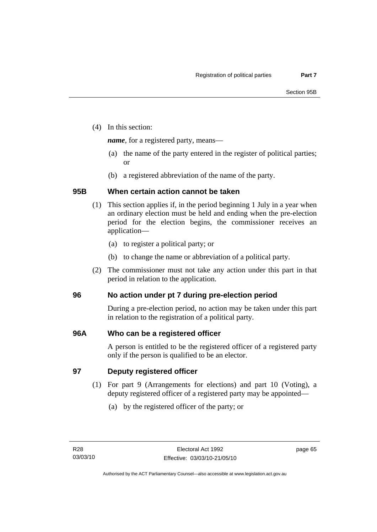(4) In this section:

*name*, for a registered party, means—

- (a) the name of the party entered in the register of political parties; or
- (b) a registered abbreviation of the name of the party.

# **95B When certain action cannot be taken**

- (1) This section applies if, in the period beginning 1 July in a year when an ordinary election must be held and ending when the pre-election period for the election begins, the commissioner receives an application—
	- (a) to register a political party; or
	- (b) to change the name or abbreviation of a political party.
- (2) The commissioner must not take any action under this part in that period in relation to the application.

# **96 No action under pt 7 during pre-election period**

During a pre-election period, no action may be taken under this part in relation to the registration of a political party.

# **96A Who can be a registered officer**

A person is entitled to be the registered officer of a registered party only if the person is qualified to be an elector.

# **97 Deputy registered officer**

- (1) For part 9 (Arrangements for elections) and part 10 (Voting), a deputy registered officer of a registered party may be appointed—
	- (a) by the registered officer of the party; or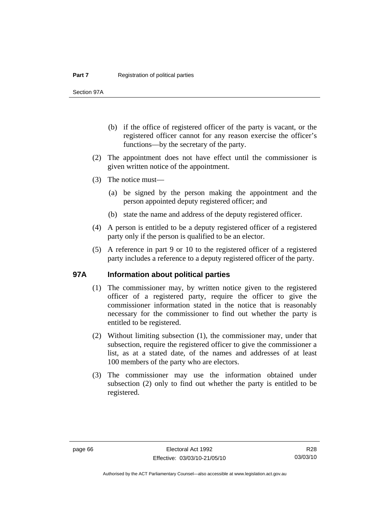Section 97A

- (b) if the office of registered officer of the party is vacant, or the registered officer cannot for any reason exercise the officer's functions—by the secretary of the party.
- (2) The appointment does not have effect until the commissioner is given written notice of the appointment.
- (3) The notice must—
	- (a) be signed by the person making the appointment and the person appointed deputy registered officer; and
	- (b) state the name and address of the deputy registered officer.
- (4) A person is entitled to be a deputy registered officer of a registered party only if the person is qualified to be an elector.
- (5) A reference in part 9 or 10 to the registered officer of a registered party includes a reference to a deputy registered officer of the party.

#### **97A Information about political parties**

- (1) The commissioner may, by written notice given to the registered officer of a registered party, require the officer to give the commissioner information stated in the notice that is reasonably necessary for the commissioner to find out whether the party is entitled to be registered.
- (2) Without limiting subsection (1), the commissioner may, under that subsection, require the registered officer to give the commissioner a list, as at a stated date, of the names and addresses of at least 100 members of the party who are electors.
- (3) The commissioner may use the information obtained under subsection (2) only to find out whether the party is entitled to be registered.

R28 03/03/10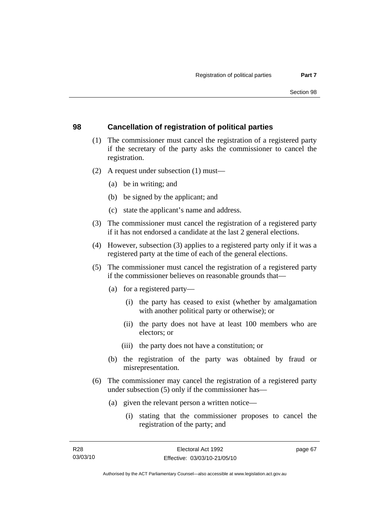### **98 Cancellation of registration of political parties**

- (1) The commissioner must cancel the registration of a registered party if the secretary of the party asks the commissioner to cancel the registration.
- (2) A request under subsection (1) must—
	- (a) be in writing; and
	- (b) be signed by the applicant; and
	- (c) state the applicant's name and address.
- (3) The commissioner must cancel the registration of a registered party if it has not endorsed a candidate at the last 2 general elections.
- (4) However, subsection (3) applies to a registered party only if it was a registered party at the time of each of the general elections.
- (5) The commissioner must cancel the registration of a registered party if the commissioner believes on reasonable grounds that—
	- (a) for a registered party—
		- (i) the party has ceased to exist (whether by amalgamation with another political party or otherwise); or
		- (ii) the party does not have at least 100 members who are electors; or
		- (iii) the party does not have a constitution; or
	- (b) the registration of the party was obtained by fraud or misrepresentation.
- (6) The commissioner may cancel the registration of a registered party under subsection (5) only if the commissioner has—
	- (a) given the relevant person a written notice—
		- (i) stating that the commissioner proposes to cancel the registration of the party; and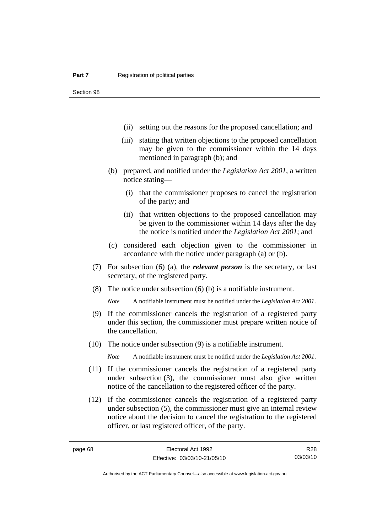- (ii) setting out the reasons for the proposed cancellation; and
- (iii) stating that written objections to the proposed cancellation may be given to the commissioner within the 14 days mentioned in paragraph (b); and
- (b) prepared, and notified under the *Legislation Act 2001*, a written notice stating—
	- (i) that the commissioner proposes to cancel the registration of the party; and
	- (ii) that written objections to the proposed cancellation may be given to the commissioner within 14 days after the day the notice is notified under the *Legislation Act 2001*; and
- (c) considered each objection given to the commissioner in accordance with the notice under paragraph (a) or (b).
- (7) For subsection (6) (a), the *relevant person* is the secretary, or last secretary, of the registered party.
- (8) The notice under subsection (6) (b) is a notifiable instrument.

*Note* A notifiable instrument must be notified under the *Legislation Act 2001*.

- (9) If the commissioner cancels the registration of a registered party under this section, the commissioner must prepare written notice of the cancellation.
- (10) The notice under subsection (9) is a notifiable instrument.

*Note* A notifiable instrument must be notified under the *Legislation Act 2001*.

- (11) If the commissioner cancels the registration of a registered party under subsection (3), the commissioner must also give written notice of the cancellation to the registered officer of the party.
- (12) If the commissioner cancels the registration of a registered party under subsection (5), the commissioner must give an internal review notice about the decision to cancel the registration to the registered officer, or last registered officer, of the party.

R28 03/03/10

Authorised by the ACT Parliamentary Counsel—also accessible at www.legislation.act.gov.au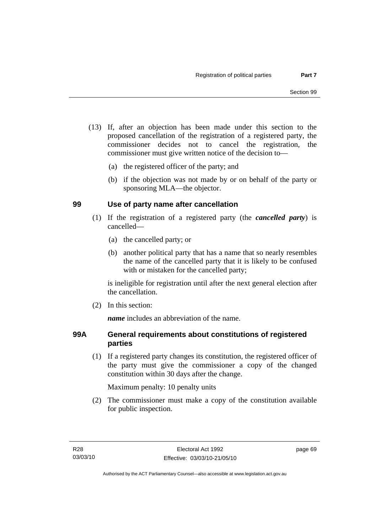- (13) If, after an objection has been made under this section to the proposed cancellation of the registration of a registered party, the commissioner decides not to cancel the registration, the commissioner must give written notice of the decision to—
	- (a) the registered officer of the party; and
	- (b) if the objection was not made by or on behalf of the party or sponsoring MLA—the objector.

# **99 Use of party name after cancellation**

- (1) If the registration of a registered party (the *cancelled party*) is cancelled—
	- (a) the cancelled party; or
	- (b) another political party that has a name that so nearly resembles the name of the cancelled party that it is likely to be confused with or mistaken for the cancelled party;

is ineligible for registration until after the next general election after the cancellation.

(2) In this section:

*name* includes an abbreviation of the name.

### **99A General requirements about constitutions of registered parties**

 (1) If a registered party changes its constitution, the registered officer of the party must give the commissioner a copy of the changed constitution within 30 days after the change.

Maximum penalty: 10 penalty units

 (2) The commissioner must make a copy of the constitution available for public inspection.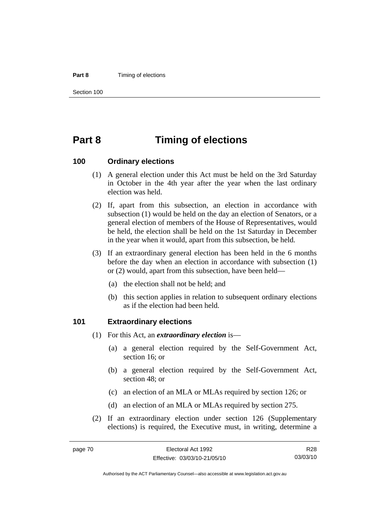#### **Part 8 Timing of elections**

Section 100

# **Part 8 Timing of elections**

#### **100 Ordinary elections**

- (1) A general election under this Act must be held on the 3rd Saturday in October in the 4th year after the year when the last ordinary election was held.
- (2) If, apart from this subsection, an election in accordance with subsection (1) would be held on the day an election of Senators, or a general election of members of the House of Representatives, would be held, the election shall be held on the 1st Saturday in December in the year when it would, apart from this subsection, be held.
- (3) If an extraordinary general election has been held in the 6 months before the day when an election in accordance with subsection (1) or (2) would, apart from this subsection, have been held—
	- (a) the election shall not be held; and
	- (b) this section applies in relation to subsequent ordinary elections as if the election had been held.

#### **101 Extraordinary elections**

- (1) For this Act, an *extraordinary election* is—
	- (a) a general election required by the Self-Government Act, section 16; or
	- (b) a general election required by the Self-Government Act, section 48; or
	- (c) an election of an MLA or MLAs required by section 126; or
	- (d) an election of an MLA or MLAs required by section 275.
- (2) If an extraordinary election under section 126 (Supplementary elections) is required, the Executive must, in writing, determine a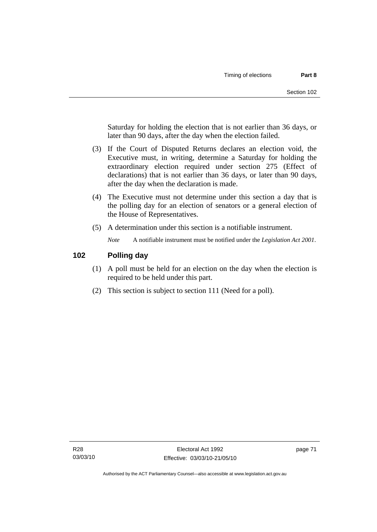Saturday for holding the election that is not earlier than 36 days, or later than 90 days, after the day when the election failed.

- (3) If the Court of Disputed Returns declares an election void, the Executive must, in writing, determine a Saturday for holding the extraordinary election required under section 275 (Effect of declarations) that is not earlier than 36 days, or later than 90 days, after the day when the declaration is made.
- (4) The Executive must not determine under this section a day that is the polling day for an election of senators or a general election of the House of Representatives.
- (5) A determination under this section is a notifiable instrument.

*Note* A notifiable instrument must be notified under the *Legislation Act 2001*.

### **102 Polling day**

- (1) A poll must be held for an election on the day when the election is required to be held under this part.
- (2) This section is subject to section 111 (Need for a poll).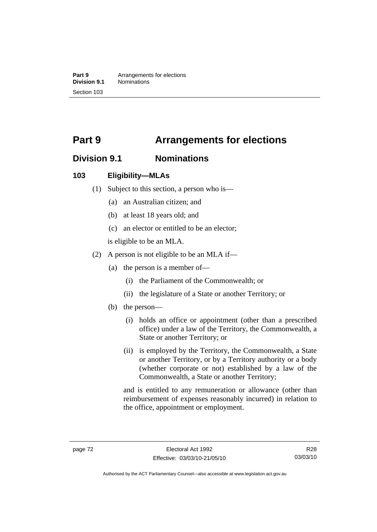**Part 9 Arrangements for elections**<br>**Division 9.1 Nominations Division 9.1** Nominations Section 103

# **Part 9 Arrangements for elections**

# **Division 9.1 Nominations**

### **103 Eligibility—MLAs**

- (1) Subject to this section, a person who is—
	- (a) an Australian citizen; and
	- (b) at least 18 years old; and
	- (c) an elector or entitled to be an elector;

is eligible to be an MLA.

- (2) A person is not eligible to be an MLA if—
	- (a) the person is a member of—
		- (i) the Parliament of the Commonwealth; or
		- (ii) the legislature of a State or another Territory; or
	- (b) the person—
		- (i) holds an office or appointment (other than a prescribed office) under a law of the Territory, the Commonwealth, a State or another Territory; or
		- (ii) is employed by the Territory, the Commonwealth, a State or another Territory, or by a Territory authority or a body (whether corporate or not) established by a law of the Commonwealth, a State or another Territory;

and is entitled to any remuneration or allowance (other than reimbursement of expenses reasonably incurred) in relation to the office, appointment or employment.

R28 03/03/10

Authorised by the ACT Parliamentary Counsel—also accessible at www.legislation.act.gov.au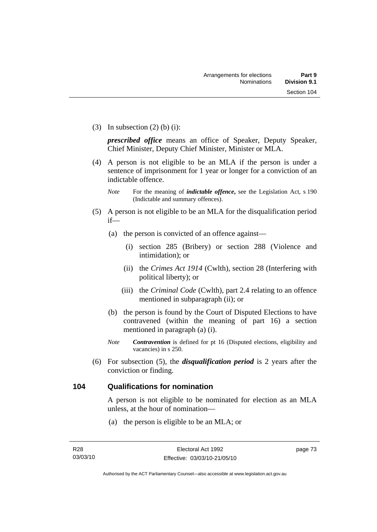(3) In subsection  $(2)$  (b) (i):

*prescribed office* means an office of Speaker, Deputy Speaker, Chief Minister, Deputy Chief Minister, Minister or MLA.

 (4) A person is not eligible to be an MLA if the person is under a sentence of imprisonment for 1 year or longer for a conviction of an indictable offence.

- (5) A person is not eligible to be an MLA for the disqualification period if—
	- (a) the person is convicted of an offence against—
		- (i) section 285 (Bribery) or section 288 (Violence and intimidation); or
		- (ii) the *Crimes Act 1914* (Cwlth), section 28 (Interfering with political liberty); or
		- (iii) the *Criminal Code* (Cwlth), part 2.4 relating to an offence mentioned in subparagraph (ii); or
	- (b) the person is found by the Court of Disputed Elections to have contravened (within the meaning of part 16) a section mentioned in paragraph (a) (i).
	- *Note Contravention* is defined for pt 16 (Disputed elections, eligibility and vacancies) in s 250.
- (6) For subsection (5), the *disqualification period* is 2 years after the conviction or finding.

#### **104 Qualifications for nomination**

A person is not eligible to be nominated for election as an MLA unless, at the hour of nomination—

(a) the person is eligible to be an MLA; or

*Note* For the meaning of *indictable offence*, see the Legislation Act, s 190 (Indictable and summary offences).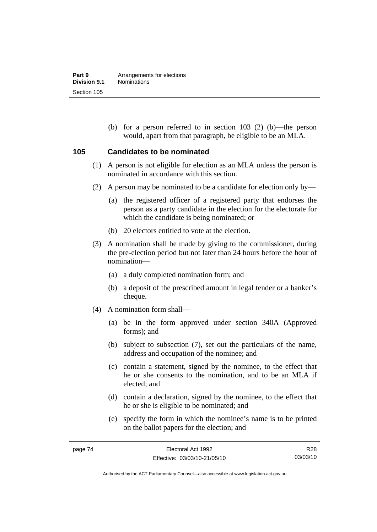(b) for a person referred to in section 103 (2) (b)—the person would, apart from that paragraph, be eligible to be an MLA.

#### **105 Candidates to be nominated**

- (1) A person is not eligible for election as an MLA unless the person is nominated in accordance with this section.
- (2) A person may be nominated to be a candidate for election only by—
	- (a) the registered officer of a registered party that endorses the person as a party candidate in the election for the electorate for which the candidate is being nominated; or
	- (b) 20 electors entitled to vote at the election.
- (3) A nomination shall be made by giving to the commissioner, during the pre-election period but not later than 24 hours before the hour of nomination—
	- (a) a duly completed nomination form; and
	- (b) a deposit of the prescribed amount in legal tender or a banker's cheque.
- (4) A nomination form shall—
	- (a) be in the form approved under section 340A (Approved forms); and
	- (b) subject to subsection (7), set out the particulars of the name, address and occupation of the nominee; and
	- (c) contain a statement, signed by the nominee, to the effect that he or she consents to the nomination, and to be an MLA if elected; and
	- (d) contain a declaration, signed by the nominee, to the effect that he or she is eligible to be nominated; and
	- (e) specify the form in which the nominee's name is to be printed on the ballot papers for the election; and

R28 03/03/10

Authorised by the ACT Parliamentary Counsel—also accessible at www.legislation.act.gov.au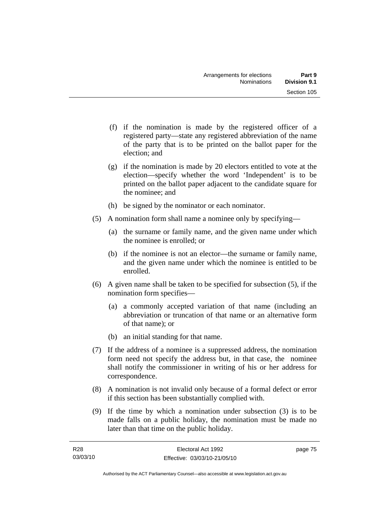- (f) if the nomination is made by the registered officer of a registered party—state any registered abbreviation of the name of the party that is to be printed on the ballot paper for the election; and
- (g) if the nomination is made by 20 electors entitled to vote at the election—specify whether the word 'Independent' is to be printed on the ballot paper adjacent to the candidate square for the nominee; and
- (h) be signed by the nominator or each nominator.
- (5) A nomination form shall name a nominee only by specifying—
	- (a) the surname or family name, and the given name under which the nominee is enrolled; or
	- (b) if the nominee is not an elector—the surname or family name, and the given name under which the nominee is entitled to be enrolled.
- (6) A given name shall be taken to be specified for subsection (5), if the nomination form specifies—
	- (a) a commonly accepted variation of that name (including an abbreviation or truncation of that name or an alternative form of that name); or
	- (b) an initial standing for that name.
- (7) If the address of a nominee is a suppressed address, the nomination form need not specify the address but, in that case, the nominee shall notify the commissioner in writing of his or her address for correspondence.
- (8) A nomination is not invalid only because of a formal defect or error if this section has been substantially complied with.
- (9) If the time by which a nomination under subsection (3) is to be made falls on a public holiday, the nomination must be made no later than that time on the public holiday.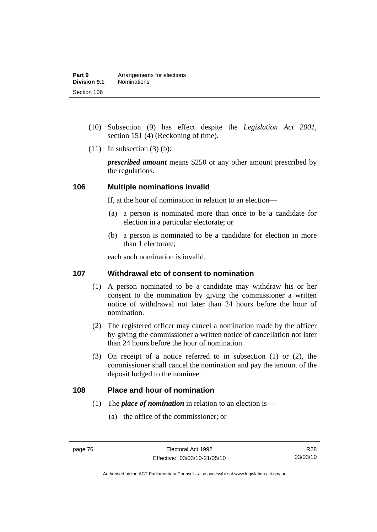- (10) Subsection (9) has effect despite the *Legislation Act 2001*, section 151 (4) (Reckoning of time).
- $(11)$  In subsection  $(3)$  (b):

*prescribed amount* means \$250 or any other amount prescribed by the regulations.

#### **106 Multiple nominations invalid**

If, at the hour of nomination in relation to an election—

- (a) a person is nominated more than once to be a candidate for election in a particular electorate; or
- (b) a person is nominated to be a candidate for election in more than 1 electorate;

each such nomination is invalid.

### **107 Withdrawal etc of consent to nomination**

- (1) A person nominated to be a candidate may withdraw his or her consent to the nomination by giving the commissioner a written notice of withdrawal not later than 24 hours before the hour of nomination.
- (2) The registered officer may cancel a nomination made by the officer by giving the commissioner a written notice of cancellation not later than 24 hours before the hour of nomination.
- (3) On receipt of a notice referred to in subsection (1) or (2), the commissioner shall cancel the nomination and pay the amount of the deposit lodged to the nominee.

#### **108 Place and hour of nomination**

- (1) The *place of nomination* in relation to an election is—
	- (a) the office of the commissioner; or

Authorised by the ACT Parliamentary Counsel—also accessible at www.legislation.act.gov.au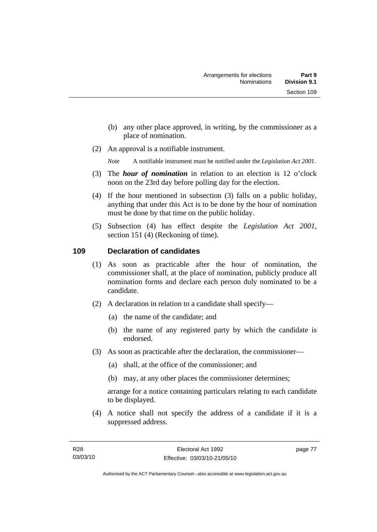- (b) any other place approved, in writing, by the commissioner as a place of nomination.
- (2) An approval is a notifiable instrument.

*Note* A notifiable instrument must be notified under the *Legislation Act 2001*.

- (3) The *hour of nomination* in relation to an election is 12 o'clock noon on the 23rd day before polling day for the election.
- (4) If the hour mentioned in subsection (3) falls on a public holiday, anything that under this Act is to be done by the hour of nomination must be done by that time on the public holiday.
- (5) Subsection (4) has effect despite the *Legislation Act 2001*, section 151 (4) (Reckoning of time).

# **109 Declaration of candidates**

- (1) As soon as practicable after the hour of nomination, the commissioner shall, at the place of nomination, publicly produce all nomination forms and declare each person duly nominated to be a candidate.
- (2) A declaration in relation to a candidate shall specify—
	- (a) the name of the candidate; and
	- (b) the name of any registered party by which the candidate is endorsed.
- (3) As soon as practicable after the declaration, the commissioner—
	- (a) shall, at the office of the commissioner; and
	- (b) may, at any other places the commissioner determines;

arrange for a notice containing particulars relating to each candidate to be displayed.

 (4) A notice shall not specify the address of a candidate if it is a suppressed address.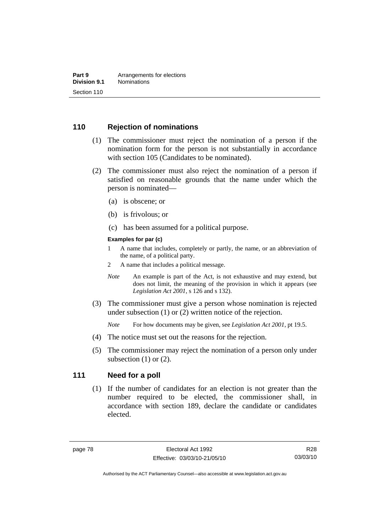### **110 Rejection of nominations**

- (1) The commissioner must reject the nomination of a person if the nomination form for the person is not substantially in accordance with section 105 (Candidates to be nominated).
- (2) The commissioner must also reject the nomination of a person if satisfied on reasonable grounds that the name under which the person is nominated—
	- (a) is obscene; or
	- (b) is frivolous; or
	- (c) has been assumed for a political purpose.

#### **Examples for par (c)**

- 1 A name that includes, completely or partly, the name, or an abbreviation of the name, of a political party.
- 2 A name that includes a political message.
- *Note* An example is part of the Act, is not exhaustive and may extend, but does not limit, the meaning of the provision in which it appears (see *Legislation Act 2001*, s 126 and s 132).
- (3) The commissioner must give a person whose nomination is rejected under subsection (1) or (2) written notice of the rejection.

*Note* For how documents may be given, see *Legislation Act 2001*, pt 19.5.

- (4) The notice must set out the reasons for the rejection.
- (5) The commissioner may reject the nomination of a person only under subsection  $(1)$  or  $(2)$ .

#### **111 Need for a poll**

 (1) If the number of candidates for an election is not greater than the number required to be elected, the commissioner shall, in accordance with section 189, declare the candidate or candidates elected.

R28 03/03/10

Authorised by the ACT Parliamentary Counsel—also accessible at www.legislation.act.gov.au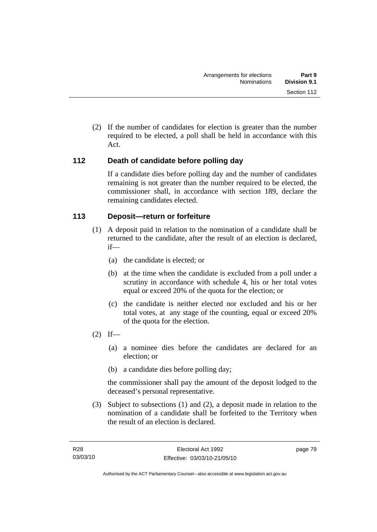(2) If the number of candidates for election is greater than the number required to be elected, a poll shall be held in accordance with this Act.

# **112 Death of candidate before polling day**

If a candidate dies before polling day and the number of candidates remaining is not greater than the number required to be elected, the commissioner shall, in accordance with section 189, declare the remaining candidates elected.

# **113 Deposit—return or forfeiture**

- (1) A deposit paid in relation to the nomination of a candidate shall be returned to the candidate, after the result of an election is declared, if—
	- (a) the candidate is elected; or
	- (b) at the time when the candidate is excluded from a poll under a scrutiny in accordance with schedule 4, his or her total votes equal or exceed 20% of the quota for the election; or
	- (c) the candidate is neither elected nor excluded and his or her total votes, at any stage of the counting, equal or exceed 20% of the quota for the election.
- $(2)$  If—
	- (a) a nominee dies before the candidates are declared for an election; or
	- (b) a candidate dies before polling day;

the commissioner shall pay the amount of the deposit lodged to the deceased's personal representative.

 (3) Subject to subsections (1) and (2), a deposit made in relation to the nomination of a candidate shall be forfeited to the Territory when the result of an election is declared.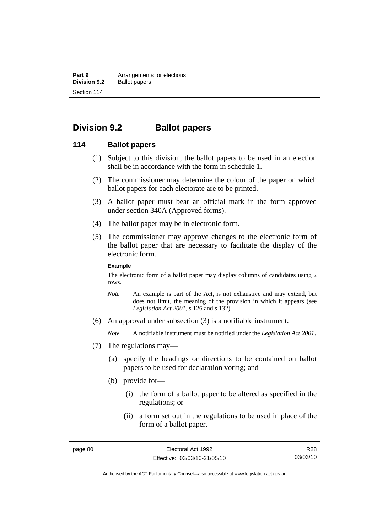**Part 9 Arrangements for elections**<br>**Division 9.2 Ballot papers Ballot papers** Section 114

# **Division 9.2 Ballot papers**

#### **114 Ballot papers**

- (1) Subject to this division, the ballot papers to be used in an election shall be in accordance with the form in schedule 1.
- (2) The commissioner may determine the colour of the paper on which ballot papers for each electorate are to be printed.
- (3) A ballot paper must bear an official mark in the form approved under section 340A (Approved forms).
- (4) The ballot paper may be in electronic form.
- (5) The commissioner may approve changes to the electronic form of the ballot paper that are necessary to facilitate the display of the electronic form.

#### **Example**

The electronic form of a ballot paper may display columns of candidates using 2 rows.

- *Note* An example is part of the Act, is not exhaustive and may extend, but does not limit, the meaning of the provision in which it appears (see *Legislation Act 2001*, s 126 and s 132).
- (6) An approval under subsection (3) is a notifiable instrument.

*Note* A notifiable instrument must be notified under the *Legislation Act 2001*.

- (7) The regulations may—
	- (a) specify the headings or directions to be contained on ballot papers to be used for declaration voting; and
	- (b) provide for—
		- (i) the form of a ballot paper to be altered as specified in the regulations; or
		- (ii) a form set out in the regulations to be used in place of the form of a ballot paper.

Authorised by the ACT Parliamentary Counsel—also accessible at www.legislation.act.gov.au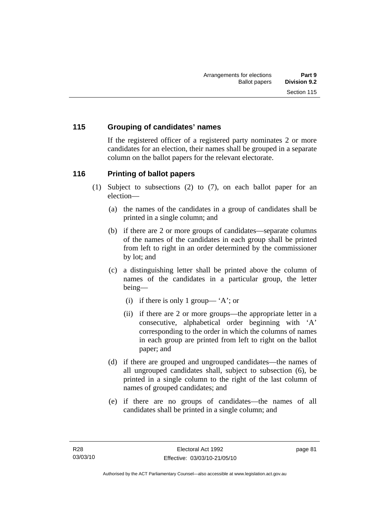# **115 Grouping of candidates' names**

If the registered officer of a registered party nominates 2 or more candidates for an election, their names shall be grouped in a separate column on the ballot papers for the relevant electorate.

### **116 Printing of ballot papers**

- (1) Subject to subsections (2) to (7), on each ballot paper for an election—
	- (a) the names of the candidates in a group of candidates shall be printed in a single column; and
	- (b) if there are 2 or more groups of candidates—separate columns of the names of the candidates in each group shall be printed from left to right in an order determined by the commissioner by lot; and
	- (c) a distinguishing letter shall be printed above the column of names of the candidates in a particular group, the letter being—
		- (i) if there is only 1 group— 'A'; or
		- (ii) if there are 2 or more groups—the appropriate letter in a consecutive, alphabetical order beginning with 'A' corresponding to the order in which the columns of names in each group are printed from left to right on the ballot paper; and
	- (d) if there are grouped and ungrouped candidates—the names of all ungrouped candidates shall, subject to subsection (6), be printed in a single column to the right of the last column of names of grouped candidates; and
	- (e) if there are no groups of candidates—the names of all candidates shall be printed in a single column; and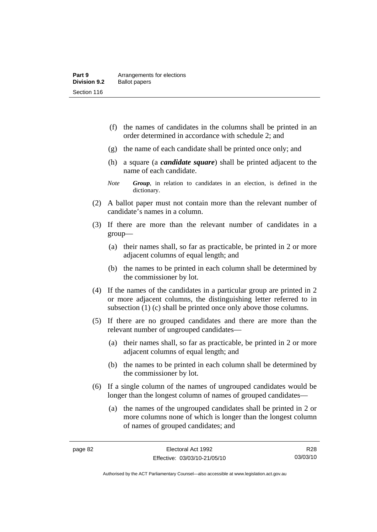- (f) the names of candidates in the columns shall be printed in an order determined in accordance with schedule 2; and
- (g) the name of each candidate shall be printed once only; and
- (h) a square (a *candidate square*) shall be printed adjacent to the name of each candidate.
- *Note Group*, in relation to candidates in an election, is defined in the dictionary.
- (2) A ballot paper must not contain more than the relevant number of candidate's names in a column.
- (3) If there are more than the relevant number of candidates in a group—
	- (a) their names shall, so far as practicable, be printed in 2 or more adjacent columns of equal length; and
	- (b) the names to be printed in each column shall be determined by the commissioner by lot.
- (4) If the names of the candidates in a particular group are printed in 2 or more adjacent columns, the distinguishing letter referred to in subsection (1) (c) shall be printed once only above those columns.
- (5) If there are no grouped candidates and there are more than the relevant number of ungrouped candidates—
	- (a) their names shall, so far as practicable, be printed in 2 or more adjacent columns of equal length; and
	- (b) the names to be printed in each column shall be determined by the commissioner by lot.
- (6) If a single column of the names of ungrouped candidates would be longer than the longest column of names of grouped candidates—
	- (a) the names of the ungrouped candidates shall be printed in 2 or more columns none of which is longer than the longest column of names of grouped candidates; and

R28 03/03/10

Authorised by the ACT Parliamentary Counsel—also accessible at www.legislation.act.gov.au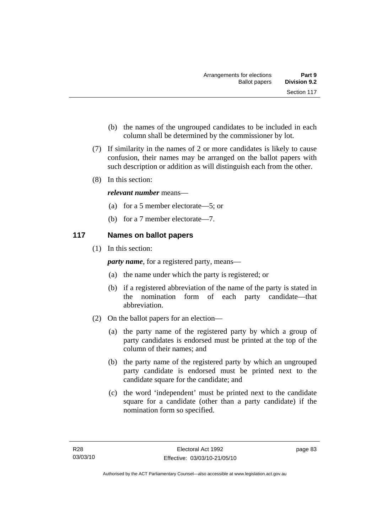- (b) the names of the ungrouped candidates to be included in each column shall be determined by the commissioner by lot.
- (7) If similarity in the names of 2 or more candidates is likely to cause confusion, their names may be arranged on the ballot papers with such description or addition as will distinguish each from the other.
- (8) In this section:

### *relevant number* means—

- (a) for a 5 member electorate—5; or
- (b) for a 7 member electorate—7.

# **117 Names on ballot papers**

(1) In this section:

*party name*, for a registered party, means—

- (a) the name under which the party is registered; or
- (b) if a registered abbreviation of the name of the party is stated in the nomination form of each party candidate—that abbreviation.
- (2) On the ballot papers for an election—
	- (a) the party name of the registered party by which a group of party candidates is endorsed must be printed at the top of the column of their names; and
	- (b) the party name of the registered party by which an ungrouped party candidate is endorsed must be printed next to the candidate square for the candidate; and
	- (c) the word 'independent' must be printed next to the candidate square for a candidate (other than a party candidate) if the nomination form so specified.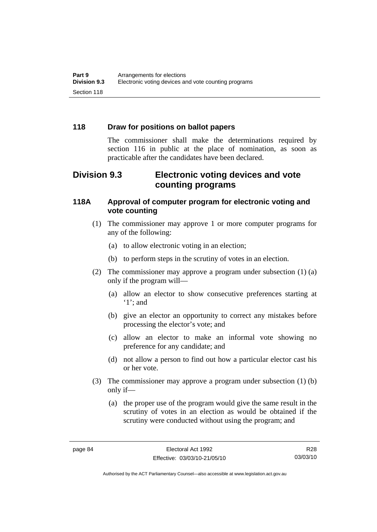# **118 Draw for positions on ballot papers**

The commissioner shall make the determinations required by section 116 in public at the place of nomination, as soon as practicable after the candidates have been declared.

# **Division 9.3 Electronic voting devices and vote counting programs**

### **118A Approval of computer program for electronic voting and vote counting**

- (1) The commissioner may approve 1 or more computer programs for any of the following:
	- (a) to allow electronic voting in an election;
	- (b) to perform steps in the scrutiny of votes in an election.
- (2) The commissioner may approve a program under subsection (1) (a) only if the program will—
	- (a) allow an elector to show consecutive preferences starting at '1'; and
	- (b) give an elector an opportunity to correct any mistakes before processing the elector's vote; and
	- (c) allow an elector to make an informal vote showing no preference for any candidate; and
	- (d) not allow a person to find out how a particular elector cast his or her vote.
- (3) The commissioner may approve a program under subsection (1) (b) only if—
	- (a) the proper use of the program would give the same result in the scrutiny of votes in an election as would be obtained if the scrutiny were conducted without using the program; and

R28 03/03/10

Authorised by the ACT Parliamentary Counsel—also accessible at www.legislation.act.gov.au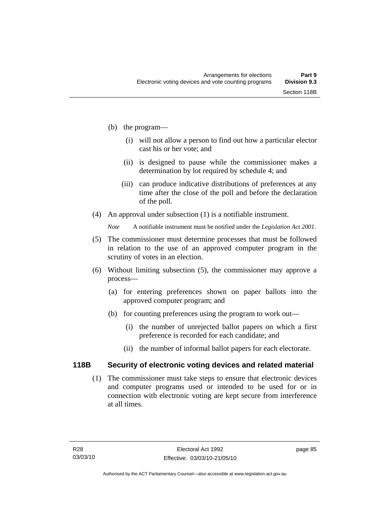- (b) the program—
	- (i) will not allow a person to find out how a particular elector cast his or her vote; and
	- (ii) is designed to pause while the commissioner makes a determination by lot required by schedule 4; and
	- (iii) can produce indicative distributions of preferences at any time after the close of the poll and before the declaration of the poll.
- (4) An approval under subsection (1) is a notifiable instrument.

*Note* A notifiable instrument must be notified under the *Legislation Act 2001*.

- (5) The commissioner must determine processes that must be followed in relation to the use of an approved computer program in the scrutiny of votes in an election.
- (6) Without limiting subsection (5), the commissioner may approve a process—
	- (a) for entering preferences shown on paper ballots into the approved computer program; and
	- (b) for counting preferences using the program to work out—
		- (i) the number of unrejected ballot papers on which a first preference is recorded for each candidate; and
		- (ii) the number of informal ballot papers for each electorate.

# **118B Security of electronic voting devices and related material**

 (1) The commissioner must take steps to ensure that electronic devices and computer programs used or intended to be used for or in connection with electronic voting are kept secure from interference at all times.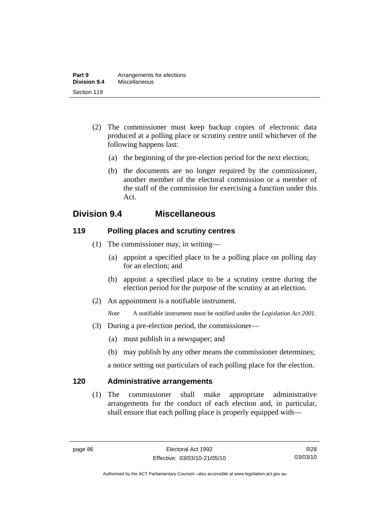- (2) The commissioner must keep backup copies of electronic data produced at a polling place or scrutiny centre until whichever of the following happens last:
	- (a) the beginning of the pre-election period for the next election;
	- (b) the documents are no longer required by the commissioner, another member of the electoral commission or a member of the staff of the commission for exercising a function under this Act.

# **Division 9.4 Miscellaneous**

# **119 Polling places and scrutiny centres**

- (1) The commissioner may, in writing—
	- (a) appoint a specified place to be a polling place on polling day for an election; and
	- (b) appoint a specified place to be a scrutiny centre during the election period for the purpose of the scrutiny at an election.
- (2) An appointment is a notifiable instrument.

*Note* A notifiable instrument must be notified under the *Legislation Act 2001*.

- (3) During a pre-election period, the commissioner—
	- (a) must publish in a newspaper; and
	- (b) may publish by any other means the commissioner determines;

a notice setting out particulars of each polling place for the election.

# **120 Administrative arrangements**

 (1) The commissioner shall make appropriate administrative arrangements for the conduct of each election and, in particular, shall ensure that each polling place is properly equipped with—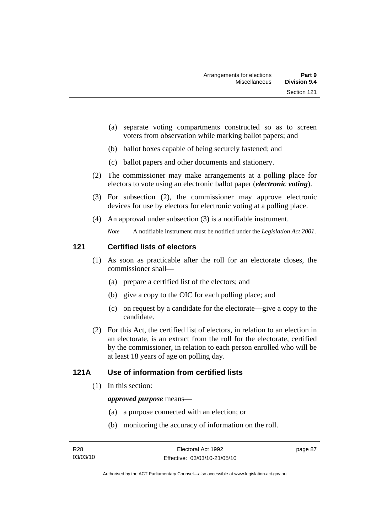- (a) separate voting compartments constructed so as to screen voters from observation while marking ballot papers; and
- (b) ballot boxes capable of being securely fastened; and
- (c) ballot papers and other documents and stationery.
- (2) The commissioner may make arrangements at a polling place for electors to vote using an electronic ballot paper (*electronic voting*).
- (3) For subsection (2), the commissioner may approve electronic devices for use by electors for electronic voting at a polling place.
- (4) An approval under subsection (3) is a notifiable instrument.

*Note* A notifiable instrument must be notified under the *Legislation Act 2001*.

# **121 Certified lists of electors**

- (1) As soon as practicable after the roll for an electorate closes, the commissioner shall—
	- (a) prepare a certified list of the electors; and
	- (b) give a copy to the OIC for each polling place; and
	- (c) on request by a candidate for the electorate—give a copy to the candidate.
- (2) For this Act, the certified list of electors, in relation to an election in an electorate, is an extract from the roll for the electorate, certified by the commissioner, in relation to each person enrolled who will be at least 18 years of age on polling day.

# **121A Use of information from certified lists**

(1) In this section:

#### *approved purpose* means—

- (a) a purpose connected with an election; or
- (b) monitoring the accuracy of information on the roll.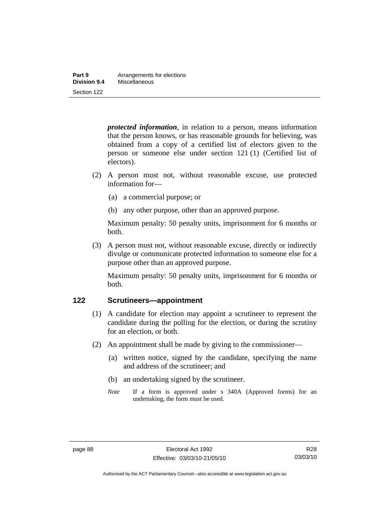| Part 9       | Arrangements for elections |
|--------------|----------------------------|
| Division 9.4 | Miscellaneous              |
| Section 122  |                            |

*protected information*, in relation to a person, means information that the person knows, or has reasonable grounds for believing, was obtained from a copy of a certified list of electors given to the person or someone else under section 121 (1) (Certified list of electors).

- (2) A person must not, without reasonable excuse, use protected information for—
	- (a) a commercial purpose; or
	- (b) any other purpose, other than an approved purpose.

Maximum penalty: 50 penalty units, imprisonment for 6 months or both.

 (3) A person must not, without reasonable excuse, directly or indirectly divulge or communicate protected information to someone else for a purpose other than an approved purpose.

Maximum penalty: 50 penalty units, imprisonment for 6 months or both.

#### **122 Scrutineers—appointment**

- (1) A candidate for election may appoint a scrutineer to represent the candidate during the polling for the election, or during the scrutiny for an election, or both.
- (2) An appointment shall be made by giving to the commissioner—
	- (a) written notice, signed by the candidate, specifying the name and address of the scrutineer; and
	- (b) an undertaking signed by the scrutineer.
	- *Note* If a form is approved under s 340A (Approved forms) for an undertaking, the form must be used.

Authorised by the ACT Parliamentary Counsel—also accessible at www.legislation.act.gov.au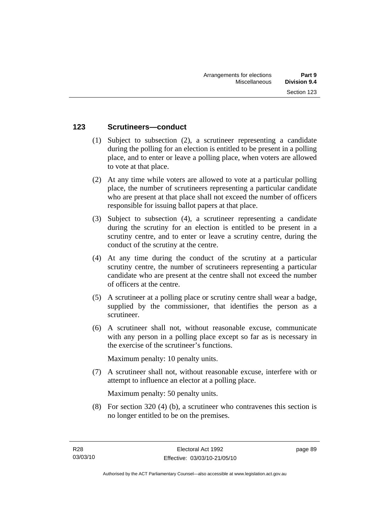### **123 Scrutineers—conduct**

- (1) Subject to subsection (2), a scrutineer representing a candidate during the polling for an election is entitled to be present in a polling place, and to enter or leave a polling place, when voters are allowed to vote at that place.
- (2) At any time while voters are allowed to vote at a particular polling place, the number of scrutineers representing a particular candidate who are present at that place shall not exceed the number of officers responsible for issuing ballot papers at that place.
- (3) Subject to subsection (4), a scrutineer representing a candidate during the scrutiny for an election is entitled to be present in a scrutiny centre, and to enter or leave a scrutiny centre, during the conduct of the scrutiny at the centre.
- (4) At any time during the conduct of the scrutiny at a particular scrutiny centre, the number of scrutineers representing a particular candidate who are present at the centre shall not exceed the number of officers at the centre.
- (5) A scrutineer at a polling place or scrutiny centre shall wear a badge, supplied by the commissioner, that identifies the person as a scrutineer.
- (6) A scrutineer shall not, without reasonable excuse, communicate with any person in a polling place except so far as is necessary in the exercise of the scrutineer's functions.

Maximum penalty: 10 penalty units.

 (7) A scrutineer shall not, without reasonable excuse, interfere with or attempt to influence an elector at a polling place.

Maximum penalty: 50 penalty units.

 (8) For section 320 (4) (b), a scrutineer who contravenes this section is no longer entitled to be on the premises.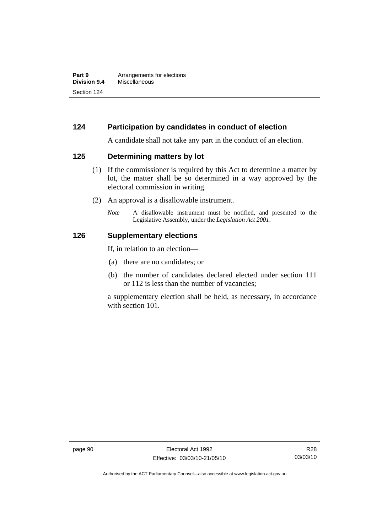# **124 Participation by candidates in conduct of election**

A candidate shall not take any part in the conduct of an election.

#### **125 Determining matters by lot**

- (1) If the commissioner is required by this Act to determine a matter by lot, the matter shall be so determined in a way approved by the electoral commission in writing.
- (2) An approval is a disallowable instrument.
	- *Note* A disallowable instrument must be notified, and presented to the Legislative Assembly, under the *Legislation Act 2001*.

#### **126 Supplementary elections**

If, in relation to an election—

- (a) there are no candidates; or
- (b) the number of candidates declared elected under section 111 or 112 is less than the number of vacancies;

a supplementary election shall be held, as necessary, in accordance with section 101.

Authorised by the ACT Parliamentary Counsel—also accessible at www.legislation.act.gov.au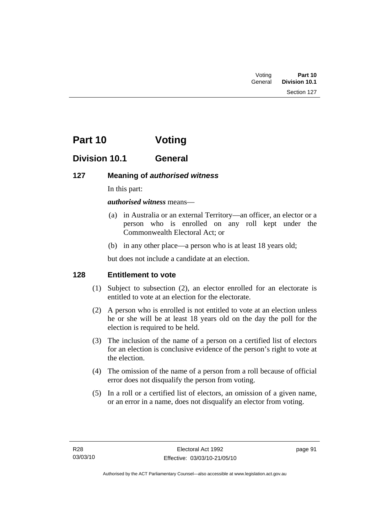| Voting  | Part 10              |
|---------|----------------------|
| General | <b>Division 10.1</b> |
|         | Section 127          |

# **Part 10 Voting**

## **Division 10.1 General**

### **127 Meaning of** *authorised witness*

In this part:

*authorised witness* means—

- (a) in Australia or an external Territory—an officer, an elector or a person who is enrolled on any roll kept under the Commonwealth Electoral Act; or
- (b) in any other place—a person who is at least 18 years old;

but does not include a candidate at an election.

### **128 Entitlement to vote**

- (1) Subject to subsection (2), an elector enrolled for an electorate is entitled to vote at an election for the electorate.
- (2) A person who is enrolled is not entitled to vote at an election unless he or she will be at least 18 years old on the day the poll for the election is required to be held.
- (3) The inclusion of the name of a person on a certified list of electors for an election is conclusive evidence of the person's right to vote at the election.
- (4) The omission of the name of a person from a roll because of official error does not disqualify the person from voting.
- (5) In a roll or a certified list of electors, an omission of a given name, or an error in a name, does not disqualify an elector from voting.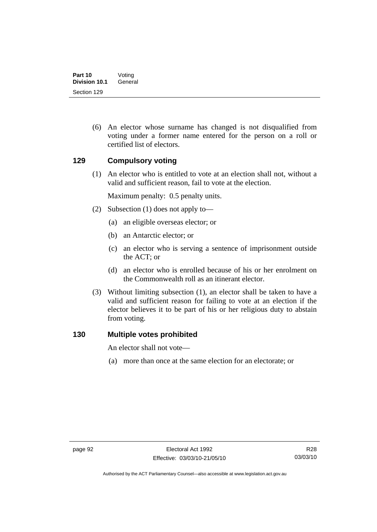(6) An elector whose surname has changed is not disqualified from voting under a former name entered for the person on a roll or certified list of electors.

### **129 Compulsory voting**

 (1) An elector who is entitled to vote at an election shall not, without a valid and sufficient reason, fail to vote at the election.

Maximum penalty: 0.5 penalty units.

- (2) Subsection (1) does not apply to—
	- (a) an eligible overseas elector; or
	- (b) an Antarctic elector; or
	- (c) an elector who is serving a sentence of imprisonment outside the ACT; or
	- (d) an elector who is enrolled because of his or her enrolment on the Commonwealth roll as an itinerant elector.
- (3) Without limiting subsection (1), an elector shall be taken to have a valid and sufficient reason for failing to vote at an election if the elector believes it to be part of his or her religious duty to abstain from voting.

#### **130 Multiple votes prohibited**

An elector shall not vote—

(a) more than once at the same election for an electorate; or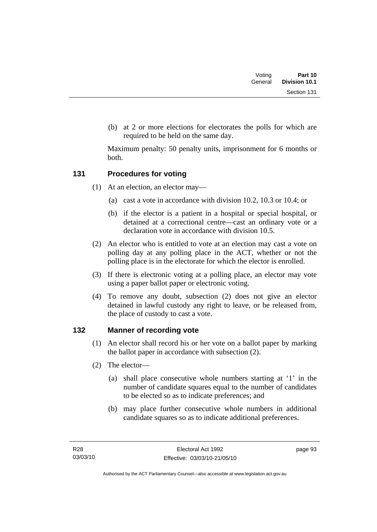| Voting  | Part 10       |
|---------|---------------|
| General | Division 10.1 |
|         | Section 131   |

 (b) at 2 or more elections for electorates the polls for which are required to be held on the same day.

Maximum penalty: 50 penalty units, imprisonment for 6 months or both.

### **131 Procedures for voting**

- (1) At an election, an elector may—
	- (a) cast a vote in accordance with division 10.2, 10.3 or 10.4; or
	- (b) if the elector is a patient in a hospital or special hospital, or detained at a correctional centre—cast an ordinary vote or a declaration vote in accordance with division 10.5.
- (2) An elector who is entitled to vote at an election may cast a vote on polling day at any polling place in the ACT, whether or not the polling place is in the electorate for which the elector is enrolled.
- (3) If there is electronic voting at a polling place, an elector may vote using a paper ballot paper or electronic voting.
- (4) To remove any doubt, subsection (2) does not give an elector detained in lawful custody any right to leave, or be released from, the place of custody to cast a vote.

### **132 Manner of recording vote**

- (1) An elector shall record his or her vote on a ballot paper by marking the ballot paper in accordance with subsection (2).
- (2) The elector—
	- (a) shall place consecutive whole numbers starting at '1' in the number of candidate squares equal to the number of candidates to be elected so as to indicate preferences; and
	- (b) may place further consecutive whole numbers in additional candidate squares so as to indicate additional preferences.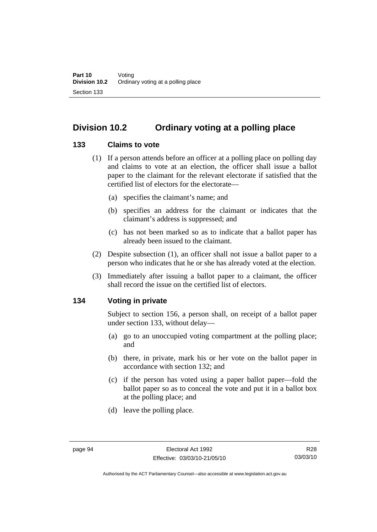## **Division 10.2 Ordinary voting at a polling place**

#### **133 Claims to vote**

- (1) If a person attends before an officer at a polling place on polling day and claims to vote at an election, the officer shall issue a ballot paper to the claimant for the relevant electorate if satisfied that the certified list of electors for the electorate—
	- (a) specifies the claimant's name; and
	- (b) specifies an address for the claimant or indicates that the claimant's address is suppressed; and
	- (c) has not been marked so as to indicate that a ballot paper has already been issued to the claimant.
- (2) Despite subsection (1), an officer shall not issue a ballot paper to a person who indicates that he or she has already voted at the election.
- (3) Immediately after issuing a ballot paper to a claimant, the officer shall record the issue on the certified list of electors.

### **134 Voting in private**

Subject to section 156, a person shall, on receipt of a ballot paper under section 133, without delay—

- (a) go to an unoccupied voting compartment at the polling place; and
- (b) there, in private, mark his or her vote on the ballot paper in accordance with section 132; and
- (c) if the person has voted using a paper ballot paper—fold the ballot paper so as to conceal the vote and put it in a ballot box at the polling place; and
- (d) leave the polling place.

Authorised by the ACT Parliamentary Counsel—also accessible at www.legislation.act.gov.au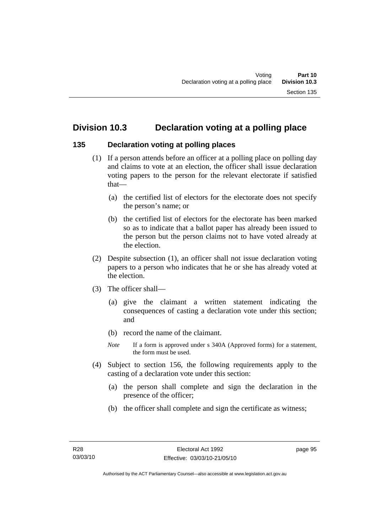### **Division 10.3 Declaration voting at a polling place**

#### **135 Declaration voting at polling places**

- (1) If a person attends before an officer at a polling place on polling day and claims to vote at an election, the officer shall issue declaration voting papers to the person for the relevant electorate if satisfied that—
	- (a) the certified list of electors for the electorate does not specify the person's name; or
	- (b) the certified list of electors for the electorate has been marked so as to indicate that a ballot paper has already been issued to the person but the person claims not to have voted already at the election.
- (2) Despite subsection (1), an officer shall not issue declaration voting papers to a person who indicates that he or she has already voted at the election.
- (3) The officer shall—
	- (a) give the claimant a written statement indicating the consequences of casting a declaration vote under this section; and
	- (b) record the name of the claimant.
	- *Note* If a form is approved under s 340A (Approved forms) for a statement, the form must be used.
- (4) Subject to section 156, the following requirements apply to the casting of a declaration vote under this section:
	- (a) the person shall complete and sign the declaration in the presence of the officer;
	- (b) the officer shall complete and sign the certificate as witness;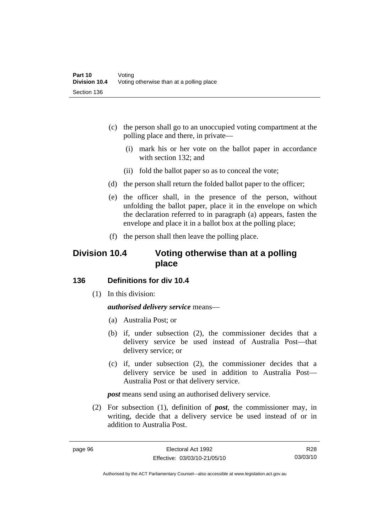- (c) the person shall go to an unoccupied voting compartment at the polling place and there, in private—
	- (i) mark his or her vote on the ballot paper in accordance with section 132; and
	- (ii) fold the ballot paper so as to conceal the vote;
- (d) the person shall return the folded ballot paper to the officer;
- (e) the officer shall, in the presence of the person, without unfolding the ballot paper, place it in the envelope on which the declaration referred to in paragraph (a) appears, fasten the envelope and place it in a ballot box at the polling place;
- (f) the person shall then leave the polling place.

## **Division 10.4 Voting otherwise than at a polling place**

#### **136 Definitions for div 10.4**

(1) In this division:

#### *authorised delivery service* means—

- (a) Australia Post; or
- (b) if, under subsection (2), the commissioner decides that a delivery service be used instead of Australia Post—that delivery service; or
- (c) if, under subsection (2), the commissioner decides that a delivery service be used in addition to Australia Post— Australia Post or that delivery service.

*post* means send using an authorised delivery service.

 (2) For subsection (1), definition of *post*, the commissioner may, in writing, decide that a delivery service be used instead of or in addition to Australia Post.

R28 03/03/10

Authorised by the ACT Parliamentary Counsel—also accessible at www.legislation.act.gov.au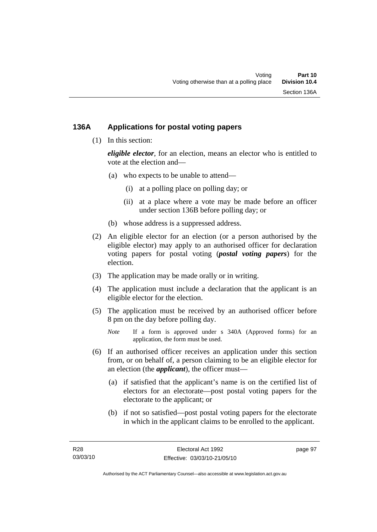### **136A Applications for postal voting papers**

(1) In this section:

*eligible elector*, for an election, means an elector who is entitled to vote at the election and—

- (a) who expects to be unable to attend—
	- (i) at a polling place on polling day; or
	- (ii) at a place where a vote may be made before an officer under section 136B before polling day; or
- (b) whose address is a suppressed address.
- (2) An eligible elector for an election (or a person authorised by the eligible elector) may apply to an authorised officer for declaration voting papers for postal voting (*postal voting papers*) for the election.
- (3) The application may be made orally or in writing.
- (4) The application must include a declaration that the applicant is an eligible elector for the election.
- (5) The application must be received by an authorised officer before 8 pm on the day before polling day.
	- *Note* If a form is approved under s 340A (Approved forms) for an application, the form must be used.
- (6) If an authorised officer receives an application under this section from, or on behalf of, a person claiming to be an eligible elector for an election (the *applicant*), the officer must—
	- (a) if satisfied that the applicant's name is on the certified list of electors for an electorate—post postal voting papers for the electorate to the applicant; or
	- (b) if not so satisfied—post postal voting papers for the electorate in which in the applicant claims to be enrolled to the applicant.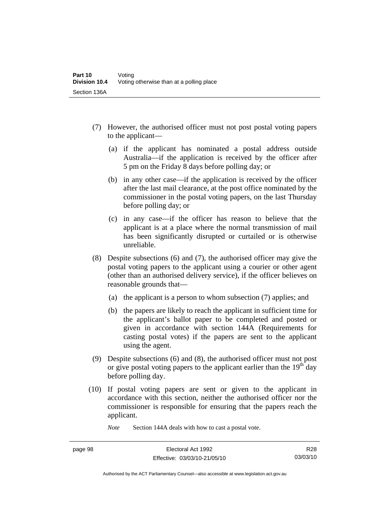- (7) However, the authorised officer must not post postal voting papers to the applicant—
	- (a) if the applicant has nominated a postal address outside Australia—if the application is received by the officer after 5 pm on the Friday 8 days before polling day; or
	- (b) in any other case—if the application is received by the officer after the last mail clearance, at the post office nominated by the commissioner in the postal voting papers, on the last Thursday before polling day; or
	- (c) in any case—if the officer has reason to believe that the applicant is at a place where the normal transmission of mail has been significantly disrupted or curtailed or is otherwise unreliable.
- (8) Despite subsections (6) and (7), the authorised officer may give the postal voting papers to the applicant using a courier or other agent (other than an authorised delivery service), if the officer believes on reasonable grounds that—
	- (a) the applicant is a person to whom subsection (7) applies; and
	- (b) the papers are likely to reach the applicant in sufficient time for the applicant's ballot paper to be completed and posted or given in accordance with section 144A (Requirements for casting postal votes) if the papers are sent to the applicant using the agent.
- (9) Despite subsections (6) and (8), the authorised officer must not post or give postal voting papers to the applicant earlier than the  $19<sup>th</sup>$  day before polling day.
- (10) If postal voting papers are sent or given to the applicant in accordance with this section, neither the authorised officer nor the commissioner is responsible for ensuring that the papers reach the applicant.

*Note* Section 144A deals with how to cast a postal vote.

Authorised by the ACT Parliamentary Counsel—also accessible at www.legislation.act.gov.au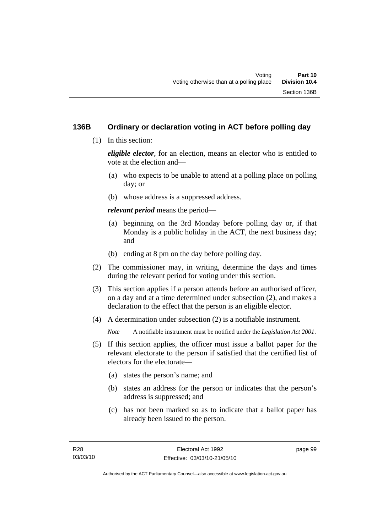### **136B Ordinary or declaration voting in ACT before polling day**

(1) In this section:

*eligible elector*, for an election, means an elector who is entitled to vote at the election and—

- (a) who expects to be unable to attend at a polling place on polling day; or
- (b) whose address is a suppressed address.

*relevant period* means the period—

- (a) beginning on the 3rd Monday before polling day or, if that Monday is a public holiday in the ACT, the next business day; and
- (b) ending at 8 pm on the day before polling day.
- (2) The commissioner may, in writing, determine the days and times during the relevant period for voting under this section.
- (3) This section applies if a person attends before an authorised officer, on a day and at a time determined under subsection (2), and makes a declaration to the effect that the person is an eligible elector.
- (4) A determination under subsection (2) is a notifiable instrument.

*Note* A notifiable instrument must be notified under the *Legislation Act 2001*.

- (5) If this section applies, the officer must issue a ballot paper for the relevant electorate to the person if satisfied that the certified list of electors for the electorate—
	- (a) states the person's name; and
	- (b) states an address for the person or indicates that the person's address is suppressed; and
	- (c) has not been marked so as to indicate that a ballot paper has already been issued to the person.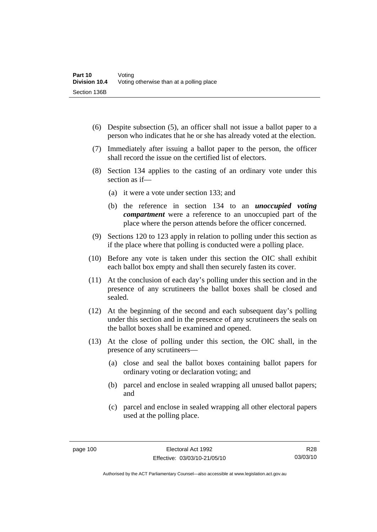- (6) Despite subsection (5), an officer shall not issue a ballot paper to a person who indicates that he or she has already voted at the election.
- (7) Immediately after issuing a ballot paper to the person, the officer shall record the issue on the certified list of electors.
- (8) Section 134 applies to the casting of an ordinary vote under this section as if—
	- (a) it were a vote under section 133; and
	- (b) the reference in section 134 to an *unoccupied voting compartment* were a reference to an unoccupied part of the place where the person attends before the officer concerned.
- (9) Sections 120 to 123 apply in relation to polling under this section as if the place where that polling is conducted were a polling place.
- (10) Before any vote is taken under this section the OIC shall exhibit each ballot box empty and shall then securely fasten its cover.
- (11) At the conclusion of each day's polling under this section and in the presence of any scrutineers the ballot boxes shall be closed and sealed.
- (12) At the beginning of the second and each subsequent day's polling under this section and in the presence of any scrutineers the seals on the ballot boxes shall be examined and opened.
- (13) At the close of polling under this section, the OIC shall, in the presence of any scrutineers—
	- (a) close and seal the ballot boxes containing ballot papers for ordinary voting or declaration voting; and
	- (b) parcel and enclose in sealed wrapping all unused ballot papers; and
	- (c) parcel and enclose in sealed wrapping all other electoral papers used at the polling place.

R28 03/03/10

Authorised by the ACT Parliamentary Counsel—also accessible at www.legislation.act.gov.au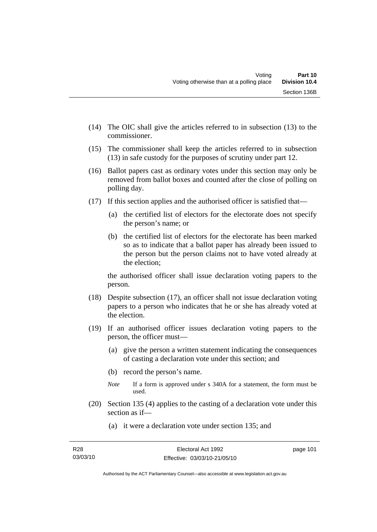- (14) The OIC shall give the articles referred to in subsection (13) to the commissioner.
- (15) The commissioner shall keep the articles referred to in subsection (13) in safe custody for the purposes of scrutiny under part 12.
- (16) Ballot papers cast as ordinary votes under this section may only be removed from ballot boxes and counted after the close of polling on polling day.
- (17) If this section applies and the authorised officer is satisfied that—
	- (a) the certified list of electors for the electorate does not specify the person's name; or
	- (b) the certified list of electors for the electorate has been marked so as to indicate that a ballot paper has already been issued to the person but the person claims not to have voted already at the election;

the authorised officer shall issue declaration voting papers to the person.

- (18) Despite subsection (17), an officer shall not issue declaration voting papers to a person who indicates that he or she has already voted at the election.
- (19) If an authorised officer issues declaration voting papers to the person, the officer must—
	- (a) give the person a written statement indicating the consequences of casting a declaration vote under this section; and
	- (b) record the person's name.
	- *Note* If a form is approved under s 340A for a statement, the form must be used.
- (20) Section 135 (4) applies to the casting of a declaration vote under this section as if—
	- (a) it were a declaration vote under section 135; and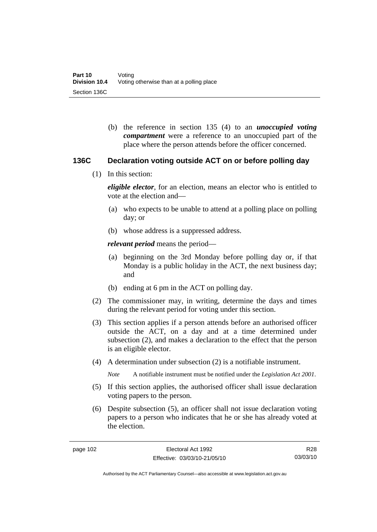(b) the reference in section 135 (4) to an *unoccupied voting compartment* were a reference to an unoccupied part of the place where the person attends before the officer concerned.

#### **136C Declaration voting outside ACT on or before polling day**

(1) In this section:

*eligible elector*, for an election, means an elector who is entitled to vote at the election and—

- (a) who expects to be unable to attend at a polling place on polling day; or
- (b) whose address is a suppressed address.

*relevant period* means the period—

- (a) beginning on the 3rd Monday before polling day or, if that Monday is a public holiday in the ACT, the next business day; and
- (b) ending at 6 pm in the ACT on polling day.
- (2) The commissioner may, in writing, determine the days and times during the relevant period for voting under this section.
- (3) This section applies if a person attends before an authorised officer outside the ACT, on a day and at a time determined under subsection (2), and makes a declaration to the effect that the person is an eligible elector.
- (4) A determination under subsection (2) is a notifiable instrument.

*Note* A notifiable instrument must be notified under the *Legislation Act 2001*.

- (5) If this section applies, the authorised officer shall issue declaration voting papers to the person.
- (6) Despite subsection (5), an officer shall not issue declaration voting papers to a person who indicates that he or she has already voted at the election.

R28 03/03/10

Authorised by the ACT Parliamentary Counsel—also accessible at www.legislation.act.gov.au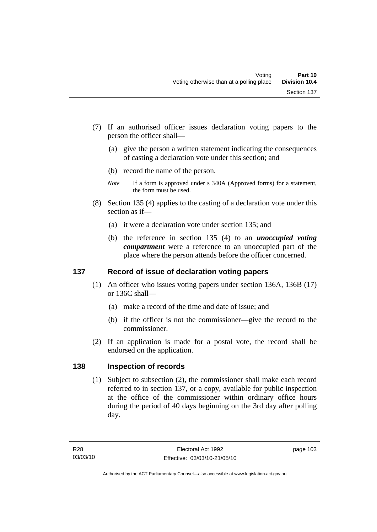- (7) If an authorised officer issues declaration voting papers to the person the officer shall—
	- (a) give the person a written statement indicating the consequences of casting a declaration vote under this section; and
	- (b) record the name of the person.
	- *Note* If a form is approved under s 340A (Approved forms) for a statement, the form must be used.
- (8) Section 135 (4) applies to the casting of a declaration vote under this section as if—
	- (a) it were a declaration vote under section 135; and
	- (b) the reference in section 135 (4) to an *unoccupied voting compartment* were a reference to an unoccupied part of the place where the person attends before the officer concerned.

### **137 Record of issue of declaration voting papers**

- (1) An officer who issues voting papers under section 136A, 136B (17) or 136C shall—
	- (a) make a record of the time and date of issue; and
	- (b) if the officer is not the commissioner—give the record to the commissioner.
- (2) If an application is made for a postal vote, the record shall be endorsed on the application.

#### **138 Inspection of records**

 (1) Subject to subsection (2), the commissioner shall make each record referred to in section 137, or a copy, available for public inspection at the office of the commissioner within ordinary office hours during the period of 40 days beginning on the 3rd day after polling day.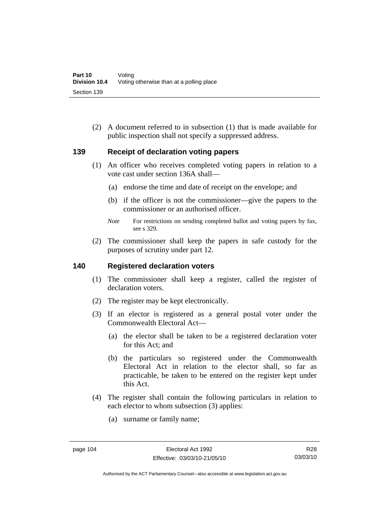(2) A document referred to in subsection (1) that is made available for public inspection shall not specify a suppressed address.

#### **139 Receipt of declaration voting papers**

- (1) An officer who receives completed voting papers in relation to a vote cast under section 136A shall—
	- (a) endorse the time and date of receipt on the envelope; and
	- (b) if the officer is not the commissioner—give the papers to the commissioner or an authorised officer.
	- *Note* For restrictions on sending completed ballot and voting papers by fax, see s 329.
- (2) The commissioner shall keep the papers in safe custody for the purposes of scrutiny under part 12.

#### **140 Registered declaration voters**

- (1) The commissioner shall keep a register, called the register of declaration voters.
- (2) The register may be kept electronically.
- (3) If an elector is registered as a general postal voter under the Commonwealth Electoral Act—
	- (a) the elector shall be taken to be a registered declaration voter for this Act; and
	- (b) the particulars so registered under the Commonwealth Electoral Act in relation to the elector shall, so far as practicable, be taken to be entered on the register kept under this Act.
- (4) The register shall contain the following particulars in relation to each elector to whom subsection (3) applies:
	- (a) surname or family name;

Authorised by the ACT Parliamentary Counsel—also accessible at www.legislation.act.gov.au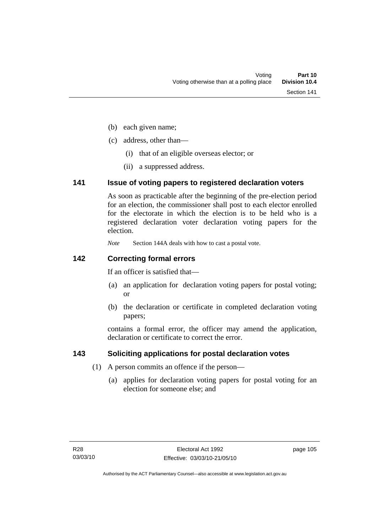- (b) each given name;
- (c) address, other than—
	- (i) that of an eligible overseas elector; or
	- (ii) a suppressed address.

#### **141 Issue of voting papers to registered declaration voters**

As soon as practicable after the beginning of the pre-election period for an election, the commissioner shall post to each elector enrolled for the electorate in which the election is to be held who is a registered declaration voter declaration voting papers for the election.

*Note* Section 144A deals with how to cast a postal vote.

### **142 Correcting formal errors**

If an officer is satisfied that—

- (a) an application for declaration voting papers for postal voting; or
- (b) the declaration or certificate in completed declaration voting papers;

contains a formal error, the officer may amend the application, declaration or certificate to correct the error.

### **143 Soliciting applications for postal declaration votes**

- (1) A person commits an offence if the person—
	- (a) applies for declaration voting papers for postal voting for an election for someone else; and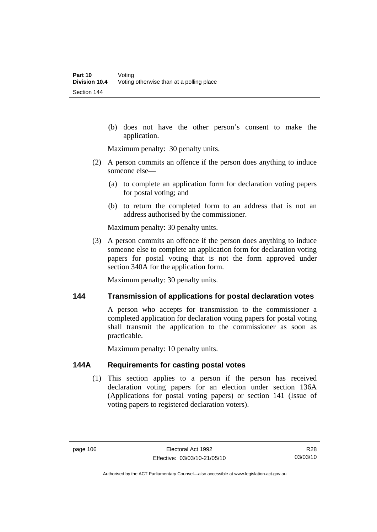(b) does not have the other person's consent to make the application.

Maximum penalty: 30 penalty units.

- (2) A person commits an offence if the person does anything to induce someone else—
	- (a) to complete an application form for declaration voting papers for postal voting; and
	- (b) to return the completed form to an address that is not an address authorised by the commissioner.

Maximum penalty: 30 penalty units.

 (3) A person commits an offence if the person does anything to induce someone else to complete an application form for declaration voting papers for postal voting that is not the form approved under section 340A for the application form.

Maximum penalty: 30 penalty units.

#### **144 Transmission of applications for postal declaration votes**

A person who accepts for transmission to the commissioner a completed application for declaration voting papers for postal voting shall transmit the application to the commissioner as soon as practicable.

Maximum penalty: 10 penalty units.

### **144A Requirements for casting postal votes**

 (1) This section applies to a person if the person has received declaration voting papers for an election under section 136A (Applications for postal voting papers) or section 141 (Issue of voting papers to registered declaration voters).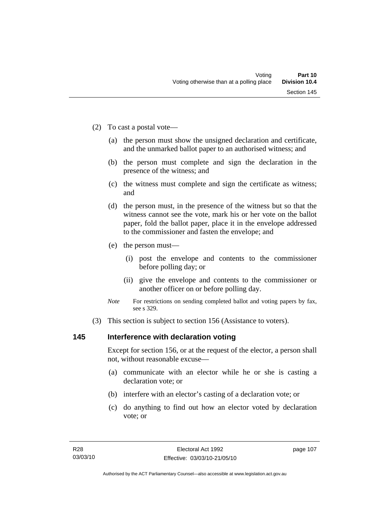- (2) To cast a postal vote—
	- (a) the person must show the unsigned declaration and certificate, and the unmarked ballot paper to an authorised witness; and
	- (b) the person must complete and sign the declaration in the presence of the witness; and
	- (c) the witness must complete and sign the certificate as witness; and
	- (d) the person must, in the presence of the witness but so that the witness cannot see the vote, mark his or her vote on the ballot paper, fold the ballot paper, place it in the envelope addressed to the commissioner and fasten the envelope; and
	- (e) the person must—
		- (i) post the envelope and contents to the commissioner before polling day; or
		- (ii) give the envelope and contents to the commissioner or another officer on or before polling day.
	- *Note* For restrictions on sending completed ballot and voting papers by fax, see s 329.
- (3) This section is subject to section 156 (Assistance to voters).

### **145 Interference with declaration voting**

Except for section 156, or at the request of the elector, a person shall not, without reasonable excuse—

- (a) communicate with an elector while he or she is casting a declaration vote; or
- (b) interfere with an elector's casting of a declaration vote; or
- (c) do anything to find out how an elector voted by declaration vote; or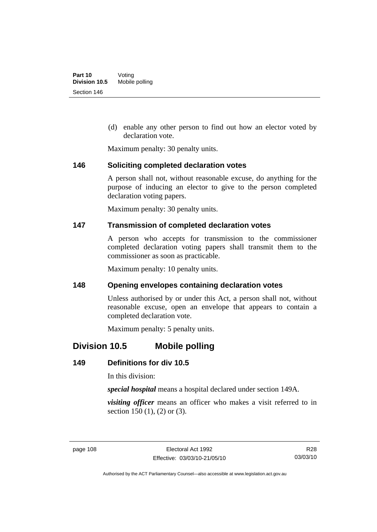(d) enable any other person to find out how an elector voted by declaration vote.

Maximum penalty: 30 penalty units.

#### **146 Soliciting completed declaration votes**

A person shall not, without reasonable excuse, do anything for the purpose of inducing an elector to give to the person completed declaration voting papers.

Maximum penalty: 30 penalty units.

#### **147 Transmission of completed declaration votes**

A person who accepts for transmission to the commissioner completed declaration voting papers shall transmit them to the commissioner as soon as practicable.

Maximum penalty: 10 penalty units.

#### **148 Opening envelopes containing declaration votes**

Unless authorised by or under this Act, a person shall not, without reasonable excuse, open an envelope that appears to contain a completed declaration vote.

Maximum penalty: 5 penalty units.

## **Division 10.5 Mobile polling**

### **149 Definitions for div 10.5**

In this division:

*special hospital* means a hospital declared under section 149A.

*visiting officer* means an officer who makes a visit referred to in section 150 (1), (2) or (3).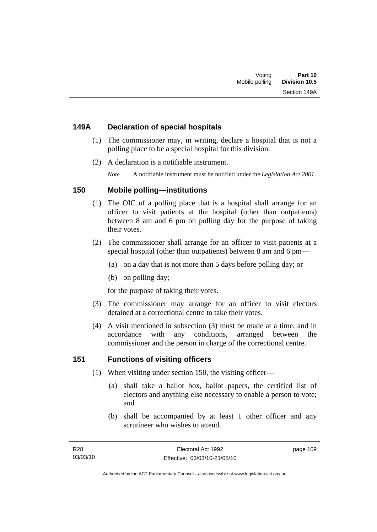### **149A Declaration of special hospitals**

- (1) The commissioner may, in writing, declare a hospital that is not a polling place to be a special hospital for this division.
- (2) A declaration is a notifiable instrument.

*Note* A notifiable instrument must be notified under the *Legislation Act 2001*.

### **150 Mobile polling—institutions**

- (1) The OIC of a polling place that is a hospital shall arrange for an officer to visit patients at the hospital (other than outpatients) between 8 am and 6 pm on polling day for the purpose of taking their votes.
- (2) The commissioner shall arrange for an officer to visit patients at a special hospital (other than outpatients) between 8 am and 6 pm—
	- (a) on a day that is not more than 5 days before polling day; or
	- (b) on polling day;

for the purpose of taking their votes.

- (3) The commissioner may arrange for an officer to visit electors detained at a correctional centre to take their votes.
- (4) A visit mentioned in subsection (3) must be made at a time, and in accordance with any conditions, arranged between the commissioner and the person in charge of the correctional centre.

### **151 Functions of visiting officers**

- (1) When visiting under section 150, the visiting officer—
	- (a) shall take a ballot box, ballot papers, the certified list of electors and anything else necessary to enable a person to vote; and
	- (b) shall be accompanied by at least 1 other officer and any scrutineer who wishes to attend.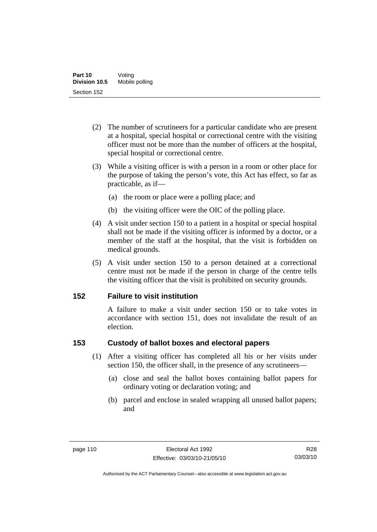- (2) The number of scrutineers for a particular candidate who are present at a hospital, special hospital or correctional centre with the visiting officer must not be more than the number of officers at the hospital, special hospital or correctional centre.
- (3) While a visiting officer is with a person in a room or other place for the purpose of taking the person's vote, this Act has effect, so far as practicable, as if—
	- (a) the room or place were a polling place; and
	- (b) the visiting officer were the OIC of the polling place.
- (4) A visit under section 150 to a patient in a hospital or special hospital shall not be made if the visiting officer is informed by a doctor, or a member of the staff at the hospital, that the visit is forbidden on medical grounds.
- (5) A visit under section 150 to a person detained at a correctional centre must not be made if the person in charge of the centre tells the visiting officer that the visit is prohibited on security grounds.

### **152 Failure to visit institution**

A failure to make a visit under section 150 or to take votes in accordance with section 151, does not invalidate the result of an election.

### **153 Custody of ballot boxes and electoral papers**

- (1) After a visiting officer has completed all his or her visits under section 150, the officer shall, in the presence of any scrutineers—
	- (a) close and seal the ballot boxes containing ballot papers for ordinary voting or declaration voting; and
	- (b) parcel and enclose in sealed wrapping all unused ballot papers; and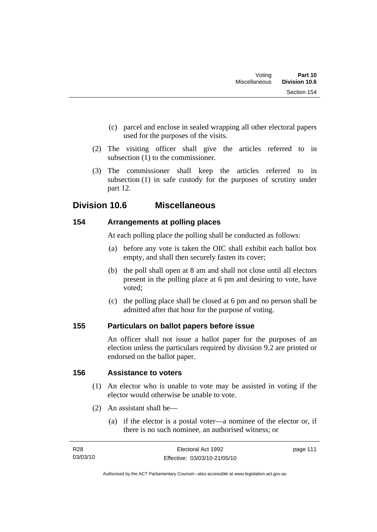- (c) parcel and enclose in sealed wrapping all other electoral papers used for the purposes of the visits.
- (2) The visiting officer shall give the articles referred to in subsection (1) to the commissioner.
- (3) The commissioner shall keep the articles referred to in subsection (1) in safe custody for the purposes of scrutiny under part 12.

## **Division 10.6 Miscellaneous**

### **154 Arrangements at polling places**

At each polling place the polling shall be conducted as follows:

- (a) before any vote is taken the OIC shall exhibit each ballot box empty, and shall then securely fasten its cover;
- (b) the poll shall open at 8 am and shall not close until all electors present in the polling place at 6 pm and desiring to vote, have voted;
- (c) the polling place shall be closed at 6 pm and no person shall be admitted after that hour for the purpose of voting.

### **155 Particulars on ballot papers before issue**

An officer shall not issue a ballot paper for the purposes of an election unless the particulars required by division 9.2 are printed or endorsed on the ballot paper.

### **156 Assistance to voters**

- (1) An elector who is unable to vote may be assisted in voting if the elector would otherwise be unable to vote.
- (2) An assistant shall be—
	- (a) if the elector is a postal voter—a nominee of the elector or, if there is no such nominee, an authorised witness; or

| R28      | Electoral Act 1992           | page 111 |
|----------|------------------------------|----------|
| 03/03/10 | Effective: 03/03/10-21/05/10 |          |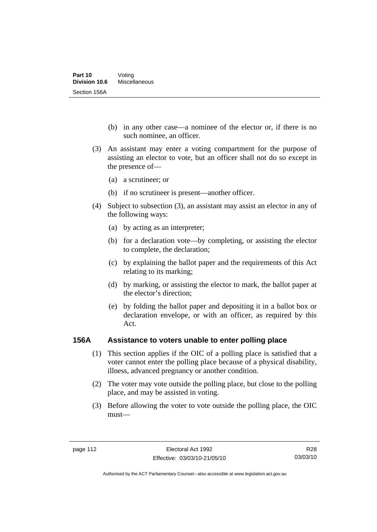- (b) in any other case—a nominee of the elector or, if there is no such nominee, an officer.
- (3) An assistant may enter a voting compartment for the purpose of assisting an elector to vote, but an officer shall not do so except in the presence of—
	- (a) a scrutineer; or
	- (b) if no scrutineer is present—another officer.
- (4) Subject to subsection (3), an assistant may assist an elector in any of the following ways:
	- (a) by acting as an interpreter;
	- (b) for a declaration vote—by completing, or assisting the elector to complete, the declaration;
	- (c) by explaining the ballot paper and the requirements of this Act relating to its marking;
	- (d) by marking, or assisting the elector to mark, the ballot paper at the elector's direction;
	- (e) by folding the ballot paper and depositing it in a ballot box or declaration envelope, or with an officer, as required by this Act.

#### **156A Assistance to voters unable to enter polling place**

- (1) This section applies if the OIC of a polling place is satisfied that a voter cannot enter the polling place because of a physical disability, illness, advanced pregnancy or another condition.
- (2) The voter may vote outside the polling place, but close to the polling place, and may be assisted in voting.
- (3) Before allowing the voter to vote outside the polling place, the OIC must—

R28 03/03/10

Authorised by the ACT Parliamentary Counsel—also accessible at www.legislation.act.gov.au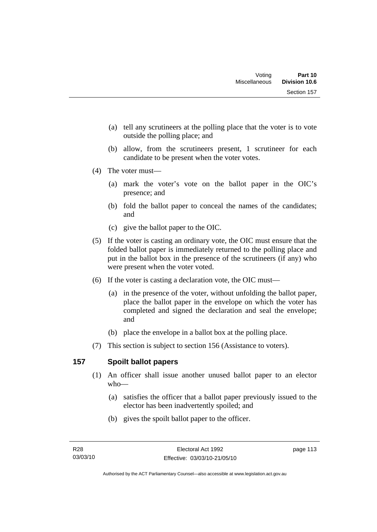- (a) tell any scrutineers at the polling place that the voter is to vote outside the polling place; and
- (b) allow, from the scrutineers present, 1 scrutineer for each candidate to be present when the voter votes.
- (4) The voter must—
	- (a) mark the voter's vote on the ballot paper in the OIC's presence; and
	- (b) fold the ballot paper to conceal the names of the candidates; and
	- (c) give the ballot paper to the OIC.
- (5) If the voter is casting an ordinary vote, the OIC must ensure that the folded ballot paper is immediately returned to the polling place and put in the ballot box in the presence of the scrutineers (if any) who were present when the voter voted.
- (6) If the voter is casting a declaration vote, the OIC must—
	- (a) in the presence of the voter, without unfolding the ballot paper, place the ballot paper in the envelope on which the voter has completed and signed the declaration and seal the envelope; and
	- (b) place the envelope in a ballot box at the polling place.
- (7) This section is subject to section 156 (Assistance to voters).

### **157 Spoilt ballot papers**

- (1) An officer shall issue another unused ballot paper to an elector who—
	- (a) satisfies the officer that a ballot paper previously issued to the elector has been inadvertently spoiled; and
	- (b) gives the spoilt ballot paper to the officer.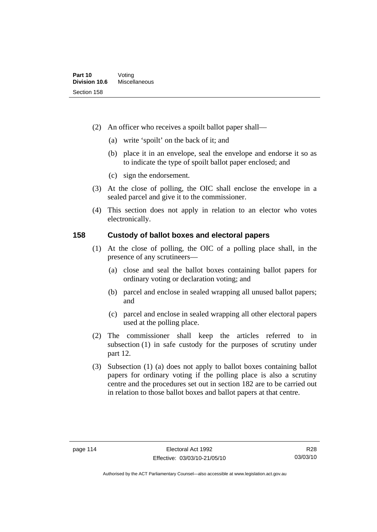- (2) An officer who receives a spoilt ballot paper shall—
	- (a) write 'spoilt' on the back of it; and
	- (b) place it in an envelope, seal the envelope and endorse it so as to indicate the type of spoilt ballot paper enclosed; and
	- (c) sign the endorsement.
- (3) At the close of polling, the OIC shall enclose the envelope in a sealed parcel and give it to the commissioner.
- (4) This section does not apply in relation to an elector who votes electronically.

### **158 Custody of ballot boxes and electoral papers**

- (1) At the close of polling, the OIC of a polling place shall, in the presence of any scrutineers—
	- (a) close and seal the ballot boxes containing ballot papers for ordinary voting or declaration voting; and
	- (b) parcel and enclose in sealed wrapping all unused ballot papers; and
	- (c) parcel and enclose in sealed wrapping all other electoral papers used at the polling place.
- (2) The commissioner shall keep the articles referred to in subsection (1) in safe custody for the purposes of scrutiny under part 12.
- (3) Subsection (1) (a) does not apply to ballot boxes containing ballot papers for ordinary voting if the polling place is also a scrutiny centre and the procedures set out in section 182 are to be carried out in relation to those ballot boxes and ballot papers at that centre.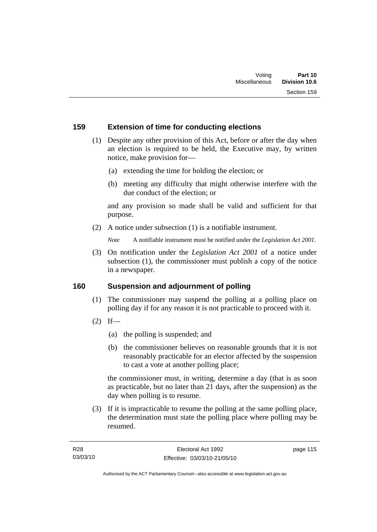### **159 Extension of time for conducting elections**

- (1) Despite any other provision of this Act, before or after the day when an election is required to be held, the Executive may, by written notice, make provision for—
	- (a) extending the time for holding the election; or
	- (b) meeting any difficulty that might otherwise interfere with the due conduct of the election; or

and any provision so made shall be valid and sufficient for that purpose.

(2) A notice under subsection (1) is a notifiable instrument.

*Note* A notifiable instrument must be notified under the *Legislation Act 2001*.

 (3) On notification under the *Legislation Act 2001* of a notice under subsection (1), the commissioner must publish a copy of the notice in a newspaper.

#### **160 Suspension and adjournment of polling**

- (1) The commissioner may suspend the polling at a polling place on polling day if for any reason it is not practicable to proceed with it.
- $(2)$  If—
	- (a) the polling is suspended; and
	- (b) the commissioner believes on reasonable grounds that it is not reasonably practicable for an elector affected by the suspension to cast a vote at another polling place;

the commissioner must, in writing, determine a day (that is as soon as practicable, but no later than 21 days, after the suspension) as the day when polling is to resume.

 (3) If it is impracticable to resume the polling at the same polling place, the determination must state the polling place where polling may be resumed.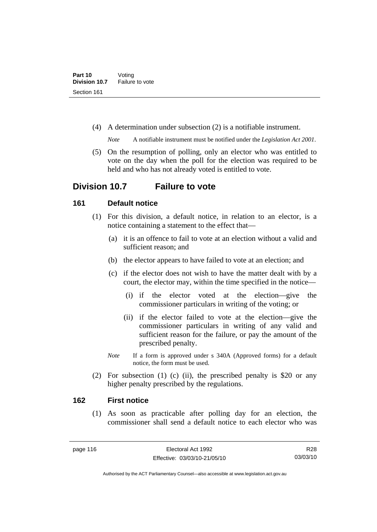(4) A determination under subsection (2) is a notifiable instrument.

*Note* A notifiable instrument must be notified under the *Legislation Act 2001*.

 (5) On the resumption of polling, only an elector who was entitled to vote on the day when the poll for the election was required to be held and who has not already voted is entitled to vote.

## **Division 10.7 Failure to vote**

### **161 Default notice**

- (1) For this division, a default notice, in relation to an elector, is a notice containing a statement to the effect that—
	- (a) it is an offence to fail to vote at an election without a valid and sufficient reason; and
	- (b) the elector appears to have failed to vote at an election; and
	- (c) if the elector does not wish to have the matter dealt with by a court, the elector may, within the time specified in the notice—
		- (i) if the elector voted at the election—give the commissioner particulars in writing of the voting; or
		- (ii) if the elector failed to vote at the election—give the commissioner particulars in writing of any valid and sufficient reason for the failure, or pay the amount of the prescribed penalty.
	- *Note* If a form is approved under s 340A (Approved forms) for a default notice, the form must be used.
- (2) For subsection (1) (c) (ii), the prescribed penalty is \$20 or any higher penalty prescribed by the regulations.

#### **162 First notice**

 (1) As soon as practicable after polling day for an election, the commissioner shall send a default notice to each elector who was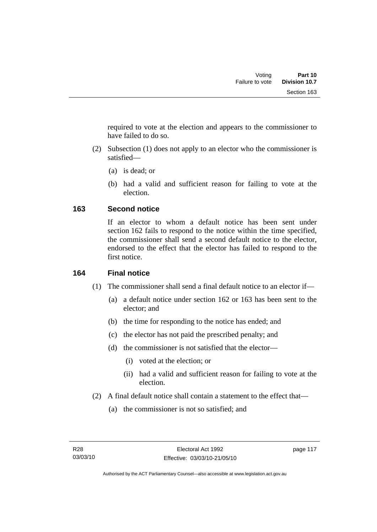required to vote at the election and appears to the commissioner to have failed to do so.

- (2) Subsection (1) does not apply to an elector who the commissioner is satisfied—
	- (a) is dead; or
	- (b) had a valid and sufficient reason for failing to vote at the election.

### **163 Second notice**

If an elector to whom a default notice has been sent under section 162 fails to respond to the notice within the time specified, the commissioner shall send a second default notice to the elector, endorsed to the effect that the elector has failed to respond to the first notice.

### **164 Final notice**

- (1) The commissioner shall send a final default notice to an elector if—
	- (a) a default notice under section 162 or 163 has been sent to the elector; and
	- (b) the time for responding to the notice has ended; and
	- (c) the elector has not paid the prescribed penalty; and
	- (d) the commissioner is not satisfied that the elector—
		- (i) voted at the election; or
		- (ii) had a valid and sufficient reason for failing to vote at the election.
- (2) A final default notice shall contain a statement to the effect that—
	- (a) the commissioner is not so satisfied; and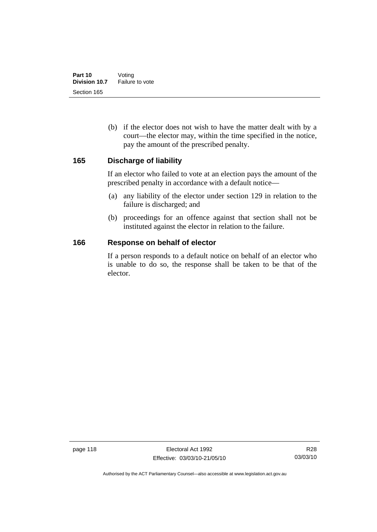(b) if the elector does not wish to have the matter dealt with by a court—the elector may, within the time specified in the notice, pay the amount of the prescribed penalty.

#### **165 Discharge of liability**

If an elector who failed to vote at an election pays the amount of the prescribed penalty in accordance with a default notice—

- (a) any liability of the elector under section 129 in relation to the failure is discharged; and
- (b) proceedings for an offence against that section shall not be instituted against the elector in relation to the failure.

#### **166 Response on behalf of elector**

If a person responds to a default notice on behalf of an elector who is unable to do so, the response shall be taken to be that of the elector.

Authorised by the ACT Parliamentary Counsel—also accessible at www.legislation.act.gov.au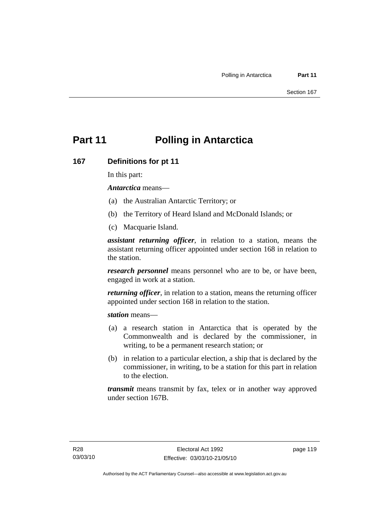# **Part 11 Polling in Antarctica**

#### **167 Definitions for pt 11**

In this part:

*Antarctica* means—

- (a) the Australian Antarctic Territory; or
- (b) the Territory of Heard Island and McDonald Islands; or
- (c) Macquarie Island.

*assistant returning officer*, in relation to a station, means the assistant returning officer appointed under section 168 in relation to the station.

*research personnel* means personnel who are to be, or have been, engaged in work at a station.

*returning officer*, in relation to a station, means the returning officer appointed under section 168 in relation to the station.

*station* means—

- (a) a research station in Antarctica that is operated by the Commonwealth and is declared by the commissioner, in writing, to be a permanent research station; or
- (b) in relation to a particular election, a ship that is declared by the commissioner, in writing, to be a station for this part in relation to the election.

*transmit* means transmit by fax, telex or in another way approved under section 167B.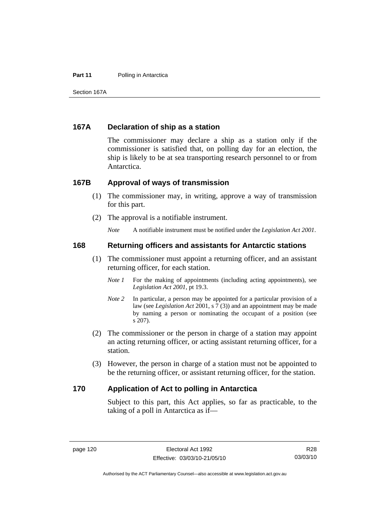#### **Part 11** Polling in Antarctica

Section 167A

#### **167A Declaration of ship as a station**

The commissioner may declare a ship as a station only if the commissioner is satisfied that, on polling day for an election, the ship is likely to be at sea transporting research personnel to or from Antarctica.

#### **167B Approval of ways of transmission**

- (1) The commissioner may, in writing, approve a way of transmission for this part.
- (2) The approval is a notifiable instrument.

*Note* A notifiable instrument must be notified under the *Legislation Act 2001*.

#### **168 Returning officers and assistants for Antarctic stations**

- (1) The commissioner must appoint a returning officer, and an assistant returning officer, for each station.
	- *Note 1* For the making of appointments (including acting appointments), see *Legislation Act 2001*, pt 19.3.
	- *Note 2* In particular, a person may be appointed for a particular provision of a law (see *Legislation Act* 2001, s 7 (3)) and an appointment may be made by naming a person or nominating the occupant of a position (see s 207).
- (2) The commissioner or the person in charge of a station may appoint an acting returning officer, or acting assistant returning officer, for a station.
- (3) However, the person in charge of a station must not be appointed to be the returning officer, or assistant returning officer, for the station.

#### **170 Application of Act to polling in Antarctica**

Subject to this part, this Act applies, so far as practicable, to the taking of a poll in Antarctica as if—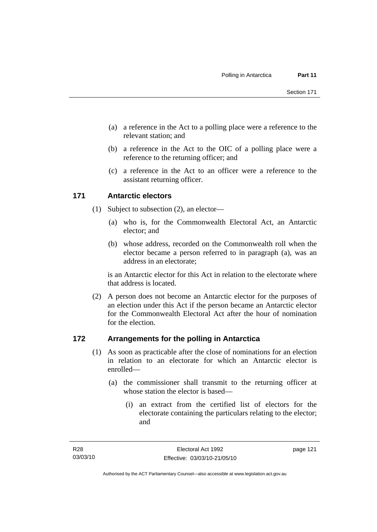- (a) a reference in the Act to a polling place were a reference to the relevant station; and
- (b) a reference in the Act to the OIC of a polling place were a reference to the returning officer; and
- (c) a reference in the Act to an officer were a reference to the assistant returning officer.

### **171 Antarctic electors**

- (1) Subject to subsection (2), an elector—
	- (a) who is, for the Commonwealth Electoral Act, an Antarctic elector; and
	- (b) whose address, recorded on the Commonwealth roll when the elector became a person referred to in paragraph (a), was an address in an electorate;

is an Antarctic elector for this Act in relation to the electorate where that address is located.

 (2) A person does not become an Antarctic elector for the purposes of an election under this Act if the person became an Antarctic elector for the Commonwealth Electoral Act after the hour of nomination for the election.

### **172 Arrangements for the polling in Antarctica**

- (1) As soon as practicable after the close of nominations for an election in relation to an electorate for which an Antarctic elector is enrolled—
	- (a) the commissioner shall transmit to the returning officer at whose station the elector is based—
		- (i) an extract from the certified list of electors for the electorate containing the particulars relating to the elector; and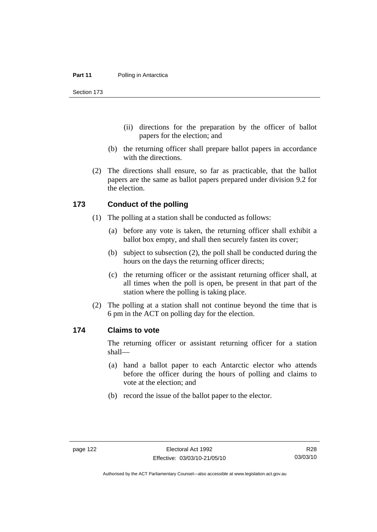Section 173

- (ii) directions for the preparation by the officer of ballot papers for the election; and
- (b) the returning officer shall prepare ballot papers in accordance with the directions.
- (2) The directions shall ensure, so far as practicable, that the ballot papers are the same as ballot papers prepared under division 9.2 for the election.

#### **173 Conduct of the polling**

- (1) The polling at a station shall be conducted as follows:
	- (a) before any vote is taken, the returning officer shall exhibit a ballot box empty, and shall then securely fasten its cover;
	- (b) subject to subsection (2), the poll shall be conducted during the hours on the days the returning officer directs;
	- (c) the returning officer or the assistant returning officer shall, at all times when the poll is open, be present in that part of the station where the polling is taking place.
- (2) The polling at a station shall not continue beyond the time that is 6 pm in the ACT on polling day for the election.

#### **174 Claims to vote**

The returning officer or assistant returning officer for a station shall—

- (a) hand a ballot paper to each Antarctic elector who attends before the officer during the hours of polling and claims to vote at the election; and
- (b) record the issue of the ballot paper to the elector.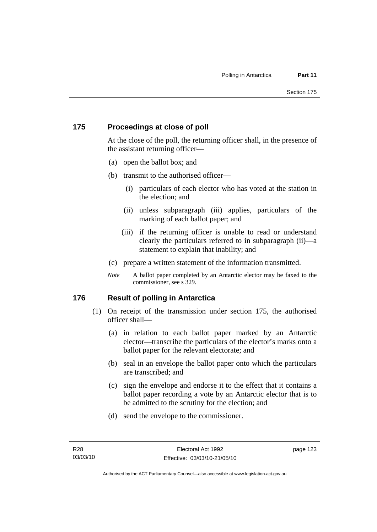### **175 Proceedings at close of poll**

At the close of the poll, the returning officer shall, in the presence of the assistant returning officer—

- (a) open the ballot box; and
- (b) transmit to the authorised officer—
	- (i) particulars of each elector who has voted at the station in the election; and
	- (ii) unless subparagraph (iii) applies, particulars of the marking of each ballot paper; and
	- (iii) if the returning officer is unable to read or understand clearly the particulars referred to in subparagraph (ii)—a statement to explain that inability; and
- (c) prepare a written statement of the information transmitted.
- *Note* A ballot paper completed by an Antarctic elector may be faxed to the commissioner, see s 329.

### **176 Result of polling in Antarctica**

- (1) On receipt of the transmission under section 175, the authorised officer shall—
	- (a) in relation to each ballot paper marked by an Antarctic elector—transcribe the particulars of the elector's marks onto a ballot paper for the relevant electorate; and
	- (b) seal in an envelope the ballot paper onto which the particulars are transcribed; and
	- (c) sign the envelope and endorse it to the effect that it contains a ballot paper recording a vote by an Antarctic elector that is to be admitted to the scrutiny for the election; and
	- (d) send the envelope to the commissioner.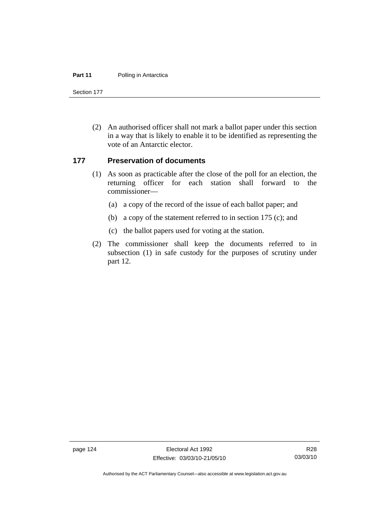#### **Part 11** Polling in Antarctica

Section 177

 (2) An authorised officer shall not mark a ballot paper under this section in a way that is likely to enable it to be identified as representing the vote of an Antarctic elector.

#### **177 Preservation of documents**

- (1) As soon as practicable after the close of the poll for an election, the returning officer for each station shall forward to the commissioner—
	- (a) a copy of the record of the issue of each ballot paper; and
	- (b) a copy of the statement referred to in section 175 (c); and
	- (c) the ballot papers used for voting at the station.
- (2) The commissioner shall keep the documents referred to in subsection (1) in safe custody for the purposes of scrutiny under part 12.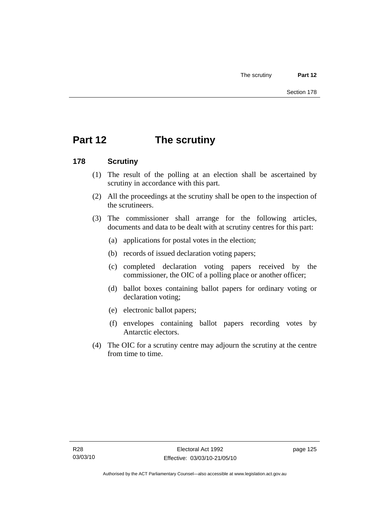# **Part 12 The scrutiny**

### **178 Scrutiny**

- (1) The result of the polling at an election shall be ascertained by scrutiny in accordance with this part.
- (2) All the proceedings at the scrutiny shall be open to the inspection of the scrutineers.
- (3) The commissioner shall arrange for the following articles, documents and data to be dealt with at scrutiny centres for this part:
	- (a) applications for postal votes in the election;
	- (b) records of issued declaration voting papers;
	- (c) completed declaration voting papers received by the commissioner, the OIC of a polling place or another officer;
	- (d) ballot boxes containing ballot papers for ordinary voting or declaration voting;
	- (e) electronic ballot papers;
	- (f) envelopes containing ballot papers recording votes by Antarctic electors.
- (4) The OIC for a scrutiny centre may adjourn the scrutiny at the centre from time to time.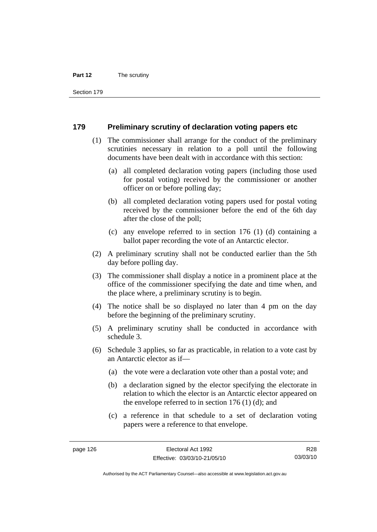#### **Part 12** The scrutiny

Section 179

#### **179 Preliminary scrutiny of declaration voting papers etc**

- (1) The commissioner shall arrange for the conduct of the preliminary scrutinies necessary in relation to a poll until the following documents have been dealt with in accordance with this section:
	- (a) all completed declaration voting papers (including those used for postal voting) received by the commissioner or another officer on or before polling day;
	- (b) all completed declaration voting papers used for postal voting received by the commissioner before the end of the 6th day after the close of the poll;
	- (c) any envelope referred to in section 176 (1) (d) containing a ballot paper recording the vote of an Antarctic elector.
- (2) A preliminary scrutiny shall not be conducted earlier than the 5th day before polling day.
- (3) The commissioner shall display a notice in a prominent place at the office of the commissioner specifying the date and time when, and the place where, a preliminary scrutiny is to begin.
- (4) The notice shall be so displayed no later than 4 pm on the day before the beginning of the preliminary scrutiny.
- (5) A preliminary scrutiny shall be conducted in accordance with schedule 3.
- (6) Schedule 3 applies, so far as practicable, in relation to a vote cast by an Antarctic elector as if—
	- (a) the vote were a declaration vote other than a postal vote; and
	- (b) a declaration signed by the elector specifying the electorate in relation to which the elector is an Antarctic elector appeared on the envelope referred to in section 176 (1) (d); and
	- (c) a reference in that schedule to a set of declaration voting papers were a reference to that envelope.

R28 03/03/10

Authorised by the ACT Parliamentary Counsel—also accessible at www.legislation.act.gov.au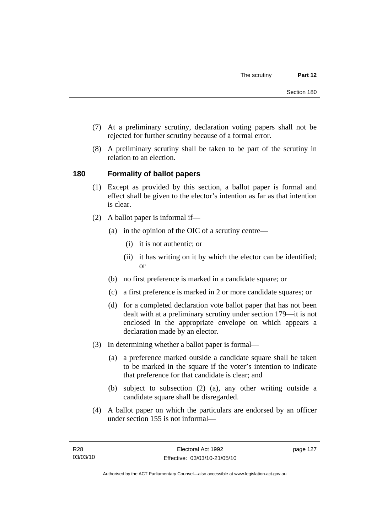- (7) At a preliminary scrutiny, declaration voting papers shall not be rejected for further scrutiny because of a formal error.
- (8) A preliminary scrutiny shall be taken to be part of the scrutiny in relation to an election.

## **180 Formality of ballot papers**

- (1) Except as provided by this section, a ballot paper is formal and effect shall be given to the elector's intention as far as that intention is clear.
- (2) A ballot paper is informal if—
	- (a) in the opinion of the OIC of a scrutiny centre—
		- (i) it is not authentic; or
		- (ii) it has writing on it by which the elector can be identified; or
	- (b) no first preference is marked in a candidate square; or
	- (c) a first preference is marked in 2 or more candidate squares; or
	- (d) for a completed declaration vote ballot paper that has not been dealt with at a preliminary scrutiny under section 179—it is not enclosed in the appropriate envelope on which appears a declaration made by an elector.
- (3) In determining whether a ballot paper is formal—
	- (a) a preference marked outside a candidate square shall be taken to be marked in the square if the voter's intention to indicate that preference for that candidate is clear; and
	- (b) subject to subsection (2) (a), any other writing outside a candidate square shall be disregarded.
- (4) A ballot paper on which the particulars are endorsed by an officer under section 155 is not informal—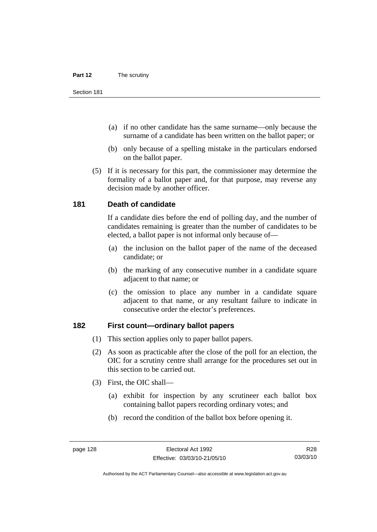- (a) if no other candidate has the same surname—only because the surname of a candidate has been written on the ballot paper; or
- (b) only because of a spelling mistake in the particulars endorsed on the ballot paper.
- (5) If it is necessary for this part, the commissioner may determine the formality of a ballot paper and, for that purpose, may reverse any decision made by another officer.

### **181 Death of candidate**

If a candidate dies before the end of polling day, and the number of candidates remaining is greater than the number of candidates to be elected, a ballot paper is not informal only because of—

- (a) the inclusion on the ballot paper of the name of the deceased candidate; or
- (b) the marking of any consecutive number in a candidate square adjacent to that name; or
- (c) the omission to place any number in a candidate square adjacent to that name, or any resultant failure to indicate in consecutive order the elector's preferences.

## **182 First count—ordinary ballot papers**

- (1) This section applies only to paper ballot papers.
- (2) As soon as practicable after the close of the poll for an election, the OIC for a scrutiny centre shall arrange for the procedures set out in this section to be carried out.
- (3) First, the OIC shall—
	- (a) exhibit for inspection by any scrutineer each ballot box containing ballot papers recording ordinary votes; and
	- (b) record the condition of the ballot box before opening it.

R28 03/03/10

Authorised by the ACT Parliamentary Counsel—also accessible at www.legislation.act.gov.au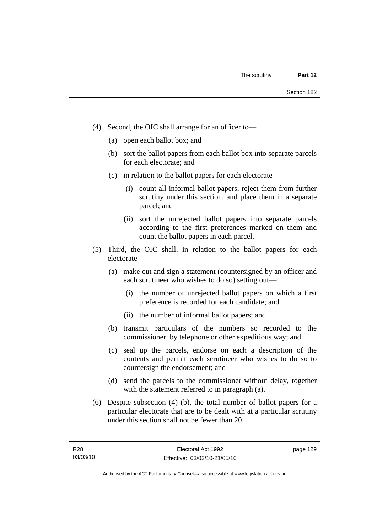- (4) Second, the OIC shall arrange for an officer to—
	- (a) open each ballot box; and
	- (b) sort the ballot papers from each ballot box into separate parcels for each electorate; and
	- (c) in relation to the ballot papers for each electorate—
		- (i) count all informal ballot papers, reject them from further scrutiny under this section, and place them in a separate parcel; and
		- (ii) sort the unrejected ballot papers into separate parcels according to the first preferences marked on them and count the ballot papers in each parcel.
- (5) Third, the OIC shall, in relation to the ballot papers for each electorate—
	- (a) make out and sign a statement (countersigned by an officer and each scrutineer who wishes to do so) setting out—
		- (i) the number of unrejected ballot papers on which a first preference is recorded for each candidate; and
		- (ii) the number of informal ballot papers; and
	- (b) transmit particulars of the numbers so recorded to the commissioner, by telephone or other expeditious way; and
	- (c) seal up the parcels, endorse on each a description of the contents and permit each scrutineer who wishes to do so to countersign the endorsement; and
	- (d) send the parcels to the commissioner without delay, together with the statement referred to in paragraph (a).
- (6) Despite subsection (4) (b), the total number of ballot papers for a particular electorate that are to be dealt with at a particular scrutiny under this section shall not be fewer than 20.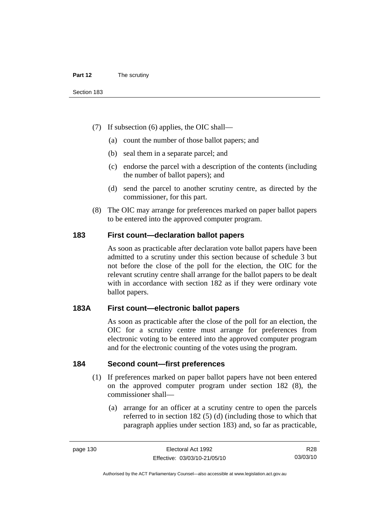- (7) If subsection (6) applies, the OIC shall—
	- (a) count the number of those ballot papers; and
	- (b) seal them in a separate parcel; and
	- (c) endorse the parcel with a description of the contents (including the number of ballot papers); and
	- (d) send the parcel to another scrutiny centre, as directed by the commissioner, for this part.
- (8) The OIC may arrange for preferences marked on paper ballot papers to be entered into the approved computer program.

### **183 First count—declaration ballot papers**

As soon as practicable after declaration vote ballot papers have been admitted to a scrutiny under this section because of schedule 3 but not before the close of the poll for the election, the OIC for the relevant scrutiny centre shall arrange for the ballot papers to be dealt with in accordance with section 182 as if they were ordinary vote ballot papers.

## **183A First count—electronic ballot papers**

As soon as practicable after the close of the poll for an election, the OIC for a scrutiny centre must arrange for preferences from electronic voting to be entered into the approved computer program and for the electronic counting of the votes using the program.

#### **184 Second count—first preferences**

- (1) If preferences marked on paper ballot papers have not been entered on the approved computer program under section 182 (8), the commissioner shall—
	- (a) arrange for an officer at a scrutiny centre to open the parcels referred to in section 182 (5) (d) (including those to which that paragraph applies under section 183) and, so far as practicable,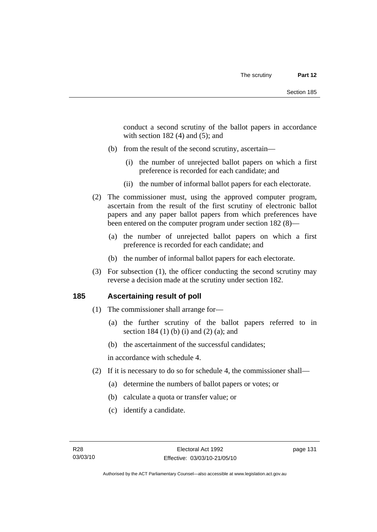conduct a second scrutiny of the ballot papers in accordance with section  $182(4)$  and  $(5)$ ; and

- (b) from the result of the second scrutiny, ascertain—
	- (i) the number of unrejected ballot papers on which a first preference is recorded for each candidate; and
	- (ii) the number of informal ballot papers for each electorate.
- (2) The commissioner must, using the approved computer program, ascertain from the result of the first scrutiny of electronic ballot papers and any paper ballot papers from which preferences have been entered on the computer program under section 182 (8)—
	- (a) the number of unrejected ballot papers on which a first preference is recorded for each candidate; and
	- (b) the number of informal ballot papers for each electorate.
- (3) For subsection (1), the officer conducting the second scrutiny may reverse a decision made at the scrutiny under section 182.

## **185 Ascertaining result of poll**

- (1) The commissioner shall arrange for—
	- (a) the further scrutiny of the ballot papers referred to in section 184 (1) (b) (i) and (2) (a); and
	- (b) the ascertainment of the successful candidates;

in accordance with schedule 4.

- (2) If it is necessary to do so for schedule 4, the commissioner shall—
	- (a) determine the numbers of ballot papers or votes; or
	- (b) calculate a quota or transfer value; or
	- (c) identify a candidate.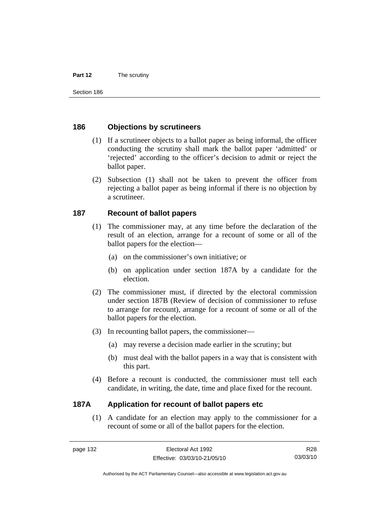#### **Part 12** The scrutiny

Section 186

### **186 Objections by scrutineers**

- (1) If a scrutineer objects to a ballot paper as being informal, the officer conducting the scrutiny shall mark the ballot paper 'admitted' or 'rejected' according to the officer's decision to admit or reject the ballot paper.
- (2) Subsection (1) shall not be taken to prevent the officer from rejecting a ballot paper as being informal if there is no objection by a scrutineer.

## **187 Recount of ballot papers**

- (1) The commissioner may, at any time before the declaration of the result of an election, arrange for a recount of some or all of the ballot papers for the election—
	- (a) on the commissioner's own initiative; or
	- (b) on application under section 187A by a candidate for the election.
- (2) The commissioner must, if directed by the electoral commission under section 187B (Review of decision of commissioner to refuse to arrange for recount), arrange for a recount of some or all of the ballot papers for the election.
- (3) In recounting ballot papers, the commissioner—
	- (a) may reverse a decision made earlier in the scrutiny; but
	- (b) must deal with the ballot papers in a way that is consistent with this part.
- (4) Before a recount is conducted, the commissioner must tell each candidate, in writing, the date, time and place fixed for the recount.

## **187A Application for recount of ballot papers etc**

 (1) A candidate for an election may apply to the commissioner for a recount of some or all of the ballot papers for the election.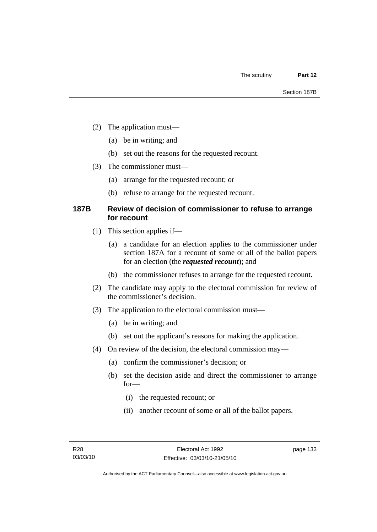- (2) The application must—
	- (a) be in writing; and
	- (b) set out the reasons for the requested recount.
- (3) The commissioner must—
	- (a) arrange for the requested recount; or
	- (b) refuse to arrange for the requested recount.

## **187B Review of decision of commissioner to refuse to arrange for recount**

- (1) This section applies if—
	- (a) a candidate for an election applies to the commissioner under section 187A for a recount of some or all of the ballot papers for an election (the *requested recount*); and
	- (b) the commissioner refuses to arrange for the requested recount.
- (2) The candidate may apply to the electoral commission for review of the commissioner's decision.
- (3) The application to the electoral commission must—
	- (a) be in writing; and
	- (b) set out the applicant's reasons for making the application.
- (4) On review of the decision, the electoral commission may—
	- (a) confirm the commissioner's decision; or
	- (b) set the decision aside and direct the commissioner to arrange for—
		- (i) the requested recount; or
		- (ii) another recount of some or all of the ballot papers.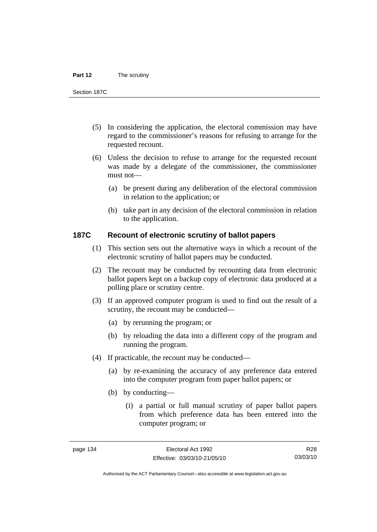#### **Part 12** The scrutiny

Section 187C

- (5) In considering the application, the electoral commission may have regard to the commissioner's reasons for refusing to arrange for the requested recount.
- (6) Unless the decision to refuse to arrange for the requested recount was made by a delegate of the commissioner, the commissioner must not—
	- (a) be present during any deliberation of the electoral commission in relation to the application; or
	- (b) take part in any decision of the electoral commission in relation to the application.

#### **187C Recount of electronic scrutiny of ballot papers**

- (1) This section sets out the alternative ways in which a recount of the electronic scrutiny of ballot papers may be conducted.
- (2) The recount may be conducted by recounting data from electronic ballot papers kept on a backup copy of electronic data produced at a polling place or scrutiny centre.
- (3) If an approved computer program is used to find out the result of a scrutiny, the recount may be conducted—
	- (a) by rerunning the program; or
	- (b) by reloading the data into a different copy of the program and running the program.
- (4) If practicable, the recount may be conducted—
	- (a) by re-examining the accuracy of any preference data entered into the computer program from paper ballot papers; or
	- (b) by conducting—
		- (i) a partial or full manual scrutiny of paper ballot papers from which preference data has been entered into the computer program; or

R28 03/03/10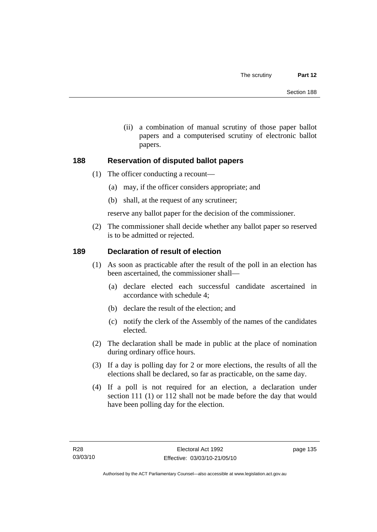(ii) a combination of manual scrutiny of those paper ballot papers and a computerised scrutiny of electronic ballot papers.

## **188 Reservation of disputed ballot papers**

- (1) The officer conducting a recount—
	- (a) may, if the officer considers appropriate; and
	- (b) shall, at the request of any scrutineer;

reserve any ballot paper for the decision of the commissioner.

 (2) The commissioner shall decide whether any ballot paper so reserved is to be admitted or rejected.

## **189 Declaration of result of election**

- (1) As soon as practicable after the result of the poll in an election has been ascertained, the commissioner shall—
	- (a) declare elected each successful candidate ascertained in accordance with schedule 4;
	- (b) declare the result of the election; and
	- (c) notify the clerk of the Assembly of the names of the candidates elected.
- (2) The declaration shall be made in public at the place of nomination during ordinary office hours.
- (3) If a day is polling day for 2 or more elections, the results of all the elections shall be declared, so far as practicable, on the same day.
- (4) If a poll is not required for an election, a declaration under section 111 (1) or 112 shall not be made before the day that would have been polling day for the election.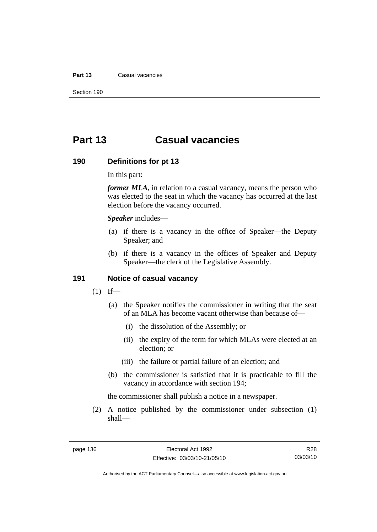#### **Part 13** Casual vacancies

Section 190

## **Part 13 Casual vacancies**

#### **190 Definitions for pt 13**

In this part:

*former MLA*, in relation to a casual vacancy, means the person who was elected to the seat in which the vacancy has occurred at the last election before the vacancy occurred.

*Speaker* includes—

- (a) if there is a vacancy in the office of Speaker—the Deputy Speaker; and
- (b) if there is a vacancy in the offices of Speaker and Deputy Speaker—the clerk of the Legislative Assembly.

#### **191 Notice of casual vacancy**

- $(1)$  If—
	- (a) the Speaker notifies the commissioner in writing that the seat of an MLA has become vacant otherwise than because of—
		- (i) the dissolution of the Assembly; or
		- (ii) the expiry of the term for which MLAs were elected at an election; or
		- (iii) the failure or partial failure of an election; and
	- (b) the commissioner is satisfied that it is practicable to fill the vacancy in accordance with section 194;

the commissioner shall publish a notice in a newspaper.

 (2) A notice published by the commissioner under subsection (1) shall—

R28 03/03/10

Authorised by the ACT Parliamentary Counsel—also accessible at www.legislation.act.gov.au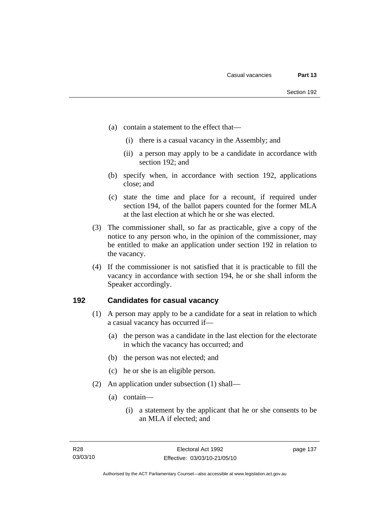- (a) contain a statement to the effect that—
	- (i) there is a casual vacancy in the Assembly; and
	- (ii) a person may apply to be a candidate in accordance with section 192; and
- (b) specify when, in accordance with section 192, applications close; and
- (c) state the time and place for a recount, if required under section 194, of the ballot papers counted for the former MLA at the last election at which he or she was elected.
- (3) The commissioner shall, so far as practicable, give a copy of the notice to any person who, in the opinion of the commissioner, may be entitled to make an application under section 192 in relation to the vacancy.
- (4) If the commissioner is not satisfied that it is practicable to fill the vacancy in accordance with section 194, he or she shall inform the Speaker accordingly.

### **192 Candidates for casual vacancy**

- (1) A person may apply to be a candidate for a seat in relation to which a casual vacancy has occurred if—
	- (a) the person was a candidate in the last election for the electorate in which the vacancy has occurred; and
	- (b) the person was not elected; and
	- (c) he or she is an eligible person.
- (2) An application under subsection (1) shall—
	- (a) contain—
		- (i) a statement by the applicant that he or she consents to be an MLA if elected; and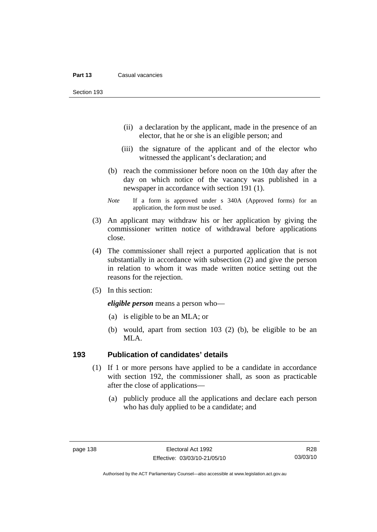Section 193

- (ii) a declaration by the applicant, made in the presence of an elector, that he or she is an eligible person; and
- (iii) the signature of the applicant and of the elector who witnessed the applicant's declaration; and
- (b) reach the commissioner before noon on the 10th day after the day on which notice of the vacancy was published in a newspaper in accordance with section 191 (1).
- *Note* If a form is approved under s 340A (Approved forms) for an application, the form must be used.
- (3) An applicant may withdraw his or her application by giving the commissioner written notice of withdrawal before applications close.
- (4) The commissioner shall reject a purported application that is not substantially in accordance with subsection (2) and give the person in relation to whom it was made written notice setting out the reasons for the rejection.
- (5) In this section:

*eligible person* means a person who—

- (a) is eligible to be an MLA; or
- (b) would, apart from section 103 (2) (b), be eligible to be an MLA.

#### **193 Publication of candidates' details**

- (1) If 1 or more persons have applied to be a candidate in accordance with section 192, the commissioner shall, as soon as practicable after the close of applications—
	- (a) publicly produce all the applications and declare each person who has duly applied to be a candidate; and

R28 03/03/10

Authorised by the ACT Parliamentary Counsel—also accessible at www.legislation.act.gov.au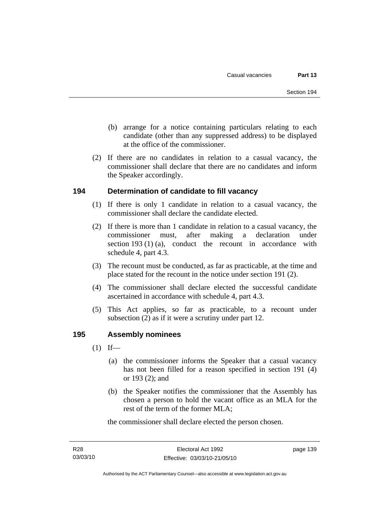- (b) arrange for a notice containing particulars relating to each candidate (other than any suppressed address) to be displayed at the office of the commissioner.
- (2) If there are no candidates in relation to a casual vacancy, the commissioner shall declare that there are no candidates and inform the Speaker accordingly.

## **194 Determination of candidate to fill vacancy**

- (1) If there is only 1 candidate in relation to a casual vacancy, the commissioner shall declare the candidate elected.
- (2) If there is more than 1 candidate in relation to a casual vacancy, the commissioner must, after making a declaration under section 193 (1) (a), conduct the recount in accordance with schedule 4, part 4.3.
- (3) The recount must be conducted, as far as practicable, at the time and place stated for the recount in the notice under section 191 (2).
- (4) The commissioner shall declare elected the successful candidate ascertained in accordance with schedule 4, part 4.3.
- (5) This Act applies, so far as practicable, to a recount under subsection (2) as if it were a scrutiny under part 12.

## **195 Assembly nominees**

- $(1)$  If—
	- (a) the commissioner informs the Speaker that a casual vacancy has not been filled for a reason specified in section 191 (4) or 193 (2); and
	- (b) the Speaker notifies the commissioner that the Assembly has chosen a person to hold the vacant office as an MLA for the rest of the term of the former MLA;

the commissioner shall declare elected the person chosen.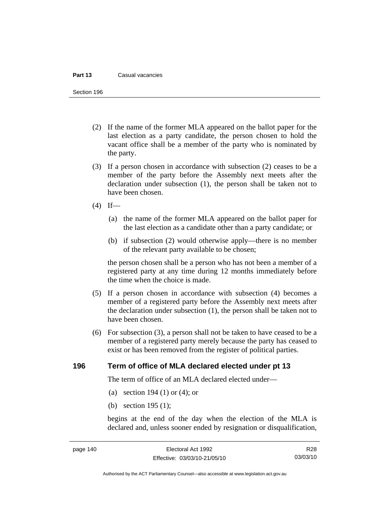#### **Part 13** Casual vacancies

Section 196

- (2) If the name of the former MLA appeared on the ballot paper for the last election as a party candidate, the person chosen to hold the vacant office shall be a member of the party who is nominated by the party.
- (3) If a person chosen in accordance with subsection (2) ceases to be a member of the party before the Assembly next meets after the declaration under subsection (1), the person shall be taken not to have been chosen.
- $(4)$  If—
	- (a) the name of the former MLA appeared on the ballot paper for the last election as a candidate other than a party candidate; or
	- (b) if subsection (2) would otherwise apply—there is no member of the relevant party available to be chosen;

the person chosen shall be a person who has not been a member of a registered party at any time during 12 months immediately before the time when the choice is made.

- (5) If a person chosen in accordance with subsection (4) becomes a member of a registered party before the Assembly next meets after the declaration under subsection (1), the person shall be taken not to have been chosen.
- (6) For subsection (3), a person shall not be taken to have ceased to be a member of a registered party merely because the party has ceased to exist or has been removed from the register of political parties.

#### **196 Term of office of MLA declared elected under pt 13**

The term of office of an MLA declared elected under—

- (a) section 194 (1) or (4); or
- (b) section 195 (1);

begins at the end of the day when the election of the MLA is declared and, unless sooner ended by resignation or disqualification,

R28 03/03/10

Authorised by the ACT Parliamentary Counsel—also accessible at www.legislation.act.gov.au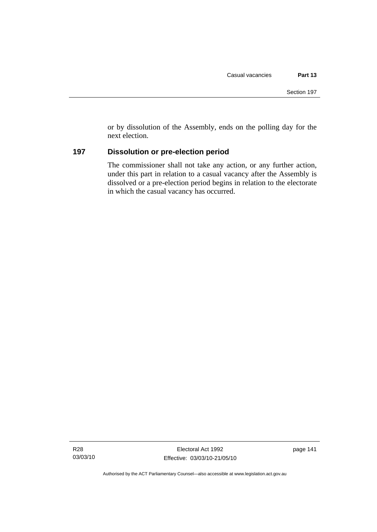or by dissolution of the Assembly, ends on the polling day for the next election.

## **197 Dissolution or pre-election period**

The commissioner shall not take any action, or any further action, under this part in relation to a casual vacancy after the Assembly is dissolved or a pre-election period begins in relation to the electorate in which the casual vacancy has occurred.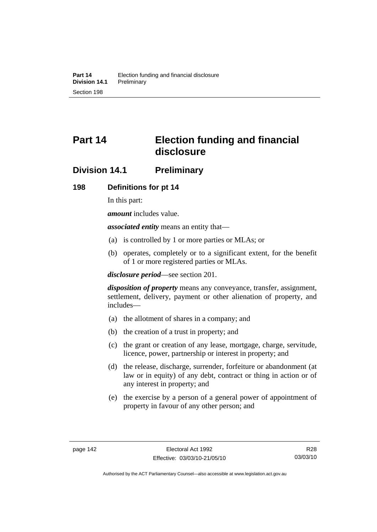# **Part 14 Election funding and financial disclosure**

## **Division 14.1 Preliminary**

## **198 Definitions for pt 14**

In this part:

*amount* includes value.

*associated entity* means an entity that—

- (a) is controlled by 1 or more parties or MLAs; or
- (b) operates, completely or to a significant extent, for the benefit of 1 or more registered parties or MLAs.

*disclosure period*—see section 201.

*disposition of property* means any conveyance, transfer, assignment, settlement, delivery, payment or other alienation of property, and includes—

- (a) the allotment of shares in a company; and
- (b) the creation of a trust in property; and
- (c) the grant or creation of any lease, mortgage, charge, servitude, licence, power, partnership or interest in property; and
- (d) the release, discharge, surrender, forfeiture or abandonment (at law or in equity) of any debt, contract or thing in action or of any interest in property; and
- (e) the exercise by a person of a general power of appointment of property in favour of any other person; and

R28 03/03/10

Authorised by the ACT Parliamentary Counsel—also accessible at www.legislation.act.gov.au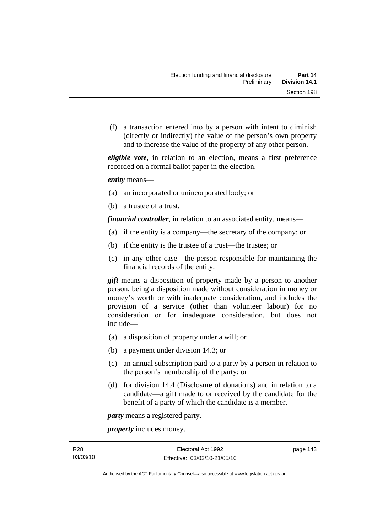(f) a transaction entered into by a person with intent to diminish (directly or indirectly) the value of the person's own property and to increase the value of the property of any other person.

*eligible vote*, in relation to an election, means a first preference recorded on a formal ballot paper in the election.

*entity* means—

- (a) an incorporated or unincorporated body; or
- (b) a trustee of a trust.

*financial controller*, in relation to an associated entity, means—

- (a) if the entity is a company—the secretary of the company; or
- (b) if the entity is the trustee of a trust—the trustee; or
- (c) in any other case—the person responsible for maintaining the financial records of the entity.

*gift* means a disposition of property made by a person to another person, being a disposition made without consideration in money or money's worth or with inadequate consideration, and includes the provision of a service (other than volunteer labour) for no consideration or for inadequate consideration, but does not include—

- (a) a disposition of property under a will; or
- (b) a payment under division 14.3; or
- (c) an annual subscription paid to a party by a person in relation to the person's membership of the party; or
- (d) for division 14.4 (Disclosure of donations) and in relation to a candidate—a gift made to or received by the candidate for the benefit of a party of which the candidate is a member.

*party* means a registered party.

*property* includes money.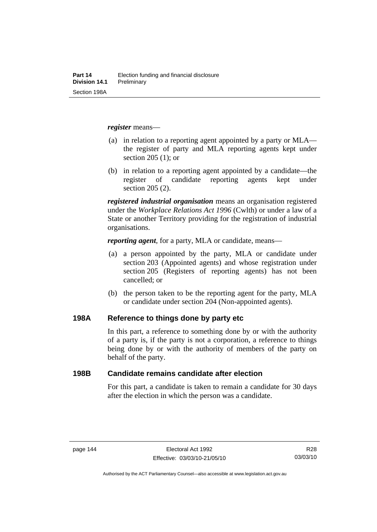*register* means—

- (a) in relation to a reporting agent appointed by a party or MLA the register of party and MLA reporting agents kept under section 205 (1); or
- (b) in relation to a reporting agent appointed by a candidate—the register of candidate reporting agents kept under section 205 (2).

*registered industrial organisation* means an organisation registered under the *Workplace Relations Act 1996* (Cwlth) or under a law of a State or another Territory providing for the registration of industrial organisations.

*reporting agent*, for a party, MLA or candidate, means—

- (a) a person appointed by the party, MLA or candidate under section 203 (Appointed agents) and whose registration under section 205 (Registers of reporting agents) has not been cancelled; or
- (b) the person taken to be the reporting agent for the party, MLA or candidate under section 204 (Non-appointed agents).

#### **198A Reference to things done by party etc**

In this part, a reference to something done by or with the authority of a party is, if the party is not a corporation, a reference to things being done by or with the authority of members of the party on behalf of the party.

### **198B Candidate remains candidate after election**

For this part, a candidate is taken to remain a candidate for 30 days after the election in which the person was a candidate.

R28 03/03/10

Authorised by the ACT Parliamentary Counsel—also accessible at www.legislation.act.gov.au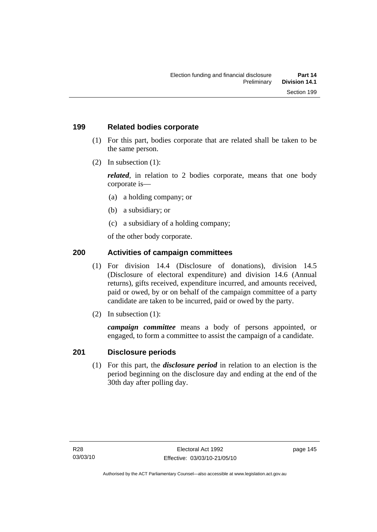## **199 Related bodies corporate**

- (1) For this part, bodies corporate that are related shall be taken to be the same person.
- (2) In subsection (1):

*related*, in relation to 2 bodies corporate, means that one body corporate is—

- (a) a holding company; or
- (b) a subsidiary; or
- (c) a subsidiary of a holding company;

of the other body corporate.

## **200 Activities of campaign committees**

- (1) For division 14.4 (Disclosure of donations), division 14.5 (Disclosure of electoral expenditure) and division 14.6 (Annual returns), gifts received, expenditure incurred, and amounts received, paid or owed, by or on behalf of the campaign committee of a party candidate are taken to be incurred, paid or owed by the party.
- (2) In subsection (1):

*campaign committee* means a body of persons appointed, or engaged, to form a committee to assist the campaign of a candidate.

## **201 Disclosure periods**

 (1) For this part, the *disclosure period* in relation to an election is the period beginning on the disclosure day and ending at the end of the 30th day after polling day.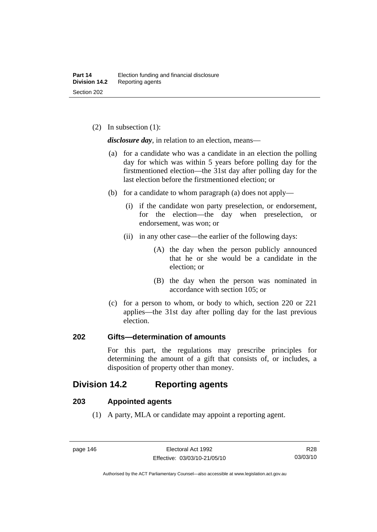(2) In subsection (1):

*disclosure day*, in relation to an election, means—

- (a) for a candidate who was a candidate in an election the polling day for which was within 5 years before polling day for the firstmentioned election—the 31st day after polling day for the last election before the firstmentioned election; or
- (b) for a candidate to whom paragraph (a) does not apply—
	- (i) if the candidate won party preselection, or endorsement, for the election—the day when preselection, or endorsement, was won; or
	- (ii) in any other case—the earlier of the following days:
		- (A) the day when the person publicly announced that he or she would be a candidate in the election; or
		- (B) the day when the person was nominated in accordance with section 105; or
- (c) for a person to whom, or body to which, section 220 or 221 applies—the 31st day after polling day for the last previous election.

## **202 Gifts—determination of amounts**

For this part, the regulations may prescribe principles for determining the amount of a gift that consists of, or includes, a disposition of property other than money.

## **Division 14.2 Reporting agents**

## **203 Appointed agents**

(1) A party, MLA or candidate may appoint a reporting agent.

Authorised by the ACT Parliamentary Counsel—also accessible at www.legislation.act.gov.au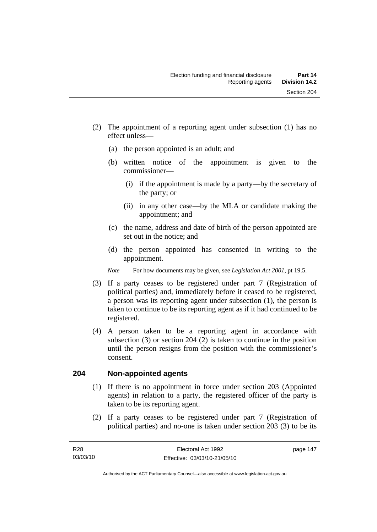- (2) The appointment of a reporting agent under subsection (1) has no effect unless—
	- (a) the person appointed is an adult; and
	- (b) written notice of the appointment is given to the commissioner—
		- (i) if the appointment is made by a party—by the secretary of the party; or
		- (ii) in any other case—by the MLA or candidate making the appointment; and
	- (c) the name, address and date of birth of the person appointed are set out in the notice; and
	- (d) the person appointed has consented in writing to the appointment.
	- *Note* For how documents may be given, see *Legislation Act 2001*, pt 19.5.
- (3) If a party ceases to be registered under part 7 (Registration of political parties) and, immediately before it ceased to be registered, a person was its reporting agent under subsection (1), the person is taken to continue to be its reporting agent as if it had continued to be registered.
- (4) A person taken to be a reporting agent in accordance with subsection (3) or section 204 (2) is taken to continue in the position until the person resigns from the position with the commissioner's consent.

## **204 Non-appointed agents**

- (1) If there is no appointment in force under section 203 (Appointed agents) in relation to a party, the registered officer of the party is taken to be its reporting agent.
- (2) If a party ceases to be registered under part 7 (Registration of political parties) and no-one is taken under section 203 (3) to be its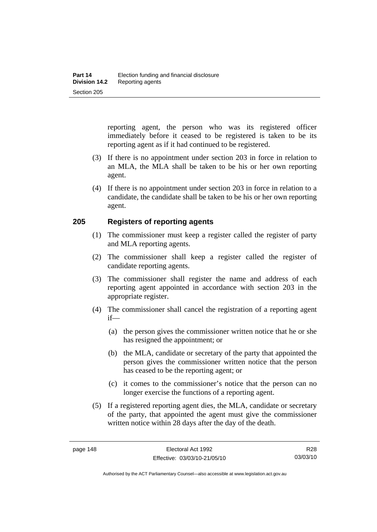reporting agent, the person who was its registered officer immediately before it ceased to be registered is taken to be its reporting agent as if it had continued to be registered.

- (3) If there is no appointment under section 203 in force in relation to an MLA, the MLA shall be taken to be his or her own reporting agent.
- (4) If there is no appointment under section 203 in force in relation to a candidate, the candidate shall be taken to be his or her own reporting agent.

## **205 Registers of reporting agents**

- (1) The commissioner must keep a register called the register of party and MLA reporting agents.
- (2) The commissioner shall keep a register called the register of candidate reporting agents.
- (3) The commissioner shall register the name and address of each reporting agent appointed in accordance with section 203 in the appropriate register.
- (4) The commissioner shall cancel the registration of a reporting agent if—
	- (a) the person gives the commissioner written notice that he or she has resigned the appointment; or
	- (b) the MLA, candidate or secretary of the party that appointed the person gives the commissioner written notice that the person has ceased to be the reporting agent; or
	- (c) it comes to the commissioner's notice that the person can no longer exercise the functions of a reporting agent.
- (5) If a registered reporting agent dies, the MLA, candidate or secretary of the party, that appointed the agent must give the commissioner written notice within 28 days after the day of the death.

R28 03/03/10

Authorised by the ACT Parliamentary Counsel—also accessible at www.legislation.act.gov.au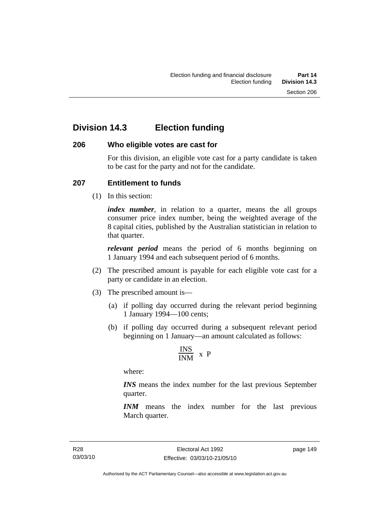## **Division 14.3 Election funding**

## **206 Who eligible votes are cast for**

For this division, an eligible vote cast for a party candidate is taken to be cast for the party and not for the candidate.

## **207 Entitlement to funds**

(1) In this section:

*index number*, in relation to a quarter, means the all groups consumer price index number, being the weighted average of the 8 capital cities, published by the Australian statistician in relation to that quarter.

*relevant period* means the period of 6 months beginning on 1 January 1994 and each subsequent period of 6 months.

- (2) The prescribed amount is payable for each eligible vote cast for a party or candidate in an election.
- (3) The prescribed amount is—
	- (a) if polling day occurred during the relevant period beginning 1 January 1994—100 cents;
	- (b) if polling day occurred during a subsequent relevant period beginning on 1 January—an amount calculated as follows:

$$
\frac{INS}{INM} \times P
$$

where:

*INS* means the index number for the last previous September quarter.

*INM* means the index number for the last previous March quarter.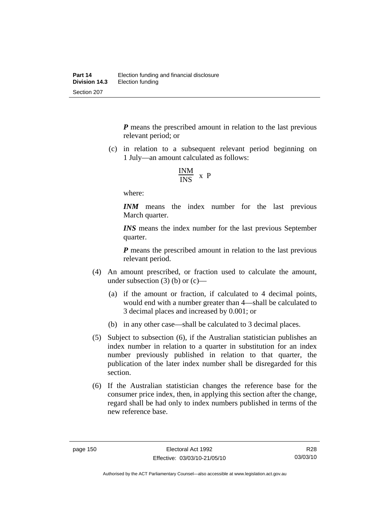*P* means the prescribed amount in relation to the last previous relevant period; or

 (c) in relation to a subsequent relevant period beginning on 1 July—an amount calculated as follows:

$$
\frac{INM}{INS} \times P
$$

where:

*INM* means the index number for the last previous March quarter.

*INS* means the index number for the last previous September quarter.

*P* means the prescribed amount in relation to the last previous relevant period.

- (4) An amount prescribed, or fraction used to calculate the amount, under subsection  $(3)$  (b) or  $(c)$ —
	- (a) if the amount or fraction, if calculated to 4 decimal points, would end with a number greater than 4—shall be calculated to 3 decimal places and increased by 0.001; or
	- (b) in any other case—shall be calculated to 3 decimal places.
- (5) Subject to subsection (6), if the Australian statistician publishes an index number in relation to a quarter in substitution for an index number previously published in relation to that quarter, the publication of the later index number shall be disregarded for this section.
- (6) If the Australian statistician changes the reference base for the consumer price index, then, in applying this section after the change, regard shall be had only to index numbers published in terms of the new reference base.

R28 03/03/10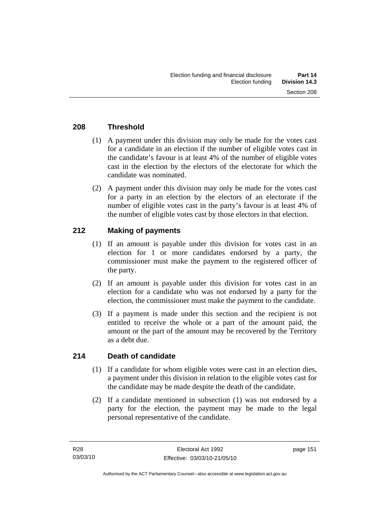## **208 Threshold**

- (1) A payment under this division may only be made for the votes cast for a candidate in an election if the number of eligible votes cast in the candidate's favour is at least 4% of the number of eligible votes cast in the election by the electors of the electorate for which the candidate was nominated.
- (2) A payment under this division may only be made for the votes cast for a party in an election by the electors of an electorate if the number of eligible votes cast in the party's favour is at least 4% of the number of eligible votes cast by those electors in that election.

## **212 Making of payments**

- (1) If an amount is payable under this division for votes cast in an election for 1 or more candidates endorsed by a party, the commissioner must make the payment to the registered officer of the party.
- (2) If an amount is payable under this division for votes cast in an election for a candidate who was not endorsed by a party for the election, the commissioner must make the payment to the candidate.
- (3) If a payment is made under this section and the recipient is not entitled to receive the whole or a part of the amount paid, the amount or the part of the amount may be recovered by the Territory as a debt due.

## **214 Death of candidate**

- (1) If a candidate for whom eligible votes were cast in an election dies, a payment under this division in relation to the eligible votes cast for the candidate may be made despite the death of the candidate.
- (2) If a candidate mentioned in subsection (1) was not endorsed by a party for the election, the payment may be made to the legal personal representative of the candidate.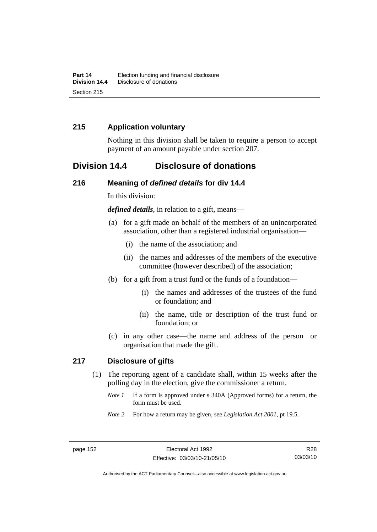## **215 Application voluntary**

Nothing in this division shall be taken to require a person to accept payment of an amount payable under section 207.

## **Division 14.4 Disclosure of donations**

### **216 Meaning of** *defined details* **for div 14.4**

In this division:

*defined details*, in relation to a gift, means—

- (a) for a gift made on behalf of the members of an unincorporated association, other than a registered industrial organisation—
	- (i) the name of the association; and
	- (ii) the names and addresses of the members of the executive committee (however described) of the association;
- (b) for a gift from a trust fund or the funds of a foundation—
	- (i) the names and addresses of the trustees of the fund or foundation; and
	- (ii) the name, title or description of the trust fund or foundation; or
- (c) in any other case—the name and address of the person or organisation that made the gift.

#### **217 Disclosure of gifts**

- (1) The reporting agent of a candidate shall, within 15 weeks after the polling day in the election, give the commissioner a return.
	- *Note 1* If a form is approved under s 340A (Approved forms) for a return, the form must be used.
	- *Note 2* For how a return may be given, see *Legislation Act 2001*, pt 19.5.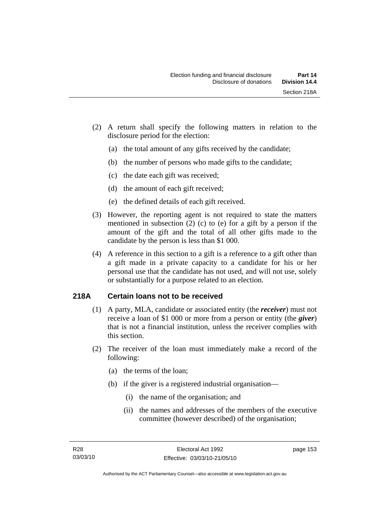- (2) A return shall specify the following matters in relation to the disclosure period for the election:
	- (a) the total amount of any gifts received by the candidate;
	- (b) the number of persons who made gifts to the candidate;
	- (c) the date each gift was received;
	- (d) the amount of each gift received;
	- (e) the defined details of each gift received.
- (3) However, the reporting agent is not required to state the matters mentioned in subsection (2) (c) to (e) for a gift by a person if the amount of the gift and the total of all other gifts made to the candidate by the person is less than \$1 000.
- (4) A reference in this section to a gift is a reference to a gift other than a gift made in a private capacity to a candidate for his or her personal use that the candidate has not used, and will not use, solely or substantially for a purpose related to an election.

## **218A Certain loans not to be received**

- (1) A party, MLA, candidate or associated entity (the *receiver*) must not receive a loan of \$1 000 or more from a person or entity (the *giver*) that is not a financial institution, unless the receiver complies with this section.
- (2) The receiver of the loan must immediately make a record of the following:
	- (a) the terms of the loan;
	- (b) if the giver is a registered industrial organisation—
		- (i) the name of the organisation; and
		- (ii) the names and addresses of the members of the executive committee (however described) of the organisation;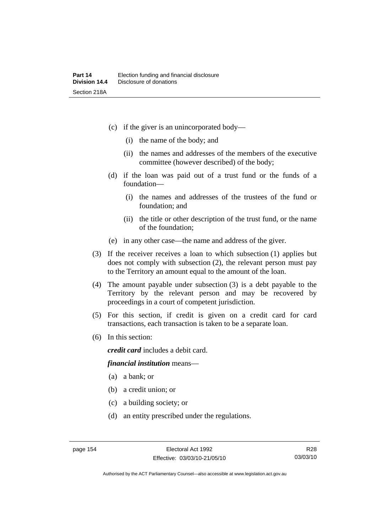- (c) if the giver is an unincorporated body—
	- (i) the name of the body; and
	- (ii) the names and addresses of the members of the executive committee (however described) of the body;
- (d) if the loan was paid out of a trust fund or the funds of a foundation—
	- (i) the names and addresses of the trustees of the fund or foundation; and
	- (ii) the title or other description of the trust fund, or the name of the foundation;
- (e) in any other case—the name and address of the giver.
- (3) If the receiver receives a loan to which subsection (1) applies but does not comply with subsection (2), the relevant person must pay to the Territory an amount equal to the amount of the loan.
- (4) The amount payable under subsection (3) is a debt payable to the Territory by the relevant person and may be recovered by proceedings in a court of competent jurisdiction.
- (5) For this section, if credit is given on a credit card for card transactions, each transaction is taken to be a separate loan.
- (6) In this section:

*credit card* includes a debit card.

#### *financial institution* means—

- (a) a bank; or
- (b) a credit union; or
- (c) a building society; or
- (d) an entity prescribed under the regulations.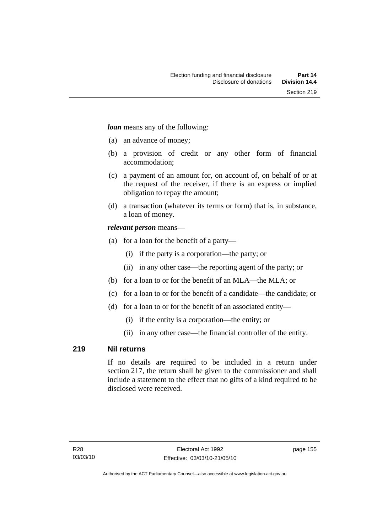*loan* means any of the following:

- (a) an advance of money;
- (b) a provision of credit or any other form of financial accommodation;
- (c) a payment of an amount for, on account of, on behalf of or at the request of the receiver, if there is an express or implied obligation to repay the amount;
- (d) a transaction (whatever its terms or form) that is, in substance, a loan of money.

## *relevant person* means—

- (a) for a loan for the benefit of a party—
	- (i) if the party is a corporation—the party; or
	- (ii) in any other case—the reporting agent of the party; or
- (b) for a loan to or for the benefit of an MLA—the MLA; or
- (c) for a loan to or for the benefit of a candidate—the candidate; or
- (d) for a loan to or for the benefit of an associated entity—
	- (i) if the entity is a corporation—the entity; or
	- (ii) in any other case—the financial controller of the entity.

## **219 Nil returns**

If no details are required to be included in a return under section 217, the return shall be given to the commissioner and shall include a statement to the effect that no gifts of a kind required to be disclosed were received.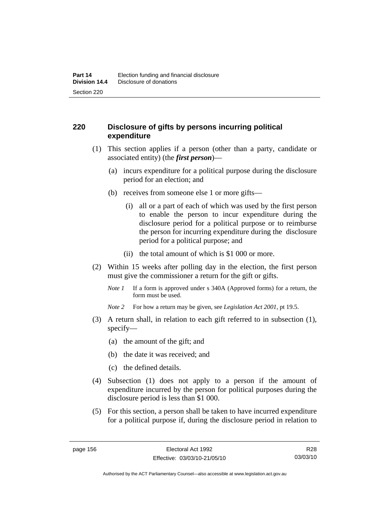## **220 Disclosure of gifts by persons incurring political expenditure**

- (1) This section applies if a person (other than a party, candidate or associated entity) (the *first person*)—
	- (a) incurs expenditure for a political purpose during the disclosure period for an election; and
	- (b) receives from someone else 1 or more gifts—
		- (i) all or a part of each of which was used by the first person to enable the person to incur expenditure during the disclosure period for a political purpose or to reimburse the person for incurring expenditure during the disclosure period for a political purpose; and
		- (ii) the total amount of which is \$1 000 or more.
- (2) Within 15 weeks after polling day in the election, the first person must give the commissioner a return for the gift or gifts.
	- *Note 1* If a form is approved under s 340A (Approved forms) for a return, the form must be used.
	- *Note 2* For how a return may be given, see *Legislation Act 2001*, pt 19.5.
- (3) A return shall, in relation to each gift referred to in subsection (1), specify—
	- (a) the amount of the gift; and
	- (b) the date it was received; and
	- (c) the defined details.
- (4) Subsection (1) does not apply to a person if the amount of expenditure incurred by the person for political purposes during the disclosure period is less than \$1 000.
- (5) For this section, a person shall be taken to have incurred expenditure for a political purpose if, during the disclosure period in relation to

R28 03/03/10

Authorised by the ACT Parliamentary Counsel—also accessible at www.legislation.act.gov.au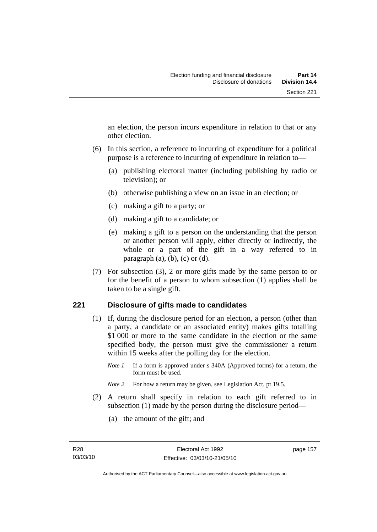an election, the person incurs expenditure in relation to that or any other election.

- (6) In this section, a reference to incurring of expenditure for a political purpose is a reference to incurring of expenditure in relation to—
	- (a) publishing electoral matter (including publishing by radio or television); or
	- (b) otherwise publishing a view on an issue in an election; or
	- (c) making a gift to a party; or
	- (d) making a gift to a candidate; or
	- (e) making a gift to a person on the understanding that the person or another person will apply, either directly or indirectly, the whole or a part of the gift in a way referred to in paragraph  $(a)$ ,  $(b)$ ,  $(c)$  or  $(d)$ .
- (7) For subsection (3), 2 or more gifts made by the same person to or for the benefit of a person to whom subsection (1) applies shall be taken to be a single gift.

## **221 Disclosure of gifts made to candidates**

- (1) If, during the disclosure period for an election, a person (other than a party, a candidate or an associated entity) makes gifts totalling \$1 000 or more to the same candidate in the election or the same specified body, the person must give the commissioner a return within 15 weeks after the polling day for the election.
	- *Note 1* If a form is approved under s 340A (Approved forms) for a return, the form must be used.
	- *Note* 2 For how a return may be given, see Legislation Act, pt 19.5.
- (2) A return shall specify in relation to each gift referred to in subsection (1) made by the person during the disclosure period—
	- (a) the amount of the gift; and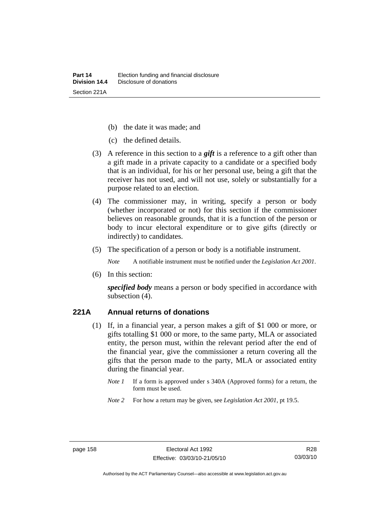- (b) the date it was made; and
- (c) the defined details.
- (3) A reference in this section to a *gift* is a reference to a gift other than a gift made in a private capacity to a candidate or a specified body that is an individual, for his or her personal use, being a gift that the receiver has not used, and will not use, solely or substantially for a purpose related to an election.
- (4) The commissioner may, in writing, specify a person or body (whether incorporated or not) for this section if the commissioner believes on reasonable grounds, that it is a function of the person or body to incur electoral expenditure or to give gifts (directly or indirectly) to candidates.
- (5) The specification of a person or body is a notifiable instrument.

*Note* A notifiable instrument must be notified under the *Legislation Act 2001*.

(6) In this section:

*specified body* means a person or body specified in accordance with subsection (4).

#### **221A Annual returns of donations**

- (1) If, in a financial year, a person makes a gift of \$1 000 or more, or gifts totalling \$1 000 or more, to the same party, MLA or associated entity, the person must, within the relevant period after the end of the financial year, give the commissioner a return covering all the gifts that the person made to the party, MLA or associated entity during the financial year.
	- *Note 1* If a form is approved under s 340A (Approved forms) for a return, the form must be used.
	- *Note 2* For how a return may be given, see *Legislation Act 2001*, pt 19.5.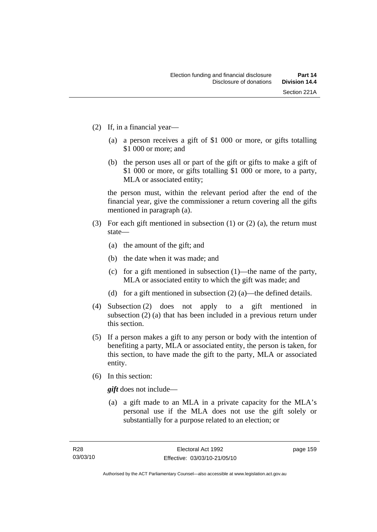- (2) If, in a financial year—
	- (a) a person receives a gift of \$1 000 or more, or gifts totalling \$1 000 or more; and
	- (b) the person uses all or part of the gift or gifts to make a gift of \$1 000 or more, or gifts totalling \$1 000 or more, to a party, MLA or associated entity;

the person must, within the relevant period after the end of the financial year, give the commissioner a return covering all the gifts mentioned in paragraph (a).

- (3) For each gift mentioned in subsection (1) or (2) (a), the return must state—
	- (a) the amount of the gift; and
	- (b) the date when it was made; and
	- (c) for a gift mentioned in subsection (1)—the name of the party, MLA or associated entity to which the gift was made; and
	- (d) for a gift mentioned in subsection (2) (a)—the defined details.
- (4) Subsection (2) does not apply to a gift mentioned in subsection (2) (a) that has been included in a previous return under this section.
- (5) If a person makes a gift to any person or body with the intention of benefiting a party, MLA or associated entity, the person is taken, for this section, to have made the gift to the party, MLA or associated entity.
- (6) In this section:

*gift* does not include—

 (a) a gift made to an MLA in a private capacity for the MLA's personal use if the MLA does not use the gift solely or substantially for a purpose related to an election; or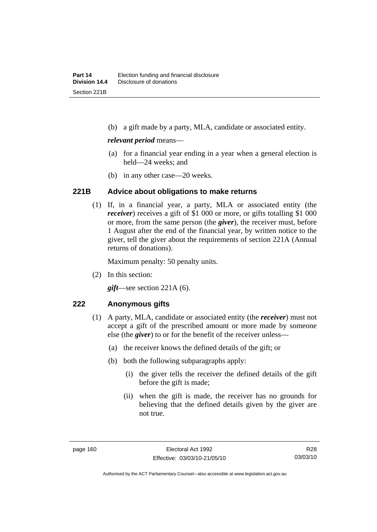(b) a gift made by a party, MLA, candidate or associated entity.

#### *relevant period* means—

- (a) for a financial year ending in a year when a general election is held—24 weeks; and
- (b) in any other case—20 weeks.

#### **221B Advice about obligations to make returns**

 (1) If, in a financial year, a party, MLA or associated entity (the *receiver*) receives a gift of \$1 000 or more, or gifts totalling \$1 000 or more, from the same person (the *giver*), the receiver must, before 1 August after the end of the financial year, by written notice to the giver, tell the giver about the requirements of section 221A (Annual returns of donations).

Maximum penalty: 50 penalty units.

(2) In this section:

*gift*—see section 221A (6).

## **222 Anonymous gifts**

- (1) A party, MLA, candidate or associated entity (the *receiver*) must not accept a gift of the prescribed amount or more made by someone else (the *giver*) to or for the benefit of the receiver unless—
	- (a) the receiver knows the defined details of the gift; or
	- (b) both the following subparagraphs apply:
		- (i) the giver tells the receiver the defined details of the gift before the gift is made;
		- (ii) when the gift is made, the receiver has no grounds for believing that the defined details given by the giver are not true.

R28 03/03/10

Authorised by the ACT Parliamentary Counsel—also accessible at www.legislation.act.gov.au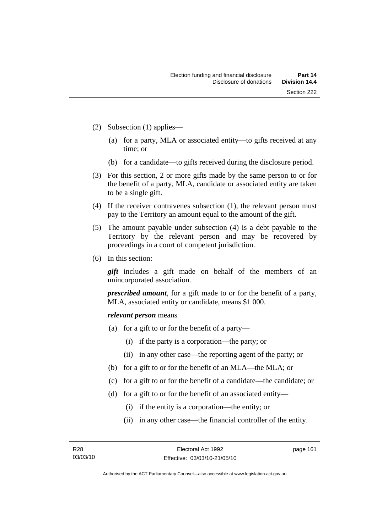- (2) Subsection (1) applies—
	- (a) for a party, MLA or associated entity—to gifts received at any time; or
	- (b) for a candidate—to gifts received during the disclosure period.
- (3) For this section, 2 or more gifts made by the same person to or for the benefit of a party, MLA, candidate or associated entity are taken to be a single gift.
- (4) If the receiver contravenes subsection (1), the relevant person must pay to the Territory an amount equal to the amount of the gift.
- (5) The amount payable under subsection (4) is a debt payable to the Territory by the relevant person and may be recovered by proceedings in a court of competent jurisdiction.
- (6) In this section:

*gift* includes a gift made on behalf of the members of an unincorporated association.

*prescribed amount*, for a gift made to or for the benefit of a party, MLA, associated entity or candidate, means \$1 000.

#### *relevant person* means

- (a) for a gift to or for the benefit of a party—
	- (i) if the party is a corporation—the party; or
	- (ii) in any other case—the reporting agent of the party; or
- (b) for a gift to or for the benefit of an MLA—the MLA; or
- (c) for a gift to or for the benefit of a candidate—the candidate; or
- (d) for a gift to or for the benefit of an associated entity—
	- (i) if the entity is a corporation—the entity; or
	- (ii) in any other case—the financial controller of the entity.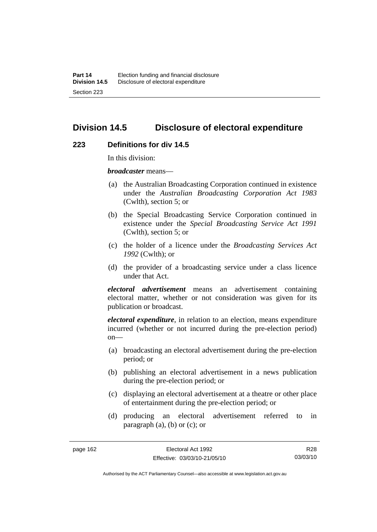## **Division 14.5 Disclosure of electoral expenditure**

#### **223 Definitions for div 14.5**

In this division:

*broadcaster* means—

- (a) the Australian Broadcasting Corporation continued in existence under the *Australian Broadcasting Corporation Act 1983* (Cwlth), section 5; or
- (b) the Special Broadcasting Service Corporation continued in existence under the *Special Broadcasting Service Act 1991*  (Cwlth), section 5; or
- (c) the holder of a licence under the *Broadcasting Services Act 1992* (Cwlth); or
- (d) the provider of a broadcasting service under a class licence under that Act.

*electoral advertisement* means an advertisement containing electoral matter, whether or not consideration was given for its publication or broadcast.

*electoral expenditure*, in relation to an election, means expenditure incurred (whether or not incurred during the pre-election period)  $on$ —

- (a) broadcasting an electoral advertisement during the pre-election period; or
- (b) publishing an electoral advertisement in a news publication during the pre-election period; or
- (c) displaying an electoral advertisement at a theatre or other place of entertainment during the pre-election period; or
- (d) producing an electoral advertisement referred to in paragraph  $(a)$ ,  $(b)$  or  $(c)$ ; or

R28 03/03/10

Authorised by the ACT Parliamentary Counsel—also accessible at www.legislation.act.gov.au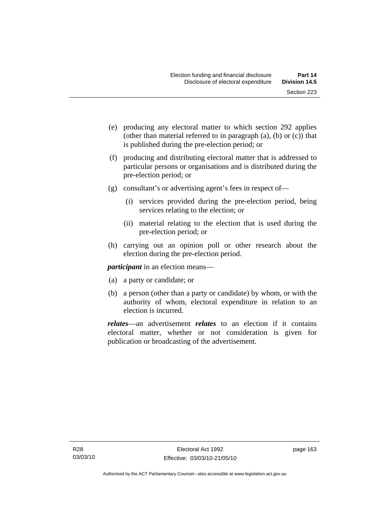- (e) producing any electoral matter to which section 292 applies (other than material referred to in paragraph (a), (b) or (c)) that is published during the pre-election period; or
- (f) producing and distributing electoral matter that is addressed to particular persons or organisations and is distributed during the pre-election period; or
- (g) consultant's or advertising agent's fees in respect of—
	- (i) services provided during the pre-election period, being services relating to the election; or
	- (ii) material relating to the election that is used during the pre-election period; or
- (h) carrying out an opinion poll or other research about the election during the pre-election period.

*participant* in an election means—

- (a) a party or candidate; or
- (b) a person (other than a party or candidate) by whom, or with the authority of whom, electoral expenditure in relation to an election is incurred.

*relates*—an advertisement *relates* to an election if it contains electoral matter, whether or not consideration is given for publication or broadcasting of the advertisement.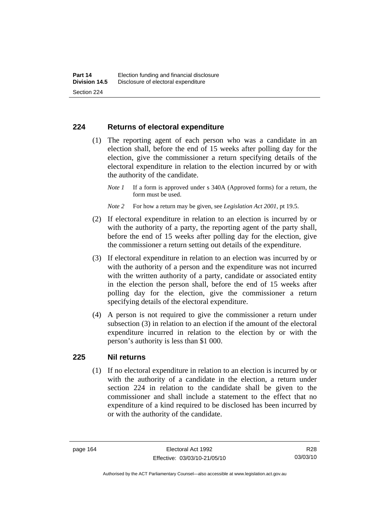#### **224 Returns of electoral expenditure**

 (1) The reporting agent of each person who was a candidate in an election shall, before the end of 15 weeks after polling day for the election, give the commissioner a return specifying details of the electoral expenditure in relation to the election incurred by or with the authority of the candidate.

- *Note 2* For how a return may be given, see *Legislation Act 2001*, pt 19.5.
- (2) If electoral expenditure in relation to an election is incurred by or with the authority of a party, the reporting agent of the party shall, before the end of 15 weeks after polling day for the election, give the commissioner a return setting out details of the expenditure.
- (3) If electoral expenditure in relation to an election was incurred by or with the authority of a person and the expenditure was not incurred with the written authority of a party, candidate or associated entity in the election the person shall, before the end of 15 weeks after polling day for the election, give the commissioner a return specifying details of the electoral expenditure.
- (4) A person is not required to give the commissioner a return under subsection (3) in relation to an election if the amount of the electoral expenditure incurred in relation to the election by or with the person's authority is less than \$1 000.

#### **225 Nil returns**

 (1) If no electoral expenditure in relation to an election is incurred by or with the authority of a candidate in the election, a return under section 224 in relation to the candidate shall be given to the commissioner and shall include a statement to the effect that no expenditure of a kind required to be disclosed has been incurred by or with the authority of the candidate.

*Note 1* If a form is approved under s 340A (Approved forms) for a return, the form must be used.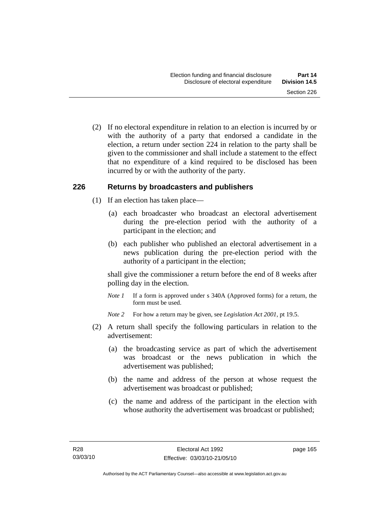(2) If no electoral expenditure in relation to an election is incurred by or with the authority of a party that endorsed a candidate in the election, a return under section 224 in relation to the party shall be given to the commissioner and shall include a statement to the effect that no expenditure of a kind required to be disclosed has been incurred by or with the authority of the party.

#### **226 Returns by broadcasters and publishers**

- (1) If an election has taken place—
	- (a) each broadcaster who broadcast an electoral advertisement during the pre-election period with the authority of a participant in the election; and
	- (b) each publisher who published an electoral advertisement in a news publication during the pre-election period with the authority of a participant in the election;

shall give the commissioner a return before the end of 8 weeks after polling day in the election.

*Note 1* If a form is approved under s 340A (Approved forms) for a return, the form must be used.

*Note 2* For how a return may be given, see *Legislation Act 2001*, pt 19.5.

- (2) A return shall specify the following particulars in relation to the advertisement:
	- (a) the broadcasting service as part of which the advertisement was broadcast or the news publication in which the advertisement was published;
	- (b) the name and address of the person at whose request the advertisement was broadcast or published;
	- (c) the name and address of the participant in the election with whose authority the advertisement was broadcast or published;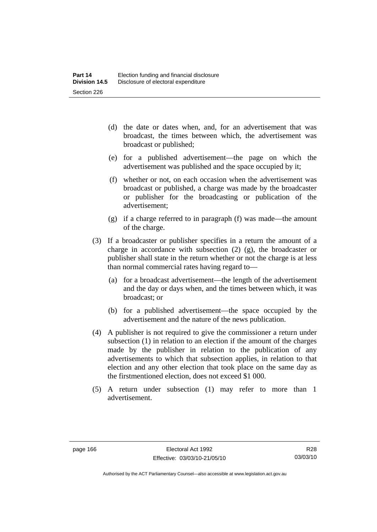- (d) the date or dates when, and, for an advertisement that was broadcast, the times between which, the advertisement was broadcast or published;
- (e) for a published advertisement—the page on which the advertisement was published and the space occupied by it;
- (f) whether or not, on each occasion when the advertisement was broadcast or published, a charge was made by the broadcaster or publisher for the broadcasting or publication of the advertisement;
- (g) if a charge referred to in paragraph (f) was made—the amount of the charge.
- (3) If a broadcaster or publisher specifies in a return the amount of a charge in accordance with subsection (2) (g), the broadcaster or publisher shall state in the return whether or not the charge is at less than normal commercial rates having regard to—
	- (a) for a broadcast advertisement—the length of the advertisement and the day or days when, and the times between which, it was broadcast; or
	- (b) for a published advertisement—the space occupied by the advertisement and the nature of the news publication.
- (4) A publisher is not required to give the commissioner a return under subsection (1) in relation to an election if the amount of the charges made by the publisher in relation to the publication of any advertisements to which that subsection applies, in relation to that election and any other election that took place on the same day as the firstmentioned election, does not exceed \$1 000.
- (5) A return under subsection (1) may refer to more than 1 advertisement.

Authorised by the ACT Parliamentary Counsel—also accessible at www.legislation.act.gov.au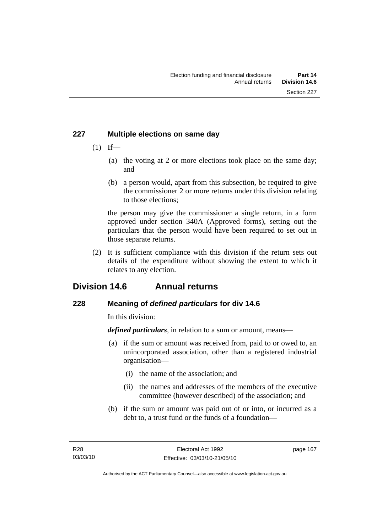## **227 Multiple elections on same day**

- $(1)$  If—
	- (a) the voting at 2 or more elections took place on the same day; and
	- (b) a person would, apart from this subsection, be required to give the commissioner 2 or more returns under this division relating to those elections;

the person may give the commissioner a single return, in a form approved under section 340A (Approved forms), setting out the particulars that the person would have been required to set out in those separate returns.

 (2) It is sufficient compliance with this division if the return sets out details of the expenditure without showing the extent to which it relates to any election.

# **Division 14.6 Annual returns**

## **228 Meaning of** *defined particulars* **for div 14.6**

In this division:

*defined particulars*, in relation to a sum or amount, means—

- (a) if the sum or amount was received from, paid to or owed to, an unincorporated association, other than a registered industrial organisation—
	- (i) the name of the association; and
	- (ii) the names and addresses of the members of the executive committee (however described) of the association; and
- (b) if the sum or amount was paid out of or into, or incurred as a debt to, a trust fund or the funds of a foundation—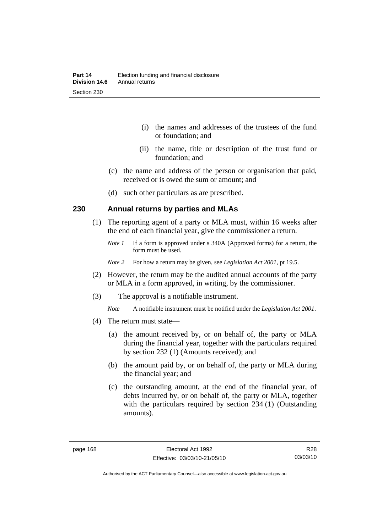- (i) the names and addresses of the trustees of the fund or foundation; and
- (ii) the name, title or description of the trust fund or foundation; and
- (c) the name and address of the person or organisation that paid, received or is owed the sum or amount; and
- (d) such other particulars as are prescribed.

#### **230 Annual returns by parties and MLAs**

- (1) The reporting agent of a party or MLA must, within 16 weeks after the end of each financial year, give the commissioner a return.
	- *Note 1* If a form is approved under s 340A (Approved forms) for a return, the form must be used.
	- *Note 2* For how a return may be given, see *Legislation Act 2001*, pt 19.5.
- (2) However, the return may be the audited annual accounts of the party or MLA in a form approved, in writing, by the commissioner.
- (3) The approval is a notifiable instrument.
	- *Note* A notifiable instrument must be notified under the *Legislation Act 2001*.
- (4) The return must state—
	- (a) the amount received by, or on behalf of, the party or MLA during the financial year, together with the particulars required by section 232 (1) (Amounts received); and
	- (b) the amount paid by, or on behalf of, the party or MLA during the financial year; and
	- (c) the outstanding amount, at the end of the financial year, of debts incurred by, or on behalf of, the party or MLA, together with the particulars required by section 234 (1) (Outstanding amounts).

R28 03/03/10

Authorised by the ACT Parliamentary Counsel—also accessible at www.legislation.act.gov.au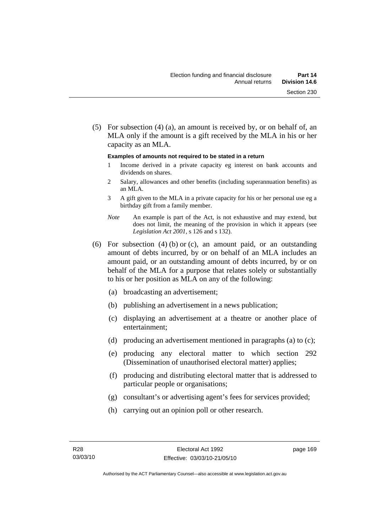(5) For subsection (4) (a), an amount is received by, or on behalf of, an MLA only if the amount is a gift received by the MLA in his or her capacity as an MLA.

#### **Examples of amounts not required to be stated in a return**

- 1 Income derived in a private capacity eg interest on bank accounts and dividends on shares.
- 2 Salary, allowances and other benefits (including superannuation benefits) as an MLA.
- 3 A gift given to the MLA in a private capacity for his or her personal use eg a birthday gift from a family member.
- *Note* An example is part of the Act, is not exhaustive and may extend, but does not limit, the meaning of the provision in which it appears (see *Legislation Act 2001*, s 126 and s 132).
- (6) For subsection (4) (b) or (c), an amount paid, or an outstanding amount of debts incurred, by or on behalf of an MLA includes an amount paid, or an outstanding amount of debts incurred, by or on behalf of the MLA for a purpose that relates solely or substantially to his or her position as MLA on any of the following:
	- (a) broadcasting an advertisement;
	- (b) publishing an advertisement in a news publication;
	- (c) displaying an advertisement at a theatre or another place of entertainment;
	- (d) producing an advertisement mentioned in paragraphs (a) to (c);
	- (e) producing any electoral matter to which section 292 (Dissemination of unauthorised electoral matter) applies;
	- (f) producing and distributing electoral matter that is addressed to particular people or organisations;
	- (g) consultant's or advertising agent's fees for services provided;
	- (h) carrying out an opinion poll or other research.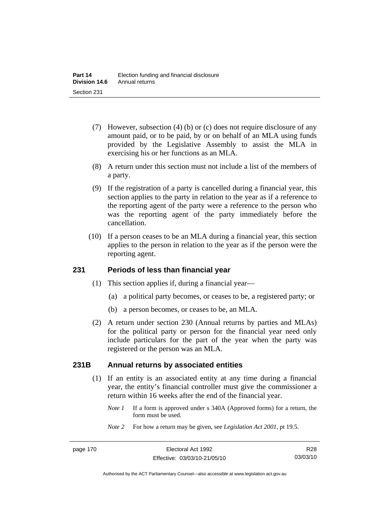- (7) However, subsection (4) (b) or (c) does not require disclosure of any amount paid, or to be paid, by or on behalf of an MLA using funds provided by the Legislative Assembly to assist the MLA in exercising his or her functions as an MLA.
- (8) A return under this section must not include a list of the members of a party.
- (9) If the registration of a party is cancelled during a financial year, this section applies to the party in relation to the year as if a reference to the reporting agent of the party were a reference to the person who was the reporting agent of the party immediately before the cancellation.
- (10) If a person ceases to be an MLA during a financial year, this section applies to the person in relation to the year as if the person were the reporting agent.

#### **231 Periods of less than financial year**

- (1) This section applies if, during a financial year—
	- (a) a political party becomes, or ceases to be, a registered party; or
	- (b) a person becomes, or ceases to be, an MLA.
- (2) A return under section 230 (Annual returns by parties and MLAs) for the political party or person for the financial year need only include particulars for the part of the year when the party was registered or the person was an MLA.

#### **231B Annual returns by associated entities**

- (1) If an entity is an associated entity at any time during a financial year, the entity's financial controller must give the commissioner a return within 16 weeks after the end of the financial year.
	- *Note 1* If a form is approved under s 340A (Approved forms) for a return, the form must be used.
	- *Note 2* For how a return may be given, see *Legislation Act 2001*, pt 19.5.

Authorised by the ACT Parliamentary Counsel—also accessible at www.legislation.act.gov.au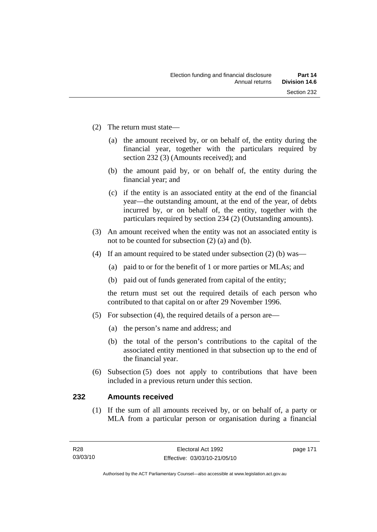- (2) The return must state—
	- (a) the amount received by, or on behalf of, the entity during the financial year, together with the particulars required by section 232 (3) (Amounts received); and
	- (b) the amount paid by, or on behalf of, the entity during the financial year; and
	- (c) if the entity is an associated entity at the end of the financial year—the outstanding amount, at the end of the year, of debts incurred by, or on behalf of, the entity, together with the particulars required by section 234 (2) (Outstanding amounts).
- (3) An amount received when the entity was not an associated entity is not to be counted for subsection (2) (a) and (b).
- (4) If an amount required to be stated under subsection (2) (b) was—
	- (a) paid to or for the benefit of 1 or more parties or MLAs; and
	- (b) paid out of funds generated from capital of the entity;

the return must set out the required details of each person who contributed to that capital on or after 29 November 1996.

- (5) For subsection (4), the required details of a person are—
	- (a) the person's name and address; and
	- (b) the total of the person's contributions to the capital of the associated entity mentioned in that subsection up to the end of the financial year.
- (6) Subsection (5) does not apply to contributions that have been included in a previous return under this section.

#### **232 Amounts received**

 (1) If the sum of all amounts received by, or on behalf of, a party or MLA from a particular person or organisation during a financial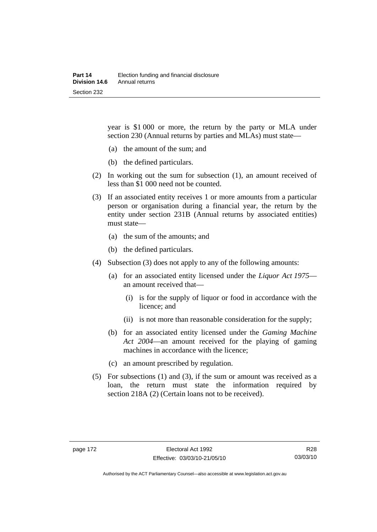year is \$1 000 or more, the return by the party or MLA under section 230 (Annual returns by parties and MLAs) must state—

- (a) the amount of the sum; and
- (b) the defined particulars.
- (2) In working out the sum for subsection (1), an amount received of less than \$1 000 need not be counted.
- (3) If an associated entity receives 1 or more amounts from a particular person or organisation during a financial year, the return by the entity under section 231B (Annual returns by associated entities) must state—
	- (a) the sum of the amounts; and
	- (b) the defined particulars.
- (4) Subsection (3) does not apply to any of the following amounts:
	- (a) for an associated entity licensed under the *Liquor Act 1975* an amount received that—
		- (i) is for the supply of liquor or food in accordance with the licence; and
		- (ii) is not more than reasonable consideration for the supply;
	- (b) for an associated entity licensed under the *Gaming Machine Act 2004*—an amount received for the playing of gaming machines in accordance with the licence;
	- (c) an amount prescribed by regulation.
- (5) For subsections (1) and (3), if the sum or amount was received as a loan, the return must state the information required by section 218A (2) (Certain loans not to be received).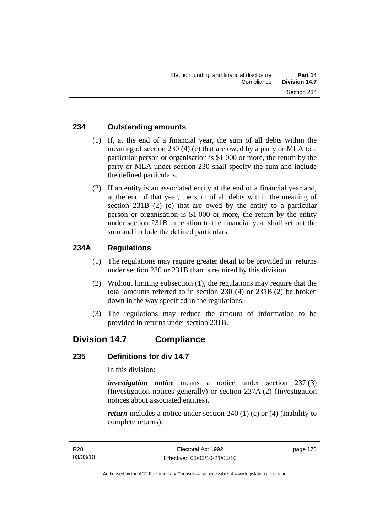#### **234 Outstanding amounts**

- (1) If, at the end of a financial year, the sum of all debts within the meaning of section 230 (4) (c) that are owed by a party or MLA to a particular person or organisation is \$1 000 or more, the return by the party or MLA under section 230 shall specify the sum and include the defined particulars.
- (2) If an entity is an associated entity at the end of a financial year and, at the end of that year, the sum of all debts within the meaning of section 231B (2) (c) that are owed by the entity to a particular person or organisation is \$1 000 or more, the return by the entity under section 231B in relation to the financial year shall set out the sum and include the defined particulars.

## **234A Regulations**

- (1) The regulations may require greater detail to be provided in returns under section 230 or 231B than is required by this division.
- (2) Without limiting subsection (1), the regulations may require that the total amounts referred to in section 230 (4) or 231B (2) be broken down in the way specified in the regulations.
- (3) The regulations may reduce the amount of information to be provided in returns under section 231B.

# **Division 14.7 Compliance**

#### **235 Definitions for div 14.7**

In this division:

*investigation notice* means a notice under section 237 (3) (Investigation notices generally) or section 237A (2) (Investigation notices about associated entities).

*return* includes a notice under section 240 (1) (c) or (4) (Inability to complete returns).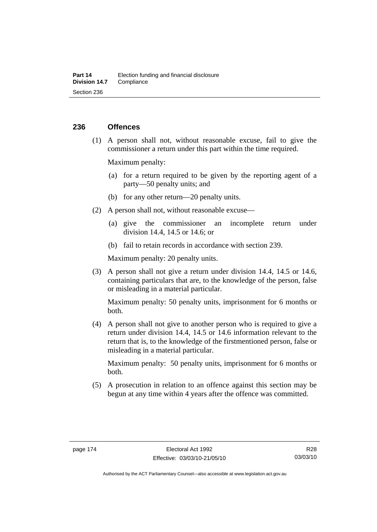#### **236 Offences**

 (1) A person shall not, without reasonable excuse, fail to give the commissioner a return under this part within the time required.

Maximum penalty:

- (a) for a return required to be given by the reporting agent of a party—50 penalty units; and
- (b) for any other return—20 penalty units.
- (2) A person shall not, without reasonable excuse—
	- (a) give the commissioner an incomplete return under division 14.4, 14.5 or 14.6; or
	- (b) fail to retain records in accordance with section 239.

Maximum penalty: 20 penalty units.

 (3) A person shall not give a return under division 14.4, 14.5 or 14.6, containing particulars that are, to the knowledge of the person, false or misleading in a material particular.

Maximum penalty: 50 penalty units, imprisonment for 6 months or both.

 (4) A person shall not give to another person who is required to give a return under division 14.4, 14.5 or 14.6 information relevant to the return that is, to the knowledge of the firstmentioned person, false or misleading in a material particular.

Maximum penalty: 50 penalty units, imprisonment for 6 months or both.

 (5) A prosecution in relation to an offence against this section may be begun at any time within 4 years after the offence was committed.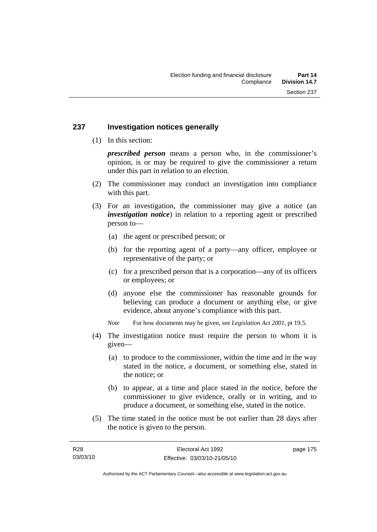#### **237 Investigation notices generally**

(1) In this section:

*prescribed person* means a person who, in the commissioner's opinion, is or may be required to give the commissioner a return under this part in relation to an election.

- (2) The commissioner may conduct an investigation into compliance with this part.
- (3) For an investigation, the commissioner may give a notice (an *investigation notice*) in relation to a reporting agent or prescribed person to—
	- (a) the agent or prescribed person; or
	- (b) for the reporting agent of a party—any officer, employee or representative of the party; or
	- (c) for a prescribed person that is a corporation—any of its officers or employees; or
	- (d) anyone else the commissioner has reasonable grounds for believing can produce a document or anything else, or give evidence, about anyone's compliance with this part.
	- *Note* For how documents may be given, see *Legislation Act 2001*, pt 19.5.
- (4) The investigation notice must require the person to whom it is given—
	- (a) to produce to the commissioner, within the time and in the way stated in the notice, a document, or something else, stated in the notice; or
	- (b) to appear, at a time and place stated in the notice, before the commissioner to give evidence, orally or in writing, and to produce a document, or something else, stated in the notice.
- (5) The time stated in the notice must be not earlier than 28 days after the notice is given to the person.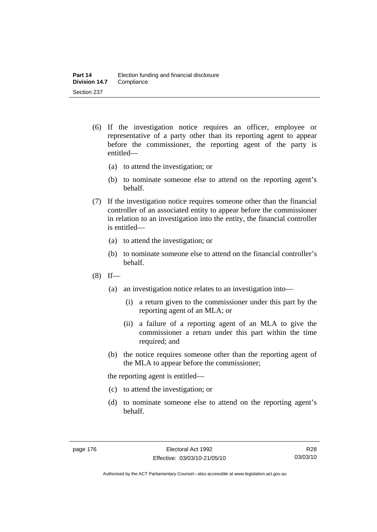- (6) If the investigation notice requires an officer, employee or representative of a party other than its reporting agent to appear before the commissioner, the reporting agent of the party is entitled—
	- (a) to attend the investigation; or
	- (b) to nominate someone else to attend on the reporting agent's behalf.
- (7) If the investigation notice requires someone other than the financial controller of an associated entity to appear before the commissioner in relation to an investigation into the entity, the financial controller is entitled—
	- (a) to attend the investigation; or
	- (b) to nominate someone else to attend on the financial controller's behalf.
- $(8)$  If—
	- (a) an investigation notice relates to an investigation into—
		- (i) a return given to the commissioner under this part by the reporting agent of an MLA; or
		- (ii) a failure of a reporting agent of an MLA to give the commissioner a return under this part within the time required; and
	- (b) the notice requires someone other than the reporting agent of the MLA to appear before the commissioner;

the reporting agent is entitled—

- (c) to attend the investigation; or
- (d) to nominate someone else to attend on the reporting agent's behalf.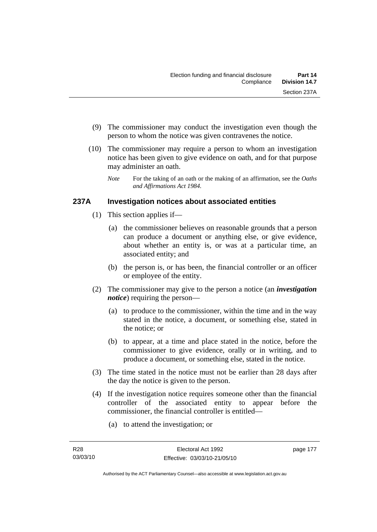- (9) The commissioner may conduct the investigation even though the person to whom the notice was given contravenes the notice.
- (10) The commissioner may require a person to whom an investigation notice has been given to give evidence on oath, and for that purpose may administer an oath.
	- *Note* For the taking of an oath or the making of an affirmation, see the *Oaths and Affirmations Act 1984.*

## **237A Investigation notices about associated entities**

- (1) This section applies if—
	- (a) the commissioner believes on reasonable grounds that a person can produce a document or anything else, or give evidence, about whether an entity is, or was at a particular time, an associated entity; and
	- (b) the person is, or has been, the financial controller or an officer or employee of the entity.
- (2) The commissioner may give to the person a notice (an *investigation notice*) requiring the person—
	- (a) to produce to the commissioner, within the time and in the way stated in the notice, a document, or something else, stated in the notice; or
	- (b) to appear, at a time and place stated in the notice, before the commissioner to give evidence, orally or in writing, and to produce a document, or something else, stated in the notice.
- (3) The time stated in the notice must not be earlier than 28 days after the day the notice is given to the person.
- (4) If the investigation notice requires someone other than the financial controller of the associated entity to appear before the commissioner, the financial controller is entitled—
	- (a) to attend the investigation; or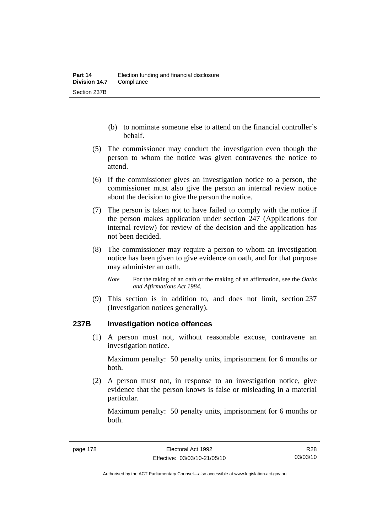- (b) to nominate someone else to attend on the financial controller's behalf.
- (5) The commissioner may conduct the investigation even though the person to whom the notice was given contravenes the notice to attend.
- (6) If the commissioner gives an investigation notice to a person, the commissioner must also give the person an internal review notice about the decision to give the person the notice.
- (7) The person is taken not to have failed to comply with the notice if the person makes application under section 247 (Applications for internal review) for review of the decision and the application has not been decided.
- (8) The commissioner may require a person to whom an investigation notice has been given to give evidence on oath, and for that purpose may administer an oath.
	- *Note* For the taking of an oath or the making of an affirmation, see the *Oaths and Affirmations Act 1984.*
- (9) This section is in addition to, and does not limit, section 237 (Investigation notices generally).

#### **237B Investigation notice offences**

 (1) A person must not, without reasonable excuse, contravene an investigation notice.

Maximum penalty: 50 penalty units, imprisonment for 6 months or both.

 (2) A person must not, in response to an investigation notice, give evidence that the person knows is false or misleading in a material particular.

Maximum penalty: 50 penalty units, imprisonment for 6 months or both.

R28 03/03/10

Authorised by the ACT Parliamentary Counsel—also accessible at www.legislation.act.gov.au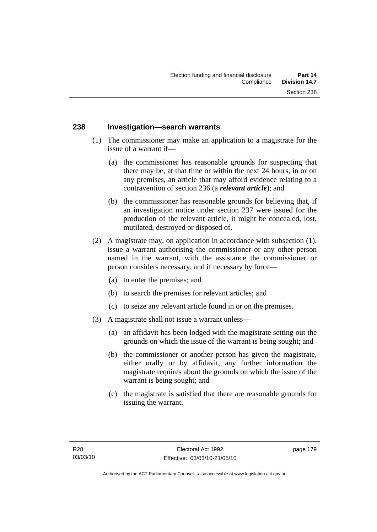#### **238 Investigation—search warrants**

- (1) The commissioner may make an application to a magistrate for the issue of a warrant if—
	- (a) the commissioner has reasonable grounds for suspecting that there may be, at that time or within the next 24 hours, in or on any premises, an article that may afford evidence relating to a contravention of section 236 (a *relevant article*); and
	- (b) the commissioner has reasonable grounds for believing that, if an investigation notice under section 237 were issued for the production of the relevant article, it might be concealed, lost, mutilated, destroyed or disposed of.
- (2) A magistrate may, on application in accordance with subsection (1), issue a warrant authorising the commissioner or any other person named in the warrant, with the assistance the commissioner or person considers necessary, and if necessary by force—
	- (a) to enter the premises; and
	- (b) to search the premises for relevant articles; and
	- (c) to seize any relevant article found in or on the premises.
- (3) A magistrate shall not issue a warrant unless—
	- (a) an affidavit has been lodged with the magistrate setting out the grounds on which the issue of the warrant is being sought; and
	- (b) the commissioner or another person has given the magistrate, either orally or by affidavit, any further information the magistrate requires about the grounds on which the issue of the warrant is being sought; and
	- (c) the magistrate is satisfied that there are reasonable grounds for issuing the warrant.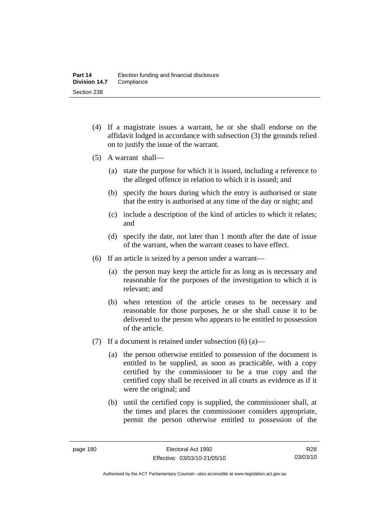- (4) If a magistrate issues a warrant, he or she shall endorse on the affidavit lodged in accordance with subsection (3) the grounds relied on to justify the issue of the warrant.
- (5) A warrant shall—
	- (a) state the purpose for which it is issued, including a reference to the alleged offence in relation to which it is issued; and
	- (b) specify the hours during which the entry is authorised or state that the entry is authorised at any time of the day or night; and
	- (c) include a description of the kind of articles to which it relates; and
	- (d) specify the date, not later than 1 month after the date of issue of the warrant, when the warrant ceases to have effect.
- (6) If an article is seized by a person under a warrant—
	- (a) the person may keep the article for as long as is necessary and reasonable for the purposes of the investigation to which it is relevant; and
	- (b) when retention of the article ceases to be necessary and reasonable for those purposes, he or she shall cause it to be delivered to the person who appears to be entitled to possession of the article.
- (7) If a document is retained under subsection  $(6)$  (a)—
	- (a) the person otherwise entitled to possession of the document is entitled to be supplied, as soon as practicable, with a copy certified by the commissioner to be a true copy and the certified copy shall be received in all courts as evidence as if it were the original; and
	- (b) until the certified copy is supplied, the commissioner shall, at the times and places the commissioner considers appropriate, permit the person otherwise entitled to possession of the

R28 03/03/10

Authorised by the ACT Parliamentary Counsel—also accessible at www.legislation.act.gov.au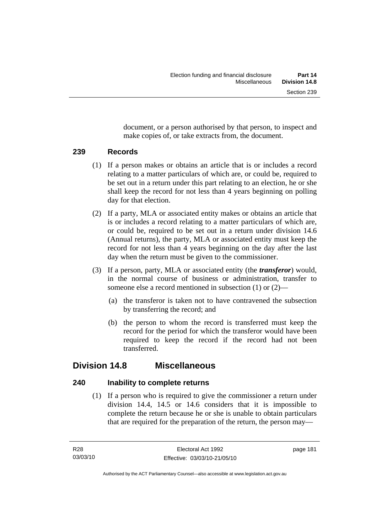document, or a person authorised by that person, to inspect and make copies of, or take extracts from, the document.

#### **239 Records**

- (1) If a person makes or obtains an article that is or includes a record relating to a matter particulars of which are, or could be, required to be set out in a return under this part relating to an election, he or she shall keep the record for not less than 4 years beginning on polling day for that election.
- (2) If a party, MLA or associated entity makes or obtains an article that is or includes a record relating to a matter particulars of which are, or could be, required to be set out in a return under division 14.6 (Annual returns), the party, MLA or associated entity must keep the record for not less than 4 years beginning on the day after the last day when the return must be given to the commissioner.
- (3) If a person, party, MLA or associated entity (the *transferor*) would, in the normal course of business or administration, transfer to someone else a record mentioned in subsection (1) or (2)—
	- (a) the transferor is taken not to have contravened the subsection by transferring the record; and
	- (b) the person to whom the record is transferred must keep the record for the period for which the transferor would have been required to keep the record if the record had not been transferred.

# **Division 14.8 Miscellaneous**

## **240 Inability to complete returns**

 (1) If a person who is required to give the commissioner a return under division 14.4, 14.5 or 14.6 considers that it is impossible to complete the return because he or she is unable to obtain particulars that are required for the preparation of the return, the person may—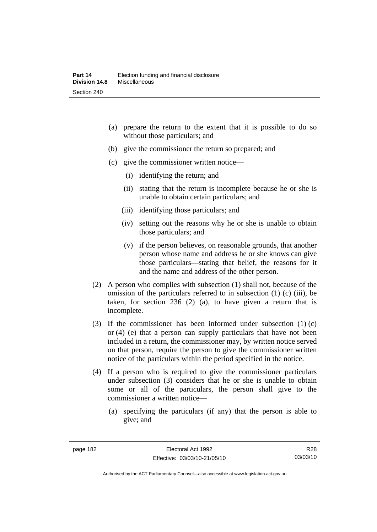- (a) prepare the return to the extent that it is possible to do so without those particulars; and
- (b) give the commissioner the return so prepared; and
- (c) give the commissioner written notice—
	- (i) identifying the return; and
	- (ii) stating that the return is incomplete because he or she is unable to obtain certain particulars; and
	- (iii) identifying those particulars; and
	- (iv) setting out the reasons why he or she is unable to obtain those particulars; and
	- (v) if the person believes, on reasonable grounds, that another person whose name and address he or she knows can give those particulars—stating that belief, the reasons for it and the name and address of the other person.
- (2) A person who complies with subsection (1) shall not, because of the omission of the particulars referred to in subsection (1) (c) (iii), be taken, for section 236 (2) (a), to have given a return that is incomplete.
- (3) If the commissioner has been informed under subsection (1) (c) or (4) (e) that a person can supply particulars that have not been included in a return, the commissioner may, by written notice served on that person, require the person to give the commissioner written notice of the particulars within the period specified in the notice.
- (4) If a person who is required to give the commissioner particulars under subsection (3) considers that he or she is unable to obtain some or all of the particulars, the person shall give to the commissioner a written notice—
	- (a) specifying the particulars (if any) that the person is able to give; and

R28 03/03/10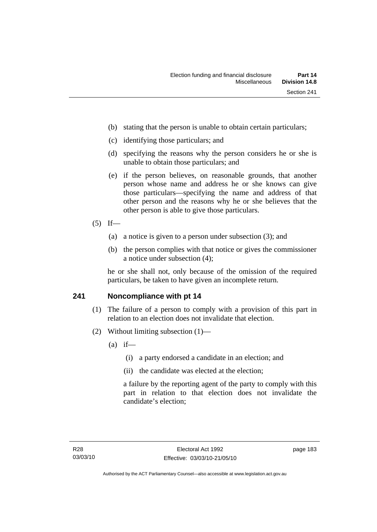- (b) stating that the person is unable to obtain certain particulars;
- (c) identifying those particulars; and
- (d) specifying the reasons why the person considers he or she is unable to obtain those particulars; and
- (e) if the person believes, on reasonable grounds, that another person whose name and address he or she knows can give those particulars—specifying the name and address of that other person and the reasons why he or she believes that the other person is able to give those particulars.
- $(5)$  If—
	- (a) a notice is given to a person under subsection (3); and
	- (b) the person complies with that notice or gives the commissioner a notice under subsection (4);

he or she shall not, only because of the omission of the required particulars, be taken to have given an incomplete return.

#### **241 Noncompliance with pt 14**

- (1) The failure of a person to comply with a provision of this part in relation to an election does not invalidate that election.
- (2) Without limiting subsection (1)—
	- $(a)$  if—
		- (i) a party endorsed a candidate in an election; and
		- (ii) the candidate was elected at the election;

a failure by the reporting agent of the party to comply with this part in relation to that election does not invalidate the candidate's election;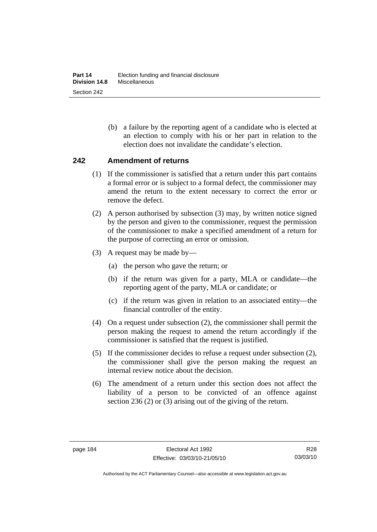(b) a failure by the reporting agent of a candidate who is elected at an election to comply with his or her part in relation to the election does not invalidate the candidate's election.

#### **242 Amendment of returns**

- (1) If the commissioner is satisfied that a return under this part contains a formal error or is subject to a formal defect, the commissioner may amend the return to the extent necessary to correct the error or remove the defect.
- (2) A person authorised by subsection (3) may, by written notice signed by the person and given to the commissioner, request the permission of the commissioner to make a specified amendment of a return for the purpose of correcting an error or omission.
- (3) A request may be made by—
	- (a) the person who gave the return; or
	- (b) if the return was given for a party, MLA or candidate—the reporting agent of the party, MLA or candidate; or
	- (c) if the return was given in relation to an associated entity—the financial controller of the entity.
- (4) On a request under subsection (2), the commissioner shall permit the person making the request to amend the return accordingly if the commissioner is satisfied that the request is justified.
- (5) If the commissioner decides to refuse a request under subsection (2), the commissioner shall give the person making the request an internal review notice about the decision.
- (6) The amendment of a return under this section does not affect the liability of a person to be convicted of an offence against section 236 (2) or (3) arising out of the giving of the return.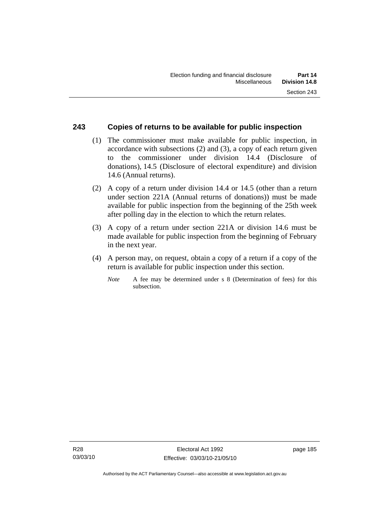#### **243 Copies of returns to be available for public inspection**

- (1) The commissioner must make available for public inspection, in accordance with subsections (2) and (3), a copy of each return given to the commissioner under division 14.4 (Disclosure of donations), 14.5 (Disclosure of electoral expenditure) and division 14.6 (Annual returns).
- (2) A copy of a return under division 14.4 or 14.5 (other than a return under section 221A (Annual returns of donations)) must be made available for public inspection from the beginning of the 25th week after polling day in the election to which the return relates.
- (3) A copy of a return under section 221A or division 14.6 must be made available for public inspection from the beginning of February in the next year.
- (4) A person may, on request, obtain a copy of a return if a copy of the return is available for public inspection under this section.
	- *Note* A fee may be determined under s 8 (Determination of fees) for this subsection.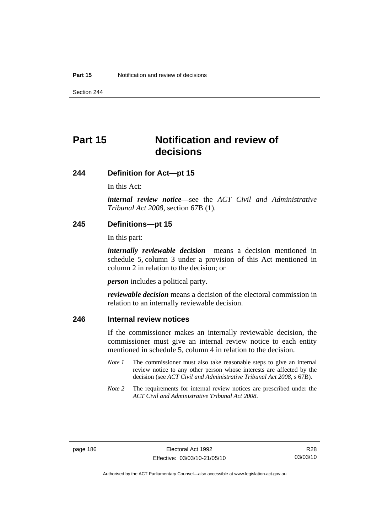Section 244

# **Part 15 Notification and review of decisions**

#### **244 Definition for Act—pt 15**

In this Act:

*internal review notice*—see the *ACT Civil and Administrative Tribunal Act 2008*, section 67B (1).

#### **245 Definitions—pt 15**

In this part:

*internally reviewable decision* means a decision mentioned in schedule 5, column 3 under a provision of this Act mentioned in column 2 in relation to the decision; or

*person* includes a political party.

*reviewable decision* means a decision of the electoral commission in relation to an internally reviewable decision.

#### **246 Internal review notices**

If the commissioner makes an internally reviewable decision, the commissioner must give an internal review notice to each entity mentioned in schedule 5, column 4 in relation to the decision.

- *Note 1* The commissioner must also take reasonable steps to give an internal review notice to any other person whose interests are affected by the decision (see *ACT Civil and Administrative Tribunal Act 2008*, s 67B).
- *Note* 2 The requirements for internal review notices are prescribed under the *ACT Civil and Administrative Tribunal Act 2008*.

Authorised by the ACT Parliamentary Counsel—also accessible at www.legislation.act.gov.au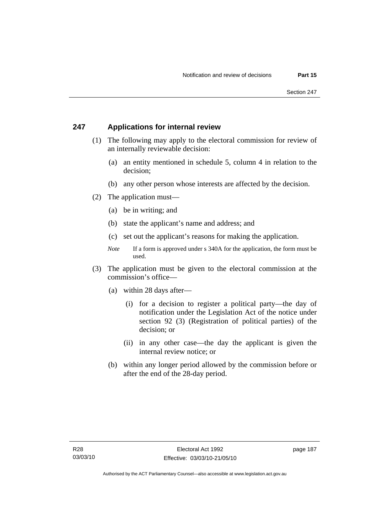#### **247 Applications for internal review**

- (1) The following may apply to the electoral commission for review of an internally reviewable decision:
	- (a) an entity mentioned in schedule 5, column 4 in relation to the decision;
	- (b) any other person whose interests are affected by the decision.
- (2) The application must—
	- (a) be in writing; and
	- (b) state the applicant's name and address; and
	- (c) set out the applicant's reasons for making the application.
	- *Note* If a form is approved under s 340A for the application, the form must be used.
- (3) The application must be given to the electoral commission at the commission's office—
	- (a) within 28 days after—
		- (i) for a decision to register a political party—the day of notification under the Legislation Act of the notice under section 92 (3) (Registration of political parties) of the decision; or
		- (ii) in any other case—the day the applicant is given the internal review notice; or
	- (b) within any longer period allowed by the commission before or after the end of the 28-day period.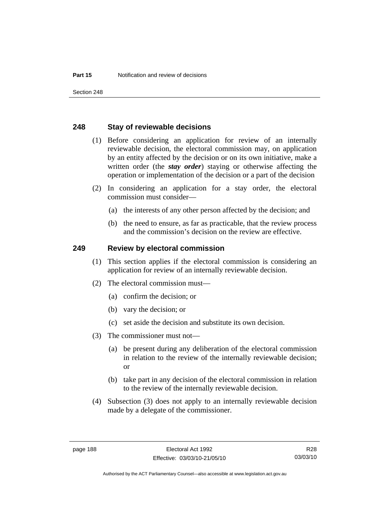Section 248

#### **248 Stay of reviewable decisions**

- (1) Before considering an application for review of an internally reviewable decision, the electoral commission may, on application by an entity affected by the decision or on its own initiative, make a written order (the *stay order*) staying or otherwise affecting the operation or implementation of the decision or a part of the decision
- (2) In considering an application for a stay order, the electoral commission must consider—
	- (a) the interests of any other person affected by the decision; and
	- (b) the need to ensure, as far as practicable, that the review process and the commission's decision on the review are effective.

#### **249 Review by electoral commission**

- (1) This section applies if the electoral commission is considering an application for review of an internally reviewable decision.
- (2) The electoral commission must—
	- (a) confirm the decision; or
	- (b) vary the decision; or
	- (c) set aside the decision and substitute its own decision.
- (3) The commissioner must not—
	- (a) be present during any deliberation of the electoral commission in relation to the review of the internally reviewable decision; or
	- (b) take part in any decision of the electoral commission in relation to the review of the internally reviewable decision.
- (4) Subsection (3) does not apply to an internally reviewable decision made by a delegate of the commissioner.

Authorised by the ACT Parliamentary Counsel—also accessible at www.legislation.act.gov.au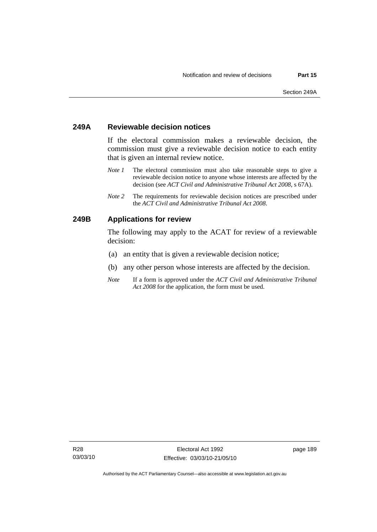#### **249A Reviewable decision notices**

If the electoral commission makes a reviewable decision, the commission must give a reviewable decision notice to each entity that is given an internal review notice.

- *Note 1* The electoral commission must also take reasonable steps to give a reviewable decision notice to anyone whose interests are affected by the decision (see *ACT Civil and Administrative Tribunal Act 2008*, s 67A).
- *Note 2* The requirements for reviewable decision notices are prescribed under the *ACT Civil and Administrative Tribunal Act 2008*.

#### **249B Applications for review**

The following may apply to the ACAT for review of a reviewable decision:

- (a) an entity that is given a reviewable decision notice;
- (b) any other person whose interests are affected by the decision.
- *Note* If a form is approved under the *ACT Civil and Administrative Tribunal Act 2008* for the application, the form must be used.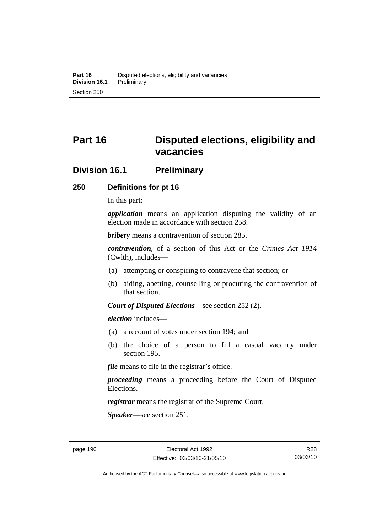# **Part 16 Disputed elections, eligibility and vacancies**

## **Division 16.1 Preliminary**

#### **250 Definitions for pt 16**

In this part:

*application* means an application disputing the validity of an election made in accordance with section 258.

*bribery* means a contravention of section 285.

*contravention*, of a section of this Act or the *Crimes Act 1914* (Cwlth), includes—

- (a) attempting or conspiring to contravene that section; or
- (b) aiding, abetting, counselling or procuring the contravention of that section.

*Court of Disputed Elections*—see section 252 (2).

*election* includes—

- (a) a recount of votes under section 194; and
- (b) the choice of a person to fill a casual vacancy under section 195.

*file* means to file in the registrar's office.

*proceeding* means a proceeding before the Court of Disputed Elections.

*registrar* means the registrar of the Supreme Court.

*Speaker*—see section 251.

Authorised by the ACT Parliamentary Counsel—also accessible at www.legislation.act.gov.au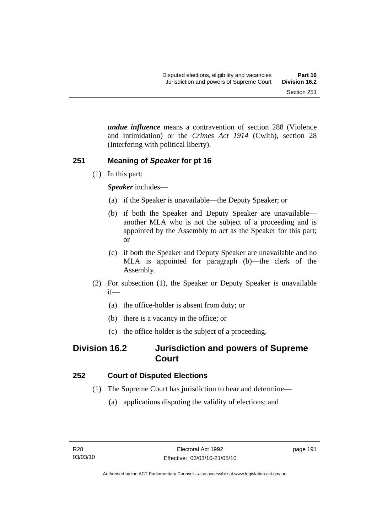*undue influence* means a contravention of section 288 (Violence and intimidation) or the *Crimes Act 1914* (Cwlth), section 28 (Interfering with political liberty).

# **251 Meaning of** *Speaker* **for pt 16**

(1) In this part:

*Speaker* includes—

- (a) if the Speaker is unavailable—the Deputy Speaker; or
- (b) if both the Speaker and Deputy Speaker are unavailable another MLA who is not the subject of a proceeding and is appointed by the Assembly to act as the Speaker for this part; or
- (c) if both the Speaker and Deputy Speaker are unavailable and no MLA is appointed for paragraph (b)—the clerk of the Assembly.
- (2) For subsection (1), the Speaker or Deputy Speaker is unavailable if—
	- (a) the office-holder is absent from duty; or
	- (b) there is a vacancy in the office; or
	- (c) the office-holder is the subject of a proceeding.

# **Division 16.2 Jurisdiction and powers of Supreme Court**

# **252 Court of Disputed Elections**

- (1) The Supreme Court has jurisdiction to hear and determine—
	- (a) applications disputing the validity of elections; and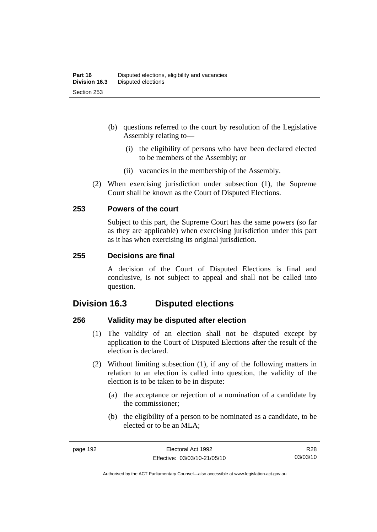- (b) questions referred to the court by resolution of the Legislative Assembly relating to—
	- (i) the eligibility of persons who have been declared elected to be members of the Assembly; or
	- (ii) vacancies in the membership of the Assembly.
- (2) When exercising jurisdiction under subsection (1), the Supreme Court shall be known as the Court of Disputed Elections.

#### **253 Powers of the court**

Subject to this part, the Supreme Court has the same powers (so far as they are applicable) when exercising jurisdiction under this part as it has when exercising its original jurisdiction.

#### **255 Decisions are final**

A decision of the Court of Disputed Elections is final and conclusive, is not subject to appeal and shall not be called into question.

## **Division 16.3 Disputed elections**

#### **256 Validity may be disputed after election**

- (1) The validity of an election shall not be disputed except by application to the Court of Disputed Elections after the result of the election is declared.
- (2) Without limiting subsection (1), if any of the following matters in relation to an election is called into question, the validity of the election is to be taken to be in dispute:
	- (a) the acceptance or rejection of a nomination of a candidate by the commissioner;
	- (b) the eligibility of a person to be nominated as a candidate, to be elected or to be an MLA;

R28 03/03/10

Authorised by the ACT Parliamentary Counsel—also accessible at www.legislation.act.gov.au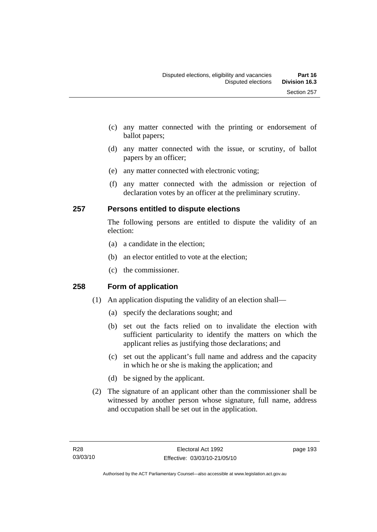- (c) any matter connected with the printing or endorsement of ballot papers;
- (d) any matter connected with the issue, or scrutiny, of ballot papers by an officer;
- (e) any matter connected with electronic voting;
- (f) any matter connected with the admission or rejection of declaration votes by an officer at the preliminary scrutiny.

## **257 Persons entitled to dispute elections**

The following persons are entitled to dispute the validity of an election:

- (a) a candidate in the election;
- (b) an elector entitled to vote at the election;
- (c) the commissioner.

## **258 Form of application**

- (1) An application disputing the validity of an election shall—
	- (a) specify the declarations sought; and
	- (b) set out the facts relied on to invalidate the election with sufficient particularity to identify the matters on which the applicant relies as justifying those declarations; and
	- (c) set out the applicant's full name and address and the capacity in which he or she is making the application; and
	- (d) be signed by the applicant.
- (2) The signature of an applicant other than the commissioner shall be witnessed by another person whose signature, full name, address and occupation shall be set out in the application.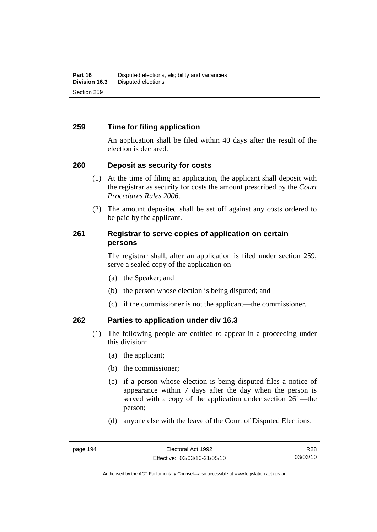#### **259 Time for filing application**

An application shall be filed within 40 days after the result of the election is declared.

#### **260 Deposit as security for costs**

- (1) At the time of filing an application, the applicant shall deposit with the registrar as security for costs the amount prescribed by the *Court Procedures Rules 2006*.
- (2) The amount deposited shall be set off against any costs ordered to be paid by the applicant.

#### **261 Registrar to serve copies of application on certain persons**

The registrar shall, after an application is filed under section 259, serve a sealed copy of the application on—

- (a) the Speaker; and
- (b) the person whose election is being disputed; and
- (c) if the commissioner is not the applicant—the commissioner.

#### **262 Parties to application under div 16.3**

- (1) The following people are entitled to appear in a proceeding under this division:
	- (a) the applicant;
	- (b) the commissioner;
	- (c) if a person whose election is being disputed files a notice of appearance within 7 days after the day when the person is served with a copy of the application under section 261—the person;
	- (d) anyone else with the leave of the Court of Disputed Elections.

R28 03/03/10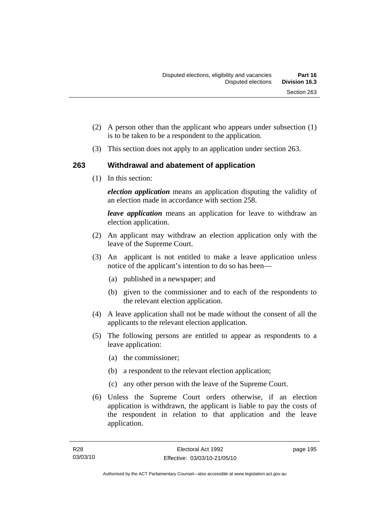- (2) A person other than the applicant who appears under subsection (1) is to be taken to be a respondent to the application.
- (3) This section does not apply to an application under section 263.

## **263 Withdrawal and abatement of application**

(1) In this section:

*election application* means an application disputing the validity of an election made in accordance with section 258.

*leave application* means an application for leave to withdraw an election application.

- (2) An applicant may withdraw an election application only with the leave of the Supreme Court.
- (3) An applicant is not entitled to make a leave application unless notice of the applicant's intention to do so has been—
	- (a) published in a newspaper; and
	- (b) given to the commissioner and to each of the respondents to the relevant election application.
- (4) A leave application shall not be made without the consent of all the applicants to the relevant election application.
- (5) The following persons are entitled to appear as respondents to a leave application:
	- (a) the commissioner;
	- (b) a respondent to the relevant election application;
	- (c) any other person with the leave of the Supreme Court.
- (6) Unless the Supreme Court orders otherwise, if an election application is withdrawn, the applicant is liable to pay the costs of the respondent in relation to that application and the leave application.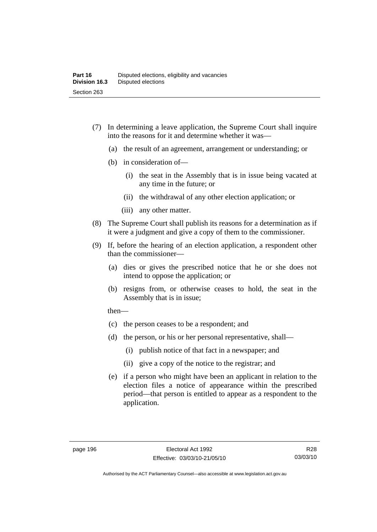- (7) In determining a leave application, the Supreme Court shall inquire into the reasons for it and determine whether it was—
	- (a) the result of an agreement, arrangement or understanding; or
	- (b) in consideration of—
		- (i) the seat in the Assembly that is in issue being vacated at any time in the future; or
		- (ii) the withdrawal of any other election application; or
		- (iii) any other matter.
- (8) The Supreme Court shall publish its reasons for a determination as if it were a judgment and give a copy of them to the commissioner.
- (9) If, before the hearing of an election application, a respondent other than the commissioner—
	- (a) dies or gives the prescribed notice that he or she does not intend to oppose the application; or
	- (b) resigns from, or otherwise ceases to hold, the seat in the Assembly that is in issue;

then—

- (c) the person ceases to be a respondent; and
- (d) the person, or his or her personal representative, shall—
	- (i) publish notice of that fact in a newspaper; and
	- (ii) give a copy of the notice to the registrar; and
- (e) if a person who might have been an applicant in relation to the election files a notice of appearance within the prescribed period—that person is entitled to appear as a respondent to the application.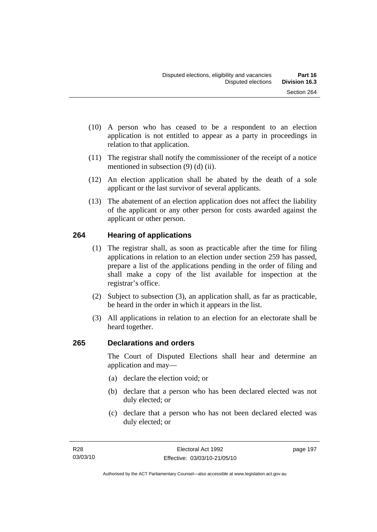- (10) A person who has ceased to be a respondent to an election application is not entitled to appear as a party in proceedings in relation to that application.
- (11) The registrar shall notify the commissioner of the receipt of a notice mentioned in subsection (9) (d) (ii).
- (12) An election application shall be abated by the death of a sole applicant or the last survivor of several applicants.
- (13) The abatement of an election application does not affect the liability of the applicant or any other person for costs awarded against the applicant or other person.

## **264 Hearing of applications**

- (1) The registrar shall, as soon as practicable after the time for filing applications in relation to an election under section 259 has passed, prepare a list of the applications pending in the order of filing and shall make a copy of the list available for inspection at the registrar's office.
- (2) Subject to subsection (3), an application shall, as far as practicable, be heard in the order in which it appears in the list.
- (3) All applications in relation to an election for an electorate shall be heard together.

## **265 Declarations and orders**

The Court of Disputed Elections shall hear and determine an application and may—

- (a) declare the election void; or
- (b) declare that a person who has been declared elected was not duly elected; or
- (c) declare that a person who has not been declared elected was duly elected; or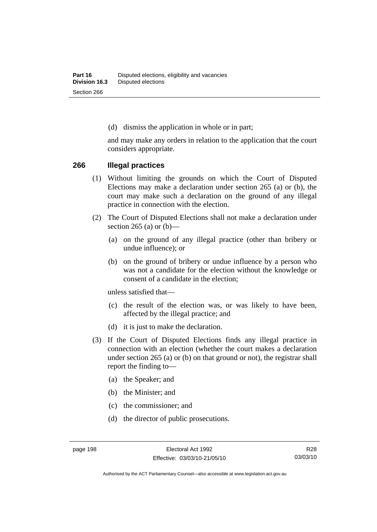(d) dismiss the application in whole or in part;

and may make any orders in relation to the application that the court considers appropriate.

#### **266 Illegal practices**

- (1) Without limiting the grounds on which the Court of Disputed Elections may make a declaration under section 265 (a) or (b), the court may make such a declaration on the ground of any illegal practice in connection with the election.
- (2) The Court of Disputed Elections shall not make a declaration under section 265 (a) or  $(b)$ —
	- (a) on the ground of any illegal practice (other than bribery or undue influence); or
	- (b) on the ground of bribery or undue influence by a person who was not a candidate for the election without the knowledge or consent of a candidate in the election;

unless satisfied that—

- (c) the result of the election was, or was likely to have been, affected by the illegal practice; and
- (d) it is just to make the declaration.
- (3) If the Court of Disputed Elections finds any illegal practice in connection with an election (whether the court makes a declaration under section 265 (a) or (b) on that ground or not), the registrar shall report the finding to—
	- (a) the Speaker; and
	- (b) the Minister; and
	- (c) the commissioner; and
	- (d) the director of public prosecutions.

R28 03/03/10

Authorised by the ACT Parliamentary Counsel—also accessible at www.legislation.act.gov.au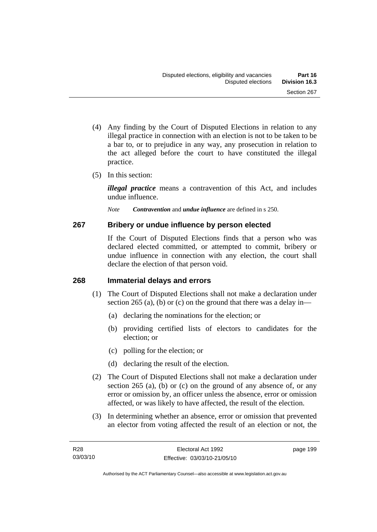- (4) Any finding by the Court of Disputed Elections in relation to any illegal practice in connection with an election is not to be taken to be a bar to, or to prejudice in any way, any prosecution in relation to the act alleged before the court to have constituted the illegal practice.
- (5) In this section:

*illegal practice* means a contravention of this Act, and includes undue influence.

*Note Contravention* and *undue influence* are defined in s 250.

### **267 Bribery or undue influence by person elected**

If the Court of Disputed Elections finds that a person who was declared elected committed, or attempted to commit, bribery or undue influence in connection with any election, the court shall declare the election of that person void.

### **268 Immaterial delays and errors**

- (1) The Court of Disputed Elections shall not make a declaration under section 265 (a), (b) or (c) on the ground that there was a delay in—
	- (a) declaring the nominations for the election; or
	- (b) providing certified lists of electors to candidates for the election; or
	- (c) polling for the election; or
	- (d) declaring the result of the election.
- (2) The Court of Disputed Elections shall not make a declaration under section 265 (a), (b) or (c) on the ground of any absence of, or any error or omission by, an officer unless the absence, error or omission affected, or was likely to have affected, the result of the election.
- (3) In determining whether an absence, error or omission that prevented an elector from voting affected the result of an election or not, the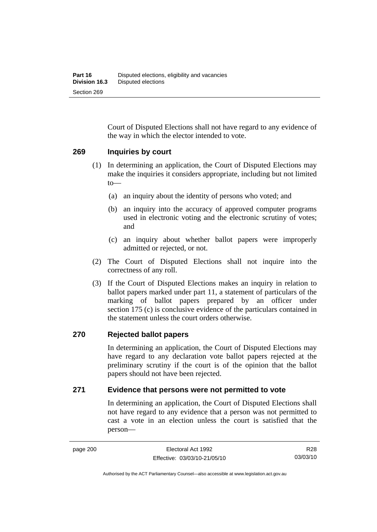Court of Disputed Elections shall not have regard to any evidence of the way in which the elector intended to vote.

### **269 Inquiries by court**

- (1) In determining an application, the Court of Disputed Elections may make the inquiries it considers appropriate, including but not limited to—
	- (a) an inquiry about the identity of persons who voted; and
	- (b) an inquiry into the accuracy of approved computer programs used in electronic voting and the electronic scrutiny of votes; and
	- (c) an inquiry about whether ballot papers were improperly admitted or rejected, or not.
- (2) The Court of Disputed Elections shall not inquire into the correctness of any roll.
- (3) If the Court of Disputed Elections makes an inquiry in relation to ballot papers marked under part 11, a statement of particulars of the marking of ballot papers prepared by an officer under section 175 (c) is conclusive evidence of the particulars contained in the statement unless the court orders otherwise.

### **270 Rejected ballot papers**

In determining an application, the Court of Disputed Elections may have regard to any declaration vote ballot papers rejected at the preliminary scrutiny if the court is of the opinion that the ballot papers should not have been rejected.

### **271 Evidence that persons were not permitted to vote**

In determining an application, the Court of Disputed Elections shall not have regard to any evidence that a person was not permitted to cast a vote in an election unless the court is satisfied that the person—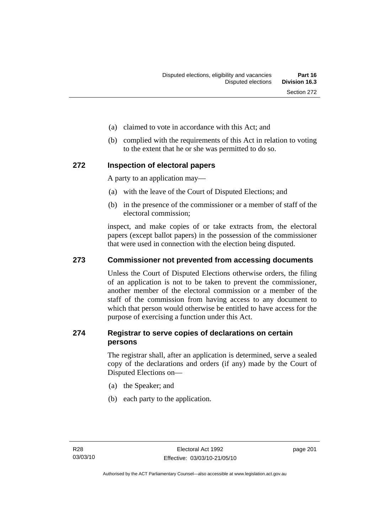- (a) claimed to vote in accordance with this Act; and
- (b) complied with the requirements of this Act in relation to voting to the extent that he or she was permitted to do so.

### **272 Inspection of electoral papers**

A party to an application may—

- (a) with the leave of the Court of Disputed Elections; and
- (b) in the presence of the commissioner or a member of staff of the electoral commission;

inspect, and make copies of or take extracts from, the electoral papers (except ballot papers) in the possession of the commissioner that were used in connection with the election being disputed.

### **273 Commissioner not prevented from accessing documents**

Unless the Court of Disputed Elections otherwise orders, the filing of an application is not to be taken to prevent the commissioner, another member of the electoral commission or a member of the staff of the commission from having access to any document to which that person would otherwise be entitled to have access for the purpose of exercising a function under this Act.

### **274 Registrar to serve copies of declarations on certain persons**

The registrar shall, after an application is determined, serve a sealed copy of the declarations and orders (if any) made by the Court of Disputed Elections on—

- (a) the Speaker; and
- (b) each party to the application.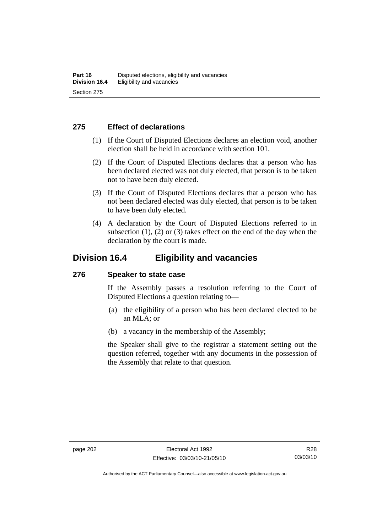### **275 Effect of declarations**

- (1) If the Court of Disputed Elections declares an election void, another election shall be held in accordance with section 101.
- (2) If the Court of Disputed Elections declares that a person who has been declared elected was not duly elected, that person is to be taken not to have been duly elected.
- (3) If the Court of Disputed Elections declares that a person who has not been declared elected was duly elected, that person is to be taken to have been duly elected.
- (4) A declaration by the Court of Disputed Elections referred to in subsection  $(1)$ ,  $(2)$  or  $(3)$  takes effect on the end of the day when the declaration by the court is made.

### **Division 16.4 Eligibility and vacancies**

### **276 Speaker to state case**

If the Assembly passes a resolution referring to the Court of Disputed Elections a question relating to—

- (a) the eligibility of a person who has been declared elected to be an MLA; or
- (b) a vacancy in the membership of the Assembly;

the Speaker shall give to the registrar a statement setting out the question referred, together with any documents in the possession of the Assembly that relate to that question.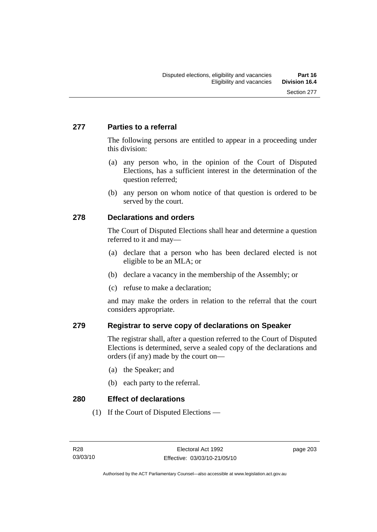### **277 Parties to a referral**

The following persons are entitled to appear in a proceeding under this division:

- (a) any person who, in the opinion of the Court of Disputed Elections, has a sufficient interest in the determination of the question referred;
- (b) any person on whom notice of that question is ordered to be served by the court.

### **278 Declarations and orders**

The Court of Disputed Elections shall hear and determine a question referred to it and may—

- (a) declare that a person who has been declared elected is not eligible to be an MLA; or
- (b) declare a vacancy in the membership of the Assembly; or
- (c) refuse to make a declaration;

and may make the orders in relation to the referral that the court considers appropriate.

### **279 Registrar to serve copy of declarations on Speaker**

The registrar shall, after a question referred to the Court of Disputed Elections is determined, serve a sealed copy of the declarations and orders (if any) made by the court on—

- (a) the Speaker; and
- (b) each party to the referral.

**280 Effect of declarations** 

(1) If the Court of Disputed Elections —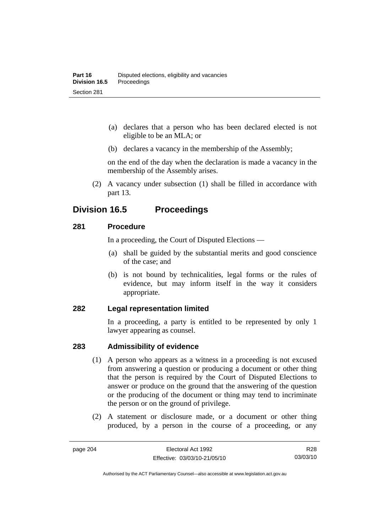- (a) declares that a person who has been declared elected is not eligible to be an MLA; or
- (b) declares a vacancy in the membership of the Assembly;

on the end of the day when the declaration is made a vacancy in the membership of the Assembly arises.

 (2) A vacancy under subsection (1) shall be filled in accordance with part 13.

## **Division 16.5 Proceedings**

### **281 Procedure**

In a proceeding, the Court of Disputed Elections —

- (a) shall be guided by the substantial merits and good conscience of the case; and
- (b) is not bound by technicalities, legal forms or the rules of evidence, but may inform itself in the way it considers appropriate.

### **282 Legal representation limited**

In a proceeding, a party is entitled to be represented by only 1 lawyer appearing as counsel.

### **283 Admissibility of evidence**

- (1) A person who appears as a witness in a proceeding is not excused from answering a question or producing a document or other thing that the person is required by the Court of Disputed Elections to answer or produce on the ground that the answering of the question or the producing of the document or thing may tend to incriminate the person or on the ground of privilege.
- (2) A statement or disclosure made, or a document or other thing produced, by a person in the course of a proceeding, or any

Authorised by the ACT Parliamentary Counsel—also accessible at www.legislation.act.gov.au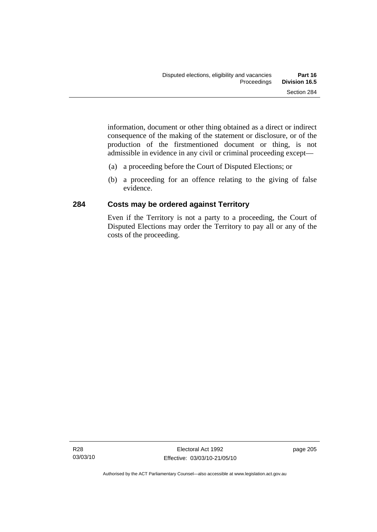information, document or other thing obtained as a direct or indirect consequence of the making of the statement or disclosure, or of the production of the firstmentioned document or thing, is not admissible in evidence in any civil or criminal proceeding except—

- (a) a proceeding before the Court of Disputed Elections; or
- (b) a proceeding for an offence relating to the giving of false evidence.

### **284 Costs may be ordered against Territory**

Even if the Territory is not a party to a proceeding, the Court of Disputed Elections may order the Territory to pay all or any of the costs of the proceeding.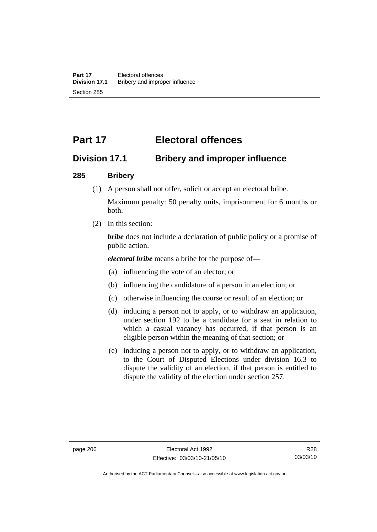# **Part 17 Electoral offences**

## **Division 17.1 Bribery and improper influence**

### **285 Bribery**

(1) A person shall not offer, solicit or accept an electoral bribe.

Maximum penalty: 50 penalty units, imprisonment for 6 months or both.

(2) In this section:

*bribe* does not include a declaration of public policy or a promise of public action.

*electoral bribe* means a bribe for the purpose of—

- (a) influencing the vote of an elector; or
- (b) influencing the candidature of a person in an election; or
- (c) otherwise influencing the course or result of an election; or
- (d) inducing a person not to apply, or to withdraw an application, under section 192 to be a candidate for a seat in relation to which a casual vacancy has occurred, if that person is an eligible person within the meaning of that section; or
- (e) inducing a person not to apply, or to withdraw an application, to the Court of Disputed Elections under division 16.3 to dispute the validity of an election, if that person is entitled to dispute the validity of the election under section 257.

Authorised by the ACT Parliamentary Counsel—also accessible at www.legislation.act.gov.au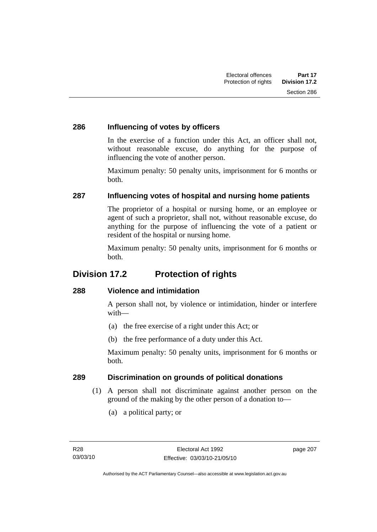### **286 Influencing of votes by officers**

In the exercise of a function under this Act, an officer shall not, without reasonable excuse, do anything for the purpose of influencing the vote of another person.

Maximum penalty: 50 penalty units, imprisonment for 6 months or both.

### **287 Influencing votes of hospital and nursing home patients**

The proprietor of a hospital or nursing home, or an employee or agent of such a proprietor, shall not, without reasonable excuse, do anything for the purpose of influencing the vote of a patient or resident of the hospital or nursing home.

Maximum penalty: 50 penalty units, imprisonment for 6 months or both.

## **Division 17.2 Protection of rights**

### **288 Violence and intimidation**

A person shall not, by violence or intimidation, hinder or interfere with—

- (a) the free exercise of a right under this Act; or
- (b) the free performance of a duty under this Act.

Maximum penalty: 50 penalty units, imprisonment for 6 months or both.

### **289 Discrimination on grounds of political donations**

- (1) A person shall not discriminate against another person on the ground of the making by the other person of a donation to—
	- (a) a political party; or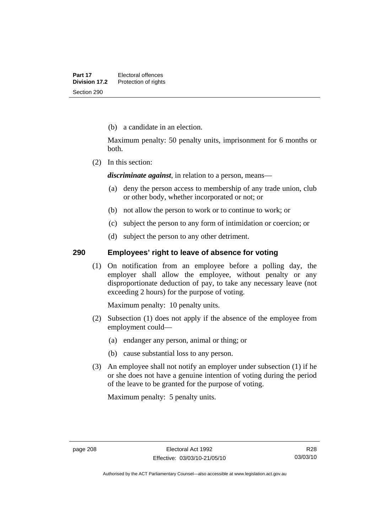(b) a candidate in an election.

Maximum penalty: 50 penalty units, imprisonment for 6 months or both.

(2) In this section:

*discriminate against*, in relation to a person, means—

- (a) deny the person access to membership of any trade union, club or other body, whether incorporated or not; or
- (b) not allow the person to work or to continue to work; or
- (c) subject the person to any form of intimidation or coercion; or
- (d) subject the person to any other detriment.

### **290 Employees' right to leave of absence for voting**

 (1) On notification from an employee before a polling day, the employer shall allow the employee, without penalty or any disproportionate deduction of pay, to take any necessary leave (not exceeding 2 hours) for the purpose of voting.

Maximum penalty: 10 penalty units.

- (2) Subsection (1) does not apply if the absence of the employee from employment could—
	- (a) endanger any person, animal or thing; or
	- (b) cause substantial loss to any person.
- (3) An employee shall not notify an employer under subsection (1) if he or she does not have a genuine intention of voting during the period of the leave to be granted for the purpose of voting.

Maximum penalty: 5 penalty units.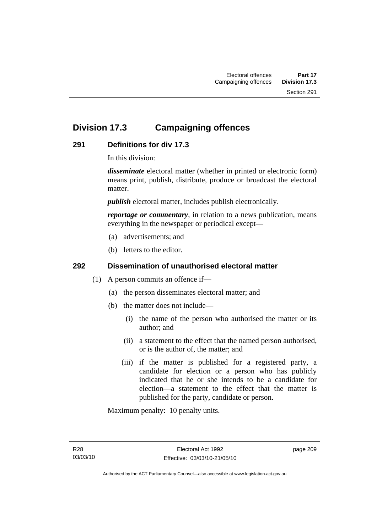# **Division 17.3 Campaigning offences**

### **291 Definitions for div 17.3**

In this division:

*disseminate* electoral matter (whether in printed or electronic form) means print, publish, distribute, produce or broadcast the electoral matter.

*publish* electoral matter, includes publish electronically.

*reportage or commentary*, in relation to a news publication, means everything in the newspaper or periodical except—

- (a) advertisements; and
- (b) letters to the editor.

### **292 Dissemination of unauthorised electoral matter**

- (1) A person commits an offence if—
	- (a) the person disseminates electoral matter; and
	- (b) the matter does not include—
		- (i) the name of the person who authorised the matter or its author; and
		- (ii) a statement to the effect that the named person authorised, or is the author of, the matter; and
		- (iii) if the matter is published for a registered party, a candidate for election or a person who has publicly indicated that he or she intends to be a candidate for election—a statement to the effect that the matter is published for the party, candidate or person.

Maximum penalty: 10 penalty units.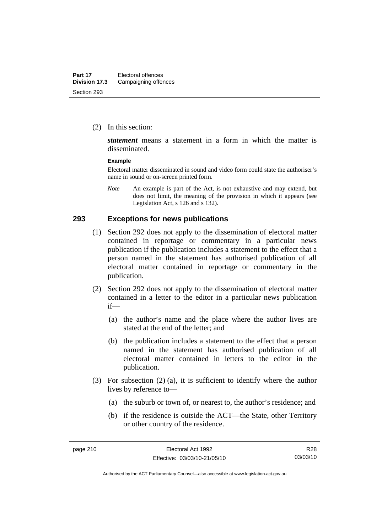(2) In this section:

*statement* means a statement in a form in which the matter is disseminated.

#### **Example**

Electoral matter disseminated in sound and video form could state the authoriser's name in sound or on-screen printed form.

*Note* An example is part of the Act, is not exhaustive and may extend, but does not limit, the meaning of the provision in which it appears (see Legislation Act, s 126 and s 132).

#### **293 Exceptions for news publications**

- (1) Section 292 does not apply to the dissemination of electoral matter contained in reportage or commentary in a particular news publication if the publication includes a statement to the effect that a person named in the statement has authorised publication of all electoral matter contained in reportage or commentary in the publication.
- (2) Section 292 does not apply to the dissemination of electoral matter contained in a letter to the editor in a particular news publication if—
	- (a) the author's name and the place where the author lives are stated at the end of the letter; and
	- (b) the publication includes a statement to the effect that a person named in the statement has authorised publication of all electoral matter contained in letters to the editor in the publication.
- (3) For subsection (2) (a), it is sufficient to identify where the author lives by reference to—
	- (a) the suburb or town of, or nearest to, the author's residence; and
	- (b) if the residence is outside the ACT—the State, other Territory or other country of the residence.

R28 03/03/10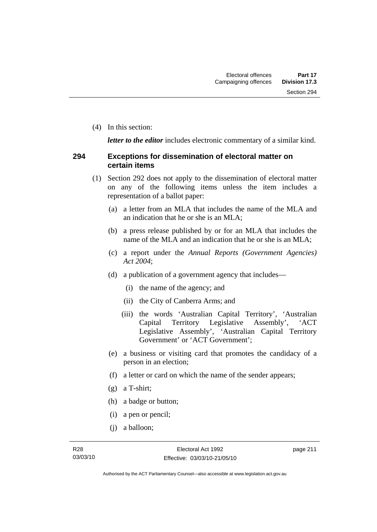(4) In this section:

*letter to the editor* includes electronic commentary of a similar kind.

### **294 Exceptions for dissemination of electoral matter on certain items**

- (1) Section 292 does not apply to the dissemination of electoral matter on any of the following items unless the item includes a representation of a ballot paper:
	- (a) a letter from an MLA that includes the name of the MLA and an indication that he or she is an MLA;
	- (b) a press release published by or for an MLA that includes the name of the MLA and an indication that he or she is an MLA;
	- (c) a report under the *Annual Reports (Government Agencies) Act 2004*;
	- (d) a publication of a government agency that includes—
		- (i) the name of the agency; and
		- (ii) the City of Canberra Arms; and
		- (iii) the words 'Australian Capital Territory', 'Australian Capital Territory Legislative Assembly', 'ACT Legislative Assembly', 'Australian Capital Territory Government' or 'ACT Government';
	- (e) a business or visiting card that promotes the candidacy of a person in an election;
	- (f) a letter or card on which the name of the sender appears;
	- (g) a T-shirt;
	- (h) a badge or button;
	- (i) a pen or pencil;
	- (j) a balloon;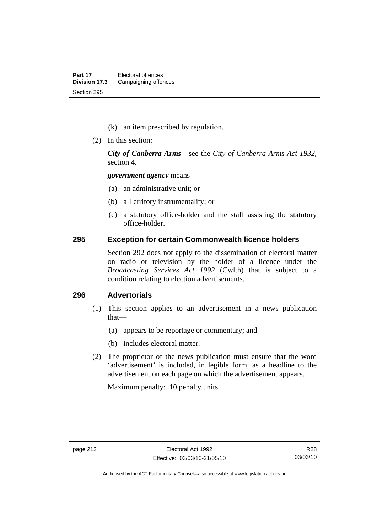- (k) an item prescribed by regulation.
- (2) In this section:

*City of Canberra Arms*—see the *City of Canberra Arms Act 1932*, section 4.

*government agency* means—

- (a) an administrative unit; or
- (b) a Territory instrumentality; or
- (c) a statutory office-holder and the staff assisting the statutory office-holder.

#### **295 Exception for certain Commonwealth licence holders**

Section 292 does not apply to the dissemination of electoral matter on radio or television by the holder of a licence under the *Broadcasting Services Act 1992* (Cwlth) that is subject to a condition relating to election advertisements.

### **296 Advertorials**

- (1) This section applies to an advertisement in a news publication that—
	- (a) appears to be reportage or commentary; and
	- (b) includes electoral matter.
- (2) The proprietor of the news publication must ensure that the word 'advertisement' is included, in legible form, as a headline to the advertisement on each page on which the advertisement appears.

Maximum penalty: 10 penalty units.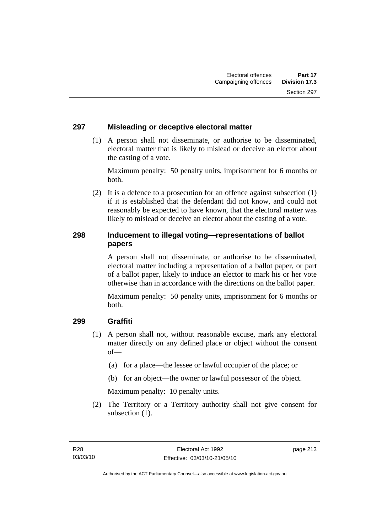### **297 Misleading or deceptive electoral matter**

 (1) A person shall not disseminate, or authorise to be disseminated, electoral matter that is likely to mislead or deceive an elector about the casting of a vote.

Maximum penalty: 50 penalty units, imprisonment for 6 months or both.

 (2) It is a defence to a prosecution for an offence against subsection (1) if it is established that the defendant did not know, and could not reasonably be expected to have known, that the electoral matter was likely to mislead or deceive an elector about the casting of a vote.

### **298 Inducement to illegal voting—representations of ballot papers**

A person shall not disseminate, or authorise to be disseminated, electoral matter including a representation of a ballot paper, or part of a ballot paper, likely to induce an elector to mark his or her vote otherwise than in accordance with the directions on the ballot paper.

Maximum penalty: 50 penalty units, imprisonment for 6 months or both.

### **299 Graffiti**

- (1) A person shall not, without reasonable excuse, mark any electoral matter directly on any defined place or object without the consent of—
	- (a) for a place—the lessee or lawful occupier of the place; or
	- (b) for an object—the owner or lawful possessor of the object.

Maximum penalty: 10 penalty units.

 (2) The Territory or a Territory authority shall not give consent for subsection  $(1)$ .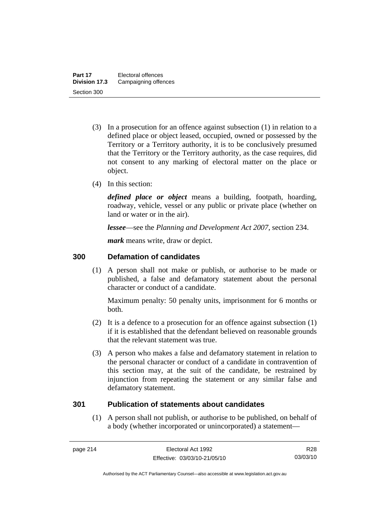- (3) In a prosecution for an offence against subsection (1) in relation to a defined place or object leased, occupied, owned or possessed by the Territory or a Territory authority, it is to be conclusively presumed that the Territory or the Territory authority, as the case requires, did not consent to any marking of electoral matter on the place or object.
- (4) In this section:

*defined place or object* means a building, footpath, hoarding, roadway, vehicle, vessel or any public or private place (whether on land or water or in the air).

*lessee*—see the *Planning and Development Act 2007*, section 234.

*mark* means write, draw or depict.

### **300 Defamation of candidates**

 (1) A person shall not make or publish, or authorise to be made or published, a false and defamatory statement about the personal character or conduct of a candidate.

Maximum penalty: 50 penalty units, imprisonment for 6 months or both.

- (2) It is a defence to a prosecution for an offence against subsection (1) if it is established that the defendant believed on reasonable grounds that the relevant statement was true.
- (3) A person who makes a false and defamatory statement in relation to the personal character or conduct of a candidate in contravention of this section may, at the suit of the candidate, be restrained by injunction from repeating the statement or any similar false and defamatory statement.

### **301 Publication of statements about candidates**

 (1) A person shall not publish, or authorise to be published, on behalf of a body (whether incorporated or unincorporated) a statement—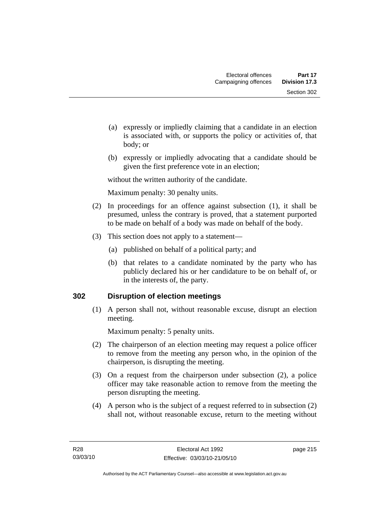- (a) expressly or impliedly claiming that a candidate in an election is associated with, or supports the policy or activities of, that body; or
- (b) expressly or impliedly advocating that a candidate should be given the first preference vote in an election;

without the written authority of the candidate.

Maximum penalty: 30 penalty units.

- (2) In proceedings for an offence against subsection (1), it shall be presumed, unless the contrary is proved, that a statement purported to be made on behalf of a body was made on behalf of the body.
- (3) This section does not apply to a statement—
	- (a) published on behalf of a political party; and
	- (b) that relates to a candidate nominated by the party who has publicly declared his or her candidature to be on behalf of, or in the interests of, the party.

### **302 Disruption of election meetings**

 (1) A person shall not, without reasonable excuse, disrupt an election meeting.

Maximum penalty: 5 penalty units.

- (2) The chairperson of an election meeting may request a police officer to remove from the meeting any person who, in the opinion of the chairperson, is disrupting the meeting.
- (3) On a request from the chairperson under subsection (2), a police officer may take reasonable action to remove from the meeting the person disrupting the meeting.
- (4) A person who is the subject of a request referred to in subsection (2) shall not, without reasonable excuse, return to the meeting without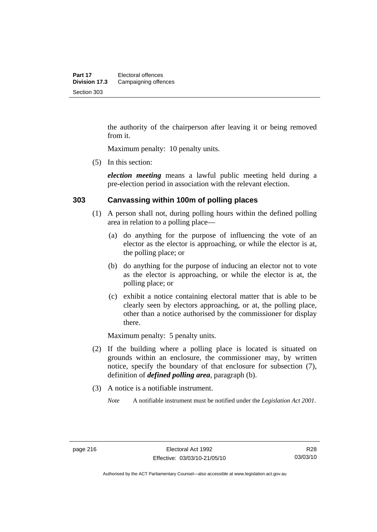the authority of the chairperson after leaving it or being removed from it.

Maximum penalty: 10 penalty units.

(5) In this section:

*election meeting* means a lawful public meeting held during a pre-election period in association with the relevant election.

### **303 Canvassing within 100m of polling places**

- (1) A person shall not, during polling hours within the defined polling area in relation to a polling place—
	- (a) do anything for the purpose of influencing the vote of an elector as the elector is approaching, or while the elector is at, the polling place; or
	- (b) do anything for the purpose of inducing an elector not to vote as the elector is approaching, or while the elector is at, the polling place; or
	- (c) exhibit a notice containing electoral matter that is able to be clearly seen by electors approaching, or at, the polling place, other than a notice authorised by the commissioner for display there.

Maximum penalty: 5 penalty units.

- (2) If the building where a polling place is located is situated on grounds within an enclosure, the commissioner may, by written notice, specify the boundary of that enclosure for subsection (7), definition of *defined polling area*, paragraph (b).
- (3) A notice is a notifiable instrument.

*Note* A notifiable instrument must be notified under the *Legislation Act 2001*.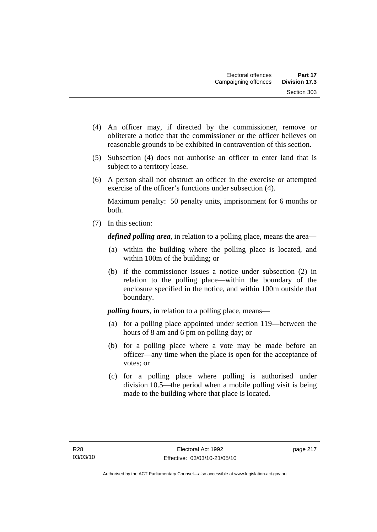- (4) An officer may, if directed by the commissioner, remove or obliterate a notice that the commissioner or the officer believes on reasonable grounds to be exhibited in contravention of this section.
- (5) Subsection (4) does not authorise an officer to enter land that is subject to a territory lease.
- (6) A person shall not obstruct an officer in the exercise or attempted exercise of the officer's functions under subsection (4).

Maximum penalty: 50 penalty units, imprisonment for 6 months or both.

(7) In this section:

*defined polling area*, in relation to a polling place, means the area—

- (a) within the building where the polling place is located, and within 100m of the building; or
- (b) if the commissioner issues a notice under subsection (2) in relation to the polling place—within the boundary of the enclosure specified in the notice, and within 100m outside that boundary.

*polling hours*, in relation to a polling place, means—

- (a) for a polling place appointed under section 119—between the hours of 8 am and 6 pm on polling day; or
- (b) for a polling place where a vote may be made before an officer—any time when the place is open for the acceptance of votes; or
- (c) for a polling place where polling is authorised under division 10.5—the period when a mobile polling visit is being made to the building where that place is located.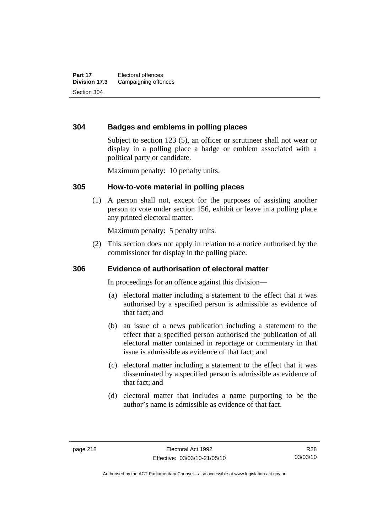### **304 Badges and emblems in polling places**

Subject to section 123 (5), an officer or scrutineer shall not wear or display in a polling place a badge or emblem associated with a political party or candidate.

Maximum penalty: 10 penalty units.

#### **305 How-to-vote material in polling places**

 (1) A person shall not, except for the purposes of assisting another person to vote under section 156, exhibit or leave in a polling place any printed electoral matter.

Maximum penalty: 5 penalty units.

 (2) This section does not apply in relation to a notice authorised by the commissioner for display in the polling place.

### **306 Evidence of authorisation of electoral matter**

In proceedings for an offence against this division—

- (a) electoral matter including a statement to the effect that it was authorised by a specified person is admissible as evidence of that fact; and
- (b) an issue of a news publication including a statement to the effect that a specified person authorised the publication of all electoral matter contained in reportage or commentary in that issue is admissible as evidence of that fact; and
- (c) electoral matter including a statement to the effect that it was disseminated by a specified person is admissible as evidence of that fact; and
- (d) electoral matter that includes a name purporting to be the author's name is admissible as evidence of that fact.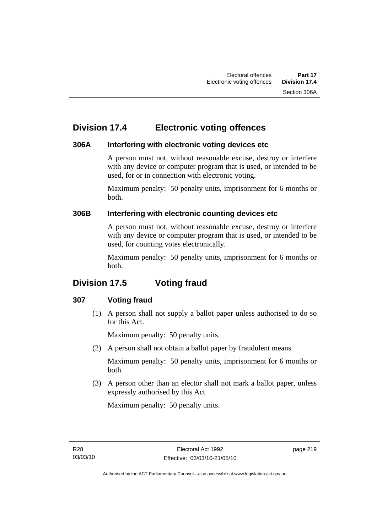## **Division 17.4 Electronic voting offences**

### **306A Interfering with electronic voting devices etc**

A person must not, without reasonable excuse, destroy or interfere with any device or computer program that is used, or intended to be used, for or in connection with electronic voting.

Maximum penalty: 50 penalty units, imprisonment for 6 months or both.

### **306B Interfering with electronic counting devices etc**

A person must not, without reasonable excuse, destroy or interfere with any device or computer program that is used, or intended to be used, for counting votes electronically.

Maximum penalty: 50 penalty units, imprisonment for 6 months or both.

# **Division 17.5 Voting fraud**

### **307 Voting fraud**

 (1) A person shall not supply a ballot paper unless authorised to do so for this Act.

Maximum penalty: 50 penalty units.

(2) A person shall not obtain a ballot paper by fraudulent means.

Maximum penalty: 50 penalty units, imprisonment for 6 months or both.

 (3) A person other than an elector shall not mark a ballot paper, unless expressly authorised by this Act.

Maximum penalty: 50 penalty units.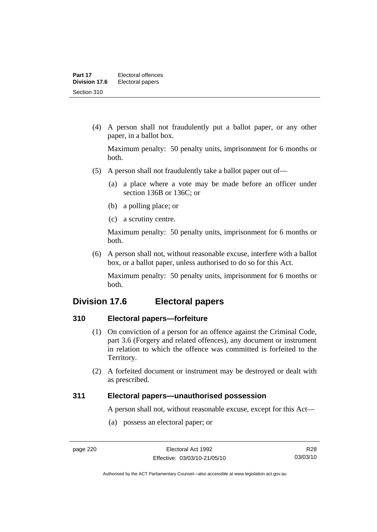(4) A person shall not fraudulently put a ballot paper, or any other paper, in a ballot box.

Maximum penalty: 50 penalty units, imprisonment for 6 months or both.

- (5) A person shall not fraudulently take a ballot paper out of—
	- (a) a place where a vote may be made before an officer under section 136B or 136C; or
	- (b) a polling place; or
	- (c) a scrutiny centre.

Maximum penalty: 50 penalty units, imprisonment for 6 months or both.

 (6) A person shall not, without reasonable excuse, interfere with a ballot box, or a ballot paper, unless authorised to do so for this Act.

Maximum penalty: 50 penalty units, imprisonment for 6 months or both.

## **Division 17.6 Electoral papers**

### **310 Electoral papers—forfeiture**

- (1) On conviction of a person for an offence against the Criminal Code, part 3.6 (Forgery and related offences), any document or instrument in relation to which the offence was committed is forfeited to the Territory.
- (2) A forfeited document or instrument may be destroyed or dealt with as prescribed.

### **311 Electoral papers—unauthorised possession**

A person shall not, without reasonable excuse, except for this Act—

(a) possess an electoral paper; or

Authorised by the ACT Parliamentary Counsel—also accessible at www.legislation.act.gov.au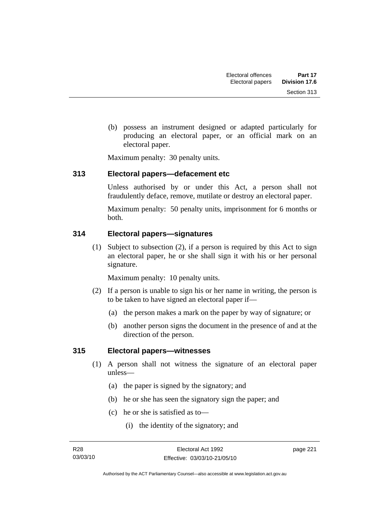(b) possess an instrument designed or adapted particularly for producing an electoral paper, or an official mark on an electoral paper.

Maximum penalty: 30 penalty units.

### **313 Electoral papers—defacement etc**

Unless authorised by or under this Act, a person shall not fraudulently deface, remove, mutilate or destroy an electoral paper.

Maximum penalty: 50 penalty units, imprisonment for 6 months or both.

### **314 Electoral papers—signatures**

 (1) Subject to subsection (2), if a person is required by this Act to sign an electoral paper, he or she shall sign it with his or her personal signature.

Maximum penalty: 10 penalty units.

- (2) If a person is unable to sign his or her name in writing, the person is to be taken to have signed an electoral paper if—
	- (a) the person makes a mark on the paper by way of signature; or
	- (b) another person signs the document in the presence of and at the direction of the person.

### **315 Electoral papers—witnesses**

- (1) A person shall not witness the signature of an electoral paper unless—
	- (a) the paper is signed by the signatory; and
	- (b) he or she has seen the signatory sign the paper; and
	- (c) he or she is satisfied as to—
		- (i) the identity of the signatory; and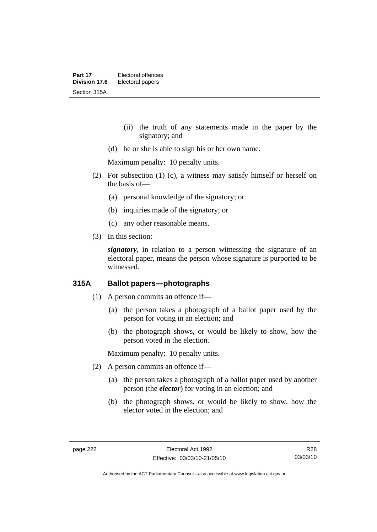- (ii) the truth of any statements made in the paper by the signatory; and
- (d) he or she is able to sign his or her own name.

Maximum penalty: 10 penalty units.

- (2) For subsection (1) (c), a witness may satisfy himself or herself on the basis of—
	- (a) personal knowledge of the signatory; or
	- (b) inquiries made of the signatory; or
	- (c) any other reasonable means.
- (3) In this section:

*signatory*, in relation to a person witnessing the signature of an electoral paper, means the person whose signature is purported to be witnessed.

### **315A Ballot papers—photographs**

- (1) A person commits an offence if—
	- (a) the person takes a photograph of a ballot paper used by the person for voting in an election; and
	- (b) the photograph shows, or would be likely to show, how the person voted in the election.

Maximum penalty: 10 penalty units.

- (2) A person commits an offence if—
	- (a) the person takes a photograph of a ballot paper used by another person (the *elector*) for voting in an election; and
	- (b) the photograph shows, or would be likely to show, how the elector voted in the election; and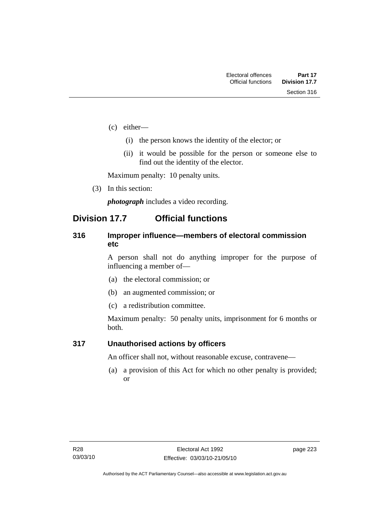- (c) either—
	- (i) the person knows the identity of the elector; or
	- (ii) it would be possible for the person or someone else to find out the identity of the elector.

Maximum penalty: 10 penalty units.

(3) In this section:

*photograph* includes a video recording.

## **Division 17.7 Official functions**

### **316 Improper influence—members of electoral commission etc**

A person shall not do anything improper for the purpose of influencing a member of—

- (a) the electoral commission; or
- (b) an augmented commission; or
- (c) a redistribution committee.

Maximum penalty: 50 penalty units, imprisonment for 6 months or both.

### **317 Unauthorised actions by officers**

An officer shall not, without reasonable excuse, contravene—

 (a) a provision of this Act for which no other penalty is provided; or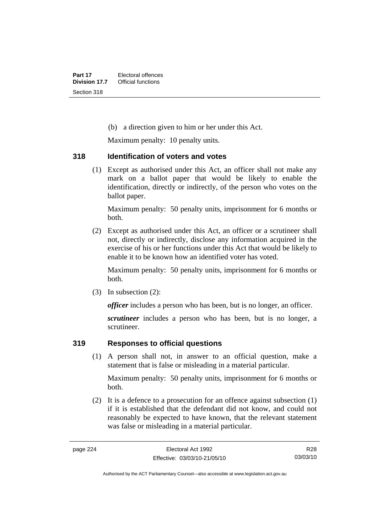(b) a direction given to him or her under this Act.

Maximum penalty: 10 penalty units.

### **318 Identification of voters and votes**

 (1) Except as authorised under this Act, an officer shall not make any mark on a ballot paper that would be likely to enable the identification, directly or indirectly, of the person who votes on the ballot paper.

Maximum penalty: 50 penalty units, imprisonment for 6 months or both.

 (2) Except as authorised under this Act, an officer or a scrutineer shall not, directly or indirectly, disclose any information acquired in the exercise of his or her functions under this Act that would be likely to enable it to be known how an identified voter has voted.

Maximum penalty: 50 penalty units, imprisonment for 6 months or both.

(3) In subsection (2):

*officer* includes a person who has been, but is no longer, an officer.

*scrutineer* includes a person who has been, but is no longer, a scrutineer.

### **319 Responses to official questions**

 (1) A person shall not, in answer to an official question, make a statement that is false or misleading in a material particular.

Maximum penalty: 50 penalty units, imprisonment for 6 months or both.

 (2) It is a defence to a prosecution for an offence against subsection (1) if it is established that the defendant did not know, and could not reasonably be expected to have known, that the relevant statement was false or misleading in a material particular.

R28 03/03/10

Authorised by the ACT Parliamentary Counsel—also accessible at www.legislation.act.gov.au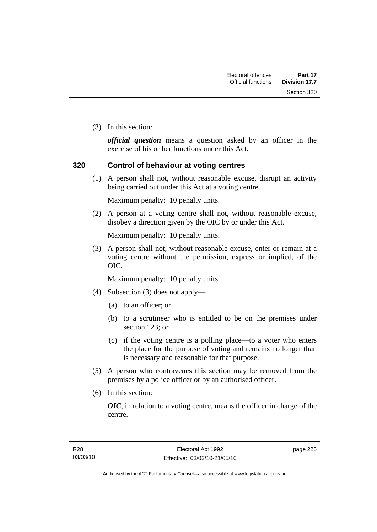Section 320

(3) In this section:

*official question* means a question asked by an officer in the exercise of his or her functions under this Act.

### **320 Control of behaviour at voting centres**

 (1) A person shall not, without reasonable excuse, disrupt an activity being carried out under this Act at a voting centre.

Maximum penalty: 10 penalty units.

 (2) A person at a voting centre shall not, without reasonable excuse, disobey a direction given by the OIC by or under this Act.

Maximum penalty: 10 penalty units.

 (3) A person shall not, without reasonable excuse, enter or remain at a voting centre without the permission, express or implied, of the OIC.

Maximum penalty: 10 penalty units.

- (4) Subsection (3) does not apply—
	- (a) to an officer; or
	- (b) to a scrutineer who is entitled to be on the premises under section 123; or
	- (c) if the voting centre is a polling place—to a voter who enters the place for the purpose of voting and remains no longer than is necessary and reasonable for that purpose.
- (5) A person who contravenes this section may be removed from the premises by a police officer or by an authorised officer.
- (6) In this section:

*OIC*, in relation to a voting centre, means the officer in charge of the centre.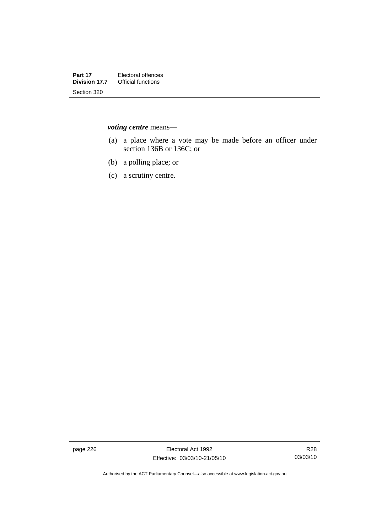*voting centre* means—

- (a) a place where a vote may be made before an officer under section 136B or 136C; or
- (b) a polling place; or
- (c) a scrutiny centre.

page 226 **Electoral Act 1992** Effective: 03/03/10-21/05/10

Authorised by the ACT Parliamentary Counsel—also accessible at www.legislation.act.gov.au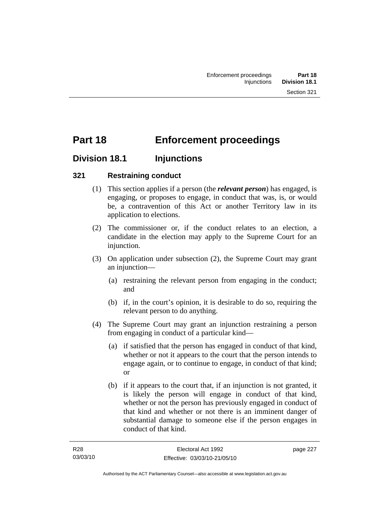# **Part 18 Enforcement proceedings**

## **Division 18.1 Injunctions**

### **321 Restraining conduct**

- (1) This section applies if a person (the *relevant person*) has engaged, is engaging, or proposes to engage, in conduct that was, is, or would be, a contravention of this Act or another Territory law in its application to elections.
- (2) The commissioner or, if the conduct relates to an election, a candidate in the election may apply to the Supreme Court for an injunction.
- (3) On application under subsection (2), the Supreme Court may grant an injunction—
	- (a) restraining the relevant person from engaging in the conduct; and
	- (b) if, in the court's opinion, it is desirable to do so, requiring the relevant person to do anything.
- (4) The Supreme Court may grant an injunction restraining a person from engaging in conduct of a particular kind—
	- (a) if satisfied that the person has engaged in conduct of that kind, whether or not it appears to the court that the person intends to engage again, or to continue to engage, in conduct of that kind; or
	- (b) if it appears to the court that, if an injunction is not granted, it is likely the person will engage in conduct of that kind, whether or not the person has previously engaged in conduct of that kind and whether or not there is an imminent danger of substantial damage to someone else if the person engages in conduct of that kind.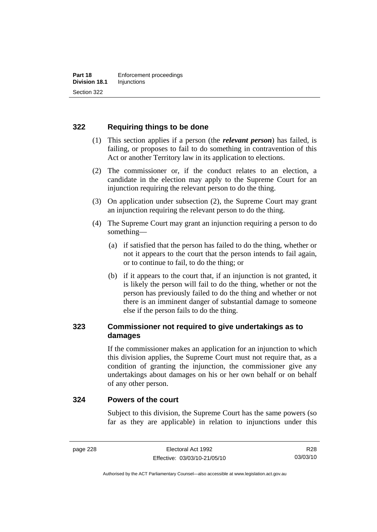### **322 Requiring things to be done**

- (1) This section applies if a person (the *relevant person*) has failed, is failing, or proposes to fail to do something in contravention of this Act or another Territory law in its application to elections.
- (2) The commissioner or, if the conduct relates to an election, a candidate in the election may apply to the Supreme Court for an injunction requiring the relevant person to do the thing.
- (3) On application under subsection (2), the Supreme Court may grant an injunction requiring the relevant person to do the thing.
- (4) The Supreme Court may grant an injunction requiring a person to do something—
	- (a) if satisfied that the person has failed to do the thing, whether or not it appears to the court that the person intends to fail again, or to continue to fail, to do the thing; or
	- (b) if it appears to the court that, if an injunction is not granted, it is likely the person will fail to do the thing, whether or not the person has previously failed to do the thing and whether or not there is an imminent danger of substantial damage to someone else if the person fails to do the thing.

### **323 Commissioner not required to give undertakings as to damages**

If the commissioner makes an application for an injunction to which this division applies, the Supreme Court must not require that, as a condition of granting the injunction, the commissioner give any undertakings about damages on his or her own behalf or on behalf of any other person.

#### **324 Powers of the court**

Subject to this division, the Supreme Court has the same powers (so far as they are applicable) in relation to injunctions under this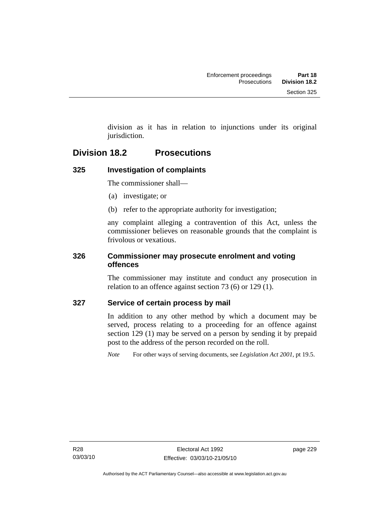division as it has in relation to injunctions under its original jurisdiction.

## **Division 18.2 Prosecutions**

## **325 Investigation of complaints**

The commissioner shall—

- (a) investigate; or
- (b) refer to the appropriate authority for investigation;

any complaint alleging a contravention of this Act, unless the commissioner believes on reasonable grounds that the complaint is frivolous or vexatious.

### **326 Commissioner may prosecute enrolment and voting offences**

The commissioner may institute and conduct any prosecution in relation to an offence against section 73 (6) or 129 (1).

### **327 Service of certain process by mail**

In addition to any other method by which a document may be served, process relating to a proceeding for an offence against section 129 (1) may be served on a person by sending it by prepaid post to the address of the person recorded on the roll.

*Note* For other ways of serving documents, see *Legislation Act 2001*, pt 19.5.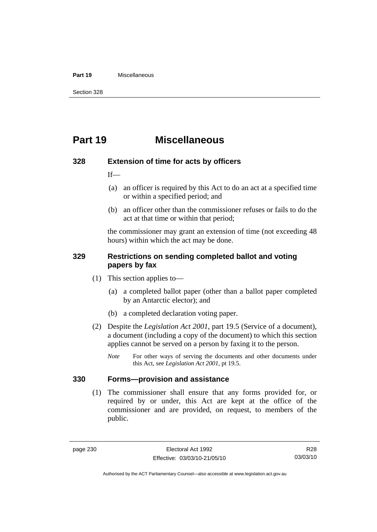#### **Part 19** Miscellaneous

Section 328

## **Part 19 Miscellaneous**

#### **328 Extension of time for acts by officers**

If—

- (a) an officer is required by this Act to do an act at a specified time or within a specified period; and
- (b) an officer other than the commissioner refuses or fails to do the act at that time or within that period;

the commissioner may grant an extension of time (not exceeding 48 hours) within which the act may be done.

### **329 Restrictions on sending completed ballot and voting papers by fax**

- (1) This section applies to—
	- (a) a completed ballot paper (other than a ballot paper completed by an Antarctic elector); and
	- (b) a completed declaration voting paper.
- (2) Despite the *Legislation Act 2001*, part 19.5 (Service of a document), a document (including a copy of the document) to which this section applies cannot be served on a person by faxing it to the person.
	- *Note* For other ways of serving the documents and other documents under this Act, see *Legislation Act 2001*, pt 19.5.

### **330 Forms—provision and assistance**

 (1) The commissioner shall ensure that any forms provided for, or required by or under, this Act are kept at the office of the commissioner and are provided, on request, to members of the public.

R28 03/03/10

Authorised by the ACT Parliamentary Counsel—also accessible at www.legislation.act.gov.au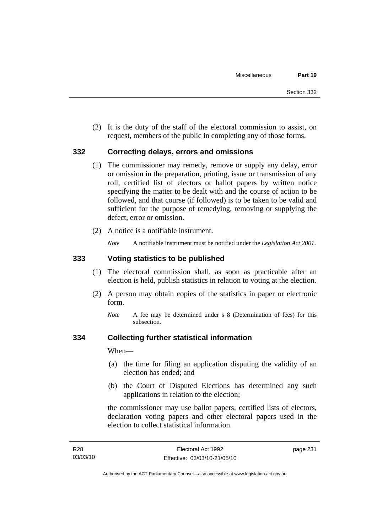(2) It is the duty of the staff of the electoral commission to assist, on request, members of the public in completing any of those forms.

### **332 Correcting delays, errors and omissions**

- (1) The commissioner may remedy, remove or supply any delay, error or omission in the preparation, printing, issue or transmission of any roll, certified list of electors or ballot papers by written notice specifying the matter to be dealt with and the course of action to be followed, and that course (if followed) is to be taken to be valid and sufficient for the purpose of remedying, removing or supplying the defect, error or omission.
- (2) A notice is a notifiable instrument.

*Note* A notifiable instrument must be notified under the *Legislation Act 2001*.

### **333 Voting statistics to be published**

- (1) The electoral commission shall, as soon as practicable after an election is held, publish statistics in relation to voting at the election.
- (2) A person may obtain copies of the statistics in paper or electronic form.
	- *Note* A fee may be determined under s 8 (Determination of fees) for this subsection.

### **334 Collecting further statistical information**

When—

- (a) the time for filing an application disputing the validity of an election has ended; and
- (b) the Court of Disputed Elections has determined any such applications in relation to the election;

the commissioner may use ballot papers, certified lists of electors, declaration voting papers and other electoral papers used in the election to collect statistical information.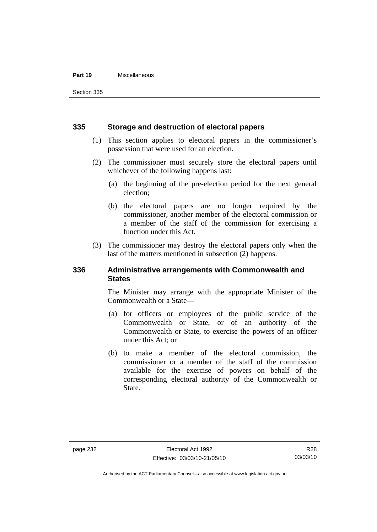#### **Part 19** Miscellaneous

Section 335

#### **335 Storage and destruction of electoral papers**

- (1) This section applies to electoral papers in the commissioner's possession that were used for an election.
- (2) The commissioner must securely store the electoral papers until whichever of the following happens last:
	- (a) the beginning of the pre-election period for the next general election;
	- (b) the electoral papers are no longer required by the commissioner, another member of the electoral commission or a member of the staff of the commission for exercising a function under this Act.
- (3) The commissioner may destroy the electoral papers only when the last of the matters mentioned in subsection (2) happens.

### **336 Administrative arrangements with Commonwealth and States**

The Minister may arrange with the appropriate Minister of the Commonwealth or a State—

- (a) for officers or employees of the public service of the Commonwealth or State, or of an authority of the Commonwealth or State, to exercise the powers of an officer under this Act; or
- (b) to make a member of the electoral commission, the commissioner or a member of the staff of the commission available for the exercise of powers on behalf of the corresponding electoral authority of the Commonwealth or State.

R28 03/03/10

Authorised by the ACT Parliamentary Counsel—also accessible at www.legislation.act.gov.au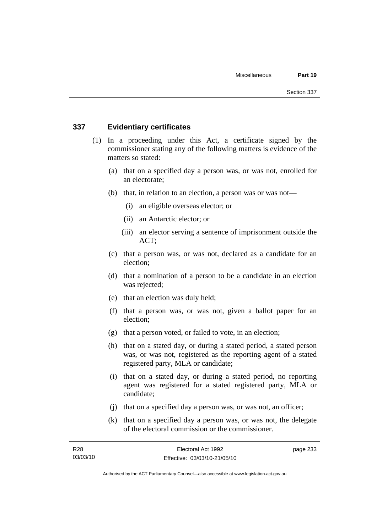### **337 Evidentiary certificates**

- (1) In a proceeding under this Act, a certificate signed by the commissioner stating any of the following matters is evidence of the matters so stated:
	- (a) that on a specified day a person was, or was not, enrolled for an electorate;
	- (b) that, in relation to an election, a person was or was not—
		- (i) an eligible overseas elector; or
		- (ii) an Antarctic elector; or
		- (iii) an elector serving a sentence of imprisonment outside the ACT;
	- (c) that a person was, or was not, declared as a candidate for an election;
	- (d) that a nomination of a person to be a candidate in an election was rejected;
	- (e) that an election was duly held;
	- (f) that a person was, or was not, given a ballot paper for an election;
	- (g) that a person voted, or failed to vote, in an election;
	- (h) that on a stated day, or during a stated period, a stated person was, or was not, registered as the reporting agent of a stated registered party, MLA or candidate;
	- (i) that on a stated day, or during a stated period, no reporting agent was registered for a stated registered party, MLA or candidate;
	- (j) that on a specified day a person was, or was not, an officer;
	- (k) that on a specified day a person was, or was not, the delegate of the electoral commission or the commissioner.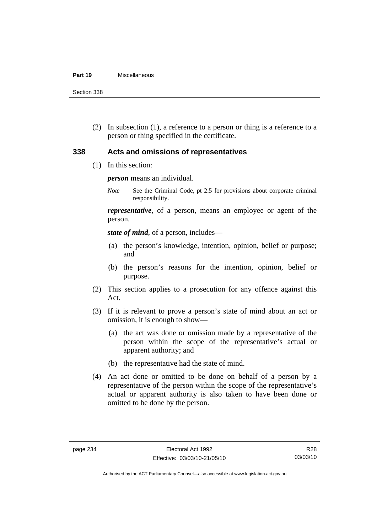#### **Part 19** Miscellaneous

Section 338

 (2) In subsection (1), a reference to a person or thing is a reference to a person or thing specified in the certificate.

### **338 Acts and omissions of representatives**

(1) In this section:

*person* means an individual.

*Note* See the Criminal Code, pt 2.5 for provisions about corporate criminal responsibility.

*representative*, of a person, means an employee or agent of the person.

*state of mind*, of a person, includes—

- (a) the person's knowledge, intention, opinion, belief or purpose; and
- (b) the person's reasons for the intention, opinion, belief or purpose.
- (2) This section applies to a prosecution for any offence against this Act.
- (3) If it is relevant to prove a person's state of mind about an act or omission, it is enough to show—
	- (a) the act was done or omission made by a representative of the person within the scope of the representative's actual or apparent authority; and
	- (b) the representative had the state of mind.
- (4) An act done or omitted to be done on behalf of a person by a representative of the person within the scope of the representative's actual or apparent authority is also taken to have been done or omitted to be done by the person.

Authorised by the ACT Parliamentary Counsel—also accessible at www.legislation.act.gov.au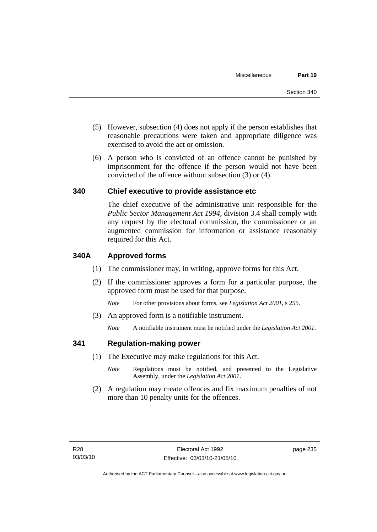- (5) However, subsection (4) does not apply if the person establishes that reasonable precautions were taken and appropriate diligence was exercised to avoid the act or omission.
- (6) A person who is convicted of an offence cannot be punished by imprisonment for the offence if the person would not have been convicted of the offence without subsection (3) or (4).

#### **340 Chief executive to provide assistance etc**

The chief executive of the administrative unit responsible for the *Public Sector Management Act 1994*, division 3.4 shall comply with any request by the electoral commission, the commissioner or an augmented commission for information or assistance reasonably required for this Act.

#### **340A Approved forms**

- (1) The commissioner may, in writing, approve forms for this Act.
- (2) If the commissioner approves a form for a particular purpose, the approved form must be used for that purpose.

*Note* For other provisions about forms, see *Legislation Act 2001*, s 255.

(3) An approved form is a notifiable instrument.

*Note* A notifiable instrument must be notified under the *Legislation Act 2001*.

#### **341 Regulation-making power**

- (1) The Executive may make regulations for this Act.
	- *Note* **Regulations** must be notified, and presented to the Legislative Assembly, under the *Legislation Act 2001*.
- (2) A regulation may create offences and fix maximum penalties of not more than 10 penalty units for the offences.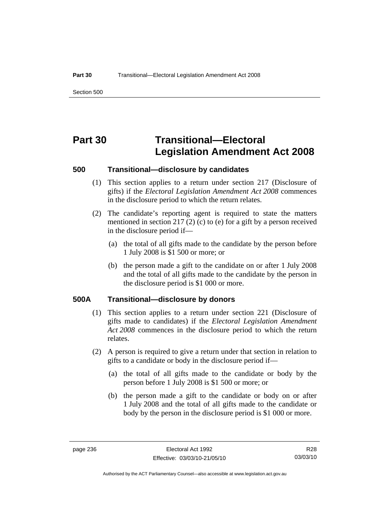Section 500

# **Part 30 Transitional—Electoral Legislation Amendment Act 2008**

#### **500 Transitional—disclosure by candidates**

- (1) This section applies to a return under section 217 (Disclosure of gifts) if the *Electoral Legislation Amendment Act 2008* commences in the disclosure period to which the return relates.
- (2) The candidate's reporting agent is required to state the matters mentioned in section 217 (2) (c) to (e) for a gift by a person received in the disclosure period if—
	- (a) the total of all gifts made to the candidate by the person before 1 July 2008 is \$1 500 or more; or
	- (b) the person made a gift to the candidate on or after 1 July 2008 and the total of all gifts made to the candidate by the person in the disclosure period is \$1 000 or more.

#### **500A Transitional—disclosure by donors**

- (1) This section applies to a return under section 221 (Disclosure of gifts made to candidates) if the *Electoral Legislation Amendment Act 2008* commences in the disclosure period to which the return relates.
- (2) A person is required to give a return under that section in relation to gifts to a candidate or body in the disclosure period if—
	- (a) the total of all gifts made to the candidate or body by the person before 1 July 2008 is \$1 500 or more; or
	- (b) the person made a gift to the candidate or body on or after 1 July 2008 and the total of all gifts made to the candidate or body by the person in the disclosure period is \$1 000 or more.

Authorised by the ACT Parliamentary Counsel—also accessible at www.legislation.act.gov.au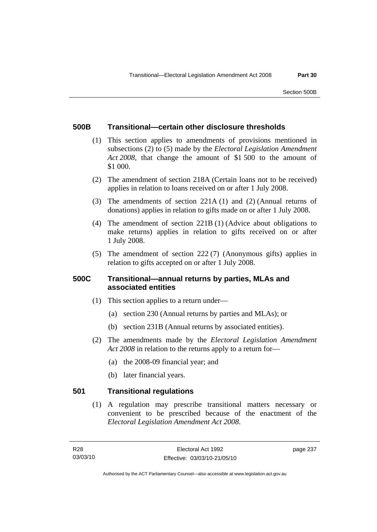#### **500B Transitional—certain other disclosure thresholds**

- (1) This section applies to amendments of provisions mentioned in subsections (2) to (5) made by the *Electoral Legislation Amendment Act 2008*, that change the amount of \$1 500 to the amount of \$1 000.
- (2) The amendment of section 218A (Certain loans not to be received) applies in relation to loans received on or after 1 July 2008.
- (3) The amendments of section 221A (1) and (2) (Annual returns of donations) applies in relation to gifts made on or after 1 July 2008.
- (4) The amendment of section 221B (1) (Advice about obligations to make returns) applies in relation to gifts received on or after 1 July 2008.
- (5) The amendment of section 222 (7) (Anonymous gifts) applies in relation to gifts accepted on or after 1 July 2008.

## **500C Transitional—annual returns by parties, MLAs and associated entities**

- (1) This section applies to a return under—
	- (a) section 230 (Annual returns by parties and MLAs); or
	- (b) section 231B (Annual returns by associated entities).
- (2) The amendments made by the *Electoral Legislation Amendment Act 2008* in relation to the returns apply to a return for—
	- (a) the 2008-09 financial year; and
	- (b) later financial years.

## **501 Transitional regulations**

 (1) A regulation may prescribe transitional matters necessary or convenient to be prescribed because of the enactment of the *Electoral Legislation Amendment Act 2008*.

page 237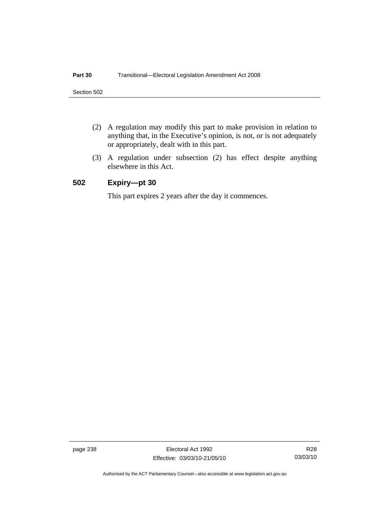- (2) A regulation may modify this part to make provision in relation to anything that, in the Executive's opinion, is not, or is not adequately or appropriately, dealt with in this part.
- (3) A regulation under subsection (2) has effect despite anything elsewhere in this Act.

### **502 Expiry—pt 30**

This part expires 2 years after the day it commences.

page 238 Electoral Act 1992 Effective: 03/03/10-21/05/10

R28 03/03/10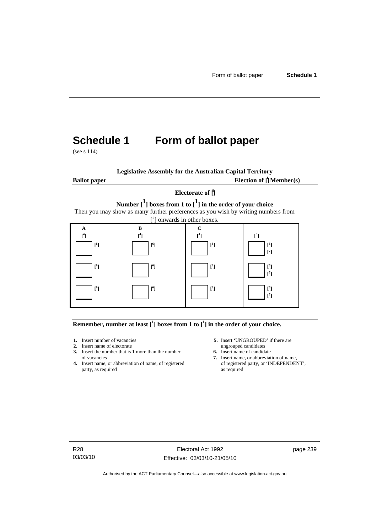# **Schedule 1 Form of ballot paper**

(see s 114)

**Legislative Assembly for the Australian Capital Territory Ballot paper** Election of  $\prod_{i=1}^{n} \text{Member}(s)$ 

#### **Electorate of [ 2 ]**

**Number [1] boxes from 1 to [1] in the order of your choice**  Then you may show as many further preferences as you wish by writing numbers from



**Remember, number at least**  $\begin{bmatrix} 1 \end{bmatrix}$  boxes from 1 to  $\begin{bmatrix} 1 \end{bmatrix}$  in the order of your choice.

- 
- 
- **2.** Insert name of electorate ungrouped candidates<br> **3.** Insert the number that is 1 more than the number **6.** Insert name of candidate **3.** Insert the number that is 1 more than the number
- **4.** Insert name, or abbreviation of name, of registered of registere party, as required as party, as required
- **1.** Insert number of vacancies **5.** Insert 'UNGROUPED' if there are **2.** Insert name of electorate **1.** Insert name of electorate
	-
	- of vacancies **7.** Insert name, or abbreviation of name, or abbreviation of name, or abbreviation of name, of registered **7.** Insert name, or 'INDEPENDENT',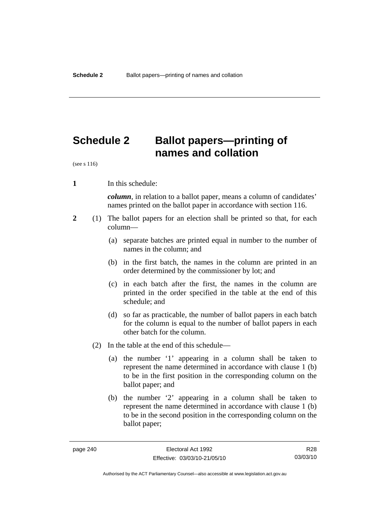# **Schedule 2 Ballot papers—printing of names and collation**

(see s 116)

**1** In this schedule:

*column*, in relation to a ballot paper, means a column of candidates' names printed on the ballot paper in accordance with section 116.

- **2** (1) The ballot papers for an election shall be printed so that, for each column—
	- (a) separate batches are printed equal in number to the number of names in the column; and
	- (b) in the first batch, the names in the column are printed in an order determined by the commissioner by lot; and
	- (c) in each batch after the first, the names in the column are printed in the order specified in the table at the end of this schedule; and
	- (d) so far as practicable, the number of ballot papers in each batch for the column is equal to the number of ballot papers in each other batch for the column.
	- (2) In the table at the end of this schedule—
		- (a) the number '1' appearing in a column shall be taken to represent the name determined in accordance with clause 1 (b) to be in the first position in the corresponding column on the ballot paper; and
		- (b) the number '2' appearing in a column shall be taken to represent the name determined in accordance with clause 1 (b) to be in the second position in the corresponding column on the ballot paper;

R28 03/03/10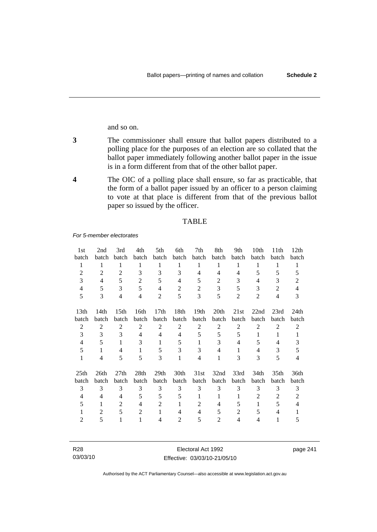and so on.

- **3** The commissioner shall ensure that ballot papers distributed to a polling place for the purposes of an election are so collated that the ballot paper immediately following another ballot paper in the issue is in a form different from that of the other ballot paper.
- **4** The OIC of a polling place shall ensure, so far as practicable, that the form of a ballot paper issued by an officer to a person claiming to vote at that place is different from that of the previous ballot paper so issued by the officer.

#### TABLE

*For 5-member electorates*

| 1st              | 2nd            | 3rd              | 4th            | 5th              | 6th            | 7th              | 8th              | 9th            | 10th           | 11 <sup>th</sup> | 12 <sub>th</sub> |
|------------------|----------------|------------------|----------------|------------------|----------------|------------------|------------------|----------------|----------------|------------------|------------------|
| batch            | batch          | <b>batch</b>     | batch          | batch            | batch          | batch            | batch            | batch          | <b>batch</b>   | batch            | batch            |
| 1                | 1              | 1                | 1              | 1                | 1              | 1                | 1                | 1              | 1              | 1                | 1                |
| 2                | 2              | 2                | 3              | 3                | 3              | 4                | 4                | $\overline{4}$ | 5              | 5                | 5                |
| 3                | $\overline{4}$ | 5                | $\overline{2}$ | 5                | 4              | 5                | $\overline{c}$   | 3              | 4              | 3                | 2                |
| 4                | 5              | 3                | 5              | $\overline{4}$   | $\overline{2}$ | $\overline{2}$   | 3                | 5              | 3              | $\overline{2}$   | $\overline{4}$   |
| 5                | 3              | $\overline{4}$   | $\overline{4}$ | 2                | 5              | 3                | 5                | 2              | $\overline{2}$ | $\overline{4}$   | 3                |
| 13th             | 14th           | 15 <sup>th</sup> | 16th           | 17 <sub>th</sub> | 18th           | 19 <sub>th</sub> | 20 <sub>th</sub> | 21st           | 22nd           | 23rd             | 24th             |
| batch            | batch          | batch            | batch          | batch            | batch          | batch            | batch            | batch          | batch          | batch            | batch            |
| $\mathfrak{2}$   | $\overline{2}$ | $\overline{2}$   | $\overline{2}$ | $\overline{2}$   | $\overline{2}$ | $\overline{2}$   | $\overline{2}$   | $\overline{2}$ | $\overline{2}$ | $\overline{2}$   | 2                |
| 3                | 3              | 3                | $\overline{4}$ | 4                | 4              | 5                | 5                | 5              | 1              | 1                |                  |
| 4                | 5              | 1                | 3              | 1                | 5              | 1                | 3                | 4              | 5              | 4                | 3                |
| 5                | 1              | 4                | 1              | 5                | 3              | 3                | 4                | 1              | 4              | 3                | 5                |
| 1                | $\overline{4}$ | 5                | 5              | 3                | 1              | 4                | 1                | 3              | 3              | 5                | 4                |
| 25 <sub>th</sub> | 26th           | 27th             | 28th           | 29 <sub>th</sub> | 30th           | 31st             | 32nd             | 33rd           | 34th           | 35 <sub>th</sub> | 36th             |
| batch            | batch          | <b>batch</b>     | batch          | batch            | batch          | batch            | batch            | batch          | batch          | batch            | batch            |
| 3                | 3              | 3                | 3              | 3                | 3              | 3                | 3                | 3              | 3              | 3                | 3                |
| 4                | 4              | 4                | 5              | 5                | 5              | 1                | 1                | 1              | 2              | 2                | 2                |
| 5                | 1              | 2                | $\overline{4}$ | $\overline{2}$   |                | 2                | 4                | 5              | 1              | 5                | 4                |
| 1                | 2              | 5                | 2              | 1                | 4              | 4                | 5                | $\overline{2}$ | 5              | 4                |                  |
| 2                | 5              |                  | 1              | 4                | 2              | 5                | 2                | 4              | 4              | 1                | 5                |

| R28      | Electoral Act 1992           | page 241 |
|----------|------------------------------|----------|
| 03/03/10 | Effective: 03/03/10-21/05/10 |          |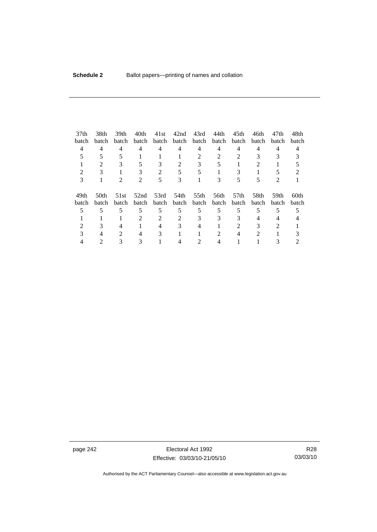| 37 <sub>th</sub> | 38th           | 39 <sub>th</sub> | 40th                        | 41st           | 42nd  | 43rd  | 44th  | 45 <sub>th</sub> | 46th                        | 47th                        | 48th  |
|------------------|----------------|------------------|-----------------------------|----------------|-------|-------|-------|------------------|-----------------------------|-----------------------------|-------|
| batch            | batch          | batch            | batch                       | batch          | batch | batch | batch | batch            | <b>batch</b>                | batch                       | batch |
| 4                | 4              | 4                | 4                           | 4              | 4     | 4     | 4     | 4                | 4                           | 4                           | 4     |
|                  |                |                  |                             |                |       | 2     |       |                  |                             |                             |       |
|                  | $\mathfrak{D}$ |                  |                             | 3              | 2     | 3     |       |                  | $\mathcal{D}_{\mathcal{L}}$ |                             |       |
|                  |                |                  |                             | $\mathfrak{D}$ |       |       |       |                  |                             |                             |       |
| 3                |                |                  | $\mathcal{D}_{\mathcal{L}}$ | 5              | 3     |       |       |                  |                             | $\mathcal{D}_{\mathcal{A}}$ |       |
| 49th             | 50th           | 51st             | 52nd                        | 53rd           | 54th  | 55th  | 56th  | 57 <sub>th</sub> | 58th                        | 59th                        | 60th  |
| batch            | batch          | batch            | batch                       | batch          | batch | batch | batch | batch            | batch                       | batch                       | batch |
|                  | 5              |                  | 5                           | 5              | 5     | 5     | 5     |                  | 5                           |                             |       |
|                  |                |                  | $\mathfrak{D}$              | $\mathfrak{D}$ |       | 3     | 3     |                  |                             | 4                           |       |
|                  |                |                  |                             |                |       |       |       | 2                |                             |                             |       |
|                  |                |                  | 4                           | 3              |       |       |       |                  | 2                           |                             |       |
|                  |                |                  |                             |                |       |       |       |                  |                             |                             |       |

page 242 **Electoral Act 1992** Effective: 03/03/10-21/05/10

R28 03/03/10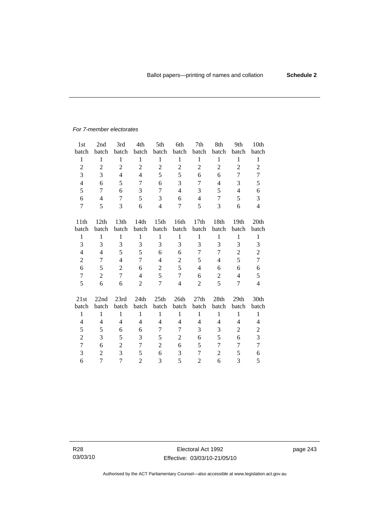#### *For 7-member electorates*

| 1 <sub>st</sub> | 2nd              | 3rd              | 4th            | 5th              | 6th            | 7th            | 8th            | 9th              | 10th                     |
|-----------------|------------------|------------------|----------------|------------------|----------------|----------------|----------------|------------------|--------------------------|
| batch           | batch            | batch            | batch          | batch            | batch          | batch          | batch          | batch            | batch                    |
| $\mathbf{1}$    | $\mathbf{1}$     | $\mathbf{1}$     | $\mathbf{1}$   | $\mathbf{1}$     | $\mathbf{1}$   | $\mathbf{1}$   | $\,1$          | $\mathbf{1}$     | $\mathbf{1}$             |
| $\overline{2}$  | $\boldsymbol{2}$ | $\overline{2}$   | $\overline{2}$ | $\overline{2}$   | $\overline{2}$ | $\overline{2}$ | $\overline{2}$ | $\overline{2}$   | $\overline{2}$           |
| 3               | 3                | $\overline{4}$   | 4              | 5                | 5              | 6              | 6              | 7                | 7                        |
| $\overline{4}$  | 6                | 5                | 7              | 6                | 3              | 7              | 4              | 3                | 5                        |
| 5               | 7                | 6                | 3              | 7                | $\overline{4}$ | 3              | 5              | 4                | 6                        |
| 6               | $\overline{4}$   | 7                | 5              | 3                | 6              | 4              | 7              | 5                | 3                        |
| 7               | 5                | 3                | 6              | $\overline{4}$   | 7              | 5              | 3              | 6                | $\overline{4}$           |
|                 |                  |                  |                |                  |                |                |                |                  |                          |
| 11th            | 12th             | 13 <sup>th</sup> | 14th           | 15 <sup>th</sup> | 16th           | 17th           | 18th           | 19 <sub>th</sub> | 20th                     |
| batch           | batch            | batch            | batch          | batch            | batch          | batch          | batch          | batch            | batch                    |
| 1               | 1                | 1                | 1              | $\mathbf{1}$     | 1              | $\mathbf{1}$   | 1              | $\mathbf{1}$     | $\mathbf{1}$             |
| 3               | 3                | 3                | 3              | 3                | 3              | 3              | 3              | 3                | 3                        |
| 4               | $\overline{4}$   | 5                | 5              | 6                | 6              | 7              | 7              | $\overline{2}$   | $\overline{2}$           |
| $\overline{c}$  | 7                | $\overline{4}$   | $\overline{7}$ | 4                | $\mathbf{2}$   | 5              | 4              | 5                | $\overline{7}$           |
| 6               | 5                | $\overline{2}$   | 6              | $\overline{2}$   | 5              | $\overline{4}$ | 6              | 6                | 6                        |
| $\overline{7}$  | $\overline{2}$   | $\overline{7}$   | $\overline{4}$ | 5                | $\tau$         | 6              | $\overline{2}$ | $\overline{4}$   | 5                        |
| 5               | 6                | 6                | $\overline{2}$ | 7                | $\overline{4}$ | $\overline{2}$ | 5              | 7                | $\overline{\mathcal{L}}$ |
|                 |                  |                  |                |                  |                |                |                |                  |                          |
| 21st            | 22nd             | 23rd             | 24th           | 25th             | 26th           | 27th           | 28th           | 29 <sub>th</sub> | 30th                     |
| batch           | batch            | batch            | batch          | batch            | batch          | batch          | batch          | batch            | batch                    |
| $\mathbf{1}$    | $\mathbf{1}$     | $\mathbf{1}$     | $\mathbf{1}$   | $\mathbf{1}$     | $\mathbf{1}$   | $\mathbf{1}$   | $\mathbf{1}$   | $\mathbf{1}$     | $\mathbf{1}$             |
| $\overline{4}$  | $\overline{4}$   | $\overline{4}$   | 4              | 4                | $\overline{4}$ | 4              | 4              | 4                | $\overline{\mathcal{L}}$ |
| 5               | 5                | 6                | 6              | 7                | 7              | 3              | 3              | $\overline{c}$   | $\overline{c}$           |
| $\mathbf{2}$    | 3                | 5                | 3              | 5                | $\overline{c}$ | 6              | 5              | 6                | 3                        |
| $\overline{7}$  | 6                | $\overline{c}$   | 7              | $\overline{2}$   | 6              | 5              | 7              | 7                | $\tau$                   |
| 3               | $\overline{2}$   | 3                | 5              | 6                | 3              | 7              | $\overline{2}$ | 5                | 6                        |
| 6               | 7                | 7                | $\overline{2}$ | 3                | 5              | $\overline{2}$ | 6              | 3                | 5                        |

R28 03/03/10 page 243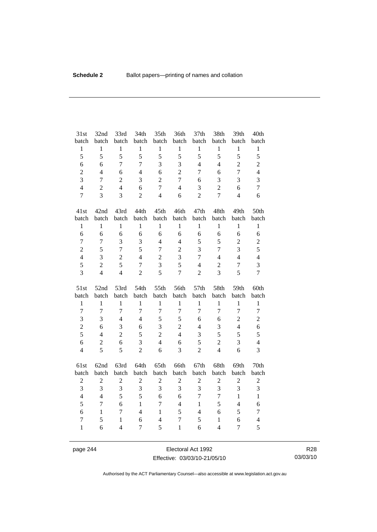| 31st           | 32nd             | 33rd           | 34th           | 35th             | 36th             | 37th           | 38th           | 39th           | 40th             |
|----------------|------------------|----------------|----------------|------------------|------------------|----------------|----------------|----------------|------------------|
| batch          | batch            | batch          | batch          | batch            | batch            | batch          | batch          | batch          | batch            |
| $\,1$          | $\,1$            | $\mathbf{1}$   | $\mathbf{1}$   | $\mathbf{1}$     | $\,1\,$          | $\,1$          | $\,1$          | $\,1$          | $\mathbf{1}$     |
| 5              | 5                | 5              | 5              | 5                | 5                | 5              | 5              | 5              | 5                |
| 6              | 6                | $\overline{7}$ | 7              | 3                | $\overline{3}$   | $\overline{4}$ | $\overline{4}$ | $\overline{2}$ | $\overline{c}$   |
| $\overline{c}$ | $\overline{4}$   | 6              | $\overline{4}$ | 6                | $\overline{2}$   | $\overline{7}$ | 6              | $\overline{7}$ | $\overline{4}$   |
| $\overline{3}$ | $\overline{7}$   | $\overline{c}$ | 3              | $\sqrt{2}$       | $\overline{7}$   | 6              | 3              | 3              | 3                |
| $\overline{4}$ | $\overline{2}$   | $\overline{4}$ | 6              | $\overline{7}$   | $\overline{4}$   | 3              | $\overline{2}$ | 6              | $\overline{7}$   |
| $\overline{7}$ | 3                | 3              | $\overline{2}$ | $\overline{4}$   | 6                | $\overline{2}$ | $\overline{7}$ | $\overline{4}$ | 6                |
| 41st           | 42nd             | 43rd           | 44th           | 45th             | 46th             | 47th           | 48th           | 49th           | 50th             |
| batch          | batch            | batch          | batch          | batch            | batch            | batch          | batch          | batch          | batch            |
| $\,1$          | $\mathbf{1}$     | $\mathbf{1}$   | $\mathbf{1}$   | $\mathbf{1}$     | $\mathbf{1}$     | $\mathbf{1}$   | $\mathbf{1}$   | $\mathbf{1}$   | $\mathbf{1}$     |
| 6              | 6                | 6              | 6              | 6                | 6                | 6              | 6              | 6              | 6                |
| $\overline{7}$ | $\overline{7}$   | $\overline{3}$ | 3              | $\overline{4}$   | $\overline{4}$   | 5              | 5              | $\overline{c}$ | $\overline{2}$   |
| $\overline{2}$ | 5                | $\overline{7}$ | 5              | $\overline{7}$   | $\overline{2}$   | 3              | $\overline{7}$ | 3              | 5                |
| $\overline{4}$ | 3                | $\overline{c}$ | $\overline{4}$ | $\boldsymbol{2}$ | 3                | 7              | $\overline{4}$ | $\overline{4}$ | $\overline{4}$   |
| 5              | $\overline{2}$   | 5              | $\overline{7}$ | 3                | 5                | $\overline{4}$ | $\overline{2}$ | $\tau$         | 3                |
| 3              | $\overline{4}$   | $\overline{4}$ | $\overline{2}$ | 5                | $\overline{7}$   | $\overline{2}$ | 3              | 5              | $\overline{7}$   |
|                |                  |                |                |                  |                  |                |                |                |                  |
| 51st           | 52nd             | 53rd           | 54th           | 55th             | 56th             | 57th           | 58th           | 59th           | 60th             |
| batch          | batch            | batch          | batch          | batch            | batch            | batch          | batch          | batch          | batch            |
| $\mathbf{1}$   | $\mathbf{1}$     | $\mathbf{1}$   | $\mathbf{1}$   | $\mathbf{1}$     | $\mathbf{1}$     | $\mathbf{1}$   | $\mathbf{1}$   | $\mathbf{1}$   | $\mathbf{1}$     |
| $\overline{7}$ | $\overline{7}$   | $\overline{7}$ | $\overline{7}$ | $\overline{7}$   | $\boldsymbol{7}$ | $\overline{7}$ | $\overline{7}$ | $\overline{7}$ | $\boldsymbol{7}$ |
| 3              | 3                | $\overline{4}$ | $\overline{4}$ | 5                | 5                | 6              | 6              | $\overline{c}$ | $\overline{c}$   |
| $\overline{c}$ | 6                | 3              | 6              | 3                | $\overline{2}$   | $\overline{4}$ | 3              | $\overline{4}$ | 6                |
| 5              | $\overline{4}$   | $\overline{c}$ | 5              | $\overline{2}$   | $\overline{4}$   | 3              | 5              | 5              | 5                |
| 6              | $\boldsymbol{2}$ | 6              | 3              | $\overline{4}$   | 6                | 5              | $\overline{c}$ | 3              | $\overline{4}$   |
| $\overline{4}$ | 5                | 5              | $\overline{2}$ | 6                | $\overline{3}$   | $\overline{2}$ | $\overline{4}$ | 6              | 3                |
| 61st           | 62nd             | 63rd           | 64th           | 65th             | 66th             | 67th           | 68th           | 69th           | 70th             |
| batch          | batch            | batch          | batch          | batch            | batch            | batch          | batch          | batch          | batch            |
| $\mathbf{2}$   | $\boldsymbol{2}$ | $\overline{2}$ | $\overline{2}$ | $\sqrt{2}$       | $\sqrt{2}$       | $\overline{2}$ | $\overline{2}$ | $\sqrt{2}$     | $\overline{c}$   |
| 3              | 3                | 3              | 3              | 3                | 3                | 3              | 3              | 3              | 3                |
| $\overline{4}$ | $\overline{4}$   | 5              | 5              | 6                | 6                | $\overline{7}$ | $\overline{7}$ | $\mathbf{1}$   | $\mathbf{1}$     |
| 5              | $\overline{7}$   | 6              | $\mathbf{1}$   | $\overline{7}$   | $\overline{4}$   | $\mathbf{1}$   | 5              | $\overline{4}$ | 6                |
| 6              | $\mathbf{1}$     | $\overline{7}$ | $\overline{4}$ | $\mathbf{1}$     | 5                | $\overline{4}$ | 6              | 5              | $\boldsymbol{7}$ |
| 7              | 5                | $\mathbf{1}$   | 6              | $\overline{4}$   | $\overline{7}$   | 5              | $\mathbf{1}$   | 6              | $\overline{4}$   |

page 244 Electoral Act 1992 Effective: 03/03/10-21/05/10

R28 03/03/10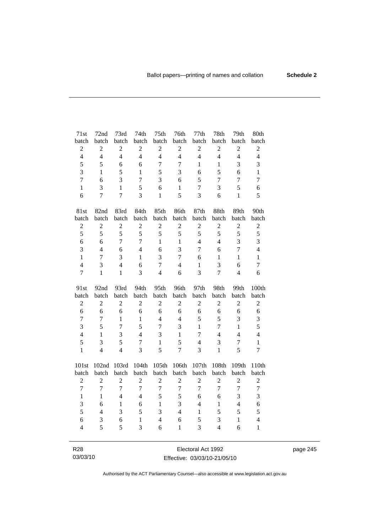| 71st                    | 72nd                     | 73rd           | 74th           | 75 <sup>th</sup> | 76th             | 77th           | 78th           | 79th             | 80th             |
|-------------------------|--------------------------|----------------|----------------|------------------|------------------|----------------|----------------|------------------|------------------|
| batch                   | batch                    | batch          | batch          | batch            | batch            | batch          | batch          | batch            | batch            |
| $\overline{c}$          | $\boldsymbol{2}$         | $\overline{c}$ | $\overline{2}$ | $\overline{2}$   | $\sqrt{2}$       | $\overline{2}$ | $\sqrt{2}$     | $\boldsymbol{2}$ | $\sqrt{2}$       |
| $\overline{4}$          | $\overline{4}$           | $\overline{4}$ | $\overline{4}$ | $\overline{4}$   | $\overline{4}$   | $\overline{4}$ | $\overline{4}$ | $\overline{4}$   | $\overline{4}$   |
| 5                       | 5                        | 6              | 6              | $\overline{7}$   | $\overline{7}$   | $\mathbf{1}$   | $\mathbf{1}$   | 3                | 3                |
| 3                       | 1                        | 5              | $\mathbf{1}$   | 5                | 3                | 6              | 5              | 6                | $\mathbf{1}$     |
| $\overline{7}$          | 6                        | $\overline{3}$ | $\overline{7}$ | 3                | 6                | 5              | 7              | 7                | $\overline{7}$   |
| $\mathbf{1}$            | 3                        | $\mathbf{1}$   | 5              | 6                | $\mathbf{1}$     | $\tau$         | 3              | 5                | 6                |
| 6                       | $\overline{7}$           | $\overline{7}$ | 3              | $\mathbf{1}$     | 5                | 3              | 6              | $\mathbf{1}$     | 5                |
| 81st                    | 82nd                     | 83rd           | 84th           | 85th             | 86th             | 87th           | 88th           | 89th             | 90th             |
| batch                   | batch                    | batch          | batch          | batch            | batch            | batch          | batch          | batch            | batch            |
| $\overline{2}$          | $\overline{2}$           | $\overline{2}$ | $\overline{2}$ | $\overline{2}$   | $\overline{2}$   | $\overline{2}$ | $\overline{2}$ | $\overline{2}$   | $\overline{2}$   |
| 5                       | 5                        | 5              | 5              | 5                | 5                | 5              | 5              | 5                | 5                |
| 6                       | 6                        | $\overline{7}$ | $\overline{7}$ | $\mathbf{1}$     | $\mathbf{1}$     | $\overline{4}$ | $\overline{4}$ | $\overline{3}$   | $\overline{3}$   |
| 3                       | $\overline{4}$           | 6              | $\overline{4}$ | 6                | 3                | 7              | 6              | 7                | $\overline{4}$   |
| $\mathbf{1}$            | $\overline{7}$           | 3              | $\mathbf{1}$   | 3                | $\overline{7}$   | 6              | $\mathbf{1}$   | $\mathbf{1}$     | $\mathbf{1}$     |
| $\overline{\mathbf{4}}$ | 3                        | $\overline{4}$ | 6              | $\overline{7}$   | $\overline{4}$   | $\mathbf{1}$   | 3              | 6                | $\overline{7}$   |
| $\overline{7}$          | $\mathbf{1}$             | $\mathbf{1}$   | 3              | $\overline{4}$   | 6                | $\overline{3}$ | $\overline{7}$ | $\overline{4}$   | 6                |
|                         |                          |                |                |                  |                  |                |                |                  |                  |
| 91st                    | 92nd                     | 93rd           | 94th           | 95th             | 96th             | 97th           | 98th           | 99th             | 100th            |
| batch                   | batch                    | batch          | batch          | batch            | batch            | batch          | batch          | batch            | batch            |
| $\boldsymbol{2}$        | $\overline{2}$           | $\overline{2}$ | $\overline{c}$ | $\overline{2}$   | $\mathfrak{2}$   | $\overline{c}$ | $\overline{2}$ | $\overline{2}$   | $\boldsymbol{2}$ |
| $\overline{6}$          | 6                        | 6              | 6              | 6                | 6                | 6              | 6              | 6                | $\sqrt{6}$       |
| $\overline{7}$          | $\overline{7}$           | $\mathbf{1}$   | $\mathbf{1}$   | $\overline{4}$   | $\overline{4}$   | 5              | 5              | 3                | $\mathfrak{Z}$   |
| $\overline{3}$          | 5                        | $\overline{7}$ | 5              | $\overline{7}$   | 3                | $\mathbf{1}$   | $\overline{7}$ | $\mathbf{1}$     | 5                |
| $\overline{\mathbf{4}}$ | $\mathbf{1}$             | 3              | $\overline{4}$ | 3                | $\mathbf{1}$     | $\overline{7}$ | $\overline{4}$ | $\overline{4}$   | $\overline{4}$   |
| 5                       | 3                        | 5              | $\overline{7}$ | $\mathbf{1}$     | 5                | $\overline{4}$ | 3              | $\tau$           | $\mathbf{1}$     |
| $\mathbf{1}$            | $\overline{4}$           | $\overline{4}$ | $\overline{3}$ | 5                | $\overline{7}$   | 3              | $\mathbf{1}$   | 5                | $\overline{7}$   |
| 101st                   | 102nd                    | 103rd          | 104th          | 105th            | 106th            | 107th          | 108th          | 109th            | 110th            |
| batch                   | batch                    | batch          | batch          | batch            | batch            | batch          | batch          | batch            | batch            |
| $\overline{c}$          | $\overline{2}$           | $\overline{2}$ | $\overline{2}$ | $\overline{2}$   | $\overline{2}$   | $\overline{c}$ | $\overline{2}$ | $\overline{2}$   | $\overline{c}$   |
| $\overline{7}$          | $\overline{7}$           | $\overline{7}$ | $\overline{7}$ | $\overline{7}$   | $\boldsymbol{7}$ | $\overline{7}$ | $\overline{7}$ | $\overline{7}$   | $\boldsymbol{7}$ |
| $\mathbf{1}$            | $\mathbf{1}$             | $\overline{4}$ | $\overline{4}$ | 5                | 5                | 6              | 6              | 3                | 3                |
| 3                       | 6                        | $\mathbf{1}$   | 6              | $\mathbf{1}$     | 3                | $\overline{4}$ | $\,1\,$        | $\overline{4}$   | 6                |
| 5                       | $\overline{\mathcal{L}}$ | 3              | 5              | 3                | $\overline{4}$   | $\mathbf{1}$   | 5              | 5                | 5                |
| 6                       | 3                        | 6              | $\mathbf{1}$   | $\overline{4}$   | 6                | 5              | $\mathfrak{Z}$ | $\mathbf{1}$     | $\overline{4}$   |
| $\overline{4}$          | 5                        | 5              | 3              | 6                | $\mathbf{1}$     | 3              | $\overline{4}$ | 6                | $\mathbf{1}$     |

R28 03/03/10

Electoral Act 1992 Effective: 03/03/10-21/05/10 page 245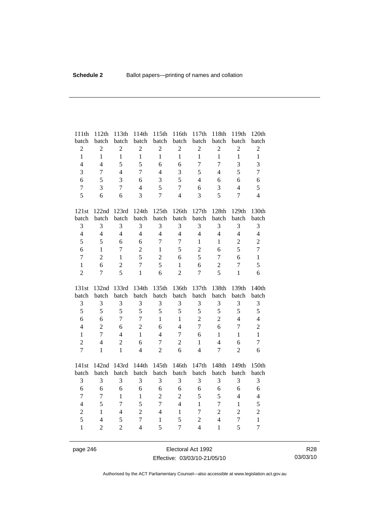| 111th                   | 112th                    | 113th          | 114th          | 115th          | 116th          | 117th                   | 118th                   | 119th            | 120th                          |
|-------------------------|--------------------------|----------------|----------------|----------------|----------------|-------------------------|-------------------------|------------------|--------------------------------|
| batch                   | batch                    | batch          | batch          | batch          | batch          | batch                   | batch                   | batch            | batch                          |
| $\overline{c}$          | $\overline{c}$           | $\overline{c}$ | $\overline{c}$ | $\sqrt{2}$     | $\overline{c}$ | $\sqrt{2}$              | $\sqrt{2}$              | $\overline{c}$   | $\sqrt{2}$                     |
| $\mathbf{1}$            | $\mathbf{1}$             | $\mathbf{1}$   | $\mathbf{1}$   | $\mathbf{1}$   | $\mathbf{1}$   | $\mathbf{1}$            | $\mathbf{1}$            | $\mathbf{1}$     | $\mathbf{1}$                   |
| $\overline{4}$          | $\overline{4}$           | 5              | 5              | 6              | 6              | $\overline{7}$          | $\overline{7}$          | 3                | 3                              |
| 3                       | $\overline{7}$           | $\overline{4}$ | $\overline{7}$ | $\overline{4}$ | 3              | 5                       | $\overline{4}$          | 5                | $\overline{7}$                 |
| 6                       | 5                        | 3              | 6              | $\mathfrak{Z}$ | 5              | $\overline{4}$          | 6                       | 6                | 6                              |
| $\boldsymbol{7}$        | 3                        | $\overline{7}$ | $\overline{4}$ | 5              | $\overline{7}$ | 6                       | 3                       | $\overline{4}$   | 5                              |
| 5                       | 6                        | 6              | 3              | $\overline{7}$ | $\overline{4}$ | 3                       | 5                       | $\overline{7}$   | $\overline{4}$                 |
| 121st                   |                          | 122nd 123rd    | 124th          | 125th          | 126th          | 127th                   | 128th                   | 129th            | 130th                          |
| batch                   | batch                    | batch          | batch          | batch          | batch          | batch                   | batch                   | batch            | batch                          |
| 3                       | 3                        | 3              | 3              | 3              | 3              | $\mathfrak{Z}$          | $\mathfrak{Z}$          | 3                | 3                              |
| $\overline{4}$          | $\overline{4}$           | $\overline{4}$ | $\overline{4}$ | $\overline{4}$ | $\overline{4}$ | $\overline{4}$          | $\overline{4}$          | $\overline{4}$   | $\overline{4}$                 |
| 5                       | 5                        | 6              | 6              | $\overline{7}$ | $\overline{7}$ | $\mathbf{1}$            | $\mathbf{1}$            | $\overline{2}$   | $\overline{2}$                 |
| 6                       | $\mathbf{1}$             | $\overline{7}$ | $\overline{2}$ | $\mathbf{1}$   | 5              | $\boldsymbol{2}$        | 6                       | 5                | $\tau$                         |
| $\overline{7}$          | $\overline{2}$           | $\mathbf{1}$   | 5              | $\sqrt{2}$     | 6              | 5                       | $\overline{7}$          | 6                | $\mathbf{1}$                   |
| $\mathbf{1}$            | 6                        | $\overline{2}$ | $\overline{7}$ | 5              | $\mathbf{1}$   | 6                       | $\sqrt{2}$              | $\tau$           | 5                              |
| $\overline{2}$          | $\overline{7}$           | 5              | $\mathbf{1}$   | 6              | $\overline{2}$ | $\overline{7}$          | 5                       | $\mathbf{1}$     | 6                              |
|                         |                          |                |                |                |                |                         |                         |                  |                                |
|                         |                          |                |                |                |                |                         |                         |                  |                                |
| 131st                   | 132nd                    | 133rd          | 134th          | 135th          | 136th          | 137th                   | 138th                   | 139th            | 140th                          |
| batch                   | batch<br>3               | batch<br>3     | batch<br>3     | batch<br>3     | batch<br>3     | batch<br>$\mathfrak{Z}$ | batch<br>$\mathfrak{Z}$ | batch<br>3       | batch                          |
| 3<br>5                  | 5                        | 5              | 5              | 5              | 5              | 5                       | 5                       | 5                | $\mathfrak{Z}$<br>5            |
| 6                       | 6                        | $\overline{7}$ | $\overline{7}$ | $\mathbf{1}$   | $\mathbf{1}$   | $\overline{2}$          | $\overline{2}$          | $\overline{4}$   | $\overline{4}$                 |
| $\overline{\mathbf{4}}$ | $\overline{c}$           | 6              | $\overline{2}$ | 6              | $\overline{4}$ | $\overline{7}$          | 6                       | $\boldsymbol{7}$ |                                |
| $\mathbf{1}$            | $\overline{7}$           | $\overline{4}$ | $\mathbf{1}$   | $\overline{4}$ | $\overline{7}$ | 6                       | $\mathbf{1}$            | $\mathbf{1}$     | $\overline{c}$<br>$\mathbf{1}$ |
| $\overline{2}$          | $\overline{4}$           | $\overline{c}$ | 6              | $\tau$         | $\overline{2}$ | $\mathbf{1}$            | $\overline{4}$          | 6                | $\tau$                         |
| $\overline{7}$          | $\mathbf{1}$             | $\mathbf{1}$   | $\overline{4}$ | $\overline{2}$ | 6              | $\overline{4}$          | $\overline{7}$          | $\overline{2}$   | 6                              |
|                         |                          |                |                |                |                |                         |                         |                  |                                |
| 141st                   | 142nd<br>batch           | 143rd<br>batch | 144th          | 145th          | 146th          | 147th<br>batch          | 148th                   | 149th<br>batch   | 150th                          |
| batch                   | 3                        | 3              | batch<br>3     | batch<br>3     | batch          | 3                       | batch                   |                  | batch                          |
| 3<br>6                  | 6                        | 6              | 6              | 6              | 3<br>6         | 6                       | $\mathfrak{Z}$<br>6     | 3<br>6           | 3<br>6                         |
| $\overline{7}$          | $\tau$                   | $\mathbf{1}$   | $\mathbf{1}$   | $\sqrt{2}$     | $\overline{c}$ | 5                       | 5                       | $\overline{4}$   | $\overline{4}$                 |
| $\overline{\mathbf{4}}$ | 5                        | $\overline{7}$ | 5              | $\overline{7}$ | $\overline{4}$ | $\mathbf{1}$            | $\boldsymbol{7}$        | $\mathbf{1}$     | 5                              |
| $\overline{2}$          | $\mathbf{1}$             | $\overline{4}$ | $\overline{c}$ | $\overline{4}$ | $\mathbf{1}$   | $\overline{7}$          | $\overline{2}$          | $\overline{2}$   | $\overline{2}$                 |
| 5                       | $\overline{\mathcal{L}}$ | 5              | $\overline{7}$ | $\mathbf{1}$   | 5              | $\sqrt{2}$              | $\overline{4}$          | $\boldsymbol{7}$ | $\mathbf{1}$                   |
| $\mathbf{1}$            | $\overline{2}$           | $\overline{2}$ | $\overline{4}$ | 5              | $\overline{7}$ | $\overline{4}$          | $\mathbf{1}$            | 5                | $\overline{7}$                 |

page 246 Electoral Act 1992 Effective: 03/03/10-21/05/10

R28 03/03/10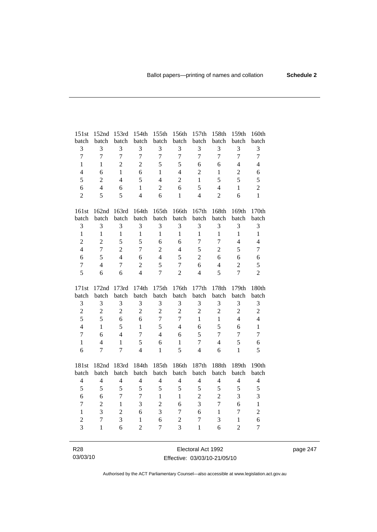| 151st                   | 152nd            | 153rd                    | 154th          | 155th            | 156th            | 157th          | 158th          | 159th            | 160th          |
|-------------------------|------------------|--------------------------|----------------|------------------|------------------|----------------|----------------|------------------|----------------|
| batch                   | batch            | batch                    | batch          | batch            | batch            | batch          | batch          | batch            | batch          |
| 3                       | 3                | 3                        | 3              | 3                | 3                | 3              | 3              | 3                | 3              |
| $\overline{7}$          | $\overline{7}$   | $\overline{7}$           | $\overline{7}$ | $\overline{7}$   | $\overline{7}$   | $\overline{7}$ | $\overline{7}$ | $\overline{7}$   | $\overline{7}$ |
| $\mathbf{1}$            | 1                | $\overline{c}$           | $\overline{c}$ | 5                | 5                | 6              | 6              | $\overline{4}$   | $\overline{4}$ |
| $\overline{4}$          | 6                | $\mathbf{1}$             | 6              | $\mathbf{1}$     | $\overline{4}$   | $\overline{2}$ | $\mathbf{1}$   | $\overline{2}$   | 6              |
| 5                       | $\overline{2}$   | $\overline{4}$           | 5              | $\overline{4}$   | $\overline{c}$   | $\mathbf{1}$   | 5              | 5                | 5              |
| 6                       | $\overline{4}$   | 6                        | $\mathbf{1}$   | $\overline{2}$   | 6                | 5              | $\overline{4}$ | $\mathbf{1}$     | $\overline{2}$ |
| $\overline{2}$          | 5                | 5                        | $\overline{4}$ | 6                | $\mathbf{1}$     | $\overline{4}$ | $\overline{2}$ | 6                | $\mathbf{1}$   |
|                         |                  |                          |                |                  |                  |                |                |                  |                |
| 161st                   | 162nd            | 163rd                    | 164th          | 165th            | 166th            | 167th          | 168th          | 169th            | 170th          |
| batch                   | batch            | batch                    | batch          | batch            | batch            | batch          | batch          | batch            | batch          |
| 3                       | 3                | 3                        | 3              | 3                | 3                | 3              | 3              | 3                | 3              |
| $\mathbf{1}$            | $\mathbf{1}$     | $\mathbf{1}$             | $\mathbf{1}$   | $\mathbf{1}$     | $\mathbf{1}$     | $\mathbf{1}$   | $\mathbf{1}$   | $\mathbf{1}$     | $\mathbf{1}$   |
| $\overline{2}$          | $\overline{2}$   | 5                        | 5              | 6                | 6                | $\tau$         | $\tau$         | $\overline{4}$   | $\overline{4}$ |
| $\overline{4}$          | $\overline{7}$   | $\overline{2}$           | $\overline{7}$ | $\overline{2}$   | $\overline{4}$   | 5              | $\overline{2}$ | 5                | $\overline{7}$ |
| 6                       | 5                | $\overline{4}$           | 6              | $\overline{4}$   | 5                | $\overline{2}$ | 6              | 6                | 6              |
| $\overline{7}$          | $\overline{4}$   | $\overline{7}$           | $\overline{2}$ | 5                | $\overline{7}$   | 6              | $\overline{4}$ | $\overline{2}$   | 5              |
| 5                       | 6                | 6                        | $\overline{4}$ | $\overline{7}$   | $\overline{2}$   | $\overline{4}$ | 5              | $\overline{7}$   | $\overline{2}$ |
|                         |                  |                          |                |                  |                  |                |                |                  |                |
|                         |                  |                          |                |                  |                  |                |                |                  |                |
| 171st                   | 172nd            | 173rd                    | 174th          | 175th            | 176th            | 177th          | 178th          | 179th            | 180th          |
| batch                   | batch            | batch                    | batch          | batch            | batch            | batch          | batch          | batch            | batch          |
| 3                       | 3                | 3                        | 3              | 3                | 3                | $\mathfrak{Z}$ | $\mathfrak{Z}$ | 3                | $\mathfrak{Z}$ |
| $\overline{c}$          | $\overline{2}$   | $\overline{2}$           | $\overline{2}$ | $\overline{2}$   | $\overline{2}$   | $\overline{2}$ | $\overline{2}$ | $\overline{2}$   | $\overline{c}$ |
| 5                       | 5                | 6                        | 6              | $\boldsymbol{7}$ | $\boldsymbol{7}$ | $\mathbf{1}$   | $\mathbf{1}$   | $\overline{4}$   | $\overline{4}$ |
| $\overline{4}$          | $\mathbf{1}$     | 5                        | $\mathbf{1}$   | 5                | $\overline{4}$   | 6              | 5              | 6                | $\mathbf{1}$   |
| $\overline{7}$          | 6                | $\overline{4}$           | $\tau$         | $\overline{4}$   | 6                | 5              | 7              | $\overline{7}$   | $\overline{7}$ |
| $\mathbf{1}$            | $\overline{4}$   | 1                        | 5              | 6                | $\mathbf{1}$     | $\overline{7}$ | $\overline{4}$ | 5                | 6              |
| 6                       | $\tau$           | $\overline{7}$           | $\overline{4}$ | $\mathbf{1}$     | 5                | $\overline{4}$ | 6              | $\mathbf{1}$     | 5              |
|                         |                  |                          |                |                  |                  |                |                |                  |                |
| 181st                   | 182nd            | 183rd                    | 184th          | 185th            | 186th            | 187th          | 188th          | 189th            | 190th          |
| batch                   | batch            | batch                    | batch          | batch            | batch            | batch          | batch          | batch            | batch          |
| $\overline{\mathbf{4}}$ | $\overline{4}$   | $\overline{\mathcal{L}}$ | $\overline{4}$ | $\overline{4}$   | $\overline{4}$   | $\overline{4}$ | $\overline{4}$ | $\overline{4}$   | $\overline{4}$ |
| 5                       | 5                | 5                        | 5              | 5                | 5                | 5              | 5              | 5                | 5              |
| 6                       | 6                | 7                        | 7              | $\mathbf{1}$     | $\mathbf{1}$     | $\sqrt{2}$     | $\overline{2}$ | 3                | 3              |
| $\overline{7}$          | $\overline{2}$   | $\mathbf{1}$             | 3              | $\overline{2}$   | 6                | 3              | $\overline{7}$ | 6                | $\mathbf{1}$   |
| $\mathbf{1}$            | 3                | $\overline{2}$           | 6              | 3                | $\boldsymbol{7}$ | 6              | $\mathbf{1}$   | $\boldsymbol{7}$ | $\overline{c}$ |
| $\overline{c}$          | $\boldsymbol{7}$ | 3                        | $\mathbf{1}$   | 6                | $\sqrt{2}$       | $\overline{7}$ | 3              | $\mathbf{1}$     | 6              |
| $\overline{3}$          | $\mathbf{1}$     | 6                        | $\overline{2}$ | $\overline{7}$   | 3                | $\mathbf{1}$   | 6              | $\overline{2}$   | $\overline{7}$ |

R28 03/03/10

Electoral Act 1992 Effective: 03/03/10-21/05/10 page 247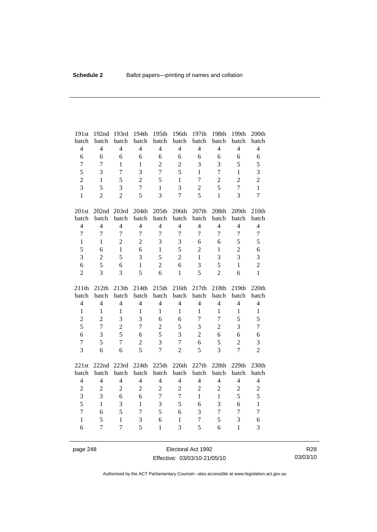| 191st                   | 192nd                   | 193rd                   | 194th                   | 195th                            | 196th                    | 197th                          | 198th                          | 199th           | 200th                   |
|-------------------------|-------------------------|-------------------------|-------------------------|----------------------------------|--------------------------|--------------------------------|--------------------------------|-----------------|-------------------------|
| batch                   | batch                   | batch                   | batch                   | batch                            | batch                    | batch                          | batch                          | batch           | batch                   |
| $\overline{4}$          | $\overline{4}$          | $\overline{4}$          | $\overline{4}$          | $\overline{4}$                   | $\overline{4}$           | $\overline{4}$                 | $\overline{4}$                 | $\overline{4}$  | $\overline{4}$          |
| 6                       | 6                       | 6                       | 6                       | 6                                | 6                        | 6                              | 6                              | 6               | $\sqrt{6}$              |
| $\overline{7}$          | $\overline{7}$          | $\mathbf{1}$            | $\mathbf{1}$            | $\overline{2}$                   | $\overline{2}$           | 3                              | 3                              | 5               | 5                       |
| 5                       | 3                       | $\overline{7}$          | 3                       | $\overline{7}$                   | 5                        | $\mathbf{1}$                   | $\overline{7}$                 | $\mathbf{1}$    | 3                       |
| $\overline{2}$          | $\mathbf{1}$            | 5                       | $\overline{2}$          | 5                                | $\mathbf{1}$             | $\tau$                         | $\overline{2}$                 | $\overline{2}$  | $\overline{c}$          |
| $\overline{3}$          | 5                       | 3                       | $\overline{7}$          | $\mathbf{1}$                     | 3                        | $\overline{2}$                 | 5                              | $\overline{7}$  | $\mathbf{1}$            |
| $\mathbf{1}$            | $\overline{2}$          | $\overline{2}$          | 5                       | $\overline{3}$                   | $\overline{7}$           | 5                              | $\mathbf{1}$                   | 3               | $\overline{7}$          |
| 201st                   | 202nd 203rd             |                         | 204th                   | 205th                            | 206th                    | 207th                          | 208th                          | 209th           | 210th                   |
| batch                   | batch                   | batch                   | batch                   | batch                            | batch                    | batch                          | batch                          | batch           | batch                   |
| $\overline{4}$          | $\overline{4}$          | $\overline{4}$          | $\overline{4}$          | $\overline{4}$                   | $\overline{4}$           | $\overline{4}$                 | $\overline{4}$                 | $\overline{4}$  | $\overline{4}$          |
| $\overline{7}$          | $\overline{7}$          | $\overline{7}$          | $\overline{7}$          | $\overline{7}$                   | $\overline{7}$           | $\overline{7}$                 | $\overline{7}$                 | $\overline{7}$  | $\boldsymbol{7}$        |
| $\mathbf{1}$            | $\mathbf{1}$            | $\overline{2}$          | $\overline{2}$          | 3                                | 3                        | 6                              | 6                              | 5               | 5                       |
| 5                       | 6                       | $\mathbf{1}$            | 6                       | $\mathbf{1}$                     | 5                        | $\overline{2}$                 | $\mathbf{1}$                   | $\overline{2}$  | 6                       |
| $\mathfrak{Z}$          | $\overline{2}$          | 5                       | 3                       | 5                                | $\overline{2}$           | $\mathbf{1}$                   | 3                              | 3               | 3                       |
| 6                       | 5                       | 6                       | $\mathbf{1}$            | $\overline{2}$                   | 6                        | 3                              | 5                              | $\mathbf{1}$    | $\overline{2}$          |
| $\overline{2}$          | $\overline{3}$          | 3                       | 5                       | 6                                | $\mathbf{1}$             | 5                              | $\overline{2}$                 | 6               | $\mathbf{1}$            |
|                         |                         |                         |                         |                                  |                          |                                |                                |                 |                         |
| 211th                   | 212th                   | 213th                   | 214th                   | 215th                            | 216th                    | 217th                          | 218th                          | 219th           | 220th                   |
| batch                   | batch                   | batch                   | batch                   | batch                            | batch                    | batch                          | batch                          | batch           | batch                   |
| $\overline{4}$          | $\overline{4}$          | $\overline{4}$          | $\overline{4}$          | $\overline{4}$                   | $\overline{4}$           | $\overline{4}$                 | $\overline{4}$                 | $\overline{4}$  | $\overline{4}$          |
| $\mathbf{1}$            | $\mathbf{1}$            | $\mathbf{1}$            | $\mathbf{1}$            | $\mathbf{1}$                     | $\mathbf{1}$             | $\mathbf{1}$                   | $\mathbf{1}$                   | $\mathbf{1}$    | $\,1\,$                 |
| $\overline{c}$          | $\overline{2}$          | 3                       | $\overline{3}$          | 6                                | 6                        | $\overline{7}$                 | $\overline{7}$                 | 5               | 5                       |
| 5                       | $\overline{7}$          | $\overline{2}$          | $\overline{7}$          | $\overline{c}$                   | 5                        | 3                              | $\overline{c}$                 | 3               | $\tau$                  |
| 6                       | 3                       | 5                       | 6                       | 5                                | 3                        | $\overline{2}$                 | 6                              | 6               | 6                       |
| $\overline{7}$          | 5                       | $\overline{7}$          | $\overline{2}$          | 3                                | $\overline{7}$           | 6                              | 5                              | $\overline{2}$  | 3                       |
| 3                       | 6                       | 6                       | 5                       | $\overline{7}$                   | $\overline{2}$           | 5                              | 3                              | $\overline{7}$  | $\overline{2}$          |
|                         |                         |                         |                         |                                  |                          |                                |                                |                 |                         |
| 221st                   | 222nd 223rd             |                         | 224th                   | 225th                            | 226th                    | 227th                          | 228th                          | 229th<br>batch  | 230th                   |
| batch<br>$\overline{4}$ | batch<br>$\overline{4}$ | batch<br>$\overline{4}$ | batch<br>$\overline{4}$ | batch<br>$\overline{4}$          | batch<br>$\overline{4}$  | batch<br>$\overline{4}$        | batch<br>$\overline{4}$        | $\overline{4}$  | batch<br>$\overline{4}$ |
|                         |                         |                         |                         |                                  |                          |                                |                                |                 |                         |
| $\overline{c}$          | $\overline{c}$<br>3     | $\overline{c}$<br>6     | $\overline{c}$<br>6     | $\overline{c}$<br>$\overline{7}$ | $\overline{c}$<br>$\tau$ | $\overline{c}$<br>$\mathbf{1}$ | $\overline{c}$<br>$\mathbf{1}$ | $\sqrt{2}$<br>5 | $\overline{c}$          |
| $\overline{3}$<br>5     | $\mathbf{1}$            | 3                       | $\mathbf{1}$            |                                  | 5                        | 6                              | 3                              | 6               | 5<br>$\mathbf{1}$       |
| $\overline{7}$          | 6                       | 5                       | $\overline{7}$          | 3<br>5                           | 6                        | 3                              | $\overline{7}$                 | $\overline{7}$  | $\overline{7}$          |
| $\mathbf{1}$            | 5                       | $\mathbf{1}$            | 3                       | 6                                | $\mathbf{1}$             | 7                              | 5                              | 3               | 6                       |

page 248 Electoral Act 1992 Effective: 03/03/10-21/05/10

R28 03/03/10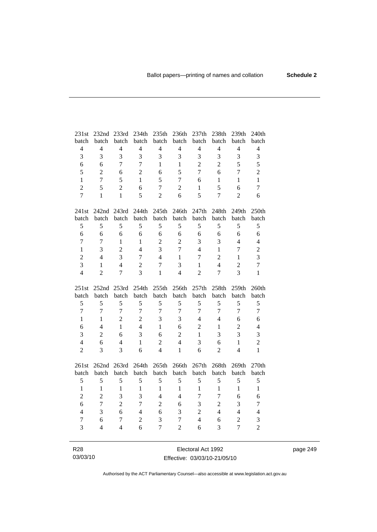| 231st                 | 232nd 233rd                   |                     | 234th                            | 235th               | 236th               | 237th                        | 238th                   | 239th                              | 240th               |
|-----------------------|-------------------------------|---------------------|----------------------------------|---------------------|---------------------|------------------------------|-------------------------|------------------------------------|---------------------|
| batch                 | batch                         | batch               | batch                            | batch               | batch               | batch                        | batch                   | batch                              | batch               |
| $\overline{4}$        | $\overline{4}$                | $\overline{4}$      | $\overline{4}$                   | $\overline{4}$      | $\overline{4}$      | $\overline{4}$               | $\overline{4}$          | $\overline{4}$                     | $\overline{4}$      |
| 3                     | 3                             | 3                   | 3                                | 3                   | 3                   | 3                            | 3                       | 3                                  | 3                   |
| 6                     | 6                             | $\tau$              | $\overline{7}$                   | 1                   | $\mathbf{1}$        | $\overline{2}$               | $\overline{2}$          | 5                                  | 5                   |
| 5                     | $\overline{c}$                | 6                   | $\overline{2}$                   | 6                   | 5                   | $\tau$                       | 6                       | $\overline{7}$                     | $\overline{2}$      |
| $\mathbf{1}$          | $\overline{7}$                | 5                   | $\mathbf{1}$                     | 5                   | $\overline{7}$      | 6                            | $\mathbf{1}$            | $\mathbf{1}$                       | $\mathbf{1}$        |
| $\overline{2}$        | 5                             | $\overline{2}$      | 6                                | $\overline{7}$      | $\overline{2}$      | $\mathbf{1}$                 | 5                       | 6                                  | $\overline{7}$      |
| $\overline{7}$        | $\mathbf{1}$                  | $\mathbf{1}$        | 5                                | $\overline{2}$      | 6                   | 5                            | $\overline{7}$          | $\overline{2}$                     | 6                   |
| 241st                 |                               | 242nd 243rd         | 244th                            | 245th               | 246th               | 247th                        | 248th                   | 249th                              | 250th               |
| batch                 | batch                         | batch               | batch                            | batch               | batch               | batch                        | batch                   | batch                              | batch               |
| 5                     | 5                             | 5                   | 5                                | 5                   | 5                   | 5                            | 5                       | 5                                  | 5                   |
| $\sqrt{6}$            | 6                             | 6                   | 6                                | 6                   | 6                   | 6                            | 6                       | 6                                  | $\sqrt{6}$          |
| $\tau$                | 7                             | $\mathbf{1}$        | 1                                | $\overline{2}$      | $\overline{2}$      | 3                            | 3                       | $\overline{4}$                     | $\overline{4}$      |
| $\mathbf{1}$          | 3                             | $\overline{2}$      | $\overline{4}$                   | 3                   | $\overline{7}$      | $\overline{4}$               | $\mathbf{1}$            | $\overline{7}$                     | $\overline{c}$      |
| $\overline{2}$        | $\overline{4}$                | 3                   | $\tau$                           | $\overline{4}$      | $\mathbf{1}$        | $\tau$                       | $\overline{c}$          | $\mathbf{1}$                       | $\overline{3}$      |
| $\overline{3}$        | $\mathbf{1}$                  | $\overline{4}$      |                                  | $\overline{7}$      | 3                   |                              | $\overline{\mathbf{4}}$ |                                    | $\tau$              |
| $\overline{4}$        | $\overline{2}$                | $\overline{7}$      | $\overline{c}$<br>$\overline{3}$ |                     | $\overline{4}$      | $\mathbf{1}$                 | $\overline{7}$          | $\overline{c}$<br>$\overline{3}$   |                     |
|                       |                               |                     |                                  | $\mathbf{1}$        |                     | $\overline{2}$               |                         |                                    | $\mathbf{1}$        |
|                       |                               |                     |                                  |                     |                     |                              |                         |                                    |                     |
| 251st                 | 252nd 253rd                   |                     | 254th                            | 255th               | 256th               | 257th                        | 258th                   | 259th                              | 260th               |
| batch                 | batch                         | batch               | batch                            | batch               | batch               | batch                        | batch                   | batch                              | batch               |
| 5                     | 5                             | 5                   | 5                                | 5                   | 5                   | 5                            | 5                       | 5                                  | 5                   |
| $\overline{7}$        | $\tau$                        | $\overline{7}$      | $\overline{7}$                   | $\overline{7}$      | $\boldsymbol{7}$    | $\tau$                       | $\tau$                  | $\overline{7}$                     | $\tau$              |
| $\mathbf{1}$          | $\mathbf{1}$                  | $\overline{2}$      | $\overline{2}$                   | 3                   | 3                   | 4                            | $\overline{4}$          | 6                                  | 6                   |
| 6                     | $\overline{4}$                | $\mathbf{1}$        | $\overline{4}$                   | $\mathbf{1}$        | 6                   | $\overline{2}$               | $\mathbf{1}$            | $\overline{2}$                     | $\overline{4}$      |
| $\overline{3}$        | $\overline{2}$                | 6                   | $\overline{3}$                   | 6                   | $\overline{2}$      | $\mathbf{1}$                 | 3                       | 3                                  | 3                   |
| $\overline{4}$        | 6                             | $\overline{4}$      | $\mathbf{1}$                     | $\overline{2}$      | $\overline{4}$      | 3                            | 6                       | $\mathbf{1}$                       | $\overline{2}$      |
| $\overline{2}$        | 3                             | 3                   | 6                                | $\overline{4}$      | $\mathbf{1}$        | 6                            | $\overline{2}$          | $\overline{4}$                     | $\mathbf{1}$        |
|                       |                               |                     |                                  |                     |                     |                              |                         |                                    |                     |
| 261st                 | 262nd                         | 263rd               | 264th                            | 265th               | 266th               | 267th                        | 268th                   | 269th                              | 270th               |
| batch                 | batch                         | batch               | batch                            | batch               | batch               | batch                        | batch                   | batch                              | batch               |
| 5                     | 5                             | 5                   | 5                                | 5                   | 5                   | 5                            | 5                       | 5                                  | 5                   |
| $\mathbf{1}$          | $\mathbf{1}$                  | $\mathbf{1}$        | $\mathbf{1}$                     | $\mathbf{1}$        | $\mathbf{1}$        | $\mathbf{1}$                 | $\mathbf{1}$            | $\mathbf{1}$                       | $\mathbf{1}$        |
| $\overline{c}$        | $\overline{2}$                | 3                   | 3                                | $\overline{4}$      | $\overline{4}$      | $\overline{7}$               | $\overline{7}$          | 6                                  | 6                   |
| 6                     | $\overline{7}$                | $\overline{2}$      | $\overline{7}$                   | $\overline{2}$      | 6                   | 3                            | $\overline{c}$          | 3                                  | $\tau$              |
| $\overline{4}$        | 3                             | 6                   | $\overline{4}$                   | 6                   | 3                   | $\overline{2}$               | $\overline{4}$          | $\overline{4}$                     | $\overline{4}$      |
| $\boldsymbol{7}$<br>3 | 6<br>$\overline{\mathcal{L}}$ | 7<br>$\overline{4}$ | $\overline{2}$<br>6              | 3<br>$\overline{7}$ | 7<br>$\overline{2}$ | $\overline{\mathbf{4}}$<br>6 | 6<br>3                  | $\boldsymbol{2}$<br>$\overline{7}$ | 3<br>$\overline{2}$ |

page 249

R28 03/03/10

Electoral Act 1992 Effective: 03/03/10-21/05/10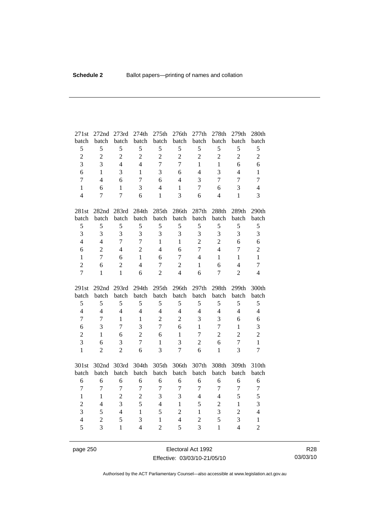| 271st               | 272nd               | 273rd             | 274th               | 275th                          | 276th               | 277th               | 278th             | 279th               | 280th                          |
|---------------------|---------------------|-------------------|---------------------|--------------------------------|---------------------|---------------------|-------------------|---------------------|--------------------------------|
| batch               | batch               | batch             | batch               | batch                          | batch               | batch               | batch             | batch               | batch                          |
| 5                   | 5                   | 5                 | 5                   | 5                              | 5                   | 5                   | 5                 | 5                   | 5                              |
| $\overline{c}$      | $\overline{c}$      | $\overline{2}$    | $\overline{2}$      | $\overline{2}$                 | $\overline{c}$      | $\overline{2}$      | $\overline{c}$    | $\overline{2}$      | $\overline{2}$                 |
| $\overline{3}$      | 3                   | $\overline{4}$    | $\overline{4}$      | $\overline{7}$                 | $\overline{7}$      | $\mathbf{1}$        | $\mathbf{1}$      | 6                   | 6                              |
| 6                   | $\mathbf{1}$        | 3                 | $\mathbf{1}$        | 3                              | 6                   | $\overline{4}$      | 3                 | $\overline{4}$      | $\mathbf{1}$                   |
| $\overline{7}$      | $\overline{4}$      | 6                 | $\overline{7}$      | 6                              | $\overline{4}$      | 3                   | $\overline{7}$    | $\overline{7}$      | $\overline{7}$                 |
| $\mathbf{1}$        | 6                   | $\mathbf{1}$      | 3                   | $\overline{4}$                 | $\mathbf{1}$        | $\overline{7}$      | 6                 | 3                   | $\overline{4}$                 |
| $\overline{4}$      | 7                   | $\tau$            | 6                   | $\mathbf{1}$                   | $\overline{3}$      | 6                   | $\overline{4}$    | $\mathbf{1}$        | 3                              |
| 281st               | 282nd               | 283rd             | 284th               | 285th                          | 286th               | 287th               | 288th             | 289th               | 290th                          |
| batch               | batch               | batch             | batch               | batch                          | batch               | batch               | batch             | batch               | batch                          |
| 5                   | 5                   | 5                 | 5                   | 5                              | $\sqrt{5}$          | 5                   | 5                 | 5                   | 5                              |
| $\overline{3}$      | 3                   | $\overline{3}$    | $\overline{3}$      | 3                              | 3                   | 3                   | 3                 | 3                   | 3                              |
| $\overline{4}$      | $\overline{4}$      | $\overline{7}$    | $\overline{7}$      | $\mathbf{1}$                   | $\mathbf{1}$        | $\overline{2}$      | $\overline{2}$    | 6                   | 6                              |
| 6                   | $\overline{2}$      | $\overline{4}$    | $\overline{2}$      | $\overline{4}$                 | 6                   | $\overline{7}$      | $\overline{4}$    | 7                   | $\overline{c}$                 |
| $\mathbf{1}$        | $\overline{7}$      | 6                 | $\mathbf{1}$        | 6                              | $\overline{7}$      | $\overline{4}$      | $\mathbf{1}$      | $\mathbf{1}$        | $\mathbf{1}$                   |
| $\overline{2}$      | 6                   | $\overline{2}$    | $\overline{4}$      | $\overline{7}$                 | $\overline{2}$      | $\mathbf{1}$        | 6                 | $\overline{4}$      | $\overline{7}$                 |
| $\overline{7}$      | $\mathbf{1}$        | $\mathbf{1}$      | 6                   | $\overline{2}$                 | $\overline{4}$      | 6                   | $\overline{7}$    | $\overline{2}$      | $\overline{4}$                 |
|                     |                     |                   |                     |                                |                     |                     |                   |                     |                                |
| 291st               | 292 <sub>nd</sub>   | 293rd             | 294th               | 295th                          | 296th               | 297th               | 298th             | 299th               | 300th                          |
| batch               | batch               | batch             | batch               | batch                          | batch               | batch               | batch             | batch               | batch                          |
| 5                   | 5                   | 5                 | 5                   | 5                              | 5                   | 5                   | 5                 | 5                   | 5                              |
| $\overline{4}$      | $\overline{4}$      | $\overline{4}$    | $\overline{4}$      | $\overline{4}$                 | $\overline{4}$      | $\overline{4}$      | $\overline{4}$    | $\overline{4}$      | $\overline{4}$                 |
| $\overline{7}$      | $\overline{7}$      | $\mathbf{1}$      | $\mathbf{1}$        | $\overline{2}$                 | $\overline{c}$      | 3                   | $\overline{3}$    | 6                   | 6                              |
| 6                   | 3                   | 7                 | 3                   | $\overline{7}$                 | 6                   | $\mathbf{1}$        | $\tau$            | $\mathbf{1}$        | 3                              |
| $\overline{2}$      | $\mathbf{1}$        | 6                 | $\overline{2}$      | 6                              | $\mathbf{1}$        | 7                   | $\overline{2}$    | $\overline{2}$      | $\overline{2}$                 |
| 3                   | 6                   | 3                 | $\overline{7}$      | $\mathbf{1}$                   | 3                   | $\overline{2}$      | 6                 | $\overline{7}$      | $\mathbf{1}$                   |
| $\mathbf{1}$        | $\overline{2}$      | $\overline{2}$    | 6                   | 3                              | $\overline{7}$      | 6                   | $\mathbf{1}$      | 3                   | $\overline{7}$                 |
| 301st               | 302nd 303rd         |                   | 304th               | 305th                          | 306th               | 307th               | 308th             | 309th               | 310th                          |
| batch               | batch               | batch             | batch               | batch                          | batch               | batch               | batch             | batch               | batch                          |
| 6                   | 6                   | 6                 | 6                   | 6                              | 6                   | 6                   | 6                 | 6                   | 6                              |
| $\overline{7}$      | $\tau$              | $\overline{7}$    | $\boldsymbol{7}$    | $\overline{7}$                 | $\boldsymbol{7}$    | $\overline{7}$      | $\boldsymbol{7}$  | $\boldsymbol{7}$    | $\boldsymbol{7}$               |
| $\mathbf{1}$        | $\mathbf{1}$        | $\overline{2}$    | $\overline{2}$      | 3                              | 3                   | $\overline{4}$      | $\overline{4}$    | 5                   | 5                              |
| $\overline{c}$      | $\overline{4}$      | $\overline{3}$    | 5                   | $\overline{4}$                 | $\mathbf{1}$        | 5                   | $\overline{2}$    | $\mathbf{1}$        | 3                              |
| 3                   | 5                   | $\overline{4}$    | $\mathbf{1}$        | 5                              | $\overline{2}$      | $\mathbf{1}$        | 3                 | $\overline{2}$      | $\overline{4}$                 |
| $\overline{4}$<br>5 | $\overline{2}$<br>3 | 5<br>$\mathbf{1}$ | 3<br>$\overline{4}$ | $\mathbf{1}$<br>$\overline{2}$ | $\overline{4}$<br>5 | $\overline{2}$<br>3 | 5<br>$\mathbf{1}$ | 3<br>$\overline{4}$ | $\mathbf{1}$<br>$\overline{2}$ |

page 250 **Electoral Act 1992** Effective: 03/03/10-21/05/10

R28 03/03/10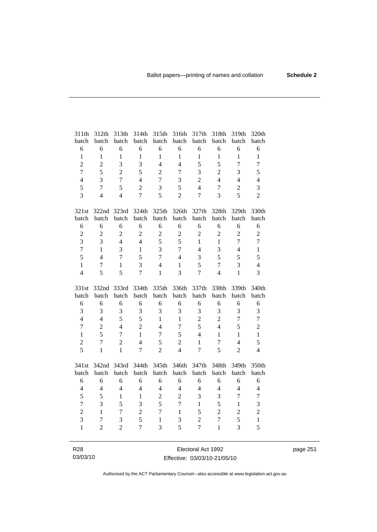| 311th            | 312th            | 313th          | 314th          | 315th          | 316th          | 317th          | 318th            | 319th          | 320th            |
|------------------|------------------|----------------|----------------|----------------|----------------|----------------|------------------|----------------|------------------|
| batch            | batch            | batch          | batch          | batch          | batch          | batch          | batch            | batch          | batch            |
| $\sqrt{6}$       | 6                | 6              | 6              | 6              | $\sqrt{6}$     | 6              | 6                | 6              | 6                |
| $\mathbf{1}$     | $\mathbf{1}$     | $\mathbf{1}$   | $\mathbf{1}$   | $\mathbf{1}$   | $\mathbf{1}$   | $\mathbf{1}$   | $\mathbf{1}$     | $\mathbf{1}$   | $\mathbf{1}$     |
| $\overline{c}$   | $\overline{c}$   | 3              | 3              | $\overline{4}$ | $\overline{4}$ | 5              | 5                | $\overline{7}$ | $\boldsymbol{7}$ |
| $\overline{7}$   | 5                | $\overline{c}$ | 5              | $\overline{2}$ | 7              | 3              | $\overline{2}$   | 3              | 5                |
| $\overline{4}$   | 3                | $\overline{7}$ | $\overline{4}$ | $\overline{7}$ | 3              | $\overline{2}$ | $\overline{4}$   | $\overline{4}$ | $\overline{4}$   |
| 5                | $\overline{7}$   | 5              | $\overline{2}$ | 3              | 5              | $\overline{4}$ | $\boldsymbol{7}$ | $\overline{2}$ | 3                |
| 3                | $\overline{4}$   | $\overline{4}$ | $\overline{7}$ | 5              | $\overline{2}$ | $\overline{7}$ | $\overline{3}$   | 5              | $\overline{2}$   |
| 321st            |                  | 322nd 323rd    | 324th          | 325th          | 326th          | 327th          | 328th            | 329th          | 330th            |
| batch            | batch            | batch          | batch          | batch          | batch          | batch          | batch            | batch          | batch            |
| 6                | 6                | 6              | 6              | 6              | 6              | 6              | 6                | 6              | 6                |
| $\overline{c}$   | $\sqrt{2}$       | $\overline{c}$ | $\overline{2}$ | $\overline{2}$ | $\sqrt{2}$     | $\overline{2}$ | $\overline{c}$   | $\overline{c}$ | $\overline{c}$   |
| $\overline{3}$   | 3                | $\overline{4}$ | $\overline{4}$ | 5              | 5              | 1              | $\mathbf{1}$     | $\overline{7}$ | $\overline{7}$   |
| $\overline{7}$   | $\mathbf{1}$     | $\overline{3}$ | $\mathbf{1}$   | $\overline{3}$ | $\overline{7}$ | $\overline{4}$ | 3                | $\overline{4}$ | $\mathbf{1}$     |
| 5                | $\overline{4}$   | $\overline{7}$ | 5              | $\overline{7}$ | $\overline{4}$ | 3              | 5                | 5              | 5                |
| $\mathbf{1}$     | $\boldsymbol{7}$ | $\mathbf{1}$   | $\overline{3}$ | $\overline{4}$ | $\mathbf{1}$   | 5              | $\overline{7}$   | 3              | $\overline{4}$   |
| $\overline{4}$   | 5                | 5              | $\overline{7}$ | $\mathbf{1}$   | 3              | 7              | $\overline{4}$   | $\mathbf{1}$   | $\overline{3}$   |
|                  |                  |                |                |                |                |                |                  |                |                  |
| 331st            | 332nd 333rd      |                | 334th          | 335th          | 336th          | 337th          | 338th            | 339th          | 340th            |
| batch            | batch            | batch          | batch          | batch          | batch          | batch          | batch            | batch          | batch            |
| 6                | 6                | 6              | 6              | 6              | 6              | 6              | 6                | 6              | 6                |
| $\overline{3}$   | 3                | 3              | 3              | 3              | 3              | 3              | 3                | 3              | 3                |
| $\overline{4}$   | $\overline{4}$   | 5              | 5              | $\mathbf{1}$   | $\mathbf{1}$   | $\overline{2}$ | $\overline{2}$   | $\overline{7}$ | $\overline{7}$   |
| $\boldsymbol{7}$ | $\overline{c}$   | $\overline{4}$ | $\overline{2}$ | $\overline{4}$ | $\overline{7}$ | 5              | $\overline{4}$   | 5              | $\overline{2}$   |
| $\mathbf{1}$     | 5                | $\overline{7}$ | $\mathbf{1}$   | $\overline{7}$ | 5              | $\overline{4}$ | $\mathbf{1}$     | $\mathbf{1}$   | $\,1\,$          |
| $\overline{c}$   | 7                | $\overline{2}$ | $\overline{4}$ | 5              | $\overline{2}$ | $\mathbf{1}$   | $\tau$           | $\overline{4}$ | 5                |
| 5                | $\mathbf{1}$     | $\mathbf{1}$   | $\overline{7}$ | $\overline{2}$ | $\overline{4}$ | $\overline{7}$ | 5                | $\overline{2}$ | $\overline{4}$   |
| 341st            | 342nd            | 343rd          | 344th          | 345th          | 346th          | 347th          | 348th            | 349th          | 350th            |
| batch            | batch            | batch          | batch          | batch          | batch          | batch          | batch            | batch          | batch            |
| 6                | 6                | 6              | 6              | 6              | 6              | 6              | 6                | 6              | 6                |
| $\overline{4}$   | $\overline{4}$   | $\overline{4}$ | $\overline{4}$ | $\overline{4}$ | $\overline{4}$ | $\overline{4}$ | $\overline{4}$   | $\overline{4}$ | $\overline{4}$   |
| 5                | 5                | $\mathbf{1}$   | $\mathbf{1}$   | $\overline{2}$ | $\overline{c}$ | 3              | 3                | $\overline{7}$ | $\tau$           |
| $\boldsymbol{7}$ | 3                | 5              | $\overline{3}$ | 5              | $\overline{7}$ | $\mathbf{1}$   | 5                | $\mathbf{1}$   | 3                |
| $\overline{c}$   | $\mathbf{1}$     | $\tau$         | $\overline{2}$ | $\overline{7}$ | $\mathbf{1}$   | 5              | $\overline{c}$   | $\overline{c}$ | $\overline{c}$   |
| 3                | $\overline{7}$   | 3              | 5              | $\mathbf{1}$   | 3              | $\overline{2}$ | $\overline{7}$   | 5              | $\mathbf{1}$     |
| $\mathbf{1}$     | $\overline{2}$   | $\overline{c}$ | $\overline{7}$ | 3              | 5              | $\overline{7}$ | $\mathbf{1}$     | 3              | 5                |

R28 03/03/10

Electoral Act 1992 Effective: 03/03/10-21/05/10 page 251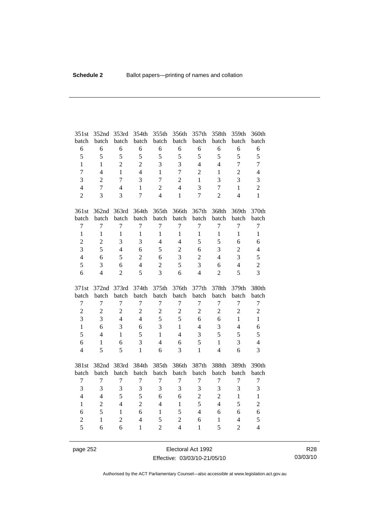| 351st          | 352nd          | 353rd          | 354th          | 355th          | 356th          | 357th          | 358th            | 359th          | 360th                   |
|----------------|----------------|----------------|----------------|----------------|----------------|----------------|------------------|----------------|-------------------------|
| batch          | batch          | batch          | batch          | batch          | batch          | batch          | batch            | batch          | batch                   |
| 6              | 6              | 6              | 6              | 6              | 6              | 6              | 6                | 6              | 6                       |
| 5              | 5              | 5              | 5              | 5              | 5              | 5              | 5                | 5              | 5                       |
| $\mathbf{1}$   | $\mathbf{1}$   | $\overline{2}$ | $\overline{2}$ | $\overline{3}$ | 3              | $\overline{4}$ | $\overline{4}$   | $\overline{7}$ | $\overline{7}$          |
| $\overline{7}$ | $\overline{4}$ | $\mathbf{1}$   | $\overline{4}$ | $\mathbf{1}$   | $\overline{7}$ | $\overline{2}$ | $\mathbf{1}$     | $\overline{c}$ | $\overline{4}$          |
| 3              | $\overline{2}$ | $\overline{7}$ | 3              | $\overline{7}$ | $\overline{c}$ | $\mathbf{1}$   | 3                | 3              | 3                       |
| $\overline{4}$ | $\overline{7}$ | $\overline{4}$ | 1              | $\overline{2}$ | $\overline{4}$ | 3              | 7                | $\mathbf{1}$   | $\overline{2}$          |
| $\overline{2}$ | 3              | 3              | $\overline{7}$ | $\overline{4}$ | $\mathbf{1}$   | $\overline{7}$ | $\overline{2}$   | $\overline{4}$ | $\mathbf{1}$            |
| 361st          | 362nd          | 363rd          | 364th          | 365th          | 366th          | 367th          | 368th            | 369th          | 370th                   |
| batch          | batch          | batch          | batch          | batch          | batch          | batch          | batch            | batch          | batch                   |
| $\tau$         | $\overline{7}$ | $\tau$         | $\tau$         | $\overline{7}$ | $\tau$         | $\tau$         | $\tau$           | $\overline{7}$ | $\boldsymbol{7}$        |
| $\mathbf{1}$   | $\mathbf{1}$   | $\mathbf{1}$   | $\mathbf{1}$   | $\mathbf{1}$   | $\mathbf{1}$   | $\mathbf{1}$   | $\mathbf{1}$     | $\mathbf{1}$   | $\mathbf{1}$            |
| $\overline{c}$ | $\overline{2}$ | 3              | 3              | $\overline{4}$ | $\overline{4}$ | 5              | 5                | 6              | 6                       |
| 3              | 5              | $\overline{4}$ | 6              | 5              | $\overline{c}$ | 6              | 3                | $\overline{2}$ | $\overline{4}$          |
| $\overline{4}$ | 6              | 5              | $\overline{2}$ | 6              | 3              | $\overline{2}$ | $\overline{4}$   | 3              | 5                       |
| 5              | 3              | 6              | $\overline{4}$ | $\overline{2}$ | 5              | 3              | 6                | $\overline{4}$ | $\overline{2}$          |
| 6              | $\overline{4}$ | $\overline{2}$ | 5              | 3              | 6              | $\overline{4}$ | $\overline{2}$   | 5              | $\overline{3}$          |
|                |                |                |                |                |                |                |                  |                |                         |
| 371st          | 372nd          | 373rd          | 374th          | 375th          | 376th          | 377th          | 378th            | 379th          | 380th                   |
| batch          | batch          | batch          | batch          | batch          | batch          | batch          | batch            | batch          | batch                   |
| $\tau$         | $\overline{7}$ | $\tau$         | $\tau$         | $\overline{7}$ | $\tau$         | $\tau$         | $\boldsymbol{7}$ | $\overline{7}$ | $\boldsymbol{7}$        |
| $\overline{2}$ | $\overline{2}$ | $\overline{2}$ | $\overline{2}$ | $\overline{2}$ | $\overline{c}$ | $\overline{2}$ | $\overline{2}$   | $\overline{2}$ | $\overline{c}$          |
| 3              | 3              | $\overline{4}$ | $\overline{4}$ | 5              | 5              | 6              | 6                | $\mathbf{1}$   | $\mathbf{1}$            |
| $\mathbf{1}$   | 6              | 3              | 6              | 3              | $\mathbf{1}$   | $\overline{4}$ | 3                | $\overline{4}$ | 6                       |
| 5              | $\overline{4}$ | 1              | 5              | $\mathbf{1}$   | $\overline{4}$ | 3              | 5                | 5              | 5                       |
| 6              | 1              | 6              | 3              | $\overline{4}$ | 6              | 5              | $\mathbf{1}$     | 3              | $\overline{4}$          |
| $\overline{4}$ | 5              | 5              | $\mathbf{1}$   | 6              | 3              | $\mathbf{1}$   | $\overline{4}$   | 6              | 3                       |
| 381st          | 382nd          | 383rd          | 384th          | 385th          | 386th          | 387th          | 388th            | 389th          | 390th                   |
| batch          | batch          | batch          | batch          | batch          | batch          | batch          | batch            | batch          | batch                   |
| $\tau$         | $\overline{7}$ | $\tau$         | $\tau$         | $\overline{7}$ | $\tau$         | $\tau$         | $\tau$           | $\overline{7}$ | $\boldsymbol{7}$        |
| 3              | 3              | 3              | 3              | 3              | 3              | 3              | 3                | 3              | $\overline{\mathbf{3}}$ |
| $\overline{4}$ | $\overline{4}$ | 5              | 5              | 6              | 6              | $\overline{2}$ | $\overline{2}$   | $\mathbf{1}$   | $\,1\,$                 |
| $\mathbf{1}$   | $\overline{2}$ | $\overline{4}$ | $\overline{2}$ | $\overline{4}$ | $\mathbf{1}$   | 5              | $\overline{4}$   | 5              | $\overline{c}$          |
| 6              | 5              | $\mathbf{1}$   | 6              | $\mathbf{1}$   | 5              | $\overline{4}$ | 6                | 6              | 6                       |
| $\overline{c}$ | $\mathbf{1}$   | $\overline{2}$ | $\overline{4}$ | 5              | $\overline{c}$ | 6              | $\mathbf{1}$     | $\overline{4}$ | 5                       |

page 252 **Electoral Act 1992** Effective: 03/03/10-21/05/10

R28 03/03/10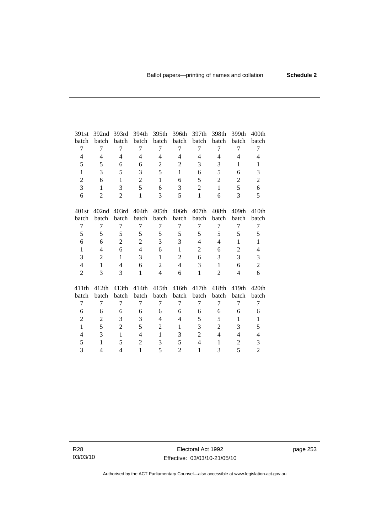| 391st                    | 392nd             | 393rd          | 394th            | 395th                    | 396th          | 397th             | 398th          | 399th             | 400th                    |
|--------------------------|-------------------|----------------|------------------|--------------------------|----------------|-------------------|----------------|-------------------|--------------------------|
| batch                    | batch             | batch          | batch            | batch                    | batch          | batch             | batch          | batch             | batch                    |
| 7                        | 7                 | 7              | 7                | 7                        | 7              | 7                 | 7              | 7                 | 7                        |
| $\overline{\mathcal{L}}$ | 4                 | 4              | 4                | 4                        | 4              | 4                 | 4              | 4                 | 4                        |
| 5                        | 5                 | 6              | 6                | $\mathbf{2}$             | $\mathbf{2}$   | 3                 | 3              | $\mathbf{1}$      | $\mathbf{1}$             |
| $\mathbf{1}$             | 3                 | 5              | 3                | 5                        | $\mathbf{1}$   | 6                 | 5              | 6                 | 3                        |
| $\overline{2}$           | 6                 | $\mathbf{1}$   | $\overline{2}$   | $\mathbf{1}$             | 6              | 5                 | $\overline{2}$ | $\overline{2}$    | $\mathfrak{2}$           |
| 3                        | $\mathbf{1}$      | 3              | 5                | 6                        | 3              | $\overline{2}$    | $\mathbf{1}$   | 5                 | 6                        |
| 6                        | $\overline{2}$    | $\overline{2}$ | $\mathbf{1}$     | 3                        | 5              | $\mathbf{1}$      | 6              | 3                 | 5                        |
| 401st                    | 402 <sub>nd</sub> | 403rd          | 404th            | 405th                    | 406th          | 407 <sub>th</sub> | 408th          | 409th             | 410th                    |
| batch                    | batch             | batch          | batch            | batch                    | batch          | batch             | batch          | batch             | batch                    |
| 7                        | $\overline{7}$    | 7              | $\tau$           | $\overline{7}$           | 7              | 7                 | 7              | 7                 | $\tau$                   |
| 5                        | 5                 | 5              | 5                | 5                        | 5              | 5                 | 5              | 5                 | 5                        |
| 6                        | 6                 | $\overline{2}$ | $\overline{2}$   | 3                        | 3              | $\overline{4}$    | $\overline{4}$ | $\mathbf{1}$      | $\mathbf{1}$             |
| $\mathbf{1}$             | 4                 | 6              | $\overline{4}$   | 6                        | $\mathbf{1}$   | $\overline{2}$    | 6              | $\overline{2}$    | $\overline{\mathcal{L}}$ |
| 3                        | 2                 | $\mathbf{1}$   | 3                | $\mathbf{1}$             | $\overline{2}$ | 6                 | 3              | 3                 | 3                        |
| $\overline{4}$           | 1                 | 4              | 6                | $\overline{2}$           | $\overline{4}$ | 3                 | 1              | 6                 | $\mathbf{2}$             |
| $\overline{2}$           | 3                 | 3              | $\mathbf{1}$     | $\overline{4}$           | 6              | $\mathbf{1}$      | $\overline{2}$ | $\overline{4}$    | 6                        |
| 411th                    | 412th             | 413th          | 414th            | 415th                    | 416th          | 417th             | 418th          | 419 <sub>th</sub> | 420 <sub>th</sub>        |
| batch                    | batch             | batch          | batch            | batch                    | batch          | batch             | batch          | batch             | batch                    |
| 7                        | 7                 | 7              | 7                | $\overline{7}$           | 7              | $\tau$            | 7              | 7                 | 7                        |
| 6                        | 6                 | 6              | 6                | 6                        | 6              | 6                 | 6              | 6                 | 6                        |
| $\overline{c}$           | $\overline{c}$    | 3              | 3                | $\overline{\mathcal{L}}$ | 4              | 5                 | 5              | $\mathbf{1}$      | $\mathbf{1}$             |
| $\mathbf{1}$             | 5                 | $\overline{2}$ | 5                | $\overline{2}$           | $\mathbf{1}$   | 3                 | $\overline{2}$ | 3                 | 5                        |
| 4                        | 3                 | $\mathbf{1}$   | 4                | $\mathbf{1}$             | 3              | $\overline{c}$    | 4              | 4                 | $\overline{\mathbf{4}}$  |
| 5                        | $\mathbf{1}$      | 5              | $\boldsymbol{2}$ | 3                        | 5              | $\overline{4}$    | 1              | $\overline{c}$    | 3                        |
| 3                        | 4                 | 4              | 1                | 5                        | $\overline{2}$ | $\mathbf{1}$      | 3              | 5                 | $\mathbf{2}$             |
|                          |                   |                |                  |                          |                |                   |                |                   |                          |

R28 03/03/10 page 253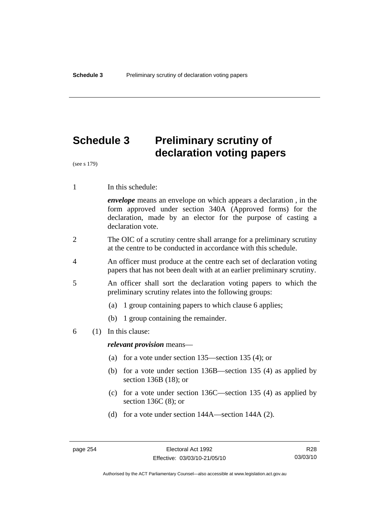# **Schedule 3 Preliminary scrutiny of declaration voting papers**

(see s 179)

1 In this schedule:

*envelope* means an envelope on which appears a declaration , in the form approved under section 340A (Approved forms) for the declaration, made by an elector for the purpose of casting a declaration vote.

- 2 The OIC of a scrutiny centre shall arrange for a preliminary scrutiny at the centre to be conducted in accordance with this schedule.
- 4 An officer must produce at the centre each set of declaration voting papers that has not been dealt with at an earlier preliminary scrutiny.
- 5 An officer shall sort the declaration voting papers to which the preliminary scrutiny relates into the following groups:
	- (a) 1 group containing papers to which clause 6 applies;
	- (b) 1 group containing the remainder.
- 6 (1) In this clause:

*relevant provision* means—

- (a) for a vote under section 135—section 135 (4); or
- (b) for a vote under section 136B—section 135 (4) as applied by section 136B (18); or
- (c) for a vote under section 136C—section 135 (4) as applied by section 136C (8); or
- (d) for a vote under section 144A—section 144A (2).

Authorised by the ACT Parliamentary Counsel—also accessible at www.legislation.act.gov.au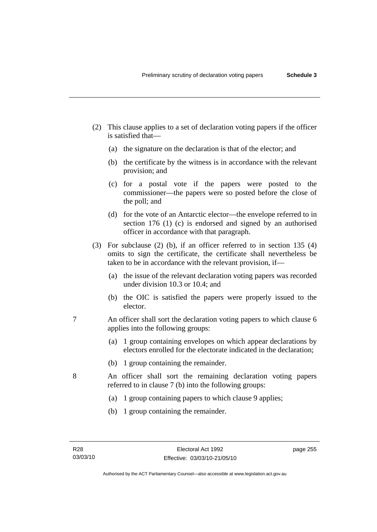- (2) This clause applies to a set of declaration voting papers if the officer is satisfied that—
	- (a) the signature on the declaration is that of the elector; and
	- (b) the certificate by the witness is in accordance with the relevant provision; and
	- (c) for a postal vote if the papers were posted to the commissioner—the papers were so posted before the close of the poll; and
	- (d) for the vote of an Antarctic elector—the envelope referred to in section 176 (1) (c) is endorsed and signed by an authorised officer in accordance with that paragraph.
- (3) For subclause (2) (b), if an officer referred to in section 135 (4) omits to sign the certificate, the certificate shall nevertheless be taken to be in accordance with the relevant provision, if—
	- (a) the issue of the relevant declaration voting papers was recorded under division 10.3 or 10.4; and
	- (b) the OIC is satisfied the papers were properly issued to the elector.
- 7 An officer shall sort the declaration voting papers to which clause 6 applies into the following groups:
	- (a) 1 group containing envelopes on which appear declarations by electors enrolled for the electorate indicated in the declaration;
	- (b) 1 group containing the remainder.
- 8 An officer shall sort the remaining declaration voting papers referred to in clause 7 (b) into the following groups:
	- (a) 1 group containing papers to which clause 9 applies;
	- (b) 1 group containing the remainder.

page 255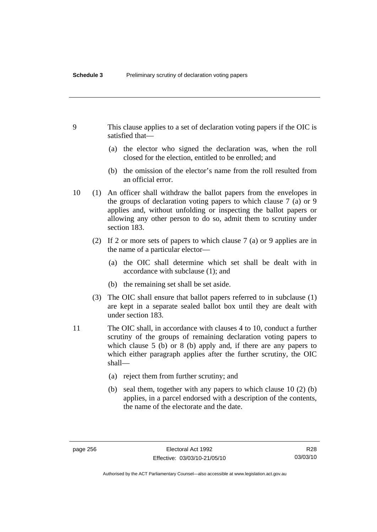- 9 This clause applies to a set of declaration voting papers if the OIC is satisfied that—
	- (a) the elector who signed the declaration was, when the roll closed for the election, entitled to be enrolled; and
	- (b) the omission of the elector's name from the roll resulted from an official error.
- 10 (1) An officer shall withdraw the ballot papers from the envelopes in the groups of declaration voting papers to which clause 7 (a) or 9 applies and, without unfolding or inspecting the ballot papers or allowing any other person to do so, admit them to scrutiny under section 183.
	- (2) If 2 or more sets of papers to which clause 7 (a) or 9 applies are in the name of a particular elector—
		- (a) the OIC shall determine which set shall be dealt with in accordance with subclause (1); and
		- (b) the remaining set shall be set aside.
	- (3) The OIC shall ensure that ballot papers referred to in subclause (1) are kept in a separate sealed ballot box until they are dealt with under section 183.
- 11 The OIC shall, in accordance with clauses 4 to 10, conduct a further scrutiny of the groups of remaining declaration voting papers to which clause 5 (b) or 8 (b) apply and, if there are any papers to which either paragraph applies after the further scrutiny, the OIC shall—
	- (a) reject them from further scrutiny; and
	- (b) seal them, together with any papers to which clause 10 (2) (b) applies, in a parcel endorsed with a description of the contents, the name of the electorate and the date.

R28 03/03/10

Authorised by the ACT Parliamentary Counsel—also accessible at www.legislation.act.gov.au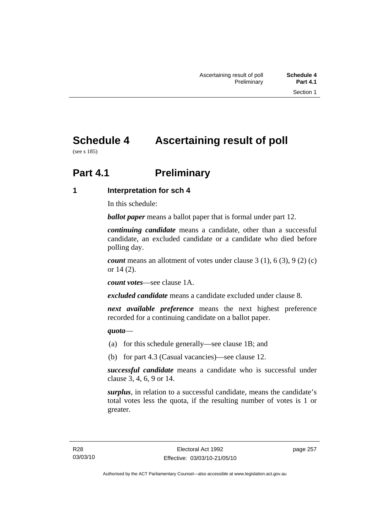# **Schedule 4 Ascertaining result of poll**

(see s 185)

# **Part 4.1** Preliminary

**1 Interpretation for sch 4** 

In this schedule:

*ballot paper* means a ballot paper that is formal under part 12.

*continuing candidate* means a candidate, other than a successful candidate, an excluded candidate or a candidate who died before polling day.

*count* means an allotment of votes under clause 3 (1), 6 (3), 9 (2) (c) or 14 (2).

*count votes*—see clause 1A.

*excluded candidate* means a candidate excluded under clause 8.

*next available preference* means the next highest preference recorded for a continuing candidate on a ballot paper.

*quota*—

- (a) for this schedule generally—see clause 1B; and
- (b) for part 4.3 (Casual vacancies)—see clause 12.

*successful candidate* means a candidate who is successful under clause 3, 4, 6, 9 or 14.

*surplus*, in relation to a successful candidate, means the candidate's total votes less the quota, if the resulting number of votes is 1 or greater.

page 257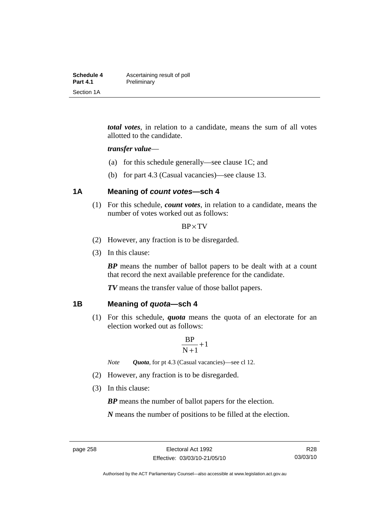| Schedule 4      | Ascertaining result of poll |
|-----------------|-----------------------------|
| <b>Part 4.1</b> | Preliminary                 |
| Section 1A      |                             |

*total votes*, in relation to a candidate, means the sum of all votes allotted to the candidate.

#### *transfer value*—

- (a) for this schedule generally—see clause 1C; and
- (b) for part 4.3 (Casual vacancies)—see clause 13.

## **1A Meaning of** *count votes***—sch 4**

 (1) For this schedule, *count votes*, in relation to a candidate, means the number of votes worked out as follows:

#### BP×TV

- (2) However, any fraction is to be disregarded.
- (3) In this clause:

*BP* means the number of ballot papers to be dealt with at a count that record the next available preference for the candidate.

*TV* means the transfer value of those ballot papers.

#### **1B Meaning of** *quota***—sch 4**

 (1) For this schedule, *quota* means the quota of an electorate for an election worked out as follows:

$$
\frac{BP}{N+1}\!+\!1
$$

*Note Quota*, for pt 4.3 (Casual vacancies)—see cl 12.

- (2) However, any fraction is to be disregarded.
- (3) In this clause:

*BP* means the number of ballot papers for the election.

*N* means the number of positions to be filled at the election.

Authorised by the ACT Parliamentary Counsel—also accessible at www.legislation.act.gov.au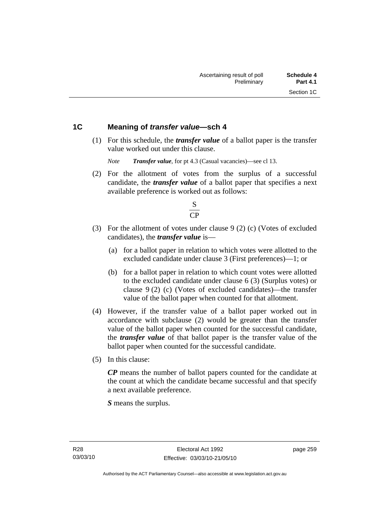## **1C Meaning of** *transfer value***—sch 4**

 (1) For this schedule, the *transfer value* of a ballot paper is the transfer value worked out under this clause.

*Note Transfer value*, for pt 4.3 (Casual vacancies)—see cl 13.

 (2) For the allotment of votes from the surplus of a successful candidate, the *transfer value* of a ballot paper that specifies a next available preference is worked out as follows:



- (3) For the allotment of votes under clause 9 (2) (c) (Votes of excluded candidates), the *transfer value* is—
	- (a) for a ballot paper in relation to which votes were allotted to the excluded candidate under clause 3 (First preferences)—1; or
	- (b) for a ballot paper in relation to which count votes were allotted to the excluded candidate under clause 6 (3) (Surplus votes) or clause 9 (2) (c) (Votes of excluded candidates)—the transfer value of the ballot paper when counted for that allotment.
- (4) However, if the transfer value of a ballot paper worked out in accordance with subclause (2) would be greater than the transfer value of the ballot paper when counted for the successful candidate, the *transfer value* of that ballot paper is the transfer value of the ballot paper when counted for the successful candidate.
- (5) In this clause:

*CP* means the number of ballot papers counted for the candidate at the count at which the candidate became successful and that specify a next available preference.

*S* means the surplus.

page 259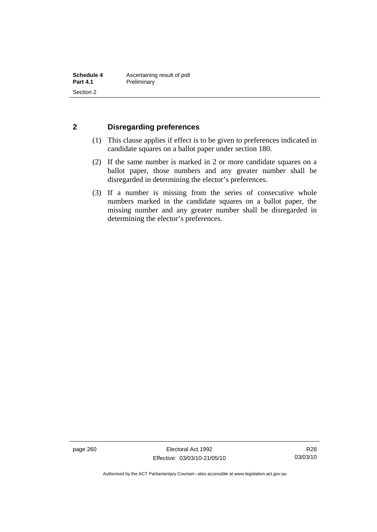## **2 Disregarding preferences**

- (1) This clause applies if effect is to be given to preferences indicated in candidate squares on a ballot paper under section 180.
- (2) If the same number is marked in 2 or more candidate squares on a ballot paper, those numbers and any greater number shall be disregarded in determining the elector's preferences.
- (3) If a number is missing from the series of consecutive whole numbers marked in the candidate squares on a ballot paper, the missing number and any greater number shall be disregarded in determining the elector's preferences.

page 260 Electoral Act 1992 Effective: 03/03/10-21/05/10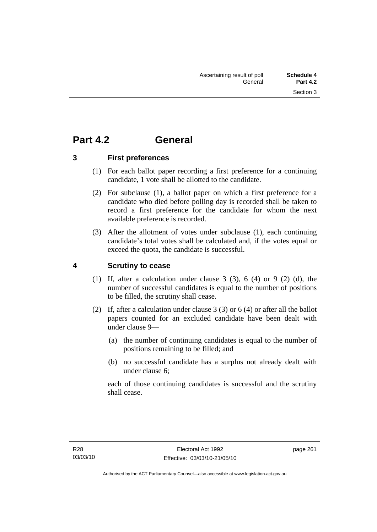# **Part 4.2 General**

**3 First preferences** 

- (1) For each ballot paper recording a first preference for a continuing candidate, 1 vote shall be allotted to the candidate.
- (2) For subclause (1), a ballot paper on which a first preference for a candidate who died before polling day is recorded shall be taken to record a first preference for the candidate for whom the next available preference is recorded.
- (3) After the allotment of votes under subclause (1), each continuing candidate's total votes shall be calculated and, if the votes equal or exceed the quota, the candidate is successful.

# **4 Scrutiny to cease**

- (1) If, after a calculation under clause  $3$  (3),  $6$  (4) or  $9$  (2) (d), the number of successful candidates is equal to the number of positions to be filled, the scrutiny shall cease.
- (2) If, after a calculation under clause 3 (3) or 6 (4) or after all the ballot papers counted for an excluded candidate have been dealt with under clause 9—
	- (a) the number of continuing candidates is equal to the number of positions remaining to be filled; and
	- (b) no successful candidate has a surplus not already dealt with under clause 6;

each of those continuing candidates is successful and the scrutiny shall cease.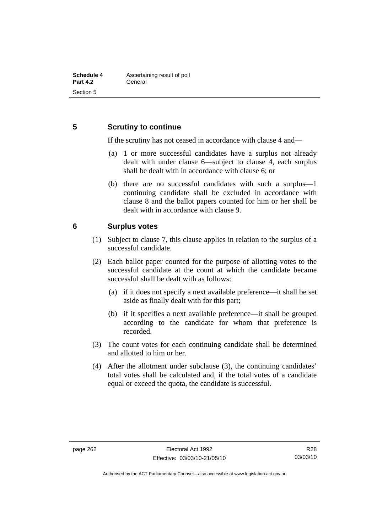## **5 Scrutiny to continue**

If the scrutiny has not ceased in accordance with clause 4 and—

- (a) 1 or more successful candidates have a surplus not already dealt with under clause 6—subject to clause 4, each surplus shall be dealt with in accordance with clause 6; or
- (b) there are no successful candidates with such a surplus—1 continuing candidate shall be excluded in accordance with clause 8 and the ballot papers counted for him or her shall be dealt with in accordance with clause 9.

## **6 Surplus votes**

- (1) Subject to clause 7, this clause applies in relation to the surplus of a successful candidate.
- (2) Each ballot paper counted for the purpose of allotting votes to the successful candidate at the count at which the candidate became successful shall be dealt with as follows:
	- (a) if it does not specify a next available preference—it shall be set aside as finally dealt with for this part;
	- (b) if it specifies a next available preference—it shall be grouped according to the candidate for whom that preference is recorded.
- (3) The count votes for each continuing candidate shall be determined and allotted to him or her.
- (4) After the allotment under subclause (3), the continuing candidates' total votes shall be calculated and, if the total votes of a candidate equal or exceed the quota, the candidate is successful.

Authorised by the ACT Parliamentary Counsel—also accessible at www.legislation.act.gov.au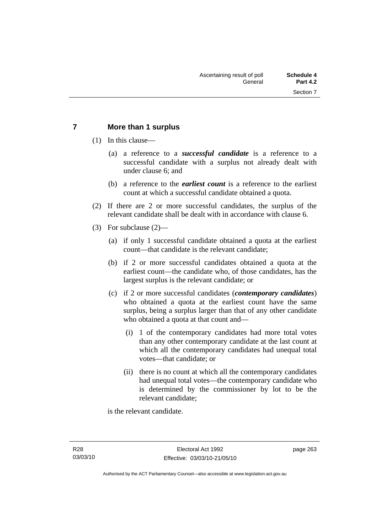## **7 More than 1 surplus**

(1) In this clause—

- (a) a reference to a *successful candidate* is a reference to a successful candidate with a surplus not already dealt with under clause 6; and
- (b) a reference to the *earliest count* is a reference to the earliest count at which a successful candidate obtained a quota.
- (2) If there are 2 or more successful candidates, the surplus of the relevant candidate shall be dealt with in accordance with clause 6.
- (3) For subclause (2)—
	- (a) if only 1 successful candidate obtained a quota at the earliest count—that candidate is the relevant candidate;
	- (b) if 2 or more successful candidates obtained a quota at the earliest count—the candidate who, of those candidates, has the largest surplus is the relevant candidate; or
	- (c) if 2 or more successful candidates (*contemporary candidates*) who obtained a quota at the earliest count have the same surplus, being a surplus larger than that of any other candidate who obtained a quota at that count and—
		- (i) 1 of the contemporary candidates had more total votes than any other contemporary candidate at the last count at which all the contemporary candidates had unequal total votes—that candidate; or
		- (ii) there is no count at which all the contemporary candidates had unequal total votes—the contemporary candidate who is determined by the commissioner by lot to be the relevant candidate;

is the relevant candidate.

page 263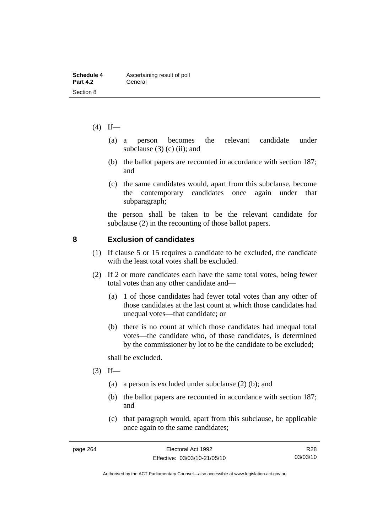| Schedule 4      | Ascertaining result of poll |
|-----------------|-----------------------------|
| <b>Part 4.2</b> | General                     |
| Section 8       |                             |

- $(4)$  If—
	- (a) a person becomes the relevant candidate under subclause  $(3)$  (c) (ii); and
	- (b) the ballot papers are recounted in accordance with section 187; and
	- (c) the same candidates would, apart from this subclause, become the contemporary candidates once again under that subparagraph;

the person shall be taken to be the relevant candidate for subclause (2) in the recounting of those ballot papers.

#### **8 Exclusion of candidates**

- (1) If clause 5 or 15 requires a candidate to be excluded, the candidate with the least total votes shall be excluded.
- (2) If 2 or more candidates each have the same total votes, being fewer total votes than any other candidate and—
	- (a) 1 of those candidates had fewer total votes than any other of those candidates at the last count at which those candidates had unequal votes—that candidate; or
	- (b) there is no count at which those candidates had unequal total votes—the candidate who, of those candidates, is determined by the commissioner by lot to be the candidate to be excluded;

shall be excluded.

- $(3)$  If—
	- (a) a person is excluded under subclause (2) (b); and
	- (b) the ballot papers are recounted in accordance with section 187; and
	- (c) that paragraph would, apart from this subclause, be applicable once again to the same candidates;

R28 03/03/10

Authorised by the ACT Parliamentary Counsel—also accessible at www.legislation.act.gov.au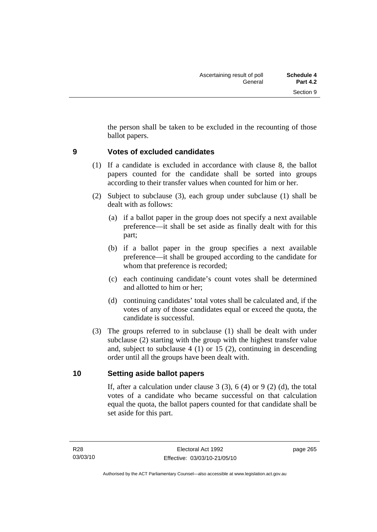the person shall be taken to be excluded in the recounting of those ballot papers.

## **9 Votes of excluded candidates**

- (1) If a candidate is excluded in accordance with clause 8, the ballot papers counted for the candidate shall be sorted into groups according to their transfer values when counted for him or her.
- (2) Subject to subclause (3), each group under subclause (1) shall be dealt with as follows:
	- (a) if a ballot paper in the group does not specify a next available preference—it shall be set aside as finally dealt with for this part;
	- (b) if a ballot paper in the group specifies a next available preference—it shall be grouped according to the candidate for whom that preference is recorded;
	- (c) each continuing candidate's count votes shall be determined and allotted to him or her;
	- (d) continuing candidates' total votes shall be calculated and, if the votes of any of those candidates equal or exceed the quota, the candidate is successful.
- (3) The groups referred to in subclause (1) shall be dealt with under subclause (2) starting with the group with the highest transfer value and, subject to subclause 4 (1) or 15 (2), continuing in descending order until all the groups have been dealt with.

## **10 Setting aside ballot papers**

If, after a calculation under clause 3  $(3)$ , 6  $(4)$  or 9  $(2)$   $(d)$ , the total votes of a candidate who became successful on that calculation equal the quota, the ballot papers counted for that candidate shall be set aside for this part.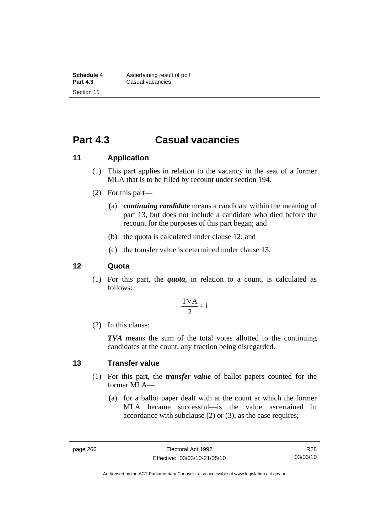# **Part 4.3 Casual vacancies**

## **11 Application**

- (1) This part applies in relation to the vacancy in the seat of a former MLA that is to be filled by recount under section 194.
- (2) For this part—
	- (a) *continuing candidate* means a candidate within the meaning of part 13, but does not include a candidate who died before the recount for the purposes of this part began; and
	- (b) the quota is calculated under clause 12; and
	- (c) the transfer value is determined under clause 13.

#### **12 Quota**

 (1) For this part, the *quota*, in relation to a count, is calculated as follows:

$$
\frac{\text{TVA}}{2} + 1
$$

(2) In this clause:

*TVA* means the sum of the total votes allotted to the continuing candidates at the count, any fraction being disregarded.

#### **13 Transfer value**

- (1) For this part, the *transfer value* of ballot papers counted for the former MLA—
	- (a) for a ballot paper dealt with at the count at which the former MLA became successful—is the value ascertained in accordance with subclause (2) or (3), as the case requires;

R28 03/03/10

Authorised by the ACT Parliamentary Counsel—also accessible at www.legislation.act.gov.au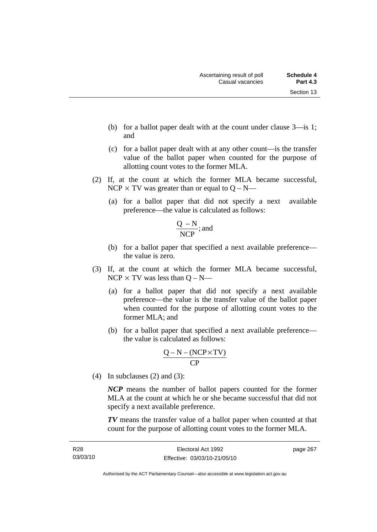- (b) for a ballot paper dealt with at the count under clause 3—is 1; and
- (c) for a ballot paper dealt with at any other count—is the transfer value of the ballot paper when counted for the purpose of allotting count votes to the former MLA.
- (2) If, at the count at which the former MLA became successful, NCP  $\times$  TV was greater than or equal to Q – N—
	- (a) for a ballot paper that did not specify a next available preference—the value is calculated as follows:

$$
\frac{Q-N}{NCP}
$$
; and

- (b) for a ballot paper that specified a next available preference the value is zero.
- (3) If, at the count at which the former MLA became successful,  $NCP \times TV$  was less than  $Q - N$ —
	- (a) for a ballot paper that did not specify a next available preference—the value is the transfer value of the ballot paper when counted for the purpose of allotting count votes to the former MLA; and
	- (b) for a ballot paper that specified a next available preference the value is calculated as follows:

$$
\frac{Q-N-(NCP \times TV)}{CP}
$$

(4) In subclauses (2) and (3):

*NCP* means the number of ballot papers counted for the former MLA at the count at which he or she became successful that did not specify a next available preference.

*TV* means the transfer value of a ballot paper when counted at that count for the purpose of allotting count votes to the former MLA.

Authorised by the ACT Parliamentary Counsel—also accessible at www.legislation.act.gov.au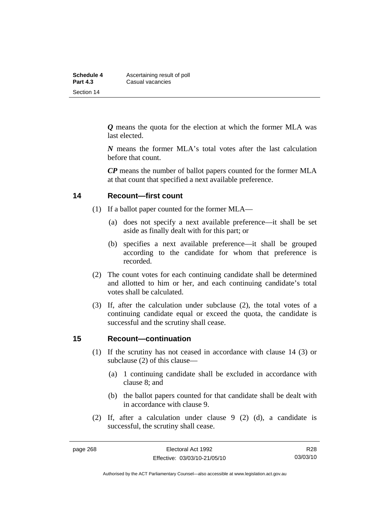| Schedule 4      | Ascertaining result of poll |
|-----------------|-----------------------------|
| <b>Part 4.3</b> | Casual vacancies            |
| Section 14      |                             |

*Q* means the quota for the election at which the former MLA was last elected.

*N* means the former MLA's total votes after the last calculation before that count.

*CP* means the number of ballot papers counted for the former MLA at that count that specified a next available preference.

#### **14 Recount—first count**

- (1) If a ballot paper counted for the former MLA—
	- (a) does not specify a next available preference—it shall be set aside as finally dealt with for this part; or
	- (b) specifies a next available preference—it shall be grouped according to the candidate for whom that preference is recorded.
- (2) The count votes for each continuing candidate shall be determined and allotted to him or her, and each continuing candidate's total votes shall be calculated.
- (3) If, after the calculation under subclause (2), the total votes of a continuing candidate equal or exceed the quota, the candidate is successful and the scrutiny shall cease.

#### **15 Recount—continuation**

- (1) If the scrutiny has not ceased in accordance with clause 14 (3) or subclause (2) of this clause—
	- (a) 1 continuing candidate shall be excluded in accordance with clause 8; and
	- (b) the ballot papers counted for that candidate shall be dealt with in accordance with clause 9.
- (2) If, after a calculation under clause 9 (2) (d), a candidate is successful, the scrutiny shall cease.

R28 03/03/10

Authorised by the ACT Parliamentary Counsel—also accessible at www.legislation.act.gov.au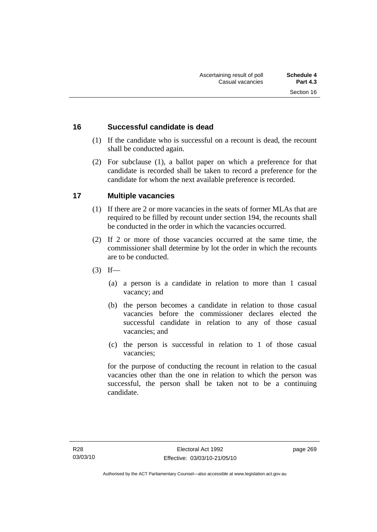## **16 Successful candidate is dead**

- (1) If the candidate who is successful on a recount is dead, the recount shall be conducted again.
- (2) For subclause (1), a ballot paper on which a preference for that candidate is recorded shall be taken to record a preference for the candidate for whom the next available preference is recorded.

# **17 Multiple vacancies**

- (1) If there are 2 or more vacancies in the seats of former MLAs that are required to be filled by recount under section 194, the recounts shall be conducted in the order in which the vacancies occurred.
- (2) If 2 or more of those vacancies occurred at the same time, the commissioner shall determine by lot the order in which the recounts are to be conducted.
- $(3)$  If—
	- (a) a person is a candidate in relation to more than 1 casual vacancy; and
	- (b) the person becomes a candidate in relation to those casual vacancies before the commissioner declares elected the successful candidate in relation to any of those casual vacancies; and
	- (c) the person is successful in relation to 1 of those casual vacancies;

for the purpose of conducting the recount in relation to the casual vacancies other than the one in relation to which the person was successful, the person shall be taken not to be a continuing candidate.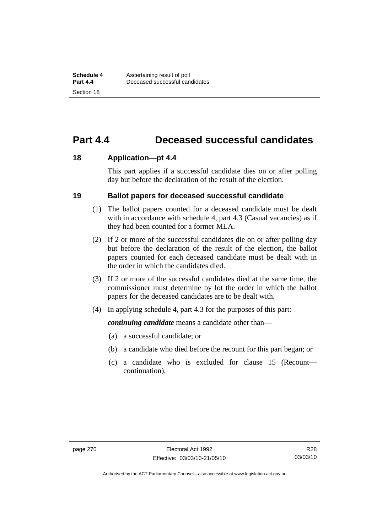# **Part 4.4 Deceased successful candidates**

#### **18 Application—pt 4.4**

This part applies if a successful candidate dies on or after polling day but before the declaration of the result of the election.

#### **19 Ballot papers for deceased successful candidate**

- (1) The ballot papers counted for a deceased candidate must be dealt with in accordance with schedule 4, part 4.3 (Casual vacancies) as if they had been counted for a former MLA.
- (2) If 2 or more of the successful candidates die on or after polling day but before the declaration of the result of the election, the ballot papers counted for each deceased candidate must be dealt with in the order in which the candidates died.
- (3) If 2 or more of the successful candidates died at the same time, the commissioner must determine by lot the order in which the ballot papers for the deceased candidates are to be dealt with.
- (4) In applying schedule 4, part 4.3 for the purposes of this part:

*continuing candidate* means a candidate other than—

- (a) a successful candidate; or
- (b) a candidate who died before the recount for this part began; or
- (c) a candidate who is excluded for clause 15 (Recount continuation).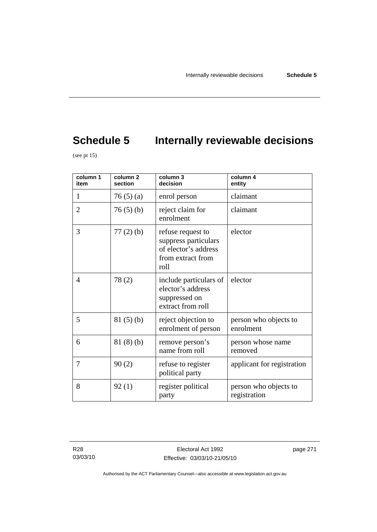# **Schedule 5** Internally reviewable decisions

(see pt  $15$ )

| column $\overline{1}$<br>item | column <sub>2</sub><br>section | column 3<br>decision                                                                           | column 4<br>entity                    |
|-------------------------------|--------------------------------|------------------------------------------------------------------------------------------------|---------------------------------------|
| 1                             | 76(5)(a)                       | enrol person                                                                                   | claimant                              |
| $\overline{2}$                | 76(5)(b)                       | reject claim for<br>enrolment                                                                  | claimant                              |
| 3                             | $77(2)$ (b)                    | refuse request to<br>suppress particulars<br>of elector's address<br>from extract from<br>roll | elector                               |
| $\overline{4}$                | 78(2)                          | include particulars of<br>elector's address<br>suppressed on<br>extract from roll              | elector                               |
| 5                             | 81(5)(b)                       | reject objection to<br>enrolment of person                                                     | person who objects to<br>enrolment    |
| 6                             | 81(8)(b)                       | remove person's<br>name from roll                                                              | person whose name<br>removed          |
| 7                             | 90(2)                          | refuse to register<br>political party                                                          | applicant for registration            |
| 8                             | 92(1)                          | register political<br>party                                                                    | person who objects to<br>registration |

page 271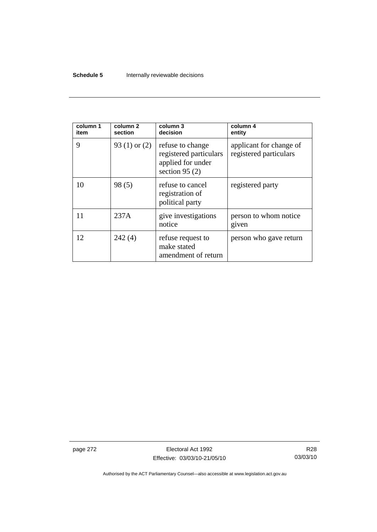### **Schedule 5 Internally reviewable decisions**

| column 1<br>item | column 2<br>section | column 3<br>decision                                                                | column 4<br>entity                                |
|------------------|---------------------|-------------------------------------------------------------------------------------|---------------------------------------------------|
| 9                | 93 $(1)$ or $(2)$   | refuse to change<br>registered particulars<br>applied for under<br>section 95 $(2)$ | applicant for change of<br>registered particulars |
| 10               | 98(5)               | refuse to cancel<br>registration of<br>political party                              | registered party                                  |
| 11               | 237A                | give investigations<br>notice                                                       | person to whom notice<br>given                    |
| 12               | 242(4)              | refuse request to<br>make stated<br>amendment of return                             | person who gave return                            |

page 272 **Electoral Act 1992** Effective: 03/03/10-21/05/10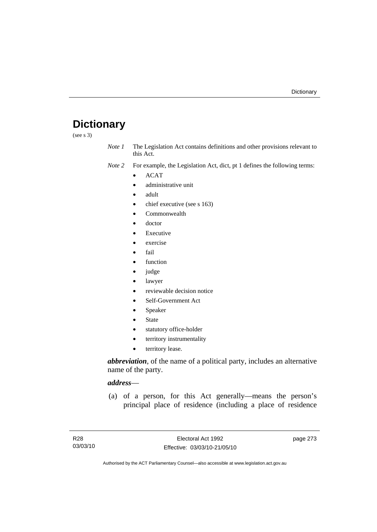## **Dictionary**

(see s 3)

*Note 1* The Legislation Act contains definitions and other provisions relevant to this Act.

*Note 2* For example, the Legislation Act, dict, pt 1 defines the following terms:

- ACAT
	- administrative unit
	- adult
	- chief executive (see s 163)
	- Commonwealth
	- doctor
	- **Executive**
	- exercise
	- fail
	- function
	- judge
	- lawyer
	- reviewable decision notice
	- Self-Government Act
	- **Speaker**
	- **State**
	- statutory office-holder
	- territory instrumentality
	- territory lease.

*abbreviation*, of the name of a political party, includes an alternative name of the party.

### *address*—

 (a) of a person, for this Act generally—means the person's principal place of residence (including a place of residence

page 273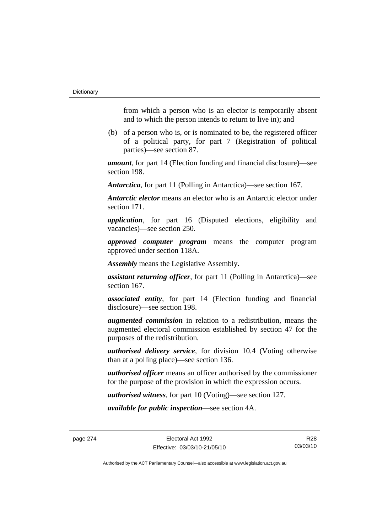from which a person who is an elector is temporarily absent and to which the person intends to return to live in); and

 (b) of a person who is, or is nominated to be, the registered officer of a political party, for part 7 (Registration of political parties)—see section 87.

*amount*, for part 14 (Election funding and financial disclosure)—see section 198.

*Antarctica*, for part 11 (Polling in Antarctica)—see section 167.

*Antarctic elector* means an elector who is an Antarctic elector under section 171.

*application*, for part 16 (Disputed elections, eligibility and vacancies)—see section 250.

*approved computer program* means the computer program approved under section 118A.

*Assembly* means the Legislative Assembly.

*assistant returning officer*, for part 11 (Polling in Antarctica)—see section 167.

*associated entity*, for part 14 (Election funding and financial disclosure)—see section 198.

*augmented commission* in relation to a redistribution, means the augmented electoral commission established by section 47 for the purposes of the redistribution.

*authorised delivery service*, for division 10.4 (Voting otherwise than at a polling place)—see section 136.

*authorised officer* means an officer authorised by the commissioner for the purpose of the provision in which the expression occurs.

*authorised witness*, for part 10 (Voting)—see section 127.

*available for public inspection*—see section 4A.

page 274 Electoral Act 1992 Effective: 03/03/10-21/05/10

R28 03/03/10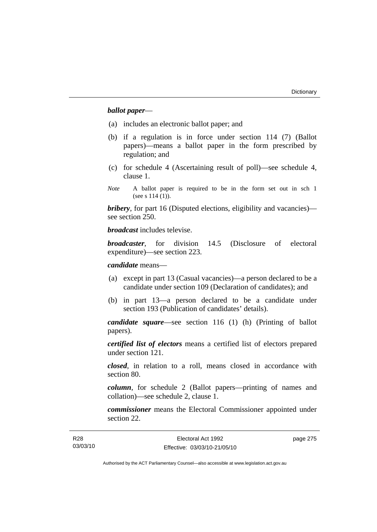### *ballot paper*—

- (a) includes an electronic ballot paper; and
- (b) if a regulation is in force under section 114 (7) (Ballot papers)—means a ballot paper in the form prescribed by regulation; and
- (c) for schedule 4 (Ascertaining result of poll)—see schedule 4, clause 1.
- *Note* A ballot paper is required to be in the form set out in sch 1 (see s 114 (1)).

*bribery*, for part 16 (Disputed elections, eligibility and vacancies) see section 250.

*broadcast* includes televise.

*broadcaster*, for division 14.5 (Disclosure of electoral expenditure)—see section 223.

*candidate* means—

- (a) except in part 13 (Casual vacancies)—a person declared to be a candidate under section 109 (Declaration of candidates); and
- (b) in part 13—a person declared to be a candidate under section 193 (Publication of candidates' details).

*candidate square*—see section 116 (1) (h) (Printing of ballot papers).

*certified list of electors* means a certified list of electors prepared under section 121.

*closed*, in relation to a roll, means closed in accordance with section 80.

*column*, for schedule 2 (Ballot papers—printing of names and collation)—see schedule 2, clause 1.

*commissioner* means the Electoral Commissioner appointed under section 22.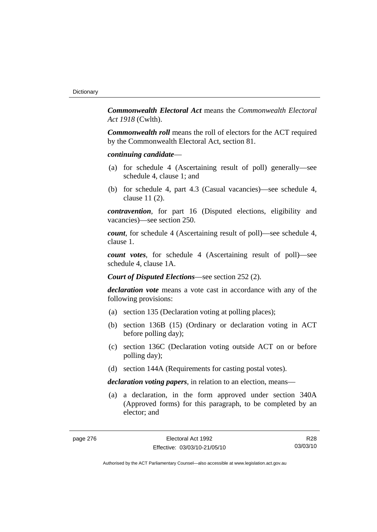*Commonwealth Electoral Act* means the *Commonwealth Electoral Act 1918* (Cwlth).

*Commonwealth roll* means the roll of electors for the ACT required by the Commonwealth Electoral Act, section 81.

#### *continuing candidate*—

- (a) for schedule 4 (Ascertaining result of poll) generally—see schedule 4, clause 1; and
- (b) for schedule 4, part 4.3 (Casual vacancies)—see schedule 4, clause 11 (2).

*contravention*, for part 16 (Disputed elections, eligibility and vacancies)—see section 250.

*count*, for schedule 4 (Ascertaining result of poll)—see schedule 4, clause 1.

*count votes*, for schedule 4 (Ascertaining result of poll)—see schedule 4, clause 1A.

*Court of Disputed Elections*—see section 252 (2).

*declaration vote* means a vote cast in accordance with any of the following provisions:

- (a) section 135 (Declaration voting at polling places);
- (b) section 136B (15) (Ordinary or declaration voting in ACT before polling day);
- (c) section 136C (Declaration voting outside ACT on or before polling day);
- (d) section 144A (Requirements for casting postal votes).

*declaration voting papers*, in relation to an election, means—

 (a) a declaration, in the form approved under section 340A (Approved forms) for this paragraph, to be completed by an elector; and

R28 03/03/10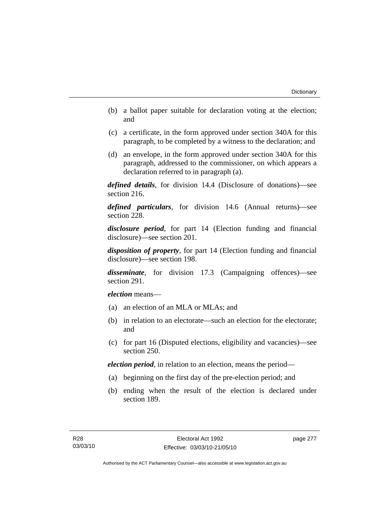- (b) a ballot paper suitable for declaration voting at the election; and
- (c) a certificate, in the form approved under section 340A for this paragraph, to be completed by a witness to the declaration; and
- (d) an envelope, in the form approved under section 340A for this paragraph, addressed to the commissioner, on which appears a declaration referred to in paragraph (a).

*defined details*, for division 14.4 (Disclosure of donations)—see section 216.

*defined particulars*, for division 14.6 (Annual returns)—see section 228.

*disclosure period*, for part 14 (Election funding and financial disclosure)—see section 201.

*disposition of property*, for part 14 (Election funding and financial disclosure)—see section 198.

*disseminate*, for division 17.3 (Campaigning offences)—see section 291.

*election* means—

- (a) an election of an MLA or MLAs; and
- (b) in relation to an electorate—such an election for the electorate; and
- (c) for part 16 (Disputed elections, eligibility and vacancies)—see section 250.

*election period*, in relation to an election, means the period—

- (a) beginning on the first day of the pre-election period; and
- (b) ending when the result of the election is declared under section 189.

page 277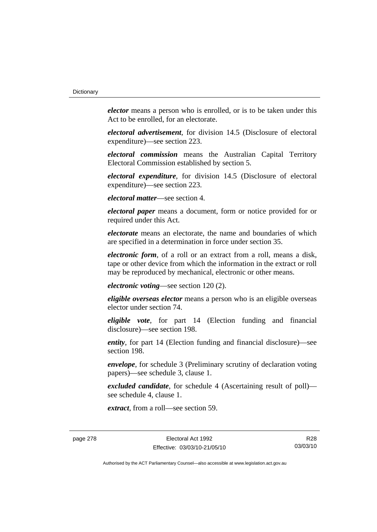*elector* means a person who is enrolled, or is to be taken under this Act to be enrolled, for an electorate.

*electoral advertisement*, for division 14.5 (Disclosure of electoral expenditure)—see section 223.

*electoral commission* means the Australian Capital Territory Electoral Commission established by section 5.

*electoral expenditure*, for division 14.5 (Disclosure of electoral expenditure)—see section 223.

*electoral matter*—see section 4.

*electoral paper* means a document, form or notice provided for or required under this Act.

*electorate* means an electorate, the name and boundaries of which are specified in a determination in force under section 35.

*electronic form*, of a roll or an extract from a roll, means a disk, tape or other device from which the information in the extract or roll may be reproduced by mechanical, electronic or other means.

*electronic voting*—see section 120 (2).

*eligible overseas elector* means a person who is an eligible overseas elector under section 74.

*eligible vote*, for part 14 (Election funding and financial disclosure)—see section 198.

*entity*, for part 14 (Election funding and financial disclosure)—see section 198.

*envelope*, for schedule 3 (Preliminary scrutiny of declaration voting papers)—see schedule 3, clause 1.

*excluded candidate*, for schedule 4 (Ascertaining result of poll) see schedule 4, clause 1.

*extract*, from a roll—see section 59.

page 278 Electoral Act 1992 Effective: 03/03/10-21/05/10

R28 03/03/10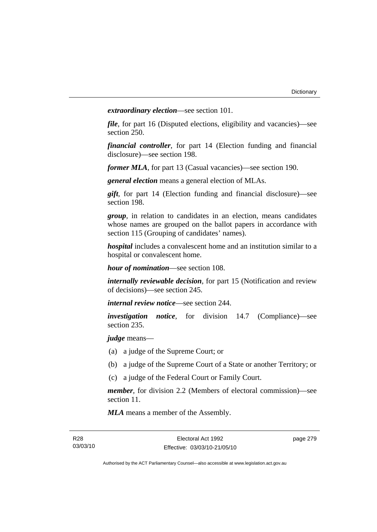*extraordinary election*—see section 101.

*file*, for part 16 (Disputed elections, eligibility and vacancies)—see section 250.

*financial controller*, for part 14 (Election funding and financial disclosure)—see section 198.

*former MLA*, for part 13 (Casual vacancies)—see section 190.

*general election* means a general election of MLAs.

*gift*, for part 14 (Election funding and financial disclosure)—see section 198.

*group*, in relation to candidates in an election, means candidates whose names are grouped on the ballot papers in accordance with section 115 (Grouping of candidates' names).

*hospital* includes a convalescent home and an institution similar to a hospital or convalescent home.

*hour of nomination*—see section 108.

*internally reviewable decision*, for part 15 (Notification and review of decisions)—see section 245.

*internal review notice*—see section 244.

*investigation notice*, for division 14.7 (Compliance)—see section 235.

*judge* means—

- (a) a judge of the Supreme Court; or
- (b) a judge of the Supreme Court of a State or another Territory; or
- (c) a judge of the Federal Court or Family Court.

*member*, for division 2.2 (Members of electoral commission)—see section 11.

*MLA* means a member of the Assembly.

page 279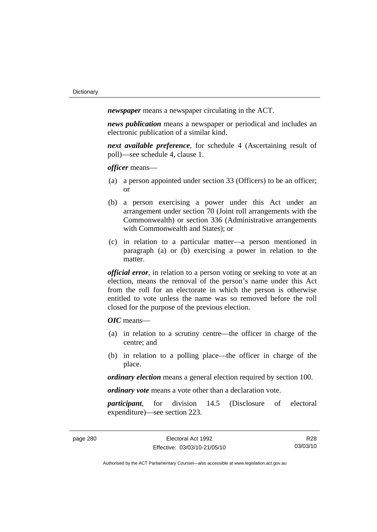*newspaper* means a newspaper circulating in the ACT.

*news publication* means a newspaper or periodical and includes an electronic publication of a similar kind.

*next available preference*, for schedule 4 (Ascertaining result of poll)—see schedule 4, clause 1.

*officer* means—

- (a) a person appointed under section 33 (Officers) to be an officer; or
- (b) a person exercising a power under this Act under an arrangement under section 70 (Joint roll arrangements with the Commonwealth) or section 336 (Administrative arrangements with Commonwealth and States); or
- (c) in relation to a particular matter—a person mentioned in paragraph (a) or (b) exercising a power in relation to the matter.

*official error*, in relation to a person voting or seeking to vote at an election, means the removal of the person's name under this Act from the roll for an electorate in which the person is otherwise entitled to vote unless the name was so removed before the roll closed for the purpose of the previous election.

*OIC* means—

- (a) in relation to a scrutiny centre—the officer in charge of the centre; and
- (b) in relation to a polling place—the officer in charge of the place.

*ordinary election* means a general election required by section 100.

*ordinary vote* means a vote other than a declaration vote.

*participant*, for division 14.5 (Disclosure of electoral expenditure)—see section 223.

R28 03/03/10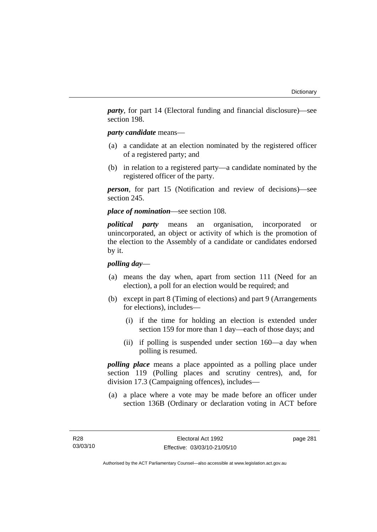*party*, for part 14 (Electoral funding and financial disclosure)—see section 198.

### *party candidate* means—

- (a) a candidate at an election nominated by the registered officer of a registered party; and
- (b) in relation to a registered party—a candidate nominated by the registered officer of the party.

*person*, for part 15 (Notification and review of decisions)—see section 245.

### *place of nomination*—see section 108.

*political party* means an organisation, incorporated or unincorporated, an object or activity of which is the promotion of the election to the Assembly of a candidate or candidates endorsed by it.

### *polling day*—

- (a) means the day when, apart from section 111 (Need for an election), a poll for an election would be required; and
- (b) except in part 8 (Timing of elections) and part 9 (Arrangements for elections), includes—
	- (i) if the time for holding an election is extended under section 159 for more than 1 day—each of those days; and
	- (ii) if polling is suspended under section 160—a day when polling is resumed.

*polling place* means a place appointed as a polling place under section 119 (Polling places and scrutiny centres), and, for division 17.3 (Campaigning offences), includes—

 (a) a place where a vote may be made before an officer under section 136B (Ordinary or declaration voting in ACT before

page 281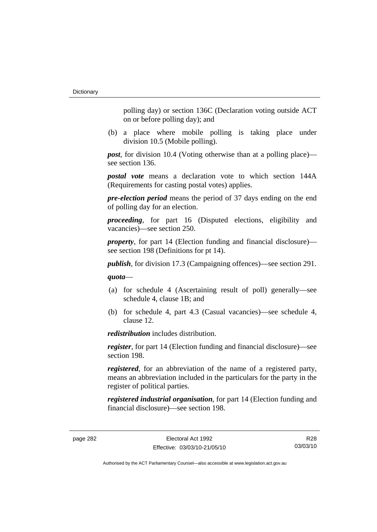polling day) or section 136C (Declaration voting outside ACT on or before polling day); and

 (b) a place where mobile polling is taking place under division 10.5 (Mobile polling).

*post*, for division 10.4 (Voting otherwise than at a polling place) see section 136.

*postal vote* means a declaration vote to which section 144A (Requirements for casting postal votes) applies.

*pre-election period* means the period of 37 days ending on the end of polling day for an election.

*proceeding*, for part 16 (Disputed elections, eligibility and vacancies)—see section 250.

*property*, for part 14 (Election funding and financial disclosure) see section 198 (Definitions for pt 14).

*publish*, for division 17.3 (Campaigning offences)—see section 291.

*quota*—

- (a) for schedule 4 (Ascertaining result of poll) generally—see schedule 4, clause 1B; and
- (b) for schedule 4, part 4.3 (Casual vacancies)—see schedule 4, clause 12.

*redistribution* includes distribution.

*register*, for part 14 (Election funding and financial disclosure)—see section 198.

*registered*, for an abbreviation of the name of a registered party, means an abbreviation included in the particulars for the party in the register of political parties.

*registered industrial organisation*, for part 14 (Election funding and financial disclosure)—see section 198.

R28 03/03/10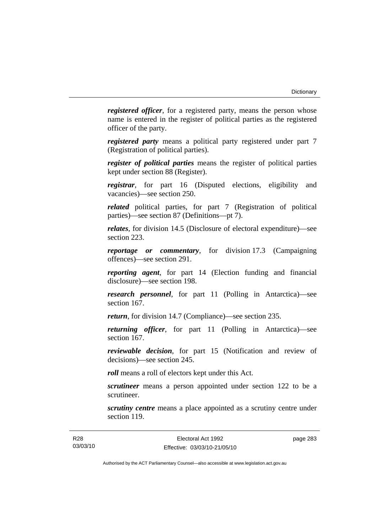*registered officer*, for a registered party, means the person whose name is entered in the register of political parties as the registered officer of the party.

*registered party* means a political party registered under part 7 (Registration of political parties).

*register of political parties* means the register of political parties kept under section 88 (Register).

*registrar*, for part 16 (Disputed elections, eligibility and vacancies)—see section 250.

*related* political parties, for part 7 (Registration of political parties)—see section 87 (Definitions—pt 7).

*relates*, for division 14.5 (Disclosure of electoral expenditure)—see section 223.

*reportage or commentary*, for division 17.3 (Campaigning offences)—see section 291.

*reporting agent*, for part 14 (Election funding and financial disclosure)—see section 198.

*research personnel*, for part 11 (Polling in Antarctica)—see section 167.

*return*, for division 14.7 (Compliance)—see section 235.

*returning officer*, for part 11 (Polling in Antarctica)—see section 167.

*reviewable decision*, for part 15 (Notification and review of decisions)—see section 245.

*roll* means a roll of electors kept under this Act.

*scrutineer* means a person appointed under section 122 to be a scrutineer.

*scrutiny centre* means a place appointed as a scrutiny centre under section 119.

page 283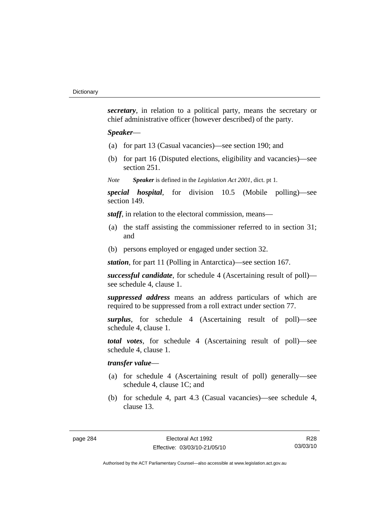*secretary*, in relation to a political party, means the secretary or chief administrative officer (however described) of the party.

### *Speaker*—

- (a) for part 13 (Casual vacancies)—see section 190; and
- (b) for part 16 (Disputed elections, eligibility and vacancies)—see section 251.

*Note Speaker* is defined in the *Legislation Act 2001*, dict. pt 1.

*special hospital*, for division 10.5 (Mobile polling)—see section 149.

*staff*, in relation to the electoral commission, means—

- (a) the staff assisting the commissioner referred to in section 31; and
- (b) persons employed or engaged under section 32.

*station*, for part 11 (Polling in Antarctica)—see section 167.

*successful candidate*, for schedule 4 (Ascertaining result of poll) see schedule 4, clause 1.

*suppressed address* means an address particulars of which are required to be suppressed from a roll extract under section 77.

*surplus*, for schedule 4 (Ascertaining result of poll)—see schedule 4, clause 1.

*total votes*, for schedule 4 (Ascertaining result of poll)—see schedule 4, clause 1.

### *transfer value*—

- (a) for schedule 4 (Ascertaining result of poll) generally—see schedule 4, clause 1C; and
- (b) for schedule 4, part 4.3 (Casual vacancies)—see schedule 4, clause 13.

R28 03/03/10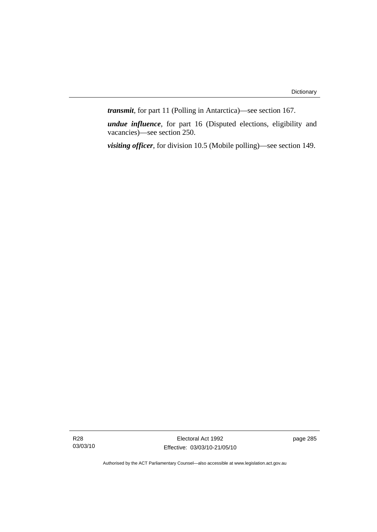*transmit*, for part 11 (Polling in Antarctica)—see section 167.

*undue influence*, for part 16 (Disputed elections, eligibility and vacancies)—see section 250.

*visiting officer*, for division 10.5 (Mobile polling)—see section 149.

R28 03/03/10

Electoral Act 1992 Effective: 03/03/10-21/05/10 page 285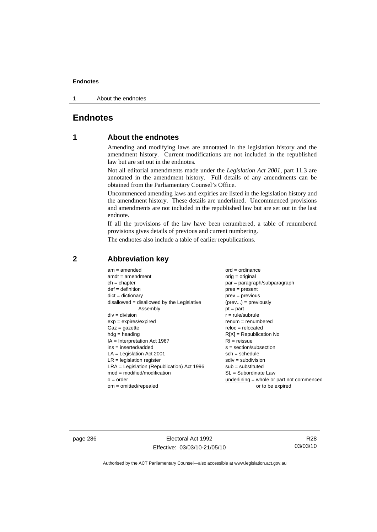1 About the endnotes

### **Endnotes**

## **1 About the endnotes**

Amending and modifying laws are annotated in the legislation history and the amendment history. Current modifications are not included in the republished law but are set out in the endnotes.

Not all editorial amendments made under the *Legislation Act 2001*, part 11.3 are annotated in the amendment history. Full details of any amendments can be obtained from the Parliamentary Counsel's Office.

Uncommenced amending laws and expiries are listed in the legislation history and the amendment history. These details are underlined. Uncommenced provisions and amendments are not included in the republished law but are set out in the last endnote.

If all the provisions of the law have been renumbered, a table of renumbered provisions gives details of previous and current numbering.

The endnotes also include a table of earlier republications.

| $am = amended$                               | $ord = ordinance$                         |
|----------------------------------------------|-------------------------------------------|
| $amdt = amendment$                           | $orig = original$                         |
| $ch = chapter$                               | par = paragraph/subparagraph              |
| $def = definition$                           | $pres = present$                          |
| $dict = dictionary$                          | $prev = previous$                         |
| $disallowed = disallowed by the Legislative$ | $(\text{prev}) = \text{previously}$       |
| Assembly                                     | $pt = part$                               |
| $div = division$                             | $r = rule/subrule$                        |
| $exp = expires/expired$                      | $renum = renumbered$                      |
| $Gaz = gazette$                              | $reloc = relocated$                       |
| $hdg =$ heading                              | $R[X]$ = Republication No                 |
| $IA = Interpretation Act 1967$               | $RI = reissue$                            |
| $ins = inserted/added$                       | $s = section/subsection$                  |
| $LA =$ Legislation Act 2001                  | $sch = schedule$                          |
| $LR =$ legislation register                  | $sdiv = subdivision$                      |
| $LRA =$ Legislation (Republication) Act 1996 | $sub = substituted$                       |
| $mod = modified/modification$                | $SL = Subordinate$ Law                    |
| $o = order$                                  | underlining = whole or part not commenced |
| $om = omitted/repealed$                      | or to be expired                          |
|                                              |                                           |

### **2 Abbreviation key**

page 286 **Electoral Act 1992** Effective: 03/03/10-21/05/10

R28 03/03/10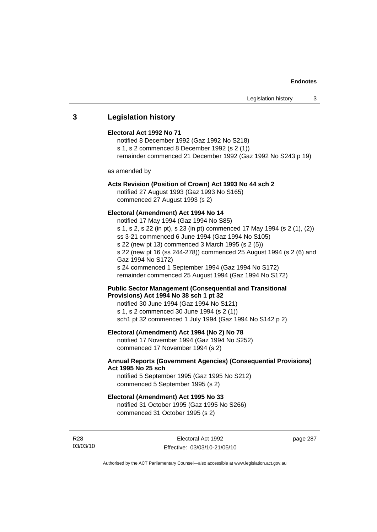### **3 Legislation history**

### **Electoral Act 1992 No 71**

notified 8 December 1992 (Gaz 1992 No S218) s 1, s 2 commenced 8 December 1992 (s 2 (1)) remainder commenced 21 December 1992 (Gaz 1992 No S243 p 19)

as amended by

### **Acts Revision (Position of Crown) Act 1993 No 44 sch 2**

notified 27 August 1993 (Gaz 1993 No S165) commenced 27 August 1993 (s 2)

### **Electoral (Amendment) Act 1994 No 14**

notified 17 May 1994 (Gaz 1994 No S85) s 1, s 2, s 22 (in pt), s 23 (in pt) commenced 17 May 1994 (s 2 (1), (2)) ss 3-21 commenced 6 June 1994 (Gaz 1994 No S105) s 22 (new pt 13) commenced 3 March 1995 (s 2 (5)) s 22 (new pt 16 (ss 244-278)) commenced 25 August 1994 (s 2 (6) and Gaz 1994 No S172) s 24 commenced 1 September 1994 (Gaz 1994 No S172) remainder commenced 25 August 1994 (Gaz 1994 No S172)

### **Public Sector Management (Consequential and Transitional Provisions) Act 1994 No 38 sch 1 pt 32**

notified 30 June 1994 (Gaz 1994 No S121) s 1, s 2 commenced 30 June 1994 (s 2 (1)) sch1 pt 32 commenced 1 July 1994 (Gaz 1994 No S142 p 2)

### **Electoral (Amendment) Act 1994 (No 2) No 78**

notified 17 November 1994 (Gaz 1994 No S252) commenced 17 November 1994 (s 2)

### **Annual Reports (Government Agencies) (Consequential Provisions) Act 1995 No 25 sch**

notified 5 September 1995 (Gaz 1995 No S212) commenced 5 September 1995 (s 2)

### **Electoral (Amendment) Act 1995 No 33**

notified 31 October 1995 (Gaz 1995 No S266) commenced 31 October 1995 (s 2)

R28 03/03/10 page 287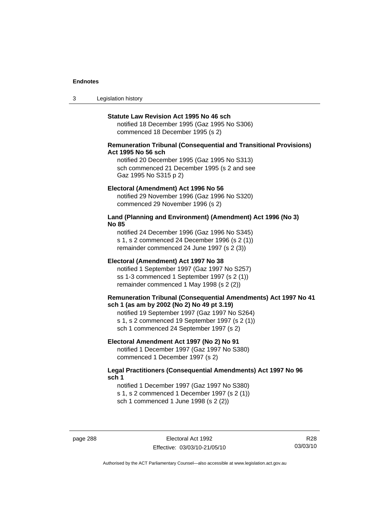3 Legislation history

#### **Statute Law Revision Act 1995 No 46 sch**

notified 18 December 1995 (Gaz 1995 No S306) commenced 18 December 1995 (s 2)

### **Remuneration Tribunal (Consequential and Transitional Provisions) Act 1995 No 56 sch**

notified 20 December 1995 (Gaz 1995 No S313) sch commenced 21 December 1995 (s 2 and see Gaz 1995 No S315 p 2)

#### **Electoral (Amendment) Act 1996 No 56**

notified 29 November 1996 (Gaz 1996 No S320) commenced 29 November 1996 (s 2)

### **Land (Planning and Environment) (Amendment) Act 1996 (No 3) No 85**

notified 24 December 1996 (Gaz 1996 No S345) s 1, s 2 commenced 24 December 1996 (s 2 (1)) remainder commenced 24 June 1997 (s 2 (3))

#### **Electoral (Amendment) Act 1997 No 38**

notified 1 September 1997 (Gaz 1997 No S257) ss 1-3 commenced 1 September 1997 (s 2 (1)) remainder commenced 1 May 1998 (s 2 (2))

#### **Remuneration Tribunal (Consequential Amendments) Act 1997 No 41 sch 1 (as am by 2002 (No 2) No 49 pt 3.19)**

notified 19 September 1997 (Gaz 1997 No S264) s 1, s 2 commenced 19 September 1997 (s 2 (1)) sch 1 commenced 24 September 1997 (s 2)

### **Electoral Amendment Act 1997 (No 2) No 91**

notified 1 December 1997 (Gaz 1997 No S380) commenced 1 December 1997 (s 2)

### **Legal Practitioners (Consequential Amendments) Act 1997 No 96 sch 1**

notified 1 December 1997 (Gaz 1997 No S380) s 1, s 2 commenced 1 December 1997 (s 2 (1)) sch 1 commenced 1 June 1998 (s 2 (2))

page 288 Electoral Act 1992 Effective: 03/03/10-21/05/10

R28 03/03/10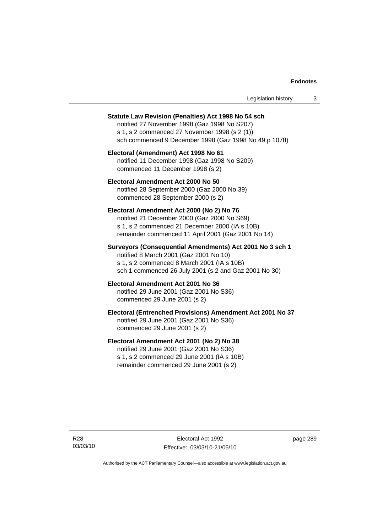| Legislation history |  |
|---------------------|--|
|---------------------|--|

#### **Statute Law Revision (Penalties) Act 1998 No 54 sch**

notified 27 November 1998 (Gaz 1998 No S207) s 1, s 2 commenced 27 November 1998 (s 2 (1)) sch commenced 9 December 1998 (Gaz 1998 No 49 p 1078)

### **Electoral (Amendment) Act 1998 No 61**  notified 11 December 1998 (Gaz 1998 No S209) commenced 11 December 1998 (s 2)

### **Electoral Amendment Act 2000 No 50**  notified 28 September 2000 (Gaz 2000 No 39) commenced 28 September 2000 (s 2)

#### **Electoral Amendment Act 2000 (No 2) No 76**

notified 21 December 2000 (Gaz 2000 No S69) s 1, s 2 commenced 21 December 2000 (IA s 10B) remainder commenced 11 April 2001 (Gaz 2001 No 14)

### **Surveyors (Consequential Amendments) Act 2001 No 3 sch 1**

notified 8 March 2001 (Gaz 2001 No 10) s 1, s 2 commenced 8 March 2001 (IA s 10B) sch 1 commenced 26 July 2001 (s 2 and Gaz 2001 No 30)

### **Electoral Amendment Act 2001 No 36**

notified 29 June 2001 (Gaz 2001 No S36) commenced 29 June 2001 (s 2)

### **Electoral (Entrenched Provisions) Amendment Act 2001 No 37**

notified 29 June 2001 (Gaz 2001 No S36) commenced 29 June 2001 (s 2)

### **Electoral Amendment Act 2001 (No 2) No 38**

notified 29 June 2001 (Gaz 2001 No S36) s 1, s 2 commenced 29 June 2001 (IA s 10B) remainder commenced 29 June 2001 (s 2)

R28 03/03/10 page 289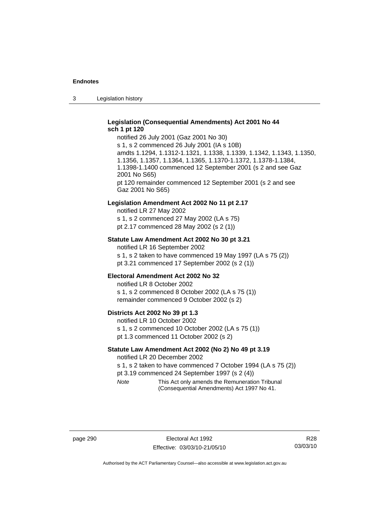3 Legislation history

### **Legislation (Consequential Amendments) Act 2001 No 44 sch 1 pt 120**

notified 26 July 2001 (Gaz 2001 No 30) s 1, s 2 commenced 26 July 2001 (IA s 10B) amdts 1.1294, 1.1312-1.1321, 1.1338, 1.1339, 1.1342, 1.1343, 1.1350, 1.1356, 1.1357, 1.1364, 1.1365, 1.1370-1.1372, 1.1378-1.1384, 1.1398-1.1400 commenced 12 September 2001 (s 2 and see Gaz 2001 No S65) pt 120 remainder commenced 12 September 2001 (s 2 and see Gaz 2001 No S65)

#### **Legislation Amendment Act 2002 No 11 pt 2.17**

notified LR 27 May 2002 s 1, s 2 commenced 27 May 2002 (LA s 75) pt 2.17 commenced 28 May 2002 (s 2 (1))

### **Statute Law Amendment Act 2002 No 30 pt 3.21**

notified LR 16 September 2002 s 1, s 2 taken to have commenced 19 May 1997 (LA s 75 (2)) pt 3.21 commenced 17 September 2002 (s 2 (1))

#### **Electoral Amendment Act 2002 No 32**

notified LR 8 October 2002 s 1, s 2 commenced 8 October 2002 (LA s 75 (1)) remainder commenced 9 October 2002 (s 2)

#### **Districts Act 2002 No 39 pt 1.3**

notified LR 10 October 2002 s 1, s 2 commenced 10 October 2002 (LA s 75 (1)) pt 1.3 commenced 11 October 2002 (s 2)

### **Statute Law Amendment Act 2002 (No 2) No 49 pt 3.19**

notified LR 20 December 2002

s 1, s 2 taken to have commenced 7 October 1994 (LA s 75 (2)) pt 3.19 commenced 24 September 1997 (s 2 (4))

*Note* This Act only amends the Remuneration Tribunal (Consequential Amendments) Act 1997 No 41.

page 290 **Electoral Act 1992** Effective: 03/03/10-21/05/10

R28 03/03/10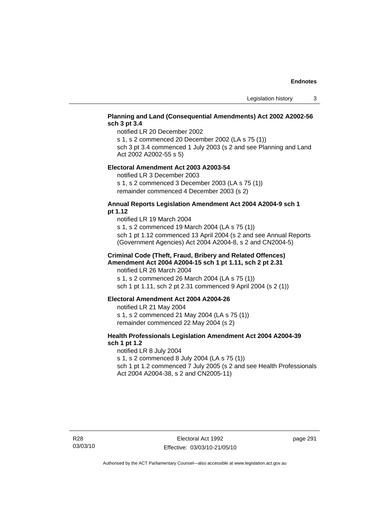### **Planning and Land (Consequential Amendments) Act 2002 A2002-56 sch 3 pt 3.4**

notified LR 20 December 2002

s 1, s 2 commenced 20 December 2002 (LA s 75 (1))

sch 3 pt 3.4 commenced 1 July 2003 (s 2 and see Planning and Land Act 2002 A2002-55 s 5)

#### **Electoral Amendment Act 2003 A2003-54**

notified LR 3 December 2003

s 1, s 2 commenced 3 December 2003 (LA s 75 (1)) remainder commenced 4 December 2003 (s 2)

### **Annual Reports Legislation Amendment Act 2004 A2004-9 sch 1 pt 1.12**

notified LR 19 March 2004 s 1, s 2 commenced 19 March 2004 (LA s 75 (1)) sch 1 pt 1.12 commenced 13 April 2004 (s 2 and see Annual Reports (Government Agencies) Act 2004 A2004-8, s 2 and CN2004-5)

### **Criminal Code (Theft, Fraud, Bribery and Related Offences) Amendment Act 2004 A2004-15 sch 1 pt 1.11, sch 2 pt 2.31**

notified LR 26 March 2004 s 1, s 2 commenced 26 March 2004 (LA s 75 (1)) sch 1 pt 1.11, sch 2 pt 2.31 commenced 9 April 2004 (s 2 (1))

#### **Electoral Amendment Act 2004 A2004-26**

notified LR 21 May 2004 s 1, s 2 commenced 21 May 2004 (LA s 75 (1)) remainder commenced 22 May 2004 (s 2)

### **Health Professionals Legislation Amendment Act 2004 A2004-39 sch 1 pt 1.2**

notified LR 8 July 2004 s 1, s 2 commenced 8 July 2004 (LA s 75 (1)) sch 1 pt 1.2 commenced 7 July 2005 (s 2 and see Health Professionals Act 2004 A2004-38, s 2 and CN2005-11)

page 291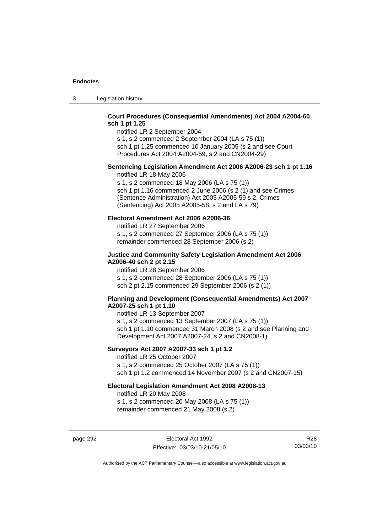3 Legislation history

### **Court Procedures (Consequential Amendments) Act 2004 A2004-60 sch 1 pt 1.25**

notified LR 2 September 2004 s 1, s 2 commenced 2 September 2004 (LA s 75 (1))

sch 1 pt 1.25 commenced 10 January 2005 (s 2 and see Court Procedures Act 2004 A2004-59, s 2 and CN2004-29)

## **Sentencing Legislation Amendment Act 2006 A2006-23 sch 1 pt 1.16**

notified LR 18 May 2006

s 1, s 2 commenced 18 May 2006 (LA s 75 (1)) sch 1 pt 1.16 commenced 2 June 2006 (s 2 (1) and see Crimes (Sentence Administration) Act 2005 A2005-59 s 2, Crimes (Sentencing) Act 2005 A2005-58, s 2 and LA s 79)

### **Electoral Amendment Act 2006 A2006-36**

notified LR 27 September 2006 s 1, s 2 commenced 27 September 2006 (LA s 75 (1)) remainder commenced 28 September 2006 (s 2)

### **Justice and Community Safety Legislation Amendment Act 2006 A2006-40 sch 2 pt 2.15**

notified LR 28 September 2006 s 1, s 2 commenced 28 September 2006 (LA s 75 (1)) sch 2 pt 2.15 commenced 29 September 2006 (s 2 (1))

### **Planning and Development (Consequential Amendments) Act 2007 A2007-25 sch 1 pt 1.10**

notified LR 13 September 2007 s 1, s 2 commenced 13 September 2007 (LA s 75 (1)) sch 1 pt 1.10 commenced 31 March 2008 (s 2 and see Planning and Development Act 2007 A2007-24, s 2 and CN2008-1)

### **Surveyors Act 2007 A2007-33 sch 1 pt 1.2**

notified LR 25 October 2007 s 1, s 2 commenced 25 October 2007 (LA s 75 (1)) sch 1 pt 1.2 commenced 14 November 2007 (s 2 and CN2007-15)

### **Electoral Legislation Amendment Act 2008 A2008-13**

notified LR 20 May 2008 s 1, s 2 commenced 20 May 2008 (LA s 75 (1)) remainder commenced 21 May 2008 (s 2)

page 292 **Electoral Act 1992** Effective: 03/03/10-21/05/10

R28 03/03/10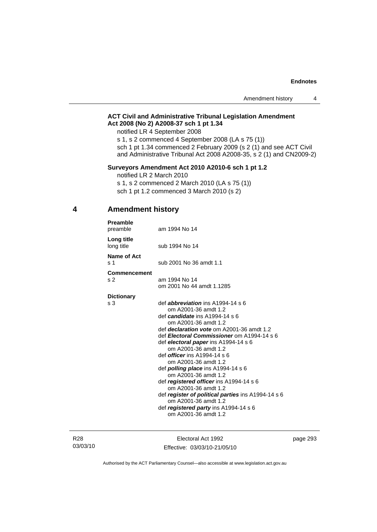### **ACT Civil and Administrative Tribunal Legislation Amendment Act 2008 (No 2) A2008-37 sch 1 pt 1.34**

notified LR 4 September 2008

s 1, s 2 commenced 4 September 2008 (LA s 75 (1)) sch 1 pt 1.34 commenced 2 February 2009 (s 2 (1) and see ACT Civil and Administrative Tribunal Act 2008 A2008-35, s 2 (1) and CN2009-2)

### **Surveyors Amendment Act 2010 A2010-6 sch 1 pt 1.2**

notified LR 2 March 2010

s 1, s 2 commenced 2 March 2010 (LA s 75 (1)) sch 1 pt 1.2 commenced 3 March 2010 (s 2)

### **4 Amendment history**

| am 1994 No 14                                                                                                                                                                                                                                                                                                                                                                                                                                                                                                                                                                                                                                        |
|------------------------------------------------------------------------------------------------------------------------------------------------------------------------------------------------------------------------------------------------------------------------------------------------------------------------------------------------------------------------------------------------------------------------------------------------------------------------------------------------------------------------------------------------------------------------------------------------------------------------------------------------------|
| sub 1994 No 14                                                                                                                                                                                                                                                                                                                                                                                                                                                                                                                                                                                                                                       |
| sub 2001 No 36 amdt 1.1                                                                                                                                                                                                                                                                                                                                                                                                                                                                                                                                                                                                                              |
| am 1994 No 14<br>om 2001 No 44 amdt 1.1285                                                                                                                                                                                                                                                                                                                                                                                                                                                                                                                                                                                                           |
|                                                                                                                                                                                                                                                                                                                                                                                                                                                                                                                                                                                                                                                      |
| def <i>abbreviation</i> ins A1994-14 s 6<br>om A2001-36 amdt 1.2<br>def candidate ins A1994-14 s 6<br>om A2001-36 amdt 1.2<br>def <i>declaration vote</i> om A2001-36 amdt 1.2<br>def Electoral Commissioner om A1994-14 s 6<br>def electoral paper ins A1994-14 s 6<br>om A2001-36 amdt 1.2<br>def <i>officer</i> ins A1994-14 s 6<br>om A2001-36 amdt 1.2<br>def <b>polling place</b> ins $A1994-14 s 6$<br>om A2001-36 amdt 1.2<br>def registered officer ins A1994-14 s 6<br>om A2001-36 amdt 1.2<br>def register of political parties ins A1994-14 s 6<br>om A2001-36 amdt 1.2<br>def registered party ins A1994-14 s 6<br>om A2001-36 amdt 1.2 |
|                                                                                                                                                                                                                                                                                                                                                                                                                                                                                                                                                                                                                                                      |

R28 03/03/10

Electoral Act 1992 Effective: 03/03/10-21/05/10 page 293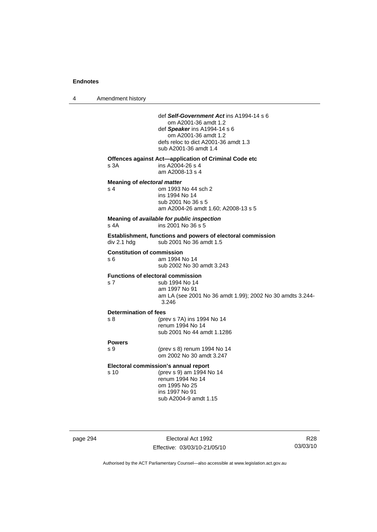4 Amendment history

|          |                                           | def Self-Government Act ins A1994-14 s 6<br>om A2001-36 amdt 1.2<br>def Speaker ins $A1994-14 s 6$<br>om A2001-36 amdt 1.2<br>defs reloc to dict A2001-36 amdt 1.3<br>sub A2001-36 amdt 1.4 |                             |
|----------|-------------------------------------------|---------------------------------------------------------------------------------------------------------------------------------------------------------------------------------------------|-----------------------------|
|          | s 3A                                      | Offences against Act-application of Criminal Code etc<br>ins A2004-26 s 4<br>am A2008-13 s 4                                                                                                |                             |
|          | <b>Meaning of electoral matter</b><br>s 4 | om 1993 No 44 sch 2<br>ins 1994 No 14<br>sub 2001 No 36 s 5<br>am A2004-26 amdt 1.60; A2008-13 s 5                                                                                          |                             |
|          | s 4A                                      | Meaning of available for public inspection<br>ins 2001 No 36 s 5                                                                                                                            |                             |
|          | div 2.1 hdg                               | Establishment, functions and powers of electoral commission<br>sub 2001 No 36 amdt 1.5                                                                                                      |                             |
|          | <b>Constitution of commission</b><br>s 6  | am 1994 No 14<br>sub 2002 No 30 amdt 3.243                                                                                                                                                  |                             |
|          | s <sub>7</sub>                            | <b>Functions of electoral commission</b><br>sub 1994 No 14<br>am 1997 No 91<br>am LA (see 2001 No 36 amdt 1.99); 2002 No 30 amdts 3.244-<br>3.246                                           |                             |
|          | Determination of fees<br>s 8              | (prev s 7A) ins 1994 No 14<br>renum 1994 No 14<br>sub 2001 No 44 amdt 1.1286                                                                                                                |                             |
|          | <b>Powers</b><br>s 9                      | (prev s 8) renum 1994 No 14<br>om 2002 No 30 amdt 3.247                                                                                                                                     |                             |
|          | s 10                                      | Electoral commission's annual report<br>(prev s 9) am 1994 No 14<br>renum 1994 No 14<br>om 1995 No 25<br>ins 1997 No 91<br>sub A2004-9 amdt 1.15                                            |                             |
| page 294 |                                           | Electoral Act 1992<br>Effective: 03/03/10-21/05/10                                                                                                                                          | R <sub>28</sub><br>03/03/10 |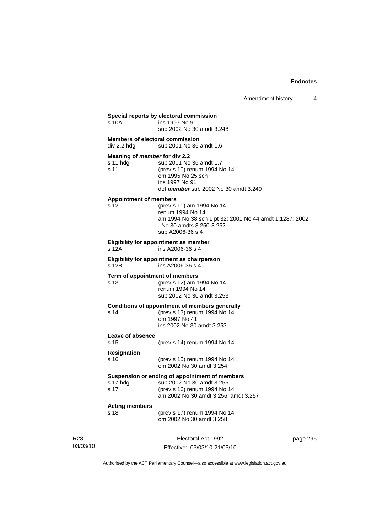Amendment history 4

| s 10A                                                    | Special reports by electoral commission<br>ins 1997 No 91<br>sub 2002 No 30 amdt 3.248                                                                  |
|----------------------------------------------------------|---------------------------------------------------------------------------------------------------------------------------------------------------------|
| div 2.2 hdg                                              | <b>Members of electoral commission</b><br>sub 2001 No 36 amdt 1.6                                                                                       |
| Meaning of <i>member</i> for div 2.2<br>s 11 hdg<br>s 11 | sub 2001 No 36 amdt 1.7<br>(prev s 10) renum 1994 No 14<br>om 1995 No 25 sch<br>ins 1997 No 91<br>def member sub 2002 No 30 amdt 3.249                  |
| <b>Appointment of members</b><br>s 12                    | (prev s 11) am 1994 No 14<br>renum 1994 No 14<br>am 1994 No 38 sch 1 pt 32; 2001 No 44 amdt 1.1287; 2002<br>No 30 amdts 3.250-3.252<br>sub A2006-36 s 4 |
| s 12A                                                    | <b>Eligibility for appointment as member</b><br>ins A2006-36 s 4                                                                                        |
| s 12B                                                    | Eligibility for appointment as chairperson<br>ins A2006-36 s 4                                                                                          |
| s 13                                                     | Term of appointment of members<br>(prev s 12) am 1994 No 14<br>renum 1994 No 14<br>sub 2002 No 30 amdt 3.253                                            |
| s 14                                                     | <b>Conditions of appointment of members generally</b><br>(prev s 13) renum 1994 No 14<br>om 1997 No 41<br>ins 2002 No 30 amdt 3.253                     |
| Leave of absence<br>s 15                                 | (prev s 14) renum 1994 No 14                                                                                                                            |
| <b>Resignation</b><br>s 16                               | (prev s 15) renum 1994 No 14<br>om 2002 No 30 amdt 3.254                                                                                                |
| s 17                                                     | Suspension or ending of appointment of members<br>(prev s 16) renum 1994 No 14<br>am 2002 No 30 amdt 3.256, amdt 3.257                                  |
| <b>Acting members</b><br>s 18                            | (prev s 17) renum 1994 No 14<br>om 2002 No 30 amdt 3.258                                                                                                |

R28 03/03/10

Electoral Act 1992 Effective: 03/03/10-21/05/10 page 295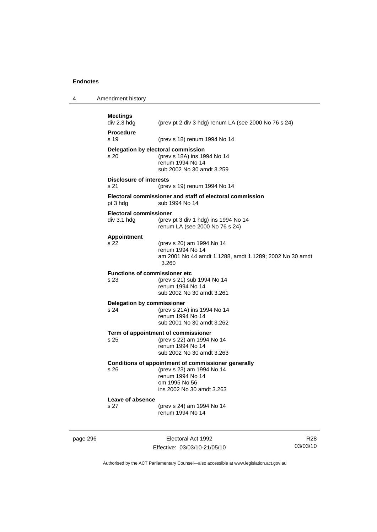4 Amendment history

| <b>Meetings</b><br>div 2.3 hdg                | (prev pt 2 div 3 hdg) renum LA (see 2000 No 76 s 24)                                                                                               |
|-----------------------------------------------|----------------------------------------------------------------------------------------------------------------------------------------------------|
| <b>Procedure</b><br>s 19                      | (prev s 18) renum 1994 No 14                                                                                                                       |
| s 20                                          | Delegation by electoral commission<br>(prev s 18A) ins 1994 No 14<br>renum 1994 No 14<br>sub 2002 No 30 amdt 3.259                                 |
| <b>Disclosure of interests</b><br>s 21        | (prev s 19) renum 1994 No 14                                                                                                                       |
| pt 3 hdg                                      | Electoral commissioner and staff of electoral commission<br>sub 1994 No 14                                                                         |
| <b>Electoral commissioner</b><br>div 3.1 h dg | (prev pt 3 div 1 hdg) ins 1994 No 14<br>renum LA (see 2000 No 76 s 24)                                                                             |
| Appointment<br>s 22                           | (prev s 20) am 1994 No 14<br>renum 1994 No 14<br>am 2001 No 44 amdt 1.1288, amdt 1.1289; 2002 No 30 amdt<br>3.260                                  |
| <b>Functions of commissioner etc</b><br>s 23  | (prev s 21) sub 1994 No 14<br>renum 1994 No 14<br>sub 2002 No 30 amdt 3.261                                                                        |
| <b>Delegation by commissioner</b><br>s 24     | (prev s 21A) ins 1994 No 14<br>renum 1994 No 14<br>sub 2001 No 30 amdt 3.262                                                                       |
| s 25                                          | Term of appointment of commissioner<br>(prev s 22) am 1994 No 14<br>renum 1994 No 14<br>sub 2002 No 30 amdt 3.263                                  |
| s 26                                          | Conditions of appointment of commissioner generally<br>(prev s 23) am 1994 No 14<br>renum 1994 No 14<br>om 1995 No 56<br>ins 2002 No 30 amdt 3.263 |
| Leave of absence<br>s 27                      | (prev s 24) am 1994 No 14<br>renum 1994 No 14                                                                                                      |

page 296 Electoral Act 1992 Effective: 03/03/10-21/05/10

R28 03/03/10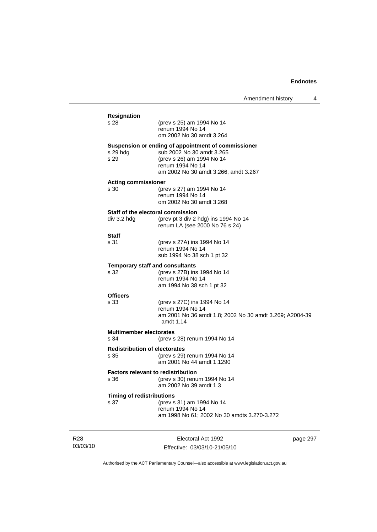$\overline{4}$ 

|                                                   | Amendment history                                                                                                                                                         |
|---------------------------------------------------|---------------------------------------------------------------------------------------------------------------------------------------------------------------------------|
| Resignation<br>s 28                               | (prev s 25) am 1994 No 14<br>renum 1994 No 14                                                                                                                             |
|                                                   | om 2002 No 30 amdt 3.264                                                                                                                                                  |
| s 29 hdg<br>s 29                                  | Suspension or ending of appointment of commissioner<br>sub 2002 No 30 amdt 3.265<br>(prev s 26) am 1994 No 14<br>renum 1994 No 14<br>am 2002 No 30 amdt 3.266, amdt 3.267 |
| <b>Acting commissioner</b>                        |                                                                                                                                                                           |
| s 30                                              | (prev s 27) am 1994 No 14<br>renum 1994 No 14<br>om 2002 No 30 amdt 3.268                                                                                                 |
| Staff of the electoral commission<br>div 3.2 hdg  | (prev pt 3 div 2 hdg) ins 1994 No 14<br>renum LA (see 2000 No 76 s 24)                                                                                                    |
| <b>Staff</b><br>s 31                              | (prev s 27A) ins 1994 No 14<br>renum 1994 No 14<br>sub 1994 No 38 sch 1 pt 32                                                                                             |
| <b>Temporary staff and consultants</b>            |                                                                                                                                                                           |
| s 32                                              | (prev s 27B) ins 1994 No 14<br>renum 1994 No 14<br>am 1994 No 38 sch 1 pt 32                                                                                              |
| <b>Officers</b>                                   |                                                                                                                                                                           |
| s 33                                              | (prev s 27C) ins 1994 No 14<br>renum 1994 No 14<br>am 2001 No 36 amdt 1.8; 2002 No 30 amdt 3.269; A2004-39<br>amdt 1.14                                                   |
| <b>Multimember electorates</b>                    |                                                                                                                                                                           |
| s 34                                              | (prev s 28) renum 1994 No 14                                                                                                                                              |
| <b>Redistribution of electorates</b><br>s 35      | (prev s 29) renum 1994 No 14<br>am 2001 No 44 amdt 1.1290                                                                                                                 |
| <b>Factors relevant to redistribution</b><br>s 36 | (prev s 30) renum 1994 No 14<br>am 2002 No 39 amdt 1.3                                                                                                                    |
| <b>Timing of redistributions</b><br>s 37          | (prev s 31) am 1994 No 14<br>renum 1994 No 14<br>am 1998 No 61; 2002 No 30 amdts 3.270-3.272                                                                              |

R28 03/03/10

Electoral Act 1992 Effective: 03/03/10-21/05/10 page 297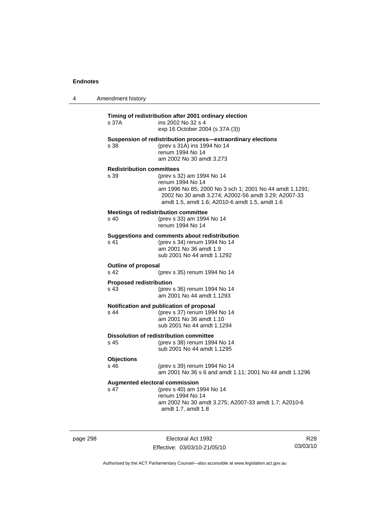| $\boldsymbol{\Lambda}$ | Amendment history |
|------------------------|-------------------|
|------------------------|-------------------|

### **Timing of redistribution after 2001 ordinary election**  s 37A ins 2002 No 32 s 4 exp 16 October 2004 (s 37A (3)) **Suspension of redistribution process—extraordinary elections**  s 38 (prev s 31A) ins 1994 No 14 renum 1994 No 14 am 2002 No 30 amdt 3.273 **Redistribution committees**  (prev s 32) am 1994 No 14 renum 1994 No 14 am 1996 No 85; 2000 No 3 sch 1; 2001 No 44 amdt 1.1291; 2002 No 30 amdt 3.274; A2002-56 amdt 3.29; A2007-33 amdt 1.5, amdt 1.6; A2010-6 amdt 1.5, amdt 1.6 **Meetings of redistribution committee**  s 40 (prev s 33) am 1994 No 14 renum 1994 No 14 **Suggestions and comments about redistribution**  s 41 (prev s 34) renum 1994 No 14 am 2001 No 36 amdt 1.9 sub 2001 No 44 amdt 1.1292 **Outline of proposal**  s 42 (prev s 35) renum 1994 No 14 **Proposed redistribution**<br>s 43 (prev) (prev s 36) renum 1994 No 14 am 2001 No 44 amdt 1.1293 **Notification and publication of proposal**  s 44 (prev s 37) renum 1994 No 14 am 2001 No 36 amdt 1.10 sub 2001 No 44 amdt 1.1294 **Dissolution of redistribution committee**<br>s 45 (prev s 38) renum 199 (prev s 38) renum 1994 No 14 sub 2001 No 44 amdt 1.1295 **Objections**  s 46 (prev s 39) renum 1994 No 14 am 2001 No 36 s 6 and amdt 1.11; 2001 No 44 amdt 1.1296 **Augmented electoral commission**  s 47 (prev s 40) am 1994 No 14 renum 1994 No 14 am 2002 No 30 amdt 3.275; A2007-33 amdt 1.7; A2010-6 amdt 1.7, amdt 1.8

page 298 Electoral Act 1992 Effective: 03/03/10-21/05/10

R28 03/03/10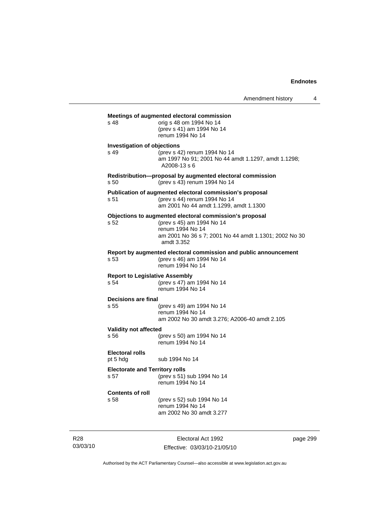| s 48                               | Meetings of augmented electoral commission<br>orig s 48 om 1994 No 14<br>(prev s 41) am 1994 No 14<br>renum 1994 No 14             |
|------------------------------------|------------------------------------------------------------------------------------------------------------------------------------|
|                                    | <b>Investigation of objections</b>                                                                                                 |
| s 49                               | (prev s 42) renum 1994 No 14<br>am 1997 No 91; 2001 No 44 amdt 1.1297, amdt 1.1298;<br>A2008-13 s 6                                |
| s 50                               | Redistribution-proposal by augmented electoral commission<br>(prev s 43) renum 1994 No 14                                          |
| s 51                               | Publication of augmented electoral commission's proposal<br>(prev s 44) renum 1994 No 14<br>am 2001 No 44 amdt 1.1299, amdt 1.1300 |
|                                    | Objections to augmented electoral commission's proposal                                                                            |
| s 52                               | (prev s 45) am 1994 No 14<br>renum 1994 No 14<br>am 2001 No 36 s 7; 2001 No 44 amdt 1.1301; 2002 No 30<br>amdt 3.352               |
| s 53                               | Report by augmented electoral commission and public announcement<br>(prev s 46) am 1994 No 14<br>renum 1994 No 14                  |
| s 54                               | <b>Report to Legislative Assembly</b><br>(prev s 47) am 1994 No 14<br>renum 1994 No 14                                             |
| <b>Decisions are final</b>         |                                                                                                                                    |
| s 55                               | (prev s 49) am 1994 No 14<br>renum 1994 No 14<br>am 2002 No 30 amdt 3.276; A2006-40 amdt 2.105                                     |
| <b>Validity not affected</b>       |                                                                                                                                    |
| s 56                               | (prev s 50) am 1994 No 14<br>renum 1994 No 14                                                                                      |
| <b>Electoral rolls</b><br>pt 5 hdg | sub 1994 No 14                                                                                                                     |
|                                    | <b>Electorate and Territory rolls</b>                                                                                              |
|                                    |                                                                                                                                    |
|                                    | (prev s 51) sub 1994 No 14<br>renum 1994 No 14                                                                                     |
| s 57<br><b>Contents of roll</b>    |                                                                                                                                    |

R28 03/03/10

Electoral Act 1992 Effective: 03/03/10-21/05/10 page 299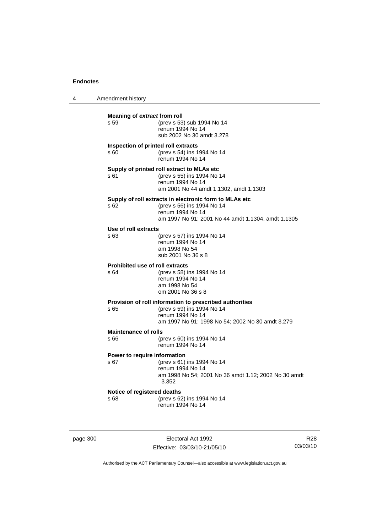4 Amendment history **Meaning of** *extract* **from roll**  s 59 (prev s 53) sub 1994 No 14 renum 1994 No 14 sub 2002 No 30 amdt 3.278 **Inspection of printed roll extracts**  s 60 (prev s 54) ins 1994 No 14 renum 1994 No 14 **Supply of printed roll extract to MLAs etc**  s 61 (prev s 55) ins 1994 No 14 renum 1994 No 14 am 2001 No 44 amdt 1.1302, amdt 1.1303 **Supply of roll extracts in electronic form to MLAs etc**  s 62 (prev s 56) ins 1994 No 14 renum 1994 No 14 am 1997 No 91; 2001 No 44 amdt 1.1304, amdt 1.1305 **Use of roll extracts**  s 63 (prev s 57) ins 1994 No 14 renum 1994 No 14 am 1998 No 54 sub 2001 No 36 s 8 **Prohibited use of roll extracts**  s 64 (prev s 58) ins 1994 No 14 renum 1994 No 14 am 1998 No 54 om 2001 No 36 s 8 **Provision of roll information to prescribed authorities**<br>s 65 (forev s 59) ins 1994 No 14 (prev s 59) ins 1994 No 14 renum 1994 No 14 am 1997 No 91; 1998 No 54; 2002 No 30 amdt 3.279 **Maintenance of rolls**  s 66 (prev s 60) ins 1994 No 14 renum 1994 No 14 **Power to require information**  s 67 (prev s 61) ins 1994 No 14 renum 1994 No 14 am 1998 No 54; 2001 No 36 amdt 1.12; 2002 No 30 amdt 3.352 **Notice of registered deaths**  s 68 (prev s 62) ins 1994 No 14 renum 1994 No 14

page 300 Electoral Act 1992 Effective: 03/03/10-21/05/10

R28 03/03/10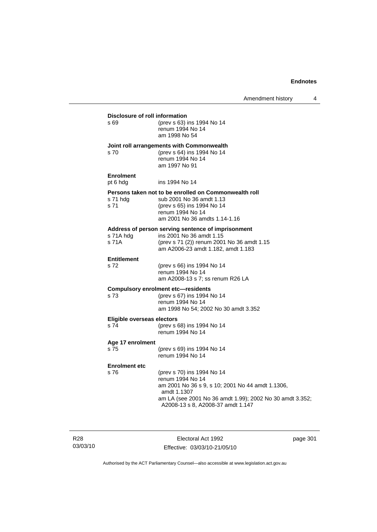| Disclosure of roll information<br>s 69 | (prev s 63) ins 1994 No 14<br>renum 1994 No 14<br>am 1998 No 54                                                                                                                                                    |
|----------------------------------------|--------------------------------------------------------------------------------------------------------------------------------------------------------------------------------------------------------------------|
| s 70                                   | Joint roll arrangements with Commonwealth<br>(prev s 64) ins 1994 No 14<br>renum 1994 No 14<br>am 1997 No 91                                                                                                       |
| <b>Enrolment</b><br>pt 6 hdg           | ins 1994 No 14                                                                                                                                                                                                     |
| s 71 hdg<br>s 71                       | Persons taken not to be enrolled on Commonwealth roll<br>sub 2001 No 36 amdt 1.13<br>(prev s 65) ins 1994 No 14<br>renum 1994 No 14<br>am 2001 No 36 amdts 1.14-1.16                                               |
| s 71A hdg<br>s 71A                     | Address of person serving sentence of imprisonment<br>ins 2001 No 36 amdt 1.15<br>(prev s 71 (2)) renum 2001 No 36 amdt 1.15<br>am A2006-23 amdt 1.182, amdt 1.183                                                 |
| <b>Entitlement</b><br>s 72             | (prev s 66) ins 1994 No 14<br>renum 1994 No 14<br>am A2008-13 s 7; ss renum R26 LA                                                                                                                                 |
| s 73                                   | <b>Compulsory enrolment etc-residents</b><br>(prev s 67) ins 1994 No 14<br>renum 1994 No 14<br>am 1998 No 54; 2002 No 30 amdt 3.352                                                                                |
| Eligible overseas electors<br>s 74     | (prev s 68) ins 1994 No 14<br>renum 1994 No 14                                                                                                                                                                     |
| Age 17 enrolment<br>s 75               | (prev s 69) ins 1994 No 14<br>renum 1994 No 14                                                                                                                                                                     |
| <b>Enrolment etc</b><br>s 76           | (prev s 70) ins 1994 No 14<br>renum 1994 No 14<br>am 2001 No 36 s 9, s 10; 2001 No 44 amdt 1.1306,<br>amdt 1.1307<br>am LA (see 2001 No 36 amdt 1.99); 2002 No 30 amdt 3.352;<br>A2008-13 s 8, A2008-37 amdt 1.147 |

R28 03/03/10

Electoral Act 1992 Effective: 03/03/10-21/05/10 page 301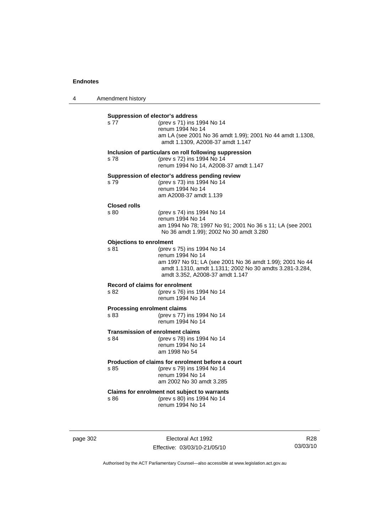4 Amendment history

| s 77                                       | (prev s 71) ins 1994 No 14<br>renum 1994 No 14                                                                                                                             |
|--------------------------------------------|----------------------------------------------------------------------------------------------------------------------------------------------------------------------------|
|                                            | am LA (see 2001 No 36 amdt 1.99); 2001 No 44 amdt 1.1308,<br>amdt 1.1309, A2008-37 amdt 1.147                                                                              |
| s 78                                       | Inclusion of particulars on roll following suppression<br>(prev s 72) ins 1994 No 14<br>renum 1994 No 14, A2008-37 amdt 1.147                                              |
| s 79                                       | Suppression of elector's address pending review<br>(prev s 73) ins 1994 No 14<br>renum 1994 No 14<br>am A2008-37 amdt 1.139                                                |
| <b>Closed rolls</b><br>s.80                | (prev s 74) ins 1994 No 14                                                                                                                                                 |
|                                            | renum 1994 No 14<br>am 1994 No 78; 1997 No 91; 2001 No 36 s 11; LA (see 2001<br>No 36 amdt 1.99); 2002 No 30 amdt 3.280                                                    |
| <b>Objections to enrolment</b><br>s 81     | (prev s 75) ins 1994 No 14                                                                                                                                                 |
|                                            | renum 1994 No 14<br>am 1997 No 91; LA (see 2001 No 36 amdt 1.99); 2001 No 44<br>amdt 1.1310, amdt 1.1311; 2002 No 30 amdts 3.281-3.284,<br>amdt 3.352, A2008-37 amdt 1.147 |
| Record of claims for enrolment<br>s 82     | (prev s 76) ins 1994 No 14<br>renum 1994 No 14                                                                                                                             |
| <b>Processing enrolment claims</b><br>s 83 | (prev s 77) ins 1994 No 14<br>renum 1994 No 14                                                                                                                             |
| s 84                                       | <b>Transmission of enrolment claims</b><br>(prev s 78) ins 1994 No 14<br>renum 1994 No 14<br>am 1998 No 54                                                                 |
| s 85                                       | Production of claims for enrolment before a court<br>(prev s 79) ins 1994 No 14<br>renum 1994 No 14<br>am 2002 No 30 amdt 3.285                                            |
| s 86                                       | Claims for enrolment not subject to warrants<br>(prev s 80) ins 1994 No 14<br>renum 1994 No 14                                                                             |

page 302 Electoral Act 1992 Effective: 03/03/10-21/05/10

R28 03/03/10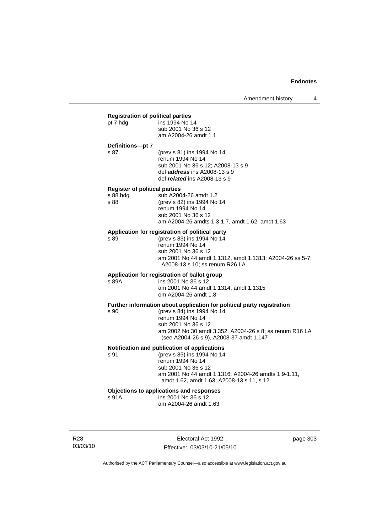| <b>Registration of political parties</b> |                                                                        |  |
|------------------------------------------|------------------------------------------------------------------------|--|
| pt 7 hdg                                 | ins 1994 No 14                                                         |  |
|                                          | sub 2001 No 36 s 12                                                    |  |
|                                          | am A2004-26 amdt 1.1                                                   |  |
| Definitions-pt 7                         |                                                                        |  |
| s 87                                     | (prev s 81) ins 1994 No 14                                             |  |
|                                          | renum 1994 No 14                                                       |  |
|                                          | sub 2001 No 36 s 12; A2008-13 s 9                                      |  |
|                                          | def <i>address</i> ins A2008-13 s 9                                    |  |
|                                          | def <i>related</i> ins A2008-13 s 9                                    |  |
| <b>Register of political parties</b>     |                                                                        |  |
| s 88 hda                                 | sub A2004-26 amdt 1.2                                                  |  |
| s 88                                     | (prev s 82) ins 1994 No 14<br>renum 1994 No 14                         |  |
|                                          | sub 2001 No 36 s 12                                                    |  |
|                                          | am A2004-26 amdts 1.3-1.7, amdt 1.62, amdt 1.63                        |  |
|                                          | Application for registration of political party                        |  |
| s 89                                     | (prev s 83) ins 1994 No 14                                             |  |
|                                          | renum 1994 No 14                                                       |  |
|                                          | sub 2001 No 36 s 12                                                    |  |
|                                          | am 2001 No 44 amdt 1.1312, amdt 1.1313; A2004-26 ss 5-7;               |  |
|                                          | A2008-13 s 10; ss renum R26 LA                                         |  |
|                                          | Application for registration of ballot group                           |  |
| s 89A                                    | ins 2001 No 36 s 12                                                    |  |
|                                          | am 2001 No 44 amdt 1.1314, amdt 1.1315                                 |  |
|                                          | om A2004-26 amdt 1.8                                                   |  |
|                                          | Further information about application for political party registration |  |
| s 90                                     | (prev s 84) ins 1994 No 14                                             |  |
|                                          | renum 1994 No 14<br>sub 2001 No 36 s 12                                |  |
|                                          | am 2002 No 30 amdt 3.352; A2004-26 s 8; ss renum R16 LA                |  |
|                                          | (see A2004-26 s 9), A2008-37 amdt 1.147                                |  |
|                                          | Notification and publication of applications                           |  |
| s 91                                     | (prev s 85) ins 1994 No 14                                             |  |
|                                          | renum 1994 No 14                                                       |  |
|                                          | sub 2001 No 36 s 12                                                    |  |
|                                          | am 2001 No 44 amdt 1.1316; A2004-26 amdts 1.9-1.11,                    |  |
|                                          | amdt 1.62, amdt 1.63; A2008-13 s 11, s 12                              |  |
| Objections to applications and responses |                                                                        |  |
| s 91A                                    | ins 2001 No 36 s 12                                                    |  |
|                                          | am A2004-26 amdt 1.63                                                  |  |

R28 03/03/10

Electoral Act 1992 Effective: 03/03/10-21/05/10 page 303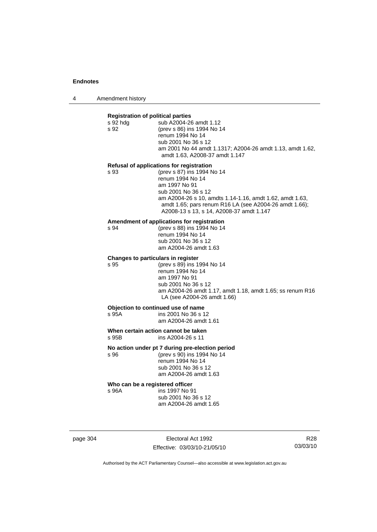4 Amendment history

| <b>Registration of political parties</b><br>s 92 hdg<br>s 92                                | sub A2004-26 amdt 1.12<br>(prev s 86) ins 1994 No 14<br>renum 1994 No 14<br>sub 2001 No 36 s 12<br>am 2001 No 44 amdt 1.1317; A2004-26 amdt 1.13, amdt 1.62,<br>amdt 1.63, A2008-37 amdt 1.147                                                                                                       |
|---------------------------------------------------------------------------------------------|------------------------------------------------------------------------------------------------------------------------------------------------------------------------------------------------------------------------------------------------------------------------------------------------------|
| s 93                                                                                        | Refusal of applications for registration<br>(prev s 87) ins 1994 No 14<br>renum 1994 No 14<br>am 1997 No 91<br>sub 2001 No 36 s 12<br>am A2004-26 s 10, amdts 1.14-1.16, amdt 1.62, amdt 1.63,<br>amdt 1.65; pars renum R16 LA (see A2004-26 amdt 1.66);<br>A2008-13 s 13, s 14, A2008-37 amdt 1.147 |
| s 94                                                                                        | Amendment of applications for registration<br>(prev s 88) ins 1994 No 14<br>renum 1994 No 14<br>sub 2001 No 36 s 12<br>am A2004-26 amdt 1.63                                                                                                                                                         |
| s 95                                                                                        | Changes to particulars in register<br>(prev s 89) ins 1994 No 14<br>renum 1994 No 14<br>am 1997 No 91<br>sub 2001 No 36 s 12<br>am A2004-26 amdt 1.17, amdt 1.18, amdt 1.65; ss renum R16<br>LA (see A2004-26 amdt 1.66)                                                                             |
| Objection to continued use of name<br>s 95A<br>ins 2001 No 36 s 12<br>am A2004-26 amdt 1.61 |                                                                                                                                                                                                                                                                                                      |
| When certain action cannot be taken<br>s 95B<br>ins A2004-26 s 11                           |                                                                                                                                                                                                                                                                                                      |
| s 96                                                                                        | No action under pt 7 during pre-election period<br>(prev s 90) ins 1994 No 14<br>renum 1994 No 14<br>sub 2001 No 36 s 12<br>am A2004-26 amdt 1.63                                                                                                                                                    |

**Who can be a registered officer s** 96A **ins 1997** No 9 s 96A ins 1997 No 91

 sub 2001 No 36 s 12 am A2004-26 amdt 1.65

page 304 Electoral Act 1992 Effective: 03/03/10-21/05/10

R28 03/03/10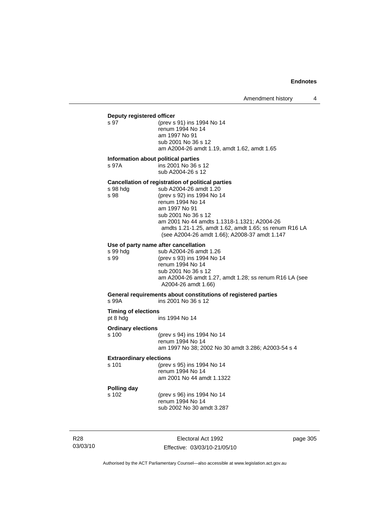## **Deputy registered officer**<br>s 97 (prev s

(prev s 91) ins 1994 No 14 renum 1994 No 14 am 1997 No 91 sub 2001 No 36 s 12 am A2004-26 amdt 1.19, amdt 1.62, amdt 1.65

#### **Information about political parties**

s 97A ins 2001 No 36 s 12 sub A2004-26 s 12

#### **Cancellation of registration of political parties**

| s 98 hdg | sub A2004-26 amdt 1.20                                 |
|----------|--------------------------------------------------------|
| s 98     | (prev s 92) ins 1994 No 14                             |
|          | renum 1994 No 14                                       |
|          | am 1997 No 91                                          |
|          | sub 2001 No 36 s 12                                    |
|          | am 2001 No 44 amdts 1.1318-1.1321; A2004-26            |
|          | amdts 1.21-1.25, amdt 1.62, amdt 1.65; ss renum R16 LA |
|          | (see A2004-26 amdt 1.66); A2008-37 amdt 1.147          |
|          |                                                        |

### **Use of party name after cancellation**

|          | Use of party name after cancellation                   |
|----------|--------------------------------------------------------|
| s 99 hda | sub A2004-26 amdt 1.26                                 |
| s 99     | (prev s 93) ins 1994 No 14                             |
|          | renum 1994 No 14                                       |
|          | sub 2001 No 36 s 12                                    |
|          | am A2004-26 amdt 1.27, amdt 1.28; ss renum R16 LA (see |
|          | A2004-26 amdt 1.66)                                    |

## **General requirements about constitutions of registered parties**

ins 2001 No 36 s 12

#### **Timing of elections**<br>pt 8 hdg ins 1994 No 14

#### **Ordinary elections**

| s 100 | (prev s 94) ins 1994 No 14                         |
|-------|----------------------------------------------------|
|       | renum 1994 No 14                                   |
|       | am 1997 No 38; 2002 No 30 amdt 3.286; A2003-54 s 4 |

#### **Extraordinary elections**

| s 101 | (prev s 95) ins 1994 No 14 |
|-------|----------------------------|
|       | renum 1994 No 14           |
|       | am 2001 No 44 amdt 1.1322  |

**Polling day**  (prev s 96) ins 1994 No 14 renum 1994 No 14 sub 2002 No 30 amdt 3.287

R28 03/03/10

Electoral Act 1992 Effective: 03/03/10-21/05/10 page 305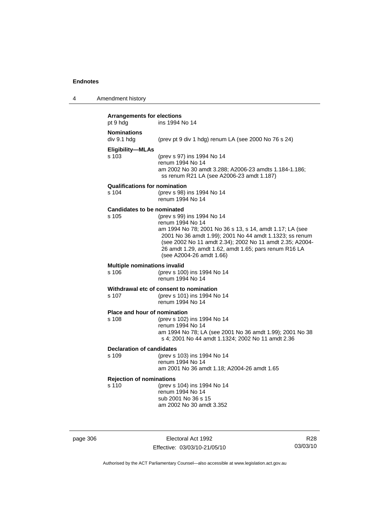4 Amendment history

| <b>Arrangements for elections</b><br>pt 9 hdg<br>ins 1994 No 14 |                                                                                                                                                                                                                                                                                                                        |  |
|-----------------------------------------------------------------|------------------------------------------------------------------------------------------------------------------------------------------------------------------------------------------------------------------------------------------------------------------------------------------------------------------------|--|
| <b>Nominations</b><br>div 9.1 hdg                               | (prev pt 9 div 1 hdg) renum LA (see 2000 No 76 s 24)                                                                                                                                                                                                                                                                   |  |
| Eligibility-MLAs<br>s 103                                       | (prev s 97) ins 1994 No 14<br>renum 1994 No 14<br>am 2002 No 30 amdt 3.288; A2006-23 amdts 1.184-1.186;<br>ss renum R21 LA (see A2006-23 amdt 1.187)                                                                                                                                                                   |  |
| <b>Qualifications for nomination</b><br>s 104                   | (prev s 98) ins 1994 No 14<br>renum 1994 No 14                                                                                                                                                                                                                                                                         |  |
| <b>Candidates to be nominated</b><br>s 105                      | (prev s 99) ins 1994 No 14<br>renum 1994 No 14<br>am 1994 No 78; 2001 No 36 s 13, s 14, amdt 1.17; LA (see<br>2001 No 36 amdt 1.99); 2001 No 44 amdt 1.1323; ss renum<br>(see 2002 No 11 amdt 2.34); 2002 No 11 amdt 2.35; A2004-<br>26 amdt 1.29, amdt 1.62, amdt 1.65; pars renum R16 LA<br>(see A2004-26 amdt 1.66) |  |
| <b>Multiple nominations invalid</b><br>s 106                    | (prev s 100) ins 1994 No 14<br>renum 1994 No 14                                                                                                                                                                                                                                                                        |  |
| s 107                                                           | Withdrawal etc of consent to nomination<br>(prev s 101) ins 1994 No 14<br>renum 1994 No 14                                                                                                                                                                                                                             |  |
| Place and hour of nomination<br>s 108                           | (prev s 102) ins 1994 No 14<br>renum 1994 No 14<br>am 1994 No 78; LA (see 2001 No 36 amdt 1.99); 2001 No 38<br>s 4; 2001 No 44 amdt 1.1324; 2002 No 11 amdt 2.36                                                                                                                                                       |  |
| <b>Declaration of candidates</b><br>s 109                       | (prev s 103) ins 1994 No 14<br>renum 1994 No 14<br>am 2001 No 36 amdt 1.18; A2004-26 amdt 1.65                                                                                                                                                                                                                         |  |
| <b>Rejection of nominations</b><br>s 110                        | (prev s 104) ins 1994 No 14<br>renum 1994 No 14<br>sub 2001 No 36 s 15<br>am 2002 No 30 amdt 3.352                                                                                                                                                                                                                     |  |

page 306 Electoral Act 1992 Effective: 03/03/10-21/05/10

R28 03/03/10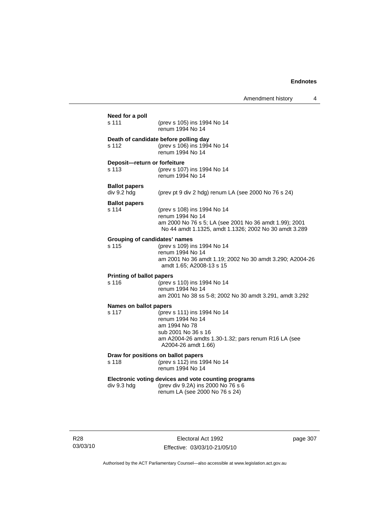| Need for a poll<br>s 111                      | (prev s 105) ins 1994 No 14<br>renum 1994 No 14                                                                                                                       |
|-----------------------------------------------|-----------------------------------------------------------------------------------------------------------------------------------------------------------------------|
| s 112                                         | Death of candidate before polling day<br>(prev s 106) ins 1994 No 14<br>renum 1994 No 14                                                                              |
| Deposit-return or forfeiture<br>s 113         | (prev s 107) ins 1994 No 14<br>renum 1994 No 14                                                                                                                       |
| <b>Ballot papers</b><br>div 9.2 hdg           | (prev pt 9 div 2 hdg) renum LA (see 2000 No 76 s 24)                                                                                                                  |
| <b>Ballot papers</b><br>s 114                 | (prev s 108) ins 1994 No 14<br>renum 1994 No 14<br>am 2000 No 76 s 5; LA (see 2001 No 36 amdt 1.99); 2001<br>No 44 amdt 1.1325, amdt 1.1326; 2002 No 30 amdt 3.289    |
| <b>Grouping of candidates' names</b><br>s 115 | (prev s 109) ins 1994 No 14<br>renum 1994 No 14<br>am 2001 No 36 amdt 1.19; 2002 No 30 amdt 3.290; A2004-26<br>amdt 1.65; A2008-13 s 15                               |
| <b>Printing of ballot papers</b><br>s 116     | (prev s 110) ins 1994 No 14<br>renum 1994 No 14<br>am 2001 No 38 ss 5-8; 2002 No 30 amdt 3.291, amdt 3.292                                                            |
| <b>Names on ballot papers</b><br>s 117        | (prev s 111) ins 1994 No 14<br>renum 1994 No 14<br>am 1994 No 78<br>sub 2001 No 36 s 16<br>am A2004-26 amdts 1.30-1.32; pars renum R16 LA (see<br>A2004-26 amdt 1.66) |
| s 118                                         | Draw for positions on ballot papers<br>(prev s 112) ins 1994 No 14<br>renum 1994 No 14                                                                                |
| div 9.3 hdg                                   | Electronic voting devices and vote counting programs<br>(prev div 9.2A) ins 2000 No 76 s 6                                                                            |

R28 03/03/10

Electoral Act 1992 Effective: 03/03/10-21/05/10 page 307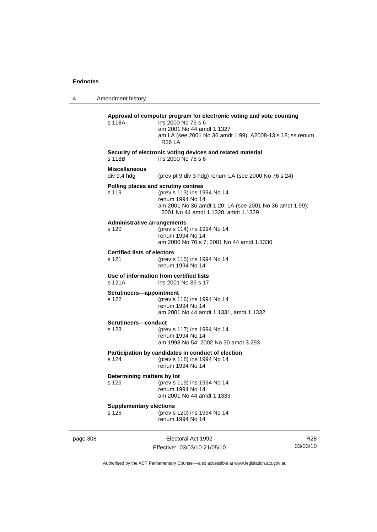4 Amendment history page 308 Electoral Act 1992 R28 **Approval of computer program for electronic voting and vote counting** s 118A ins 2000 No 76 s 6 am 2001 No 44 amdt 1.1327 am LA (see 2001 No 36 amdt 1.99); A2008-13 s 18; ss renum R26 LA **Security of electronic voting devices and related material**  s 118B ins 2000 No 76 s 6 **Miscellaneous**  (prev pt 9 div 3 hdg) renum LA (see 2000 No 76 s  $24$ ) **Polling places and scrutiny centres**  s 119 (prev s 113) ins 1994 No 14 renum 1994 No 14 am 2001 No 36 amdt 1.20; LA (see 2001 No 36 amdt 1.99); 2001 No 44 amdt 1.1328, amdt 1.1329 **Administrative arrangements** s 120 (prev s 114) ins 1994 No 14 renum 1994 No 14 am 2000 No 76 s 7; 2001 No 44 amdt 1.1330 **Certified lists of electors**<br>s 121 (prev s (prev s 115) ins 1994 No 14 renum 1994 No 14 **Use of information from certified lists** s 121A ins 2001 No 36 s 17 **Scrutineers—appointment** s 122 (prev s 116) ins 1994 No 14 renum 1994 No 14 am 2001 No 44 amdt 1.1331, amdt 1.1332 **Scrutineers—conduct** s 123 (prev s 117) ins 1994 No 14 renum 1994 No 14 am 1998 No 54; 2002 No 30 amdt 3.293 **Participation by candidates in conduct of election** s 124 (prev s 118) ins 1994 No 14 renum 1994 No 14 **Determining matters by lot** s 125 (prev s 119) ins 1994 No 14 renum 1994 No 14 am 2001 No 44 amdt 1.1333 **Supplementary elections** s 126 (prev s 120) ins 1994 No 14 renum 1994 No 14

Effective: 03/03/10-21/05/10

03/03/10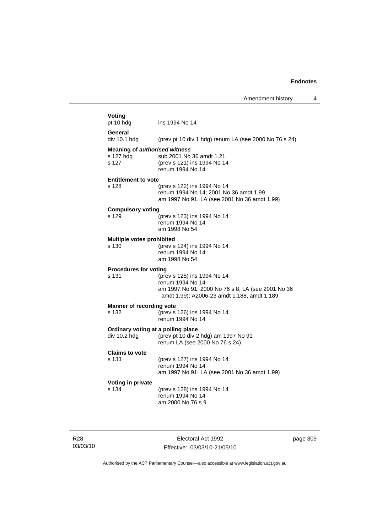| Voting<br>pt 10 hdg                                        | ins 1994 No 14                                                                                                                                      |
|------------------------------------------------------------|-----------------------------------------------------------------------------------------------------------------------------------------------------|
| General<br>div 10.1 hdg                                    | (prev pt 10 div 1 hdg) renum LA (see 2000 No 76 s 24)                                                                                               |
| <b>Meaning of authorised witness</b><br>s 127 hdg<br>s 127 | sub 2001 No 36 amdt 1.21<br>(prev s 121) ins 1994 No 14<br>renum 1994 No 14                                                                         |
| <b>Entitlement to vote</b>                                 |                                                                                                                                                     |
| s 128                                                      | (prev s 122) ins 1994 No 14<br>renum 1994 No 14; 2001 No 36 amdt 1.99<br>am 1997 No 91; LA (see 2001 No 36 amdt 1.99)                               |
| <b>Compulsory voting</b>                                   |                                                                                                                                                     |
| s 129                                                      | (prev s 123) ins 1994 No 14<br>renum 1994 No 14<br>am 1998 No 54                                                                                    |
| Multiple votes prohibited<br>s 130                         | (prev s 124) ins 1994 No 14<br>renum 1994 No 14<br>am 1998 No 54                                                                                    |
| <b>Procedures for voting</b><br>s 131                      | (prev s 125) ins 1994 No 14<br>renum 1994 No 14<br>am 1997 No 91; 2000 No 76 s 8; LA (see 2001 No 36<br>amdt 1.99); A2006-23 amdt 1.188, amdt 1.189 |
| <b>Manner of recording vote</b><br>s 132                   | (prev s 126) ins 1994 No 14<br>renum 1994 No 14                                                                                                     |
| Ordinary voting at a polling place<br>div 10.2 hdg         | (prev pt 10 div 2 hdg) am 1997 No 91<br>renum LA (see 2000 No 76 s 24)                                                                              |
| <b>Claims to vote</b><br>s 133                             | (prev s 127) ins 1994 No 14<br>renum 1994 No 14<br>am 1997 No 91; LA (see 2001 No 36 amdt 1.99)                                                     |
| Voting in private<br>s 134                                 | (prev s 128) ins 1994 No 14                                                                                                                         |

R28 03/03/10

Electoral Act 1992 Effective: 03/03/10-21/05/10 page 309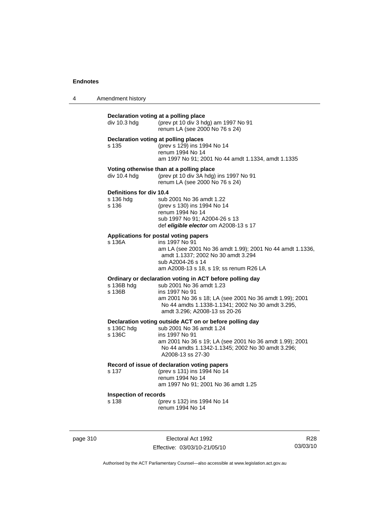| 4 | Amendment history |  |
|---|-------------------|--|
|---|-------------------|--|

| Declaration voting at a polling place<br>(prev pt 10 div 3 hdg) am 1997 No 91<br>div 10.3 hdg<br>renum LA (see 2000 No 76 s 24)<br>Declaration voting at polling places<br>(prev s 129) ins 1994 No 14<br>s 135<br>renum 1994 No 14<br>am 1997 No 91; 2001 No 44 amdt 1.1334, amdt 1.1335<br>Voting otherwise than at a polling place<br>(prev pt 10 div 3A hdg) ins 1997 No 91<br>div 10.4 hdg<br>renum LA (see 2000 No 76 s 24)<br>Definitions for div 10.4<br>s 136 hda<br>sub 2001 No 36 amdt 1.22<br>s 136<br>(prev s 130) ins 1994 No 14<br>renum 1994 No 14<br>sub 1997 No 91; A2004-26 s 13<br>def eligible elector om A2008-13 s 17<br>Applications for postal voting papers<br>$s$ 136 $A$<br>ins 1997 No 91<br>am LA (see 2001 No 36 amdt 1.99); 2001 No 44 amdt 1.1336,<br>amdt 1.1337; 2002 No 30 amdt 3.294<br>sub A2004-26 s 14<br>am A2008-13 s 18, s 19; ss renum R26 LA<br>Ordinary or declaration voting in ACT before polling day<br>sub 2001 No 36 amdt 1.23<br>s 136B hdg<br>s 136B<br>ins 1997 No 91<br>am 2001 No 36 s 18; LA (see 2001 No 36 amdt 1.99); 2001<br>No 44 amdts 1.1338-1.1341; 2002 No 30 amdt 3.295,<br>amdt 3.296; A2008-13 ss 20-26<br>Declaration voting outside ACT on or before polling day<br>s 136C hdg<br>sub 2001 No 36 amdt 1.24<br>ins 1997 No 91<br>s 136C<br>am 2001 No 36 s 19; LA (see 2001 No 36 amdt 1.99); 2001<br>No 44 amdts 1.1342-1.1345; 2002 No 30 amdt 3.296;<br>A2008-13 ss 27-30<br>Record of issue of declaration voting papers<br>(prev s 131) ins 1994 No 14<br>s 137<br>renum 1994 No 14<br>am 1997 No 91; 2001 No 36 amdt 1.25<br><b>Inspection of records</b><br>s 138<br>(prev s 132) ins 1994 No 14<br>renum 1994 No 14 |  |  |
|---------------------------------------------------------------------------------------------------------------------------------------------------------------------------------------------------------------------------------------------------------------------------------------------------------------------------------------------------------------------------------------------------------------------------------------------------------------------------------------------------------------------------------------------------------------------------------------------------------------------------------------------------------------------------------------------------------------------------------------------------------------------------------------------------------------------------------------------------------------------------------------------------------------------------------------------------------------------------------------------------------------------------------------------------------------------------------------------------------------------------------------------------------------------------------------------------------------------------------------------------------------------------------------------------------------------------------------------------------------------------------------------------------------------------------------------------------------------------------------------------------------------------------------------------------------------------------------------------------------------------------------------------------------------------------------------------|--|--|
|                                                                                                                                                                                                                                                                                                                                                                                                                                                                                                                                                                                                                                                                                                                                                                                                                                                                                                                                                                                                                                                                                                                                                                                                                                                                                                                                                                                                                                                                                                                                                                                                                                                                                                   |  |  |
|                                                                                                                                                                                                                                                                                                                                                                                                                                                                                                                                                                                                                                                                                                                                                                                                                                                                                                                                                                                                                                                                                                                                                                                                                                                                                                                                                                                                                                                                                                                                                                                                                                                                                                   |  |  |
|                                                                                                                                                                                                                                                                                                                                                                                                                                                                                                                                                                                                                                                                                                                                                                                                                                                                                                                                                                                                                                                                                                                                                                                                                                                                                                                                                                                                                                                                                                                                                                                                                                                                                                   |  |  |
|                                                                                                                                                                                                                                                                                                                                                                                                                                                                                                                                                                                                                                                                                                                                                                                                                                                                                                                                                                                                                                                                                                                                                                                                                                                                                                                                                                                                                                                                                                                                                                                                                                                                                                   |  |  |
|                                                                                                                                                                                                                                                                                                                                                                                                                                                                                                                                                                                                                                                                                                                                                                                                                                                                                                                                                                                                                                                                                                                                                                                                                                                                                                                                                                                                                                                                                                                                                                                                                                                                                                   |  |  |
|                                                                                                                                                                                                                                                                                                                                                                                                                                                                                                                                                                                                                                                                                                                                                                                                                                                                                                                                                                                                                                                                                                                                                                                                                                                                                                                                                                                                                                                                                                                                                                                                                                                                                                   |  |  |
|                                                                                                                                                                                                                                                                                                                                                                                                                                                                                                                                                                                                                                                                                                                                                                                                                                                                                                                                                                                                                                                                                                                                                                                                                                                                                                                                                                                                                                                                                                                                                                                                                                                                                                   |  |  |
|                                                                                                                                                                                                                                                                                                                                                                                                                                                                                                                                                                                                                                                                                                                                                                                                                                                                                                                                                                                                                                                                                                                                                                                                                                                                                                                                                                                                                                                                                                                                                                                                                                                                                                   |  |  |
|                                                                                                                                                                                                                                                                                                                                                                                                                                                                                                                                                                                                                                                                                                                                                                                                                                                                                                                                                                                                                                                                                                                                                                                                                                                                                                                                                                                                                                                                                                                                                                                                                                                                                                   |  |  |
|                                                                                                                                                                                                                                                                                                                                                                                                                                                                                                                                                                                                                                                                                                                                                                                                                                                                                                                                                                                                                                                                                                                                                                                                                                                                                                                                                                                                                                                                                                                                                                                                                                                                                                   |  |  |

page 310 **Electoral Act 1992** Effective: 03/03/10-21/05/10

R28 03/03/10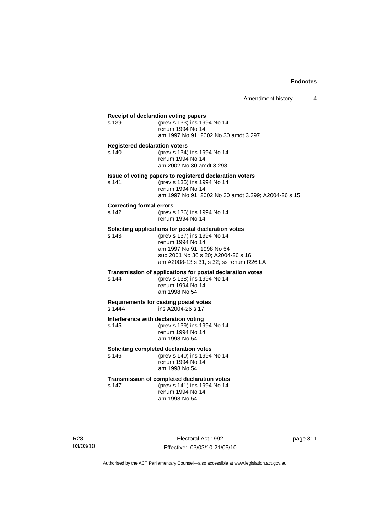## **Receipt of declaration voting papers** s 139 (prev s 133) ins 1994 No 14 renum 1994 No 14 am 1997 No 91; 2002 No 30 amdt 3.297 **Registered declaration voters** s 140 (prev s 134) ins 1994 No 14 renum 1994 No 14 am 2002 No 30 amdt 3.298 **Issue of voting papers to registered declaration voters** s 141 (prev s 135) ins 1994 No 14 renum 1994 No 14 am 1997 No 91; 2002 No 30 amdt 3.299; A2004-26 s 15 **Correcting formal errors** s 142 (prev s 136) ins 1994 No 14 renum 1994 No 14 **Soliciting applications for postal declaration votes** s 143 (prev s 137) ins 1994 No 14 renum 1994 No 14 am 1997 No 91; 1998 No 54 sub 2001 No 36 s 20; A2004-26 s 16 am A2008-13 s 31, s 32; ss renum R26 LA **Transmission of applications for postal declaration votes** s 144 (prev s 138) ins 1994 No 14 renum 1994 No 14 am 1998 No 54 **Requirements for casting postal votes**   $ins A2004-26 s 17$ **Interference with declaration voting** s 145 (prev s 139) ins 1994 No 14 renum 1994 No 14 am 1998 No 54 **Soliciting completed declaration votes**<br>s 146 (prev s 140) ins 1994 (prev s 140) ins 1994 No 14 renum 1994 No 14 am 1998 No 54 **Transmission of completed declaration votes**<br>s 147 (prev s 141) ins 1994 No 14 s 147 (prev s 141) ins 1994 No 14 renum 1994 No 14 am 1998 No 54

R28 03/03/10

Electoral Act 1992 Effective: 03/03/10-21/05/10 page 311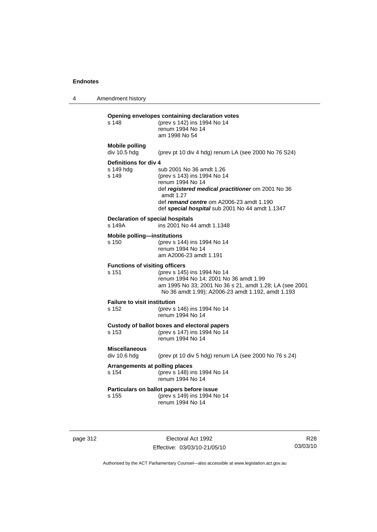4 Amendment history

| s 148                                             | Opening envelopes containing declaration votes<br>(prev s 142) ins 1994 No 14<br>renum 1994 No 14<br>am 1998 No 54                                                                                                                           |
|---------------------------------------------------|----------------------------------------------------------------------------------------------------------------------------------------------------------------------------------------------------------------------------------------------|
| <b>Mobile polling</b><br>div 10.5 hdg             | (prev pt 10 div 4 hdg) renum LA (see 2000 No 76 S24)                                                                                                                                                                                         |
| Definitions for div 4<br>s 149 hdg<br>s 149       | sub 2001 No 36 amdt 1.26<br>(prev s 143) ins 1994 No 14<br>renum 1994 No 14<br>def registered medical practitioner om 2001 No 36<br>amdt 1.27<br>def remand centre om A2006-23 amdt 1.190<br>def special hospital sub 2001 No 44 amdt 1.1347 |
| <b>Declaration of special hospitals</b><br>s 149A | ins 2001 No 44 amdt 1.1348                                                                                                                                                                                                                   |
| <b>Mobile polling-institutions</b><br>s 150       | (prev s 144) ins 1994 No 14<br>renum 1994 No 14<br>am A2006-23 amdt 1.191                                                                                                                                                                    |
| <b>Functions of visiting officers</b><br>s 151    | (prev s 145) ins 1994 No 14<br>renum 1994 No 14; 2001 No 36 amdt 1.99<br>am 1995 No 33; 2001 No 36 s 21, amdt 1.28; LA (see 2001<br>No 36 amdt 1.99); A2006-23 amdt 1.192, amdt 1.193                                                        |
| <b>Failure to visit institution</b><br>s 152      | (prev s 146) ins 1994 No 14<br>renum 1994 No 14                                                                                                                                                                                              |
| $s$ 153                                           | Custody of ballot boxes and electoral papers<br>(prev s 147) ins 1994 No 14<br>renum 1994 No 14                                                                                                                                              |
| <b>Miscellaneous</b><br>div 10.6 hdg              | (prev pt 10 div 5 hdg) renum LA (see 2000 No 76 s 24)                                                                                                                                                                                        |
| Arrangements at polling places<br>s 154           | (prev s 148) ins 1994 No 14<br>renum 1994 No 14                                                                                                                                                                                              |
| s 155                                             | Particulars on ballot papers before issue<br>(prev s 149) ins 1994 No 14<br>renum 1994 No 14                                                                                                                                                 |

page 312 **Electoral Act 1992** Effective: 03/03/10-21/05/10

R28 03/03/10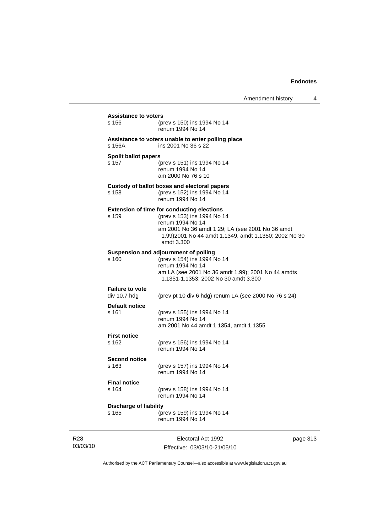| <b>Assistance to voters</b><br>s 156   | (prev s 150) ins 1994 No 14<br>renum 1994 No 14                                                                                                                                                                                |      |
|----------------------------------------|--------------------------------------------------------------------------------------------------------------------------------------------------------------------------------------------------------------------------------|------|
| s 156A                                 | Assistance to voters unable to enter polling place<br>ins 2001 No 36 s 22                                                                                                                                                      |      |
| <b>Spoilt ballot papers</b><br>s 157   | (prev s 151) ins 1994 No 14<br>renum 1994 No 14<br>am 2000 No 76 s 10                                                                                                                                                          |      |
| s 158                                  | Custody of ballot boxes and electoral papers<br>(prev s 152) ins 1994 No 14<br>renum 1994 No 14                                                                                                                                |      |
| s 159                                  | <b>Extension of time for conducting elections</b><br>(prev s 153) ins 1994 No 14<br>renum 1994 No 14<br>am 2001 No 36 amdt 1.29; LA (see 2001 No 36 amdt<br>1.99)2001 No 44 amdt 1.1349, amdt 1.1350; 2002 No 30<br>amdt 3.300 |      |
| s 160                                  | Suspension and adjournment of polling<br>(prev s 154) ins 1994 No 14<br>renum 1994 No 14<br>am LA (see 2001 No 36 amdt 1.99); 2001 No 44 amdts<br>1.1351-1.1353; 2002 No 30 amdt 3.300                                         |      |
| <b>Failure to vote</b><br>div 10.7 hdg | (prev pt 10 div 6 hdg) renum LA (see 2000 No 76 s 24)                                                                                                                                                                          |      |
| <b>Default notice</b><br>s 161         | (prev s 155) ins 1994 No 14<br>renum 1994 No 14<br>am 2001 No 44 amdt 1.1354, amdt 1.1355                                                                                                                                      |      |
| <b>First notice</b><br>s 162           | (prev s 156) ins 1994 No 14<br>renum 1994 No 14                                                                                                                                                                                |      |
| <b>Second notice</b><br>s 163          | (prev s 157) ins 1994 No 14<br>renum 1994 No 14                                                                                                                                                                                |      |
| <b>Final notice</b><br>s 164           | (prev s 158) ins 1994 No 14<br>renum 1994 No 14                                                                                                                                                                                |      |
| <b>Discharge of liability</b><br>s 165 | (prev s 159) ins 1994 No 14<br>renum 1994 No 14                                                                                                                                                                                |      |
|                                        | Electoral Act 1992                                                                                                                                                                                                             | page |

03/03/10

R28

Effective: 03/03/10-21/05/10

page 313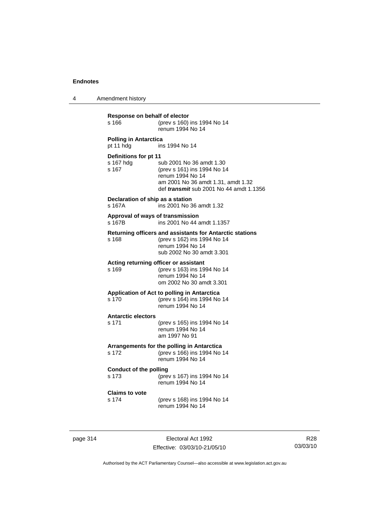4 Amendment history

| Response on behalf of elector<br>s 166         | (prev s 160) ins 1994 No 14<br>renum 1994 No 14                                                                                                                     |
|------------------------------------------------|---------------------------------------------------------------------------------------------------------------------------------------------------------------------|
| <b>Polling in Antarctica</b><br>pt 11 hdg      | ins 1994 No 14                                                                                                                                                      |
| Definitions for pt 11<br>s 167 hdg<br>s 167    | sub 2001 No 36 amdt 1.30<br>(prev s 161) ins 1994 No 14<br>renum 1994 No 14<br>am 2001 No 36 amdt 1.31, amdt 1.32<br>def <i>transmit</i> sub 2001 No 44 amdt 1.1356 |
| Declaration of ship as a station<br>s 167A     | ins 2001 No 36 amdt 1.32                                                                                                                                            |
| Approval of ways of transmission<br>s 167B     | ins 2001 No 44 amdt 1.1357                                                                                                                                          |
| s 168                                          | Returning officers and assistants for Antarctic stations<br>(prev s 162) ins 1994 No 14<br>renum 1994 No 14<br>sub 2002 No 30 amdt 3.301                            |
| Acting returning officer or assistant<br>s 169 | (prev s 163) ins 1994 No 14<br>renum 1994 No 14<br>om 2002 No 30 amdt 3.301                                                                                         |
| s 170                                          | Application of Act to polling in Antarctica<br>(prev s 164) ins 1994 No 14<br>renum 1994 No 14                                                                      |
| <b>Antarctic electors</b><br>s 171             | (prev s 165) ins 1994 No 14<br>renum 1994 No 14<br>am 1997 No 91                                                                                                    |
| s 172                                          | Arrangements for the polling in Antarctica<br>(prev s 166) ins 1994 No 14<br>renum 1994 No 14                                                                       |
| <b>Conduct of the polling</b><br>s 173         | (prev s 167) ins 1994 No 14<br>renum 1994 No 14                                                                                                                     |
| <b>Claims to vote</b><br>s 174                 | (prev s 168) ins 1994 No 14<br>renum 1994 No 14                                                                                                                     |
|                                                |                                                                                                                                                                     |

page 314 Electoral Act 1992 Effective: 03/03/10-21/05/10

R28 03/03/10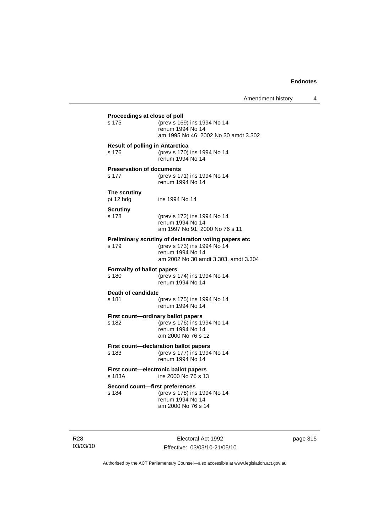| Proceedings at close of poll<br>s 175           | (prev s 169) ins 1994 No 14<br>renum 1994 No 14<br>am 1995 No 46; 2002 No 30 amdt 3.302                                                          |
|-------------------------------------------------|--------------------------------------------------------------------------------------------------------------------------------------------------|
| <b>Result of polling in Antarctica</b><br>s 176 | (prev s 170) ins 1994 No 14<br>renum 1994 No 14                                                                                                  |
| <b>Preservation of documents</b><br>s 177       | (prev s 171) ins 1994 No 14<br>renum 1994 No 14                                                                                                  |
| The scrutiny<br>pt 12 hdg                       | ins 1994 No 14                                                                                                                                   |
| <b>Scrutiny</b><br>s 178                        | (prev s 172) ins 1994 No 14<br>renum 1994 No 14<br>am 1997 No 91; 2000 No 76 s 11                                                                |
| s 179                                           | Preliminary scrutiny of declaration voting papers etc<br>(prev s 173) ins 1994 No 14<br>renum 1994 No 14<br>am 2002 No 30 amdt 3.303, amdt 3.304 |
| <b>Formality of ballot papers</b><br>s 180      | (prev s 174) ins 1994 No 14<br>renum 1994 No 14                                                                                                  |
| Death of candidate<br>s 181                     | (prev s 175) ins 1994 No 14<br>renum 1994 No 14                                                                                                  |
| First count-ordinary ballot papers<br>s 182     | (prev s 176) ins 1994 No 14<br>renum 1994 No 14<br>am 2000 No 76 s 12                                                                            |
| s 183                                           | First count-declaration ballot papers<br>(prev s 177) ins 1994 No 14<br>renum 1994 No 14                                                         |
| s 183A                                          | First count-electronic ballot papers<br>ins 2000 No 76 s 13                                                                                      |
| Second count-first preferences<br>s 184         | (prev s 178) ins 1994 No 14<br>renum 1994 No 14<br>am 2000 No 76 s 14                                                                            |

R28 03/03/10

Electoral Act 1992 Effective: 03/03/10-21/05/10 page 315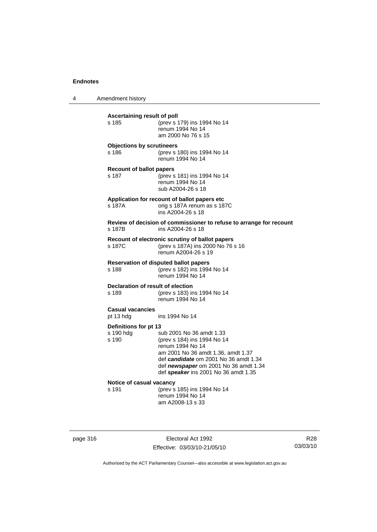4 Amendment history

| Ascertaining result of poll<br>s 185        | (prev s 179) ins 1994 No 14<br>renum 1994 No 14<br>am 2000 No 76 s 15                                                                                                                                                                       |
|---------------------------------------------|---------------------------------------------------------------------------------------------------------------------------------------------------------------------------------------------------------------------------------------------|
| <b>Objections by scrutineers</b><br>s 186   | (prev s 180) ins 1994 No 14<br>renum 1994 No 14                                                                                                                                                                                             |
| <b>Recount of ballot papers</b><br>s 187    | (prev s 181) ins 1994 No 14<br>renum 1994 No 14<br>sub A2004-26 s 18                                                                                                                                                                        |
| s 187A                                      | Application for recount of ballot papers etc<br>orig s 187A renum as s 187C<br>ins A2004-26 s 18                                                                                                                                            |
| s 187B                                      | Review of decision of commissioner to refuse to arrange for recount<br>ins A2004-26 s 18                                                                                                                                                    |
| s 187C                                      | Recount of electronic scrutiny of ballot papers<br>(prev s 187A) ins 2000 No 76 s 16<br>renum A2004-26 s 19                                                                                                                                 |
| s 188                                       | <b>Reservation of disputed ballot papers</b><br>(prev s 182) ins 1994 No 14<br>renum 1994 No 14                                                                                                                                             |
| Declaration of result of election<br>s 189  | (prev s 183) ins 1994 No 14<br>renum 1994 No 14                                                                                                                                                                                             |
| <b>Casual vacancies</b><br>pt 13 hdg        | ins 1994 No 14                                                                                                                                                                                                                              |
| Definitions for pt 13<br>s 190 hdg<br>s 190 | sub 2001 No 36 amdt 1.33<br>(prev s 184) ins 1994 No 14<br>renum 1994 No 14<br>am 2001 No 36 amdt 1.36, amdt 1.37<br>def candidate om 2001 No 36 amdt 1.34<br>def newspaper om 2001 No 36 amdt 1.34<br>def speaker ins 2001 No 36 amdt 1.35 |
| Notice of casual vacancy<br>s 191           | (prev s 185) ins 1994 No 14<br>renum 1994 No 14<br>am A2008-13 s 33                                                                                                                                                                         |

page 316 Electoral Act 1992 Effective: 03/03/10-21/05/10

R28 03/03/10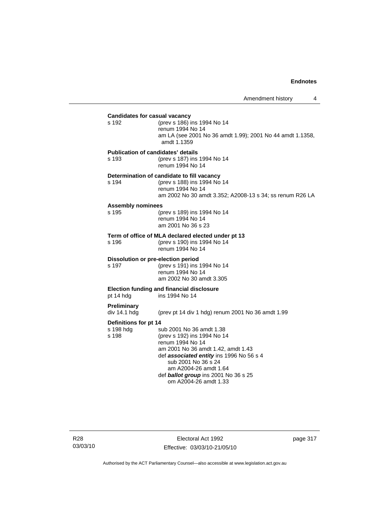## Amendment history 4 **Candidates for casual vacancy**<br>s 192 (prev s 186) i (prev s 186) ins 1994 No 14 renum 1994 No 14 am LA (see 2001 No 36 amdt 1.99); 2001 No 44 amdt 1.1358, amdt 1.1359 **Publication of candidates' details** s 193 (prev s 187) ins 1994 No 14 renum 1994 No 14 **Determination of candidate to fill vacancy** s 194 (prev s 188) ins 1994 No 14 renum 1994 No 14 am 2002 No 30 amdt 3.352; A2008-13 s 34; ss renum R26 LA **Assembly nominees** s 195 (prev s 189) ins 1994 No 14 renum 1994 No 14 am 2001 No 36 s 23 **Term of office of MLA declared elected under pt 13** s 196 (prev s 190) ins 1994 No 14 renum 1994 No 14 **Dissolution or pre-election period** s 197 (prev s 191) ins 1994 No 14 renum 1994 No 14 am 2002 No 30 amdt 3.305 **Election funding and financial disclosure** pt 14 hdg ins 1994 No 14 **Preliminary**  (prev pt 14 div 1 hdg) renum 2001 No 36 amdt 1.99 **Definitions for pt 14**<br>s 198 hda s s 198 hdg sub 2001 No 36 amdt 1.38<br>s 198 (prev s 192) ins 1994 No 1 (prev s 192) ins 1994 No 14 renum 1994 No 14 am 2001 No 36 amdt 1.42, amdt 1.43 def *associated entity* ins 1996 No 56 s 4 sub 2001 No 36 s 24 am A2004-26 amdt 1.64 def *ballot group* ins 2001 No 36 s 25 om A2004-26 amdt 1.33

R28 03/03/10

Electoral Act 1992 Effective: 03/03/10-21/05/10 page 317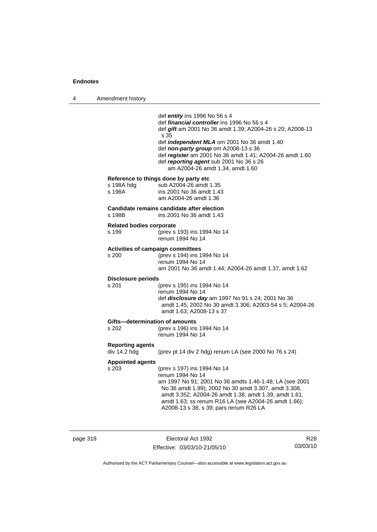4 Amendment history def *entity* ins 1996 No 56 s 4 def *financial controller* ins 1996 No 56 s 4 def *gift* am 2001 No 36 amdt 1.39; A2004-26 s 20; A2008-13 s 35 def *independent MLA* om 2001 No 36 amdt 1.40 def *non-party group* om A2008-13 s 36 def *register* am 2001 No 36 amdt 1.41; A2004-26 amdt 1.60 def *reporting agent* sub 2001 No 36 s 26 am A2004-26 amdt 1.34, amdt 1.60 **Reference to things done by party etc**<br>s 198A hdq sub A2004-26 amdt s 198A hdg sub A2004-26 amdt 1.35<br>s 198A ins 2001 No 36 amdt 1.43 ins 2001 No 36 amdt 1.43 am A2004-26 amdt 1.36 **Candidate remains candidate after election** s 198B ins 2001 No 36 amdt 1.43 **Related bodies corporate** s 199 (prev s 193) ins 1994 No 14 renum 1994 No 14 **Activities of campaign committees** s 200 (prev s 194) ins 1994 No 14 renum 1994 No 14 am 2001 No 36 amdt 1.44; A2004-26 amdt 1.37, amdt 1.62 **Disclosure periods** s 201 (prev s 195) ins 1994 No 14 renum 1994 No 14 def *disclosure day* am 1997 No 91 s 24; 2001 No 36 amdt 1.45; 2002 No 30 amdt 3.306; A2003-54 s 5; A2004-26 amdt 1.63; A2008-13 s 37 **Gifts—determination of amounts**<br>s 202 (prev s 196) ins (prev s 196) ins 1994 No 14 renum 1994 No 14 **Reporting agents**  (prev pt 14 div 2 hdg) renum LA (see 2000 No 76 s 24) **Appointed agents** s 203 (prev s 197) ins 1994 No 14 renum 1994 No 14 am 1997 No 91; 2001 No 36 amdts 1.46-1.48; LA (see 2001 No 36 amdt 1.99); 2002 No 30 amdt 3.307, amdt 3.308, amdt 3.352; A2004-26 amdt 1.38, amdt 1.39, amdt 1.61, amdt 1.63; ss renum R16 LA (see A2004-26 amdt 1.66); A2008-13 s 38, s 39; pars renum R26 LA

page 318 **Electoral Act 1992** Effective: 03/03/10-21/05/10

R28 03/03/10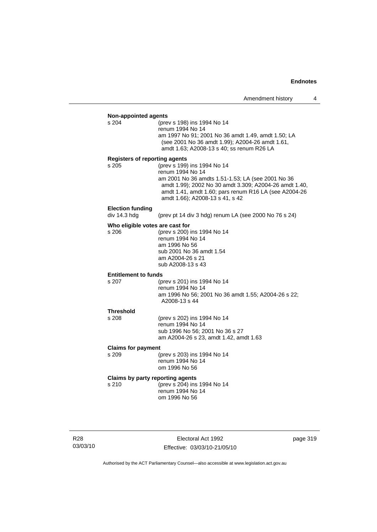| <b>Non-appointed agents</b>          |                                                                                                             |
|--------------------------------------|-------------------------------------------------------------------------------------------------------------|
| s 204                                | (prev s 198) ins 1994 No 14<br>renum 1994 No 14                                                             |
|                                      | am 1997 No 91; 2001 No 36 amdt 1.49, amdt 1.50; LA                                                          |
|                                      | (see 2001 No 36 amdt 1.99); A2004-26 amdt 1.61,                                                             |
|                                      | amdt 1.63; A2008-13 s 40; ss renum R26 LA                                                                   |
| <b>Registers of reporting agents</b> |                                                                                                             |
| s 205                                | (prev s 199) ins 1994 No 14                                                                                 |
|                                      | renum 1994 No 14                                                                                            |
|                                      | am 2001 No 36 amdts 1.51-1.53; LA (see 2001 No 36<br>amdt 1.99); 2002 No 30 amdt 3.309; A2004-26 amdt 1.40, |
|                                      | amdt 1.41, amdt 1.60; pars renum R16 LA (see A2004-26                                                       |
|                                      | amdt 1.66); A2008-13 s 41, s 42                                                                             |
| <b>Election funding</b>              |                                                                                                             |
| div 14.3 hdg                         | (prev pt 14 div 3 hdg) renum LA (see 2000 No 76 s 24)                                                       |
| Who eligible votes are cast for      |                                                                                                             |
| s 206                                | (prev s 200) ins 1994 No 14                                                                                 |
|                                      | renum 1994 No 14<br>am 1996 No 56                                                                           |
|                                      | sub 2001 No 36 amdt 1.54                                                                                    |
|                                      | am A2004-26 s 21                                                                                            |
|                                      | sub A2008-13 s 43                                                                                           |
| <b>Entitlement to funds</b>          |                                                                                                             |
| s 207                                | (prev s 201) ins 1994 No 14                                                                                 |
|                                      | renum 1994 No 14                                                                                            |
|                                      | am 1996 No 56; 2001 No 36 amdt 1.55; A2004-26 s 22;<br>A2008-13 s 44                                        |
|                                      |                                                                                                             |
| <b>Threshold</b><br>s 208            | (prev s 202) ins 1994 No 14                                                                                 |
|                                      | renum 1994 No 14                                                                                            |
|                                      | sub 1996 No 56; 2001 No 36 s 27                                                                             |
|                                      | am A2004-26 s 23, amdt 1.42, amdt 1.63                                                                      |
| <b>Claims for payment</b>            |                                                                                                             |
| s 209                                | (prev s 203) ins 1994 No 14                                                                                 |
|                                      | renum 1994 No 14<br>om 1996 No 56                                                                           |
|                                      |                                                                                                             |
| s 210                                | Claims by party reporting agents<br>(prev s 204) ins 1994 No 14                                             |
|                                      | renum 1994 No 14                                                                                            |
|                                      | om 1996 No 56                                                                                               |
|                                      |                                                                                                             |

R28 03/03/10

Electoral Act 1992 Effective: 03/03/10-21/05/10 page 319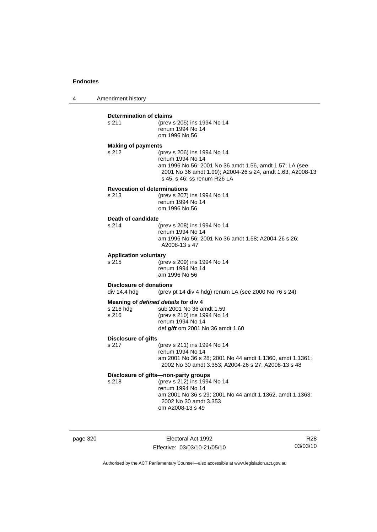4 Amendment history

#### **Determination of claims**

| s 211 | (prev s 205) ins 1994 No 14<br>renum 1994 No 14 |  |
|-------|-------------------------------------------------|--|
|       |                                                 |  |
|       | om 1996 No 56                                   |  |
|       |                                                 |  |

## **Making of payments**

s 212 (prev s 206) ins 1994 No 14 renum 1994 No 14 am 1996 No 56; 2001 No 36 amdt 1.56, amdt 1.57; LA (see 2001 No 36 amdt 1.99); A2004-26 s 24, amdt 1.63; A2008-13 s 45, s 46; ss renum R26 LA

## **Revocation of determinations**

| s 213 | (prev s 207) ins 1994 No 14 |
|-------|-----------------------------|
|       | renum 1994 No 14            |
|       | om 1996 No 56               |

# **Death of candidate**

(prev s 208) ins 1994 No 14 renum 1994 No 14 am 1996 No 56; 2001 No 36 amdt 1.58; A2004-26 s 26; A2008-13 s 47

#### **Application voluntary**

s 215 (prev s 209) ins 1994 No 14 renum 1994 No 14 am 1996 No 56

# **Disclosure of donations**<br>div 14.4 hdg (prev)

(prev pt 14 div 4 hdg) renum LA (see 2000 No 76 s 24)

## **Meaning of** *defined details* **for div 4**

| s 216 hda | sub 2001 No 36 amdt 1.59            |
|-----------|-------------------------------------|
| s 216     | (prev s 210) ins 1994 No 14         |
|           | renum 1994 No 14                    |
|           | def $g$ ift om 2001 No 36 amdt 1.60 |

#### **Disclosure of gifts**

s 217 (prev s 211) ins 1994 No 14 renum 1994 No 14 am 2001 No 36 s 28; 2001 No 44 amdt 1.1360, amdt 1.1361; 2002 No 30 amdt 3.353; A2004-26 s 27; A2008-13 s 48

## **Disclosure of gifts—non-party groups**

s 218 (prev s 212) ins 1994 No 14 renum 1994 No 14 am 2001 No 36 s 29; 2001 No 44 amdt 1.1362, amdt 1.1363; 2002 No 30 amdt 3.353 om A2008-13 s 49

page 320 **Electoral Act 1992** Effective: 03/03/10-21/05/10

R28 03/03/10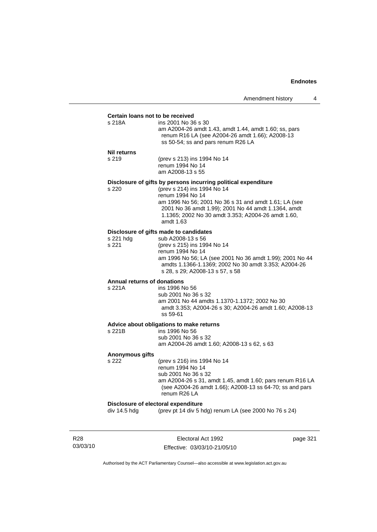#### **Certain loans not to be received**

| s 218A | ins 2001 No 36 s 30                                   |
|--------|-------------------------------------------------------|
|        | am A2004-26 amdt 1.43, amdt 1.44, amdt 1.60; ss, pars |
|        | renum R16 LA (see A2004-26 amdt 1.66); A2008-13       |
|        | ss 50-54; ss and pars renum R26 LA                    |
|        |                                                       |

#### **Nil returns**

s 219 (prev s 213) ins 1994 No 14 renum 1994 No 14 am A2008-13 s 55

#### **Disclosure of gifts by persons incurring political expenditure**

s 220 (prev s 214) ins 1994 No 14 renum 1994 No 14 am 1996 No 56; 2001 No 36 s 31 and amdt 1.61; LA (see 2001 No 36 amdt 1.99); 2001 No 44 amdt 1.1364, amdt 1.1365; 2002 No 30 amdt 3.353; A2004-26 amdt 1.60, amdt 1.63

## **Disclosure of gifts made to candidates**

| s 221 hda | sub A2008-13 s 56                                        |
|-----------|----------------------------------------------------------|
| s 221     | (prev s 215) ins 1994 No 14                              |
|           | renum 1994 No 14                                         |
|           | am 1996 No 56; LA (see 2001 No 36 amdt 1.99); 2001 No 44 |
|           | amdts 1.1366-1.1369: 2002 No 30 amdt 3.353: A2004-26     |
|           | s 28, s 29; A2008-13 s 57, s 58                          |
|           |                                                          |

# **Annual returns of donations**

ins 1996 No 56 sub 2001 No 36 s 32 am 2001 No 44 amdts 1.1370-1.1372; 2002 No 30 amdt 3.353; A2004-26 s 30; A2004-26 amdt 1.60; A2008-13 ss 59-61

## **Advice about obligations to make returns**

| s 221B | ins 1996 No 56                             |
|--------|--------------------------------------------|
|        | sub 2001 No 36 s 32                        |
|        | am A2004-26 amdt 1.60: A2008-13 s 62, s 63 |
|        |                                            |

#### **Anonymous gifts**

s 222 (prev s 216) ins 1994 No 14 renum 1994 No 14 sub 2001 No 36 s 32 am A2004-26 s 31, amdt 1.45, amdt 1.60; pars renum R16 LA (see A2004-26 amdt 1.66); A2008-13 ss 64-70; ss and pars renum R26 LA

## **Disclosure of electoral expenditure**

div 14.5 hdg (prev pt 14 div 5 hdg) renum LA (see 2000 No 76 s 24)

R28 03/03/10

Electoral Act 1992 Effective: 03/03/10-21/05/10 page 321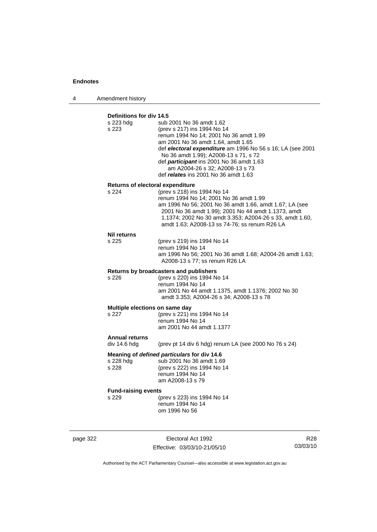4 Amendment history

# **Definitions for div 14.5**

| s 223 hdg<br>s 223                          | sub 2001 No 36 amdt 1.62<br>(prev s 217) ins 1994 No 14<br>renum 1994 No 14; 2001 No 36 amdt 1.99<br>am 2001 No 36 amdt 1.64, amdt 1.65<br>def electoral expenditure am 1996 No 56 s 16; LA (see 2001<br>No 36 amdt 1.99); A2008-13 s 71, s 72<br>def participant ins 2001 No 36 amdt 1.63<br>am A2004-26 s 32; A2008-13 s 73<br>def relates ins 2001 No 36 amdt 1.63 |
|---------------------------------------------|-----------------------------------------------------------------------------------------------------------------------------------------------------------------------------------------------------------------------------------------------------------------------------------------------------------------------------------------------------------------------|
| Returns of electoral expenditure            |                                                                                                                                                                                                                                                                                                                                                                       |
| s 224                                       | (prev s 218) ins 1994 No 14<br>renum 1994 No 14; 2001 No 36 amdt 1.99<br>am 1996 No 56; 2001 No 36 amdt 1.66, amdt 1.67; LA (see<br>2001 No 36 amdt 1.99); 2001 No 44 amdt 1.1373, amdt<br>1.1374; 2002 No 30 amdt 3.353; A2004-26 s 33, amdt 1.60,<br>amdt 1.63; A2008-13 ss 74-76; ss renum R26 LA                                                                  |
| <b>Nil returns</b>                          |                                                                                                                                                                                                                                                                                                                                                                       |
| s 225                                       | (prev s 219) ins 1994 No 14<br>renum 1994 No 14<br>am 1996 No 56; 2001 No 36 amdt 1.68; A2004-26 amdt 1.63;<br>A2008-13 s 77; ss renum R26 LA                                                                                                                                                                                                                         |
|                                             | Returns by broadcasters and publishers                                                                                                                                                                                                                                                                                                                                |
| s 226                                       | (prev s 220) ins 1994 No 14<br>renum 1994 No 14<br>am 2001 No 44 amdt 1.1375, amdt 1.1376; 2002 No 30<br>amdt 3.353; A2004-26 s 34; A2008-13 s 78                                                                                                                                                                                                                     |
| Multiple elections on same day              |                                                                                                                                                                                                                                                                                                                                                                       |
| s 227                                       | (prev s 221) ins 1994 No 14                                                                                                                                                                                                                                                                                                                                           |
|                                             | renum 1994 No 14<br>am 2001 No 44 amdt 1.1377                                                                                                                                                                                                                                                                                                                         |
| <b>Annual returns</b>                       |                                                                                                                                                                                                                                                                                                                                                                       |
| div 14.6 hdg                                | (prev pt 14 div 6 hdg) renum LA (see 2000 No 76 s 24)                                                                                                                                                                                                                                                                                                                 |
| Meaning of defined particulars for div 14.6 |                                                                                                                                                                                                                                                                                                                                                                       |
| s 228 hdg                                   | sub 2001 No 36 amdt 1.69                                                                                                                                                                                                                                                                                                                                              |
| s 228                                       | (prev s 222) ins 1994 No 14<br>renum 1994 No 14                                                                                                                                                                                                                                                                                                                       |
|                                             | am A2008-13 s 79                                                                                                                                                                                                                                                                                                                                                      |
| <b>Fund-raising events</b>                  |                                                                                                                                                                                                                                                                                                                                                                       |
| s 229                                       | (prev s 223) ins 1994 No 14<br>renum 1994 No 14                                                                                                                                                                                                                                                                                                                       |
|                                             | om 1996 No 56                                                                                                                                                                                                                                                                                                                                                         |
|                                             |                                                                                                                                                                                                                                                                                                                                                                       |
|                                             |                                                                                                                                                                                                                                                                                                                                                                       |

page 322 Electoral Act 1992 Effective: 03/03/10-21/05/10

R28 03/03/10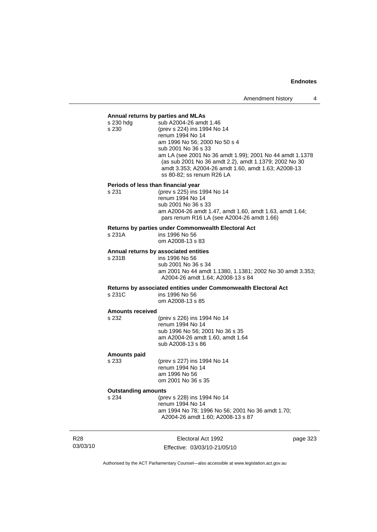## **Annual returns by parties and MLAs**

| s 230 hdg<br>s 230                  | sub A2004-26 amdt 1.46<br>(prev s 224) ins 1994 No 14<br>renum 1994 No 14<br>am 1996 No 56; 2000 No 50 s 4<br>sub 2001 No 36 s 33<br>am LA (see 2001 No 36 amdt 1.99); 2001 No 44 amdt 1.1378<br>(as sub 2001 No 36 amdt 2.2), amdt 1.1379; 2002 No 30<br>amdt 3.353; A2004-26 amdt 1.60, amdt 1.63; A2008-13<br>ss 80-82; ss renum R26 LA |  |
|-------------------------------------|--------------------------------------------------------------------------------------------------------------------------------------------------------------------------------------------------------------------------------------------------------------------------------------------------------------------------------------------|--|
| Periods of less than financial year |                                                                                                                                                                                                                                                                                                                                            |  |
| s 231                               | (prev s 225) ins 1994 No 14<br>renum 1994 No 14<br>sub 2001 No 36 s 33<br>am A2004-26 amdt 1.47, amdt 1.60, amdt 1.63, amdt 1.64;<br>pars renum R16 LA (see A2004-26 amdt 1.66)                                                                                                                                                            |  |
|                                     | Returns by parties under Commonwealth Electoral Act                                                                                                                                                                                                                                                                                        |  |
| s 231A                              | ins 1996 No 56<br>om A2008-13 s 83                                                                                                                                                                                                                                                                                                         |  |
|                                     | Annual returns by associated entities                                                                                                                                                                                                                                                                                                      |  |
| s 231B                              | ins 1996 No 56<br>sub 2001 No 36 s 34<br>am 2001 No 44 amdt 1.1380, 1.1381; 2002 No 30 amdt 3.353;<br>A2004-26 amdt 1.64; A2008-13 s 84                                                                                                                                                                                                    |  |
|                                     | Returns by associated entities under Commonwealth Electoral Act                                                                                                                                                                                                                                                                            |  |
| s 231C                              | ins 1996 No 56<br>om A2008-13 s 85                                                                                                                                                                                                                                                                                                         |  |
| <b>Amounts received</b>             |                                                                                                                                                                                                                                                                                                                                            |  |
| s 232                               | (prev s 226) ins 1994 No 14<br>renum 1994 No 14<br>sub 1996 No 56; 2001 No 36 s 35<br>am A2004-26 amdt 1.60, amdt 1.64<br>sub A2008-13 s 86                                                                                                                                                                                                |  |
| Amounts paid                        |                                                                                                                                                                                                                                                                                                                                            |  |
| s 233                               | (prev s 227) ins 1994 No 14<br>renum 1994 No 14<br>am 1996 No 56<br>om 2001 No 36 s 35                                                                                                                                                                                                                                                     |  |
| <b>Outstanding amounts</b>          |                                                                                                                                                                                                                                                                                                                                            |  |
| s 234                               | (prev s 228) ins 1994 No 14                                                                                                                                                                                                                                                                                                                |  |
|                                     | renum 1994 No 14<br>am 1994 No 78; 1996 No 56; 2001 No 36 amdt 1.70;                                                                                                                                                                                                                                                                       |  |
|                                     | A2004-26 amdt 1.60; A2008-13 s 87                                                                                                                                                                                                                                                                                                          |  |
|                                     |                                                                                                                                                                                                                                                                                                                                            |  |

R28 03/03/10

Electoral Act 1992 Effective: 03/03/10-21/05/10 page 323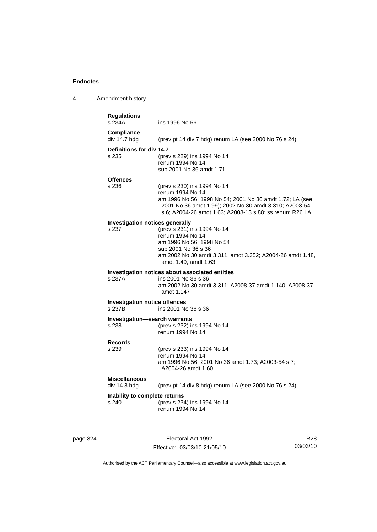| 4 | Amendment history                              |                                                                                                                                                                                                                                  |
|---|------------------------------------------------|----------------------------------------------------------------------------------------------------------------------------------------------------------------------------------------------------------------------------------|
|   | <b>Regulations</b><br>s 234A                   | ins 1996 No 56                                                                                                                                                                                                                   |
|   | <b>Compliance</b><br>div 14.7 hdg              | (prev pt 14 div 7 hdg) renum LA (see 2000 No 76 s 24)                                                                                                                                                                            |
|   | Definitions for div 14.7<br>s 235              | (prev s 229) ins 1994 No 14<br>renum 1994 No 14<br>sub 2001 No 36 amdt 1.71                                                                                                                                                      |
|   | <b>Offences</b>                                |                                                                                                                                                                                                                                  |
|   | s 236                                          | (prev s 230) ins 1994 No 14<br>renum 1994 No 14<br>am 1996 No 56; 1998 No 54; 2001 No 36 amdt 1.72; LA (see<br>2001 No 36 amdt 1.99); 2002 No 30 amdt 3.310; A2003-54<br>s 6; A2004-26 amdt 1.63; A2008-13 s 88; ss renum R26 LA |
|   | <b>Investigation notices generally</b>         |                                                                                                                                                                                                                                  |
|   | s 237                                          | (prev s 231) ins 1994 No 14<br>renum 1994 No 14<br>am 1996 No 56; 1998 No 54<br>sub 2001 No 36 s 36<br>am 2002 No 30 amdt 3.311, amdt 3.352; A2004-26 amdt 1.48,<br>amdt 1.49, amdt 1.63                                         |
|   | s 237A                                         | Investigation notices about associated entities<br>ins 2001 No 36 s 36<br>am 2002 No 30 amdt 3.311; A2008-37 amdt 1.140, A2008-37<br>amdt 1.147                                                                                  |
|   | <b>Investigation notice offences</b><br>s 237B | ins 2001 No 36 s 36                                                                                                                                                                                                              |
|   | <b>Investigation-search warrants</b><br>s 238  | (prev s 232) ins 1994 No 14<br>renum 1994 No 14                                                                                                                                                                                  |
|   | <b>Records</b><br>s 239                        | (prev s 233) ins 1994 No 14<br>renum 1994 No 14<br>am 1996 No 56; 2001 No 36 amdt 1.73; A2003-54 s 7;<br>A2004-26 amdt 1.60                                                                                                      |
|   | <b>Miscellaneous</b><br>div 14.8 hdg           | (prev pt 14 div 8 hdg) renum LA (see 2000 No 76 s 24)                                                                                                                                                                            |
|   | Inability to complete returns                  |                                                                                                                                                                                                                                  |
|   | s 240                                          | (prev s 234) ins 1994 No 14<br>renum 1994 No 14                                                                                                                                                                                  |
|   |                                                |                                                                                                                                                                                                                                  |

page 324 Electoral Act 1992 Effective: 03/03/10-21/05/10

R28 03/03/10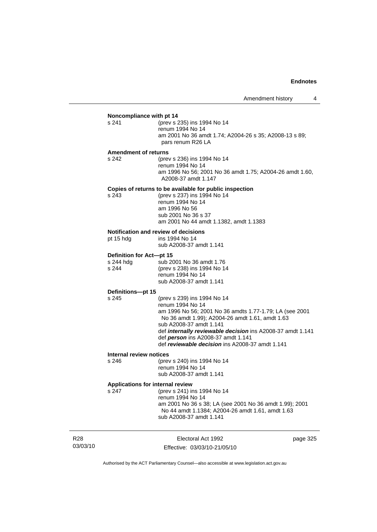# **Noncompliance with pt 14**<br>s 241 (prev s 2

(prev s 235) ins 1994 No 14 renum 1994 No 14 am 2001 No 36 amdt 1.74; A2004-26 s 35; A2008-13 s 89; pars renum R26 LA

#### **Amendment of returns**

s 242 (prev s 236) ins 1994 No 14 renum 1994 No 14 am 1996 No 56; 2001 No 36 amdt 1.75; A2004-26 amdt 1.60, A2008-37 amdt 1.147

## **Copies of returns to be available for public inspection**

s 243 (prev s 237) ins 1994 No 14 renum 1994 No 14 am 1996 No 56 sub 2001 No 36 s 37 am 2001 No 44 amdt 1.1382, amdt 1.1383

## **Notification and review of decisions**

pt 15 hdg ins 1994 No 14

sub A2008-37 amdt 1.141

#### **Definition for Act—pt 15**

s 244 hdg sub 2001 No 36 amdt 1.76<br>s 244 (prev s 238) ins 1994 No 1 (prev s 238) ins 1994 No 14 renum 1994 No 14 sub A2008-37 amdt 1.141

## **Definitions—pt 15**

s 245 (prev s 239) ins 1994 No 14 renum 1994 No 14 am 1996 No 56; 2001 No 36 amdts 1.77-1.79; LA (see 2001 No 36 amdt 1.99); A2004-26 amdt 1.61, amdt 1.63 sub A2008-37 amdt 1.141 def *internally reviewable decision* ins A2008-37 amdt 1.141 def *person* ins A2008-37 amdt 1.141 def *reviewable decision* ins A2008-37 amdt 1.141

#### **Internal review notices**

s 246 (prev s 240) ins 1994 No 14 renum 1994 No 14 sub A2008-37 amdt 1.141

## **Applications for internal review**

s 247 (prev s 241) ins 1994 No 14 renum 1994 No 14 am 2001 No 36 s 38; LA (see 2001 No 36 amdt 1.99); 2001 No 44 amdt 1.1384; A2004-26 amdt 1.61, amdt 1.63 sub A2008-37 amdt 1.141

R28 03/03/10

Electoral Act 1992 Effective: 03/03/10-21/05/10 page 325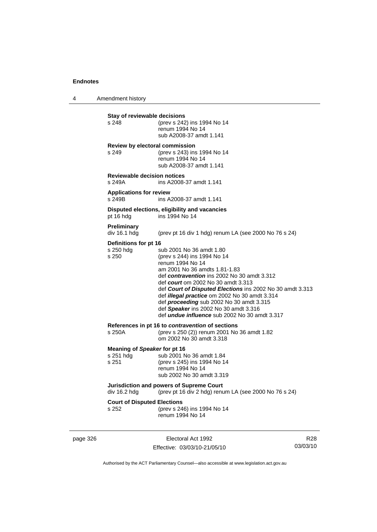4 Amendment history

**Stay of reviewable decisions**<br>s 248 (prev s 242) (prev s 242) ins 1994 No 14 renum 1994 No 14 sub A2008-37 amdt 1.141 **Review by electoral commission** s 249 (prev s 243) ins 1994 No 14 renum 1994 No 14 sub A2008-37 amdt 1.141 **Reviewable decision notices**  s 249A ins A2008-37 amdt 1.141 **Applications for review**  s 249B ins A2008-37 amdt 1.141 **Disputed elections, eligibility and vacancies** pt 16 hdg ins 1994 No 14 **Preliminary**  (prev pt 16 div 1 hdg) renum LA (see 2000 No 76 s 24) **Definitions for pt 16** s 250 hdg sub 2001 No 36 amdt 1.80 s 250 (prev s 244) ins 1994 No 14 renum 1994 No 14 am 2001 No 36 amdts 1.81-1.83 def *contravention* ins 2002 No 30 amdt 3.312 def *court* om 2002 No 30 amdt 3.313 def *Court of Disputed Elections* ins 2002 No 30 amdt 3.313 def *illegal practice* om 2002 No 30 amdt 3.314 def *proceeding* sub 2002 No 30 amdt 3.315 def *Speaker* ins 2002 No 30 amdt 3.316 def *undue influence* sub 2002 No 30 amdt 3.317 **References in pt 16 to** *contravention* **of sections** s 250A (prev s 250 (2)) renum 2001 No 36 amdt 1.82 om 2002 No 30 amdt 3.318 **Meaning of** *Speaker* **for pt 16** s 251 hdg sub 2001 No 36 amdt 1.84 s 251 (prev s 245) ins 1994 No 14 renum 1994 No 14 sub 2002 No 30 amdt 3.319 **Jurisdiction and powers of Supreme Court**  div 16.2 hdg (prev pt 16 div 2 hdg) renum LA (see 2000 No 76 s 24) **Court of Disputed Elections** s 252 (prev s 246) ins 1994 No 14 renum 1994 No 14

page 326 **Electoral Act 1992** Effective: 03/03/10-21/05/10

R28 03/03/10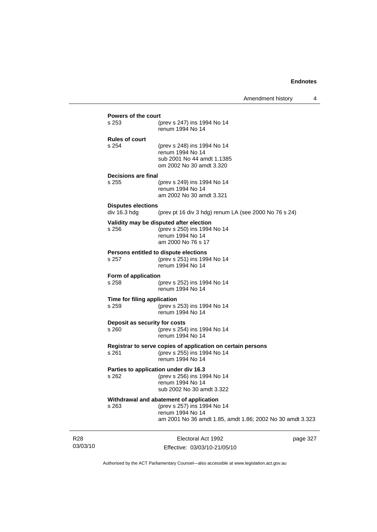| Powers of the court         |                                                             |
|-----------------------------|-------------------------------------------------------------|
| s 253                       |                                                             |
|                             | (prev s 247) ins 1994 No 14<br>renum 1994 No 14             |
|                             |                                                             |
| <b>Rules of court</b>       |                                                             |
| s 254                       | (prev s 248) ins 1994 No 14                                 |
|                             | renum 1994 No 14                                            |
|                             | sub 2001 No 44 amdt 1.1385                                  |
|                             | om 2002 No 30 amdt 3.320                                    |
| <b>Decisions are final</b>  |                                                             |
| s 255                       | (prev s 249) ins 1994 No 14                                 |
|                             | renum 1994 No 14                                            |
|                             | am 2002 No 30 amdt 3.321                                    |
|                             |                                                             |
| <b>Disputes elections</b>   |                                                             |
| div 16.3 hdg                | (prev pt 16 div 3 hdg) renum LA (see 2000 No 76 s 24)       |
|                             | Validity may be disputed after election                     |
| s 256                       | (prev s 250) ins 1994 No 14                                 |
|                             | renum 1994 No 14                                            |
|                             | am 2000 No 76 s 17                                          |
|                             | Persons entitled to dispute elections                       |
| s 257                       | (prev s 251) ins 1994 No 14                                 |
|                             | renum 1994 No 14                                            |
|                             |                                                             |
| Form of application         |                                                             |
| s 258                       | (prev s 252) ins 1994 No 14                                 |
|                             | renum 1994 No 14                                            |
| Time for filing application |                                                             |
| s 259                       | (prev s 253) ins 1994 No 14                                 |
|                             | renum 1994 No 14                                            |
|                             | Deposit as security for costs                               |
| s 260                       | (prev s 254) ins 1994 No 14                                 |
|                             | renum 1994 No 14                                            |
|                             |                                                             |
|                             | Registrar to serve copies of application on certain persons |
| s 261                       | (prev s 255) ins 1994 No 14                                 |
|                             | renum 1994 No 14                                            |
|                             | Parties to application under div 16.3                       |
| s 262                       | (prev s 256) ins 1994 No 14                                 |
|                             | renum 1994 No 14                                            |
|                             | sub 2002 No 30 amdt 3.322                                   |
|                             | Withdrawal and abatement of application                     |
| s 263                       | (prev s 257) ins 1994 No 14                                 |
|                             | renum 1994 No 14                                            |
|                             | am 2001 No 36 amdt 1.85, amdt 1.86; 2002 No 30 amdt 3.323   |
|                             |                                                             |
|                             |                                                             |

R28 03/03/10

Electoral Act 1992 Effective: 03/03/10-21/05/10 page 327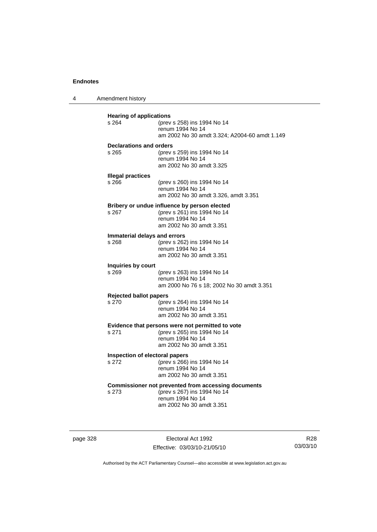4 Amendment history

| <b>Hearing of applications</b><br>s 264<br>(prev s 258) ins 1994 No 14 |                                                                   |  |
|------------------------------------------------------------------------|-------------------------------------------------------------------|--|
|                                                                        | renum 1994 No 14<br>am 2002 No 30 amdt 3.324; A2004-60 amdt 1.149 |  |
| <b>Declarations and orders</b>                                         |                                                                   |  |
| s 265                                                                  | (prev s 259) ins 1994 No 14                                       |  |
|                                                                        | renum 1994 No 14                                                  |  |
|                                                                        | am 2002 No 30 amdt 3.325                                          |  |
| <b>Illegal practices</b><br>s 266                                      |                                                                   |  |
|                                                                        | (prev s 260) ins 1994 No 14<br>renum 1994 No 14                   |  |
|                                                                        | am 2002 No 30 amdt 3.326, amdt 3.351                              |  |
|                                                                        | Bribery or undue influence by person elected                      |  |
| s 267                                                                  | (prev s 261) ins 1994 No 14                                       |  |
|                                                                        | renum 1994 No 14<br>am 2002 No 30 amdt 3.351                      |  |
|                                                                        |                                                                   |  |
| Immaterial delays and errors<br>s 268                                  | (prev s 262) ins 1994 No 14                                       |  |
|                                                                        | renum 1994 No 14                                                  |  |
|                                                                        | am 2002 No 30 amdt 3.351                                          |  |
| Inquiries by court                                                     |                                                                   |  |
| s 269                                                                  | (prev s 263) ins 1994 No 14<br>renum 1994 No 14                   |  |
|                                                                        | am 2000 No 76 s 18; 2002 No 30 amdt 3.351                         |  |
| <b>Rejected ballot papers</b>                                          |                                                                   |  |
| s.270                                                                  | (prev s 264) ins 1994 No 14                                       |  |
|                                                                        | renum 1994 No 14<br>am 2002 No 30 amdt 3.351                      |  |
|                                                                        | Evidence that persons were not permitted to vote                  |  |
| s 271                                                                  | (prev s 265) ins 1994 No 14                                       |  |
|                                                                        | renum 1994 No 14                                                  |  |
|                                                                        | am 2002 No 30 amdt 3.351                                          |  |
| Inspection of electoral papers                                         |                                                                   |  |
| s 272                                                                  | (prev s 266) ins 1994 No 14<br>renum 1994 No 14                   |  |
|                                                                        | am 2002 No 30 amdt 3.351                                          |  |
|                                                                        | <b>Commissioner not prevented from accessing documents</b>        |  |
| s 273                                                                  | (prev s 267) ins 1994 No 14                                       |  |
|                                                                        | renum 1994 No 14<br>am 2002 No 30 amdt 3.351                      |  |
|                                                                        |                                                                   |  |
|                                                                        |                                                                   |  |

page 328 Electoral Act 1992 Effective: 03/03/10-21/05/10

R28 03/03/10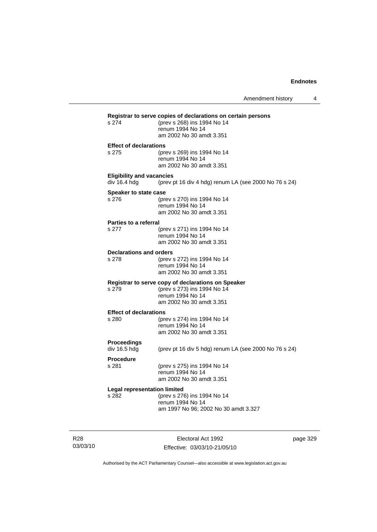|                                         | Registrar to serve copies of declarations on certain persons |
|-----------------------------------------|--------------------------------------------------------------|
| s 274                                   | (prev s 268) ins 1994 No 14<br>renum 1994 No 14              |
|                                         | am 2002 No 30 amdt 3.351                                     |
| <b>Effect of declarations</b>           |                                                              |
| s 275                                   | (prev s 269) ins 1994 No 14                                  |
|                                         | renum 1994 No 14                                             |
|                                         | am 2002 No 30 amdt 3.351                                     |
| <b>Eligibility and vacancies</b>        |                                                              |
| div 16.4 hdg                            | (prev pt 16 div 4 hdg) renum LA (see 2000 No 76 s 24)        |
| Speaker to state case                   |                                                              |
| s 276                                   | (prev s 270) ins 1994 No 14                                  |
|                                         | renum 1994 No 14                                             |
|                                         | am 2002 No 30 amdt 3.351                                     |
| Parties to a referral                   |                                                              |
| s 277                                   | (prev s 271) ins 1994 No 14<br>renum 1994 No 14              |
|                                         | am 2002 No 30 amdt 3.351                                     |
|                                         |                                                              |
| <b>Declarations and orders</b><br>s 278 | (prev s 272) ins 1994 No 14                                  |
|                                         | renum 1994 No 14                                             |
|                                         | am 2002 No 30 amdt 3.351                                     |
|                                         | Registrar to serve copy of declarations on Speaker           |
| s 279                                   | (prev s 273) ins 1994 No 14                                  |
|                                         | renum 1994 No 14                                             |
|                                         | am 2002 No 30 amdt 3.351                                     |
| <b>Effect of declarations</b>           |                                                              |
| $s$ 280                                 | (prev s 274) ins 1994 No 14<br>renum 1994 No 14              |
|                                         | am 2002 No 30 amdt 3.351                                     |
|                                         |                                                              |
| Proceedings<br>div 16.5 hdg             | (prev pt 16 div 5 hdg) renum LA (see 2000 No 76 s 24)        |
|                                         |                                                              |
| <b>Procedure</b>                        |                                                              |
| s 281                                   | (prev s 275) ins 1994 No 14<br>renum 1994 No 14              |
|                                         | am 2002 No 30 amdt 3.351                                     |
| <b>Legal representation limited</b>     |                                                              |
| s 282                                   | (prev s 276) ins 1994 No 14                                  |
|                                         | renum 1994 No 14                                             |
|                                         | am 1997 No 96; 2002 No 30 amdt 3.327                         |
|                                         |                                                              |

R28 03/03/10

Electoral Act 1992 Effective: 03/03/10-21/05/10 page 329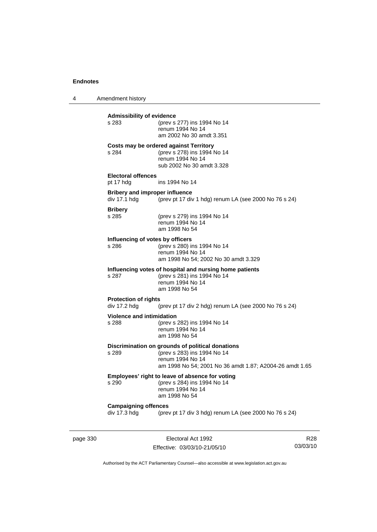4 Amendment history

| page 330 |                                                       | Electoral Act 1992                                                                                                                                             | R <sub>28</sub> |
|----------|-------------------------------------------------------|----------------------------------------------------------------------------------------------------------------------------------------------------------------|-----------------|
|          | <b>Campaigning offences</b><br>div 17.3 hdg           | (prev pt 17 div 3 hdg) renum LA (see 2000 No 76 s 24)                                                                                                          |                 |
|          | s 290                                                 | Employees' right to leave of absence for voting<br>(prev s 284) ins 1994 No 14<br>renum 1994 No 14<br>am 1998 No 54                                            |                 |
|          | s 289                                                 | Discrimination on grounds of political donations<br>(prev s 283) ins 1994 No 14<br>renum 1994 No 14<br>am 1998 No 54; 2001 No 36 amdt 1.87; A2004-26 amdt 1.65 |                 |
|          | <b>Violence and intimidation</b><br>s 288             | (prev s 282) ins 1994 No 14<br>renum 1994 No 14<br>am 1998 No 54                                                                                               |                 |
|          | <b>Protection of rights</b><br>div 17.2 hdg           | (prev pt 17 div 2 hdg) renum LA (see 2000 No 76 s 24)                                                                                                          |                 |
|          | s 287                                                 | Influencing votes of hospital and nursing home patients<br>(prev s 281) ins 1994 No 14<br>renum 1994 No 14<br>am 1998 No 54                                    |                 |
|          | Influencing of votes by officers<br>s 286             | (prev s 280) ins 1994 No 14<br>renum 1994 No 14<br>am 1998 No 54; 2002 No 30 amdt 3.329                                                                        |                 |
|          | <b>Bribery</b><br>s 285                               | (prev s 279) ins 1994 No 14<br>renum 1994 No 14<br>am 1998 No 54                                                                                               |                 |
|          | <b>Bribery and improper influence</b><br>div 17.1 hdg | (prev pt 17 div 1 hdg) renum LA (see 2000 No 76 s 24)                                                                                                          |                 |
|          | <b>Electoral offences</b><br>pt 17 hdg                | ins 1994 No 14                                                                                                                                                 |                 |
|          | s 284                                                 | Costs may be ordered against Territory<br>(prev s 278) ins 1994 No 14<br>renum 1994 No 14<br>sub 2002 No 30 amdt 3.328                                         |                 |
|          | s 283                                                 | (prev s 277) ins 1994 No 14<br>renum 1994 No 14<br>am 2002 No 30 amdt 3.351                                                                                    |                 |
|          | <b>Admissibility of evidence</b>                      |                                                                                                                                                                |                 |

Authorised by the ACT Parliamentary Counsel—also accessible at www.legislation.act.gov.au

03/03/10

Effective: 03/03/10-21/05/10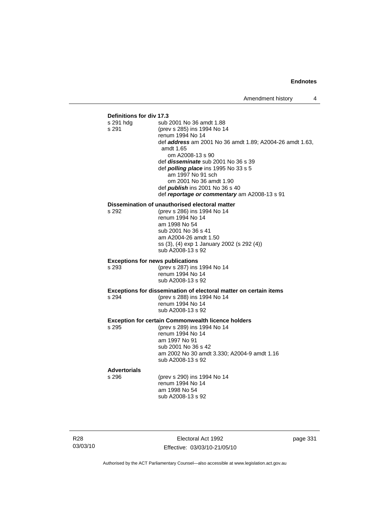# **Definitions for div 17.3**

| <b>Definitions for GIV 17.3</b> |                                                                          |                                                                 |  |
|---------------------------------|--------------------------------------------------------------------------|-----------------------------------------------------------------|--|
|                                 | s 291 hdg                                                                | sub 2001 No 36 amdt 1.88                                        |  |
|                                 | s 291                                                                    | (prev s 285) ins 1994 No 14                                     |  |
|                                 |                                                                          | renum 1994 No 14                                                |  |
|                                 |                                                                          | def <b>address</b> am 2001 No 36 amdt 1.89; A2004-26 amdt 1.63, |  |
|                                 |                                                                          | amdt 1.65                                                       |  |
|                                 |                                                                          | om A2008-13 s 90                                                |  |
|                                 |                                                                          | def <i>disseminate</i> sub 2001 No 36 s 39                      |  |
|                                 |                                                                          | def <i>polling place</i> ins 1995 No 33 s 5                     |  |
|                                 |                                                                          | am 1997 No 91 sch                                               |  |
|                                 |                                                                          | om 2001 No 36 amdt 1.90                                         |  |
|                                 |                                                                          | def <i>publish</i> ins 2001 No 36 s 40                          |  |
|                                 |                                                                          | def reportage or commentary am A2008-13 s 91                    |  |
|                                 |                                                                          | Dissemination of unauthorised electoral matter                  |  |
|                                 | s 292                                                                    | (prev s 286) ins 1994 No 14                                     |  |
|                                 |                                                                          | renum 1994 No 14                                                |  |
|                                 |                                                                          | am 1998 No 54                                                   |  |
|                                 |                                                                          | sub 2001 No 36 s 41                                             |  |
|                                 |                                                                          | am A2004-26 amdt 1.50                                           |  |
|                                 |                                                                          | ss (3), (4) exp 1 January 2002 (s 292 (4))                      |  |
|                                 |                                                                          | sub A2008-13 s 92                                               |  |
|                                 |                                                                          |                                                                 |  |
|                                 | <b>Exceptions for news publications</b>                                  |                                                                 |  |
|                                 | s 293                                                                    | (prev s 287) ins 1994 No 14                                     |  |
|                                 |                                                                          | renum 1994 No 14                                                |  |
|                                 |                                                                          | sub A2008-13 s 92                                               |  |
|                                 | <b>Exceptions for dissemination of electoral matter on certain items</b> |                                                                 |  |
|                                 | s 294                                                                    | (prev s 288) ins 1994 No 14                                     |  |
|                                 |                                                                          | renum 1994 No 14                                                |  |
|                                 |                                                                          | sub A2008-13 s 92                                               |  |
|                                 |                                                                          |                                                                 |  |
|                                 |                                                                          | <b>Exception for certain Commonwealth licence holders</b>       |  |
|                                 | s 295                                                                    | (prev s 289) ins 1994 No 14                                     |  |
|                                 |                                                                          | renum 1994 No 14                                                |  |
|                                 |                                                                          | am 1997 No 91                                                   |  |
|                                 |                                                                          | sub 2001 No 36 s 42                                             |  |
|                                 |                                                                          | am 2002 No 30 amdt 3.330; A2004-9 amdt 1.16                     |  |
|                                 |                                                                          | sub A2008-13 s 92                                               |  |
|                                 | <b>Advertorials</b>                                                      |                                                                 |  |
|                                 | s 296                                                                    | (prev s 290) ins 1994 No 14                                     |  |
|                                 |                                                                          | renum 1994 No 14                                                |  |
|                                 |                                                                          | am 1998 No 54                                                   |  |
|                                 |                                                                          | sub A2008-13 s 92                                               |  |
|                                 |                                                                          |                                                                 |  |
|                                 |                                                                          |                                                                 |  |
|                                 |                                                                          |                                                                 |  |

R28 03/03/10

Electoral Act 1992 Effective: 03/03/10-21/05/10 page 331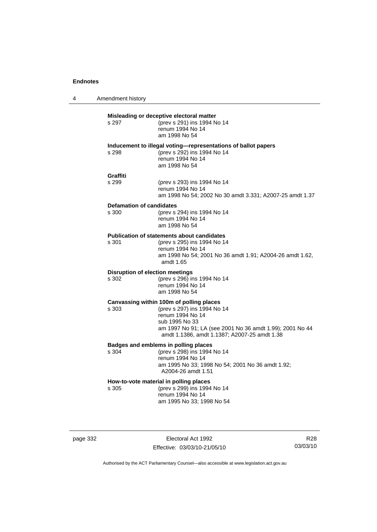| 4 | Amendment history                               |                                                                                                                                                                                                                           |
|---|-------------------------------------------------|---------------------------------------------------------------------------------------------------------------------------------------------------------------------------------------------------------------------------|
|   | s 297                                           | Misleading or deceptive electoral matter<br>(prev s 291) ins 1994 No 14<br>renum 1994 No 14<br>am 1998 No 54                                                                                                              |
|   | s 298                                           | Inducement to illegal voting—representations of ballot papers<br>(prev s 292) ins 1994 No 14<br>renum 1994 No 14<br>am 1998 No 54                                                                                         |
|   | <b>Graffiti</b><br>s 299                        | (prev s 293) ins 1994 No 14<br>renum 1994 No 14<br>am 1998 No 54; 2002 No 30 amdt 3.331; A2007-25 amdt 1.37                                                                                                               |
|   | <b>Defamation of candidates</b><br>s 300        | (prev s 294) ins 1994 No 14<br>renum 1994 No 14<br>am 1998 No 54                                                                                                                                                          |
|   | s 301                                           | <b>Publication of statements about candidates</b><br>(prev s 295) ins 1994 No 14<br>renum 1994 No 14<br>am 1998 No 54; 2001 No 36 amdt 1.91; A2004-26 amdt 1.62,<br>amdt 1.65                                             |
|   | <b>Disruption of election meetings</b><br>s 302 | (prev s 296) ins 1994 No 14<br>renum 1994 No 14<br>am 1998 No 54                                                                                                                                                          |
|   | s 303                                           | Canvassing within 100m of polling places<br>(prev s 297) ins 1994 No 14<br>renum 1994 No 14<br>sub 1995 No 33<br>am 1997 No 91; LA (see 2001 No 36 amdt 1.99); 2001 No 44<br>amdt 1.1386, amdt 1.1387; A2007-25 amdt 1.38 |
|   | s 304                                           | Badges and emblems in polling places<br>(prev s 298) ins 1994 No 14<br>renum 1994 No 14<br>am 1995 No 33; 1998 No 54; 2001 No 36 amdt 1.92;<br>A2004-26 amdt 1.51                                                         |
|   | s 305                                           | How-to-vote material in polling places<br>(prev s 299) ins 1994 No 14<br>renum 1994 No 14<br>am 1995 No 33; 1998 No 54                                                                                                    |

page 332 Electoral Act 1992 Effective: 03/03/10-21/05/10

R28 03/03/10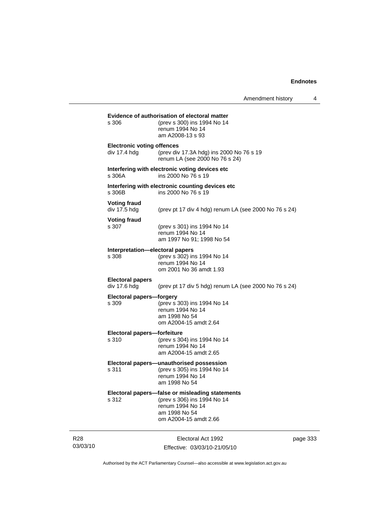|                 |                                                   | Evidence of authorisation of electoral matter                                                                                                |          |
|-----------------|---------------------------------------------------|----------------------------------------------------------------------------------------------------------------------------------------------|----------|
|                 | s 306                                             | (prev s 300) ins 1994 No 14<br>renum 1994 No 14<br>am A2008-13 s 93                                                                          |          |
|                 | <b>Electronic voting offences</b><br>div 17.4 hdg | (prev div 17.3A hdg) ins 2000 No 76 s 19<br>renum LA (see 2000 No 76 s 24)                                                                   |          |
|                 | s 306A                                            | Interfering with electronic voting devices etc<br>ins 2000 No 76 s 19                                                                        |          |
|                 | s 306B                                            | Interfering with electronic counting devices etc.<br>ins 2000 No 76 s 19                                                                     |          |
|                 | <b>Voting fraud</b><br>div 17.5 hdg               | (prev pt 17 div 4 hdg) renum LA (see 2000 No 76 s 24)                                                                                        |          |
|                 | <b>Voting fraud</b><br>s 307                      | (prev s 301) ins 1994 No 14<br>renum 1994 No 14<br>am 1997 No 91; 1998 No 54                                                                 |          |
|                 | Interpretation—electoral papers<br>s 308          | (prev s 302) ins 1994 No 14<br>renum 1994 No 14<br>om 2001 No 36 amdt 1.93                                                                   |          |
|                 | <b>Electoral papers</b><br>div 17.6 hdg           | (prev pt 17 div 5 hdg) renum LA (see 2000 No 76 s 24)                                                                                        |          |
|                 | Electoral papers-forgery<br>s 309                 | (prev s 303) ins 1994 No 14<br>renum 1994 No 14<br>am 1998 No 54<br>om A2004-15 amdt 2.64                                                    |          |
|                 | Electoral papers-forfeiture<br>s 310              | (prev s 304) ins 1994 No 14<br>renum 1994 No 14<br>am A2004-15 amdt 2.65                                                                     |          |
|                 | s 311                                             | Electoral papers—unauthorised possession<br>(prev s 305) ins 1994 No 14<br>renum 1994 No 14<br>am 1998 No 54                                 |          |
|                 | s 312                                             | Electoral papers-false or misleading statements<br>(prev s 306) ins 1994 No 14<br>renum 1994 No 14<br>am 1998 No 54<br>om A2004-15 amdt 2.66 |          |
| R28<br>03/03/10 |                                                   | Electoral Act 1992<br>Effective: 03/03/10-21/05/10                                                                                           | page 333 |

Authorised by the ACT Parliamentary Counsel—also accessible at www.legislation.act.gov.au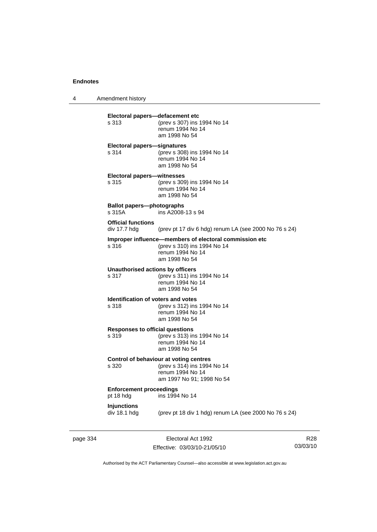4 Amendment history **Electoral papers—defacement etc** s 313 (prev s 307) ins 1994 No 14 renum 1994 No 14 am 1998 No 54 **Electoral papers—signatures** s 314 (prev s 308) ins 1994 No 14 renum 1994 No 14 am 1998 No 54 **Electoral papers—witnesses** s 315 (prev s 309) ins 1994 No 14 renum 1994 No 14 am 1998 No 54 **Ballot papers—photographs**  s 315A ins A2008-13 s 94 **Official functions**  div 17.7 hdg (prev pt 17 div 6 hdg) renum LA (see 2000 No 76 s 24) **Improper influence—members of electoral commission etc** s 316 (prev s 310) ins 1994 No 14 renum 1994 No 14 am 1998 No 54 **Unauthorised actions by officers** s 317 (prev s 311) ins 1994 No 14 renum 1994 No 14 am 1998 No 54 **Identification of voters and votes** s 318 (prev s 312) ins 1994 No 14 renum 1994 No 14 am 1998 No 54 **Responses to official questions**<br>s 319 (prev s 313) in s 319 (prev s 313) ins 1994 No 14 renum 1994 No 14 am 1998 No 54 **Control of behaviour at voting centres** s 320 (prev s 314) ins 1994 No 14 renum 1994 No 14 am 1997 No 91; 1998 No 54 **Enforcement proceedings** pt 18 hdg ins 1994 No 14 **Injunctions**  div 18.1 hdg (prev pt 18 div 1 hdg) renum LA (see 2000 No 76 s 24)

page 334 Electoral Act 1992 Effective: 03/03/10-21/05/10

R28 03/03/10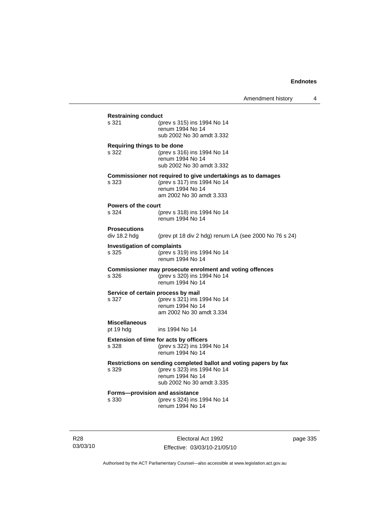| <b>Restraining conduct</b>              |                                                                                                                                                   |
|-----------------------------------------|---------------------------------------------------------------------------------------------------------------------------------------------------|
| s 321                                   | (prev s 315) ins 1994 No 14<br>renum 1994 No 14<br>sub 2002 No 30 amdt 3.332                                                                      |
| Requiring things to be done             |                                                                                                                                                   |
| s 322                                   | (prev s 316) ins 1994 No 14<br>renum 1994 No 14<br>sub 2002 No 30 amdt 3.332                                                                      |
| s 323                                   | Commissioner not required to give undertakings as to damages<br>(prev s 317) ins 1994 No 14<br>renum 1994 No 14<br>am 2002 No 30 amdt 3.333       |
| <b>Powers of the court</b>              |                                                                                                                                                   |
| s 324                                   | (prev s 318) ins 1994 No 14<br>renum 1994 No 14                                                                                                   |
| <b>Prosecutions</b><br>div 18.2 hdg     | (prev pt 18 div 2 hdg) renum LA (see 2000 No 76 s 24)                                                                                             |
| <b>Investigation of complaints</b>      |                                                                                                                                                   |
| s 325                                   | (prev s 319) ins 1994 No 14<br>renum 1994 No 14                                                                                                   |
| s 326                                   | Commissioner may prosecute enrolment and voting offences<br>(prev s 320) ins 1994 No 14<br>renum 1994 No 14                                       |
| Service of certain process by mail      |                                                                                                                                                   |
| s 327                                   | (prev s 321) ins 1994 No 14<br>renum 1994 No 14                                                                                                   |
|                                         | am 2002 No 30 amdt 3.334                                                                                                                          |
| <b>Miscellaneous</b><br>pt 19 hdg       | ins 1994 No 14                                                                                                                                    |
| s 328                                   | Extension of time for acts by officers<br>(prev s 322) ins 1994 No 14                                                                             |
|                                         | renum 1994 No 14                                                                                                                                  |
| s 329                                   | Restrictions on sending completed ballot and voting papers by fax<br>(prev s 323) ins 1994 No 14<br>renum 1994 No 14<br>sub 2002 No 30 amdt 3.335 |
| Forms-provision and assistance<br>s 330 | (prev s 324) ins 1994 No 14<br>renum 1994 No 14                                                                                                   |
|                                         |                                                                                                                                                   |

R28 03/03/10

Electoral Act 1992 Effective: 03/03/10-21/05/10 page 335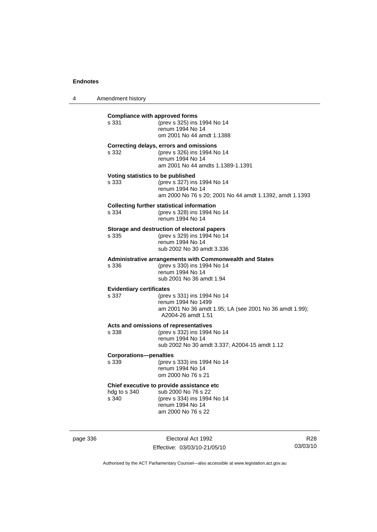4 Amendment history

| <b>Compliance with approved forms</b><br>s 331 | (prev s 325) ins 1994 No 14<br>renum 1994 No 14<br>om 2001 No 44 amdt 1.1388                                                              |
|------------------------------------------------|-------------------------------------------------------------------------------------------------------------------------------------------|
| s.332                                          | Correcting delays, errors and omissions<br>(prev s 326) ins 1994 No 14<br>renum 1994 No 14<br>am 2001 No 44 amdts 1.1389-1.1391           |
| Voting statistics to be published<br>s 333     | (prev s 327) ins 1994 No 14<br>renum 1994 No 14<br>am 2000 No 76 s 20; 2001 No 44 amdt 1.1392, amdt 1.1393                                |
| s 334                                          | <b>Collecting further statistical information</b><br>(prev s 328) ins 1994 No 14<br>renum 1994 No 14                                      |
| s 335                                          | Storage and destruction of electoral papers<br>(prev s 329) ins 1994 No 14<br>renum 1994 No 14<br>sub 2002 No 30 amdt 3.336               |
| s 336                                          | Administrative arrangements with Commonwealth and States<br>(prev s 330) ins 1994 No 14<br>renum 1994 No 14<br>sub 2001 No 36 amdt 1.94   |
| <b>Evidentiary certificates</b><br>s 337       | (prev s 331) ins 1994 No 14<br>renum 1994 No 1499<br>am 2001 No 36 amdt 1.95; LA (see 2001 No 36 amdt 1.99);<br>A2004-26 amdt 1.51        |
| s 338                                          | Acts and omissions of representatives<br>(prev s 332) ins 1994 No 14<br>renum 1994 No 14<br>sub 2002 No 30 amdt 3.337; A2004-15 amdt 1.12 |
| <b>Corporations-penalties</b><br>s 339         | (prev s 333) ins 1994 No 14<br>renum 1994 No 14<br>om 2000 No 76 s 21                                                                     |
| hdg to s 340<br>s 340                          | Chief executive to provide assistance etc<br>sub 2000 No 76 s 22<br>(prev s 334) ins 1994 No 14<br>renum 1994 No 14<br>am 2000 No 76 s 22 |
|                                                |                                                                                                                                           |

page 336 Electoral Act 1992 Effective: 03/03/10-21/05/10

R28 03/03/10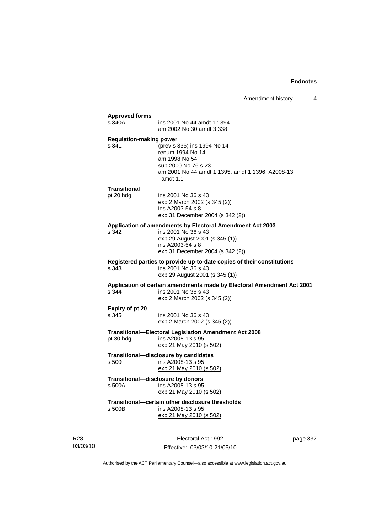| s 340A                                  | ins 2001 No 44 amdt 1.1394<br>am 2002 No 30 amdt 3.338                                                                                                                     |
|-----------------------------------------|----------------------------------------------------------------------------------------------------------------------------------------------------------------------------|
| <b>Regulation-making power</b><br>s 341 | (prev s 335) ins 1994 No 14<br>renum 1994 No 14<br>am 1998 No 54<br>sub 2000 No 76 s 23<br>am 2001 No 44 amdt 1.1395, amdt 1.1396; A2008-13<br>amdt $1.1$                  |
| <b>Transitional</b>                     |                                                                                                                                                                            |
| pt 20 hdg                               | ins 2001 No 36 s 43<br>exp 2 March 2002 (s 345 (2))<br>ins A2003-54 s 8<br>exp 31 December 2004 (s 342 (2))                                                                |
| s 342                                   | Application of amendments by Electoral Amendment Act 2003<br>ins 2001 No 36 s 43<br>exp 29 August 2001 (s 345 (1))<br>ins A2003-54 s 8<br>exp 31 December 2004 (s 342 (2)) |
| s 343                                   | Registered parties to provide up-to-date copies of their constitutions<br>ins 2001 No 36 s 43<br>exp 29 August 2001 (s 345 (1))                                            |
| s 344                                   | Application of certain amendments made by Electoral Amendment Act 2001<br>ins 2001 No 36 s 43<br>exp 2 March 2002 (s 345 (2))                                              |
| Expiry of pt 20<br>s 345                | ins 2001 No 36 s 43<br>exp 2 March 2002 (s 345 (2))                                                                                                                        |
| pt 30 hdg                               | <b>Transitional-Electoral Legislation Amendment Act 2008</b><br>ins A2008-13 s 95<br>exp 21 May 2010 (s 502)                                                               |
| s 500                                   | Transitional-disclosure by candidates<br>ins A2008-13 s 95<br><u>exp 21 May 2010 (s 502)</u>                                                                               |
| s 500A                                  | Transitional-disclosure by donors<br>ins A2008-13 s 95<br>exp 21 May 2010 (s 502)                                                                                          |
| s 500B                                  | Transitional-certain other disclosure thresholds<br>ins A2008-13 s 95<br>exp 21 May 2010 (s 502)                                                                           |

R28 03/03/10

Electoral Act 1992 Effective: 03/03/10-21/05/10 page 337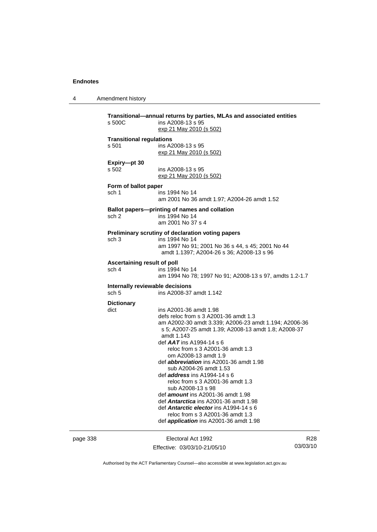4 Amendment history

| s 500C                                              | Transitional-annual returns by parties, MLAs and associated entities<br>ins A2008-13 s 95<br>exp 21 May 2010 (s 502)                                                                                                                                                                                                                                                                                                                                                                                                                                                                                                                                                                            |
|-----------------------------------------------------|-------------------------------------------------------------------------------------------------------------------------------------------------------------------------------------------------------------------------------------------------------------------------------------------------------------------------------------------------------------------------------------------------------------------------------------------------------------------------------------------------------------------------------------------------------------------------------------------------------------------------------------------------------------------------------------------------|
| <b>Transitional regulations</b><br>s 501            | ins A2008-13 s 95<br>exp 21 May 2010 (s 502)                                                                                                                                                                                                                                                                                                                                                                                                                                                                                                                                                                                                                                                    |
| Expiry-pt 30<br>s 502                               | ins A2008-13 s 95<br>exp 21 May 2010 (s 502)                                                                                                                                                                                                                                                                                                                                                                                                                                                                                                                                                                                                                                                    |
| Form of ballot paper<br>sch 1                       | ins 1994 No 14<br>am 2001 No 36 amdt 1.97; A2004-26 amdt 1.52                                                                                                                                                                                                                                                                                                                                                                                                                                                                                                                                                                                                                                   |
| sch <sub>2</sub>                                    | Ballot papers-printing of names and collation<br>ins 1994 No 14<br>am 2001 No 37 s 4                                                                                                                                                                                                                                                                                                                                                                                                                                                                                                                                                                                                            |
| sch <sub>3</sub>                                    | Preliminary scrutiny of declaration voting papers<br>ins 1994 No 14<br>am 1997 No 91; 2001 No 36 s 44, s 45; 2001 No 44<br>amdt 1.1397; A2004-26 s 36; A2008-13 s 96                                                                                                                                                                                                                                                                                                                                                                                                                                                                                                                            |
| Ascertaining result of poll<br>sch 4                | ins 1994 No 14<br>am 1994 No 78; 1997 No 91; A2008-13 s 97, amdts 1.2-1.7                                                                                                                                                                                                                                                                                                                                                                                                                                                                                                                                                                                                                       |
| Internally reviewable decisions<br>sch <sub>5</sub> | ins A2008-37 amdt 1.142                                                                                                                                                                                                                                                                                                                                                                                                                                                                                                                                                                                                                                                                         |
| <b>Dictionary</b><br>dict                           | ins A2001-36 amdt 1.98<br>defs reloc from s 3 A2001-36 amdt 1.3<br>am A2002-30 amdt 3.339; A2006-23 amdt 1.194; A2006-36<br>s 5; A2007-25 amdt 1.39; A2008-13 amdt 1.8; A2008-37<br>amdt 1.143<br>def $AAT$ ins A1994-14 s 6<br>reloc from s 3 A2001-36 amdt 1.3<br>om A2008-13 amdt 1.9<br>def <i>abbreviation</i> ins A2001-36 amdt 1.98<br>sub A2004-26 amdt 1.53<br>def <i>address</i> ins A1994-14 s 6<br>reloc from s 3 A2001-36 amdt 1.3<br>sub A2008-13 s 98<br>def <i>amount</i> ins A2001-36 amdt 1.98<br>def <b>Antarctica</b> ins A2001-36 amdt 1.98<br>def Antarctic elector ins A1994-14 s 6<br>reloc from s 3 A2001-36 amdt 1.3<br>def <i>application</i> ins A2001-36 amdt 1.98 |

page 338 Electoral Act 1992 Effective: 03/03/10-21/05/10

R28 03/03/10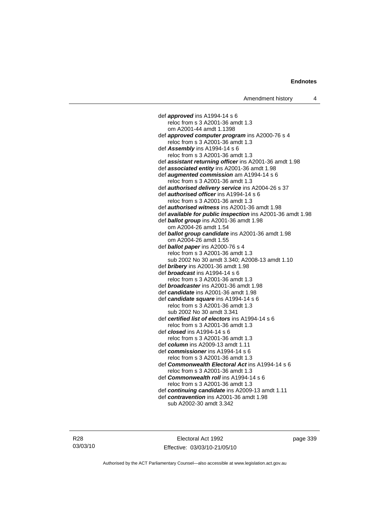def *approved* ins A1994-14 s 6 reloc from s 3 A2001-36 amdt 1.3 om A2001-44 amdt 1.1398 def *approved computer program* ins A2000-76 s 4 reloc from s 3 A2001-36 amdt 1.3 def *Assembly* ins A1994-14 s 6 reloc from s 3 A2001-36 amdt 1.3 def *assistant returning officer* ins A2001-36 amdt 1.98 def *associated entity* ins A2001-36 amdt 1.98 def *augmented commission* am A1994-14 s 6 reloc from s 3 A2001-36 amdt 1.3 def *authorised delivery service* ins A2004-26 s 37 def *authorised officer* ins A1994-14 s 6 reloc from s 3 A2001-36 amdt 1.3 def *authorised witness* ins A2001-36 amdt 1.98 def *available for public inspection* ins A2001-36 amdt 1.98 def *ballot group* ins A2001-36 amdt 1.98 om A2004-26 amdt 1.54 def *ballot group candidate* ins A2001-36 amdt 1.98 om A2004-26 amdt 1.55 def *ballot paper* ins A2000-76 s 4 reloc from s 3 A2001-36 amdt 1.3 sub 2002 No 30 amdt 3.340; A2008-13 amdt 1.10 def *bribery* ins A2001-36 amdt 1.98 def *broadcast* ins A1994-14 s 6 reloc from s 3 A2001-36 amdt 1.3 def *broadcaster* ins A2001-36 amdt 1.98 def *candidate* ins A2001-36 amdt 1.98 def *candidate square* ins A1994-14 s 6 reloc from s 3 A2001-36 amdt 1.3 sub 2002 No 30 amdt 3.341 def *certified list of electors* ins A1994-14 s 6 reloc from s 3 A2001-36 amdt 1.3 def *closed* ins A1994-14 s 6 reloc from s 3 A2001-36 amdt 1.3 def *column* ins A2009-13 amdt 1.11 def *commissioner* ins A1994-14 s 6 reloc from s 3 A2001-36 amdt 1.3 def *Commonwealth Electoral Act* ins A1994-14 s 6 reloc from s 3 A2001-36 amdt 1.3 def *Commonwealth roll* ins A1994-14 s 6 reloc from s 3 A2001-36 amdt 1.3 def *continuing candidate* ins A2009-13 amdt 1.11 def *contravention* ins A2001-36 amdt 1.98 sub A2002-30 amdt 3.342

R28 03/03/10

Electoral Act 1992 Effective: 03/03/10-21/05/10 page 339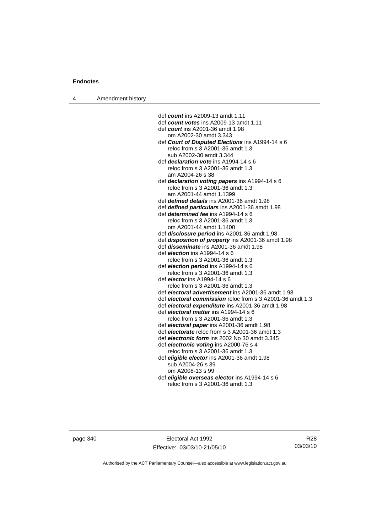| Amendment history<br>4 |  |
|------------------------|--|
|------------------------|--|

def *count* ins A2009-13 amdt 1.11 def *count votes* ins A2009-13 amdt 1.11 def *court* ins A2001-36 amdt 1.98 om A2002-30 amdt 3.343 def *Court of Disputed Elections* ins A1994-14 s 6 reloc from s 3 A2001-36 amdt 1.3 sub A2002-30 amdt 3.344 def *declaration vote* ins A1994-14 s 6 reloc from s 3 A2001-36 amdt 1.3 am A2004-26 s 38 def *declaration voting papers* ins A1994-14 s 6 reloc from s 3 A2001-36 amdt 1.3 am A2001-44 amdt 1.1399 def *defined details* ins A2001-36 amdt 1.98 def *defined particulars* ins A2001-36 amdt 1.98 def *determined fee* ins A1994-14 s 6 reloc from s 3 A2001-36 amdt 1.3 om A2001-44 amdt 1.1400 def *disclosure period* ins A2001-36 amdt 1.98 def *disposition of property* ins A2001-36 amdt 1.98 def *disseminate* ins A2001-36 amdt 1.98 def *election* ins A1994-14 s 6 reloc from s 3 A2001-36 amdt 1.3 def *election period* ins A1994-14 s 6 reloc from s 3 A2001-36 amdt 1.3 def *elector* ins A1994-14 s 6 reloc from s 3 A2001-36 amdt 1.3 def *electoral advertisement* ins A2001-36 amdt 1.98 def *electoral commission* reloc from s 3 A2001-36 amdt 1.3 def *electoral expenditure* ins A2001-36 amdt 1.98 def *electoral matter* ins A1994-14 s 6 reloc from s 3 A2001-36 amdt 1.3 def *electoral paper* ins A2001-36 amdt 1.98 def *electorate* reloc from s 3 A2001-36 amdt 1.3 def *electronic form* ins 2002 No 30 amdt 3.345 def *electronic voting* ins A2000-76 s 4 reloc from s 3 A2001-36 amdt 1.3 def *eligible elector* ins A2001-36 amdt 1.98 sub A2004-26 s 39 om A2008-13 s 99 def *eligible overseas elector* ins A1994-14 s 6 reloc from s 3 A2001-36 amdt 1.3

page 340 Electoral Act 1992 Effective: 03/03/10-21/05/10

R28 03/03/10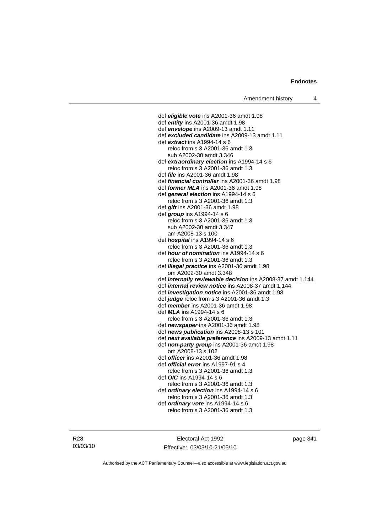def *eligible vote* ins A2001-36 amdt 1.98 def *entity* ins A2001-36 amdt 1.98 def *envelope* ins A2009-13 amdt 1.11 def *excluded candidate* ins A2009-13 amdt 1.11 def *extract* ins A1994-14 s 6 reloc from s 3 A2001-36 amdt 1.3 sub A2002-30 amdt 3.346 def *extraordinary election* ins A1994-14 s 6 reloc from s 3 A2001-36 amdt 1.3 def *file* ins A2001-36 amdt 1.98 def *financial controller* ins A2001-36 amdt 1.98 def *former MLA* ins A2001-36 amdt 1.98 def *general election* ins A1994-14 s 6 reloc from s 3 A2001-36 amdt 1.3 def *gift* ins A2001-36 amdt 1.98 def *group* ins A1994-14 s 6 reloc from s 3 A2001-36 amdt 1.3 sub A2002-30 amdt 3.347 am A2008-13 s 100 def *hospital* ins A1994-14 s 6 reloc from s 3 A2001-36 amdt 1.3 def *hour of nomination* ins A1994-14 s 6 reloc from s 3 A2001-36 amdt 1.3 def *illegal practice* ins A2001-36 amdt 1.98 om A2002-30 amdt 3.348 def *internally reviewable decision* ins A2008-37 amdt 1.144 def *internal review notice* ins A2008-37 amdt 1.144 def *investigation notice* ins A2001-36 amdt 1.98 def *judge* reloc from s 3 A2001-36 amdt 1.3 def *member* ins A2001-36 amdt 1.98 def *MLA* ins A1994-14 s 6 reloc from s 3 A2001-36 amdt 1.3 def *newspaper* ins A2001-36 amdt 1.98 def *news publication* ins A2008-13 s 101 def *next available preference* ins A2009-13 amdt 1.11 def *non-party group* ins A2001-36 amdt 1.98 om A2008-13 s 102 def *officer* ins A2001-36 amdt 1.98 def *official error* ins A1997-91 s 4 reloc from s 3 A2001-36 amdt 1.3 def *OIC* ins A1994-14 s 6 reloc from s 3 A2001-36 amdt 1.3 def *ordinary election* ins A1994-14 s 6 reloc from s 3 A2001-36 amdt 1.3 def *ordinary vote* ins A1994-14 s 6

reloc from s 3 A2001-36 amdt 1.3

Electoral Act 1992 Effective: 03/03/10-21/05/10 page 341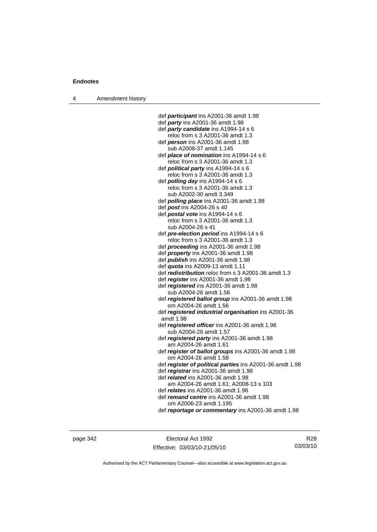4 Amendment history

 def *participant* ins A2001-36 amdt 1.98 def *party* ins A2001-36 amdt 1.98 def *party candidate* ins A1994-14 s 6 reloc from s 3 A2001-36 amdt 1.3 def *person* ins A2001-36 amdt 1.98 sub A2008-37 amdt 1.145 def *place of nomination* ins A1994-14 s 6 reloc from s 3 A2001-36 amdt 1.3 def *political party* ins A1994-14 s 6 reloc from s 3 A2001-36 amdt 1.3 def *polling day* ins A1994-14 s 6 reloc from s 3 A2001-36 amdt 1.3 sub A2002-30 amdt 3.349 def *polling place* ins A2001-36 amdt 1.98 def *post* ins A2004-26 s 40 def *postal vote* ins A1994-14 s 6 reloc from s 3 A2001-36 amdt 1.3 sub A2004-26 s 41 def *pre-election period* ins A1994-14 s 6 reloc from s 3 A2001-36 amdt 1.3 def *proceeding* ins A2001-36 amdt 1.98 def *property* ins A2001-36 amdt 1.98 def *publish* ins A2001-36 amdt 1.98 def *quota* ins A2009-13 amdt 1.11 def *redistribution* reloc from s 3 A2001-36 amdt 1.3 def *register* ins A2001-36 amdt 1.98 def *registered* ins A2001-36 amdt 1.98 sub A2004-26 amdt 1.56 def *registered ballot group* ins A2001-36 amdt 1.98 om A2004-26 amdt 1.56 def *registered industrial organisation* ins A2001-36 amdt 1.98 def *registered officer* ins A2001-36 amdt 1.98 sub A2004-26 amdt 1.57 def *registered party* ins A2001-36 amdt 1.98 am A2004-26 amdt 1.61 def *register of ballot groups* ins A2001-36 amdt 1.98 om A2004-26 amdt 1.58 def *register of political parties* ins A2001-36 amdt 1.98 def *registrar* ins A2001-36 amdt 1.98 def *related* ins A2001-36 amdt 1.98 am A2004-26 amdt 1.61; A2008-13 s 103 def *relates* ins A2001-36 amdt 1.98 def *remand centre* ins A2001-36 amdt 1.98 om A2006-23 amdt 1.195

def *reportage or commentary* ins A2001-36 amdt 1.98

page 342 Electoral Act 1992 Effective: 03/03/10-21/05/10

R28 03/03/10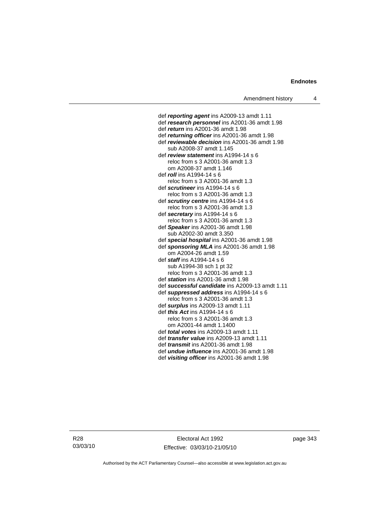#### **Endnotes**

def *reporting agent* ins A2009-13 amdt 1.11 def *research personnel* ins A2001-36 amdt 1.98 def *return* ins A2001-36 amdt 1.98 def *returning officer* ins A2001-36 amdt 1.98 def *reviewable decision* ins A2001-36 amdt 1.98 sub A2008-37 amdt 1.145 def *review statement* ins A1994-14 s 6 reloc from s 3 A2001-36 amdt 1.3 om A2008-37 amdt 1.146 def *roll* ins A1994-14 s 6 reloc from s 3 A2001-36 amdt 1.3 def *scrutineer* ins A1994-14 s 6 reloc from s 3 A2001-36 amdt 1.3 def *scrutiny centre* ins A1994-14 s 6 reloc from s 3 A2001-36 amdt 1.3 def *secretary* ins A1994-14 s 6 reloc from s 3 A2001-36 amdt 1.3 def *Speaker* ins A2001-36 amdt 1.98 sub A2002-30 amdt 3.350 def *special hospital* ins A2001-36 amdt 1.98 def *sponsoring MLA* ins A2001-36 amdt 1.98 om A2004-26 amdt 1.59 def *staff* ins A1994-14 s 6 sub A1994-38 sch 1 pt 32 reloc from s 3 A2001-36 amdt 1.3 def *station* ins A2001-36 amdt 1.98 def *successful candidate* ins A2009-13 amdt 1.11 def *suppressed address* ins A1994-14 s 6 reloc from s 3 A2001-36 amdt 1.3 def *surplus* ins A2009-13 amdt 1.11 def *this Act* ins A1994-14 s 6 reloc from s 3 A2001-36 amdt 1.3 om A2001-44 amdt 1.1400 def *total votes* ins A2009-13 amdt 1.11 def *transfer value* ins A2009-13 amdt 1.11 def *transmit* ins A2001-36 amdt 1.98 def *undue influence* ins A2001-36 amdt 1.98 def *visiting officer* ins A2001-36 amdt 1.98

R28 03/03/10

Electoral Act 1992 Effective: 03/03/10-21/05/10 page 343

Authorised by the ACT Parliamentary Counsel—also accessible at www.legislation.act.gov.au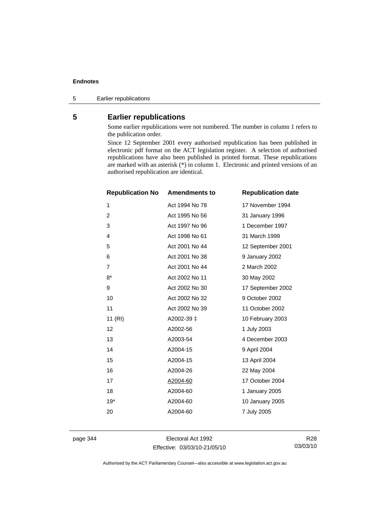### **Endnotes**

5 Earlier republications

## **5 Earlier republications**

Some earlier republications were not numbered. The number in column 1 refers to the publication order.

Since 12 September 2001 every authorised republication has been published in electronic pdf format on the ACT legislation register. A selection of authorised republications have also been published in printed format. These republications are marked with an asterisk (\*) in column 1. Electronic and printed versions of an authorised republication are identical.

| <b>Republication No</b> | <b>Amendments to</b> | <b>Republication date</b> |
|-------------------------|----------------------|---------------------------|
| 1                       | Act 1994 No 78       | 17 November 1994          |
| 2                       | Act 1995 No 56       | 31 January 1996           |
| 3                       | Act 1997 No 96       | 1 December 1997           |
| 4                       | Act 1998 No 61       | 31 March 1999             |
| 5                       | Act 2001 No 44       | 12 September 2001         |
| 6                       | Act 2001 No 38       | 9 January 2002            |
| $\overline{7}$          | Act 2001 No 44       | 2 March 2002              |
| $8*$                    | Act 2002 No 11       | 30 May 2002               |
| 9                       | Act 2002 No 30       | 17 September 2002         |
| 10                      | Act 2002 No 32       | 9 October 2002            |
| 11                      | Act 2002 No 39       | 11 October 2002           |
| 11 (RI)                 | A2002-39 ±           | 10 February 2003          |
| 12                      | A2002-56             | 1 July 2003               |
| 13                      | A2003-54             | 4 December 2003           |
| 14                      | A2004-15             | 9 April 2004              |
| 15                      | A2004-15             | 13 April 2004             |
| 16                      | A2004-26             | 22 May 2004               |
| 17                      | A2004-60             | 17 October 2004           |
| 18                      | A2004-60             | 1 January 2005            |
| $19*$                   | A2004-60             | 10 January 2005           |
| 20                      | A2004-60             | 7 July 2005               |
|                         |                      |                           |

page 344 Electoral Act 1992 Effective: 03/03/10-21/05/10

R28 03/03/10

Authorised by the ACT Parliamentary Counsel—also accessible at www.legislation.act.gov.au